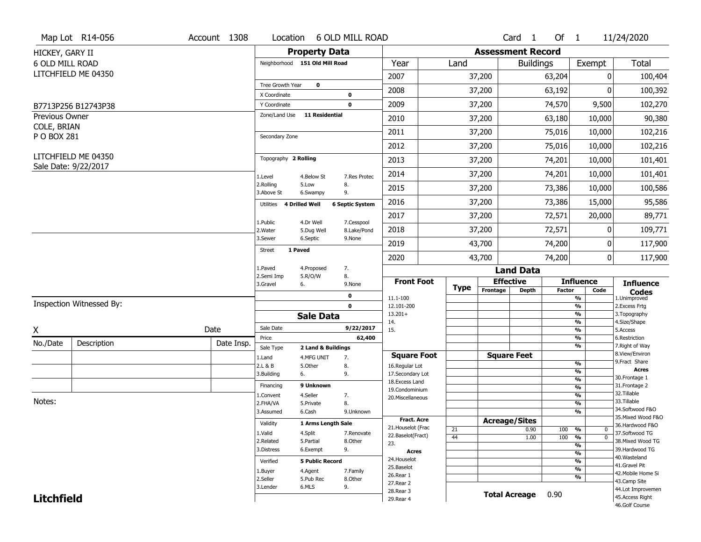|                               | Map Lot R14-056          | Account 1308 | Location                           |                                  | 6 OLD MILL ROAD        |                                         |             |                          | Card <sub>1</sub> | Of $1$        |                             | 11/24/2020                          |
|-------------------------------|--------------------------|--------------|------------------------------------|----------------------------------|------------------------|-----------------------------------------|-------------|--------------------------|-------------------|---------------|-----------------------------|-------------------------------------|
| HICKEY, GARY II               |                          |              |                                    | <b>Property Data</b>             |                        |                                         |             | <b>Assessment Record</b> |                   |               |                             |                                     |
| 6 OLD MILL ROAD               |                          |              | Neighborhood 151 Old Mill Road     |                                  |                        | Year                                    | Land        |                          | <b>Buildings</b>  |               | Exempt                      | <b>Total</b>                        |
|                               | LITCHFIELD ME 04350      |              |                                    |                                  |                        | 2007                                    |             | 37,200                   |                   | 63,204        | 0                           | 100,404                             |
|                               |                          |              | Tree Growth Year                   | $\mathbf 0$                      |                        | 2008                                    |             | 37,200                   |                   | 63,192        | 0                           | 100,392                             |
|                               |                          |              | X Coordinate                       |                                  | $\pmb{0}$              |                                         |             |                          |                   |               |                             |                                     |
|                               | B7713P256 B12743P38      |              | Y Coordinate<br>Zone/Land Use      | <b>11 Residential</b>            | $\mathbf 0$            | 2009                                    |             | 37,200                   |                   | 74,570        | 9,500                       | 102,270                             |
| Previous Owner<br>COLE, BRIAN |                          |              |                                    |                                  |                        | 2010                                    |             | 37,200                   |                   | 63,180        | 10,000                      | 90,380                              |
| P O BOX 281                   |                          |              | Secondary Zone                     |                                  |                        | 2011                                    |             | 37,200                   |                   | 75,016        | 10,000                      | 102,216                             |
|                               |                          |              |                                    |                                  |                        | 2012                                    |             | 37,200                   |                   | 75,016        | 10,000                      | 102,216                             |
|                               | LITCHFIELD ME 04350      |              | Topography 2 Rolling               |                                  |                        | 2013                                    |             | 37,200                   |                   | 74,201        | 10,000                      | 101,401                             |
|                               | Sale Date: 9/22/2017     |              | 1.Level                            | 4.Below St                       | 7.Res Protec           | 2014                                    |             | 37,200                   |                   | 74,201        | 10,000                      | 101,401                             |
|                               |                          |              | 2.Rolling<br>3.Above St            | 5.Low<br>6.Swampy                | 8.<br>9.               | 2015                                    |             | 37,200                   |                   | 73,386        | 10,000                      | 100,586                             |
|                               |                          |              | <b>4 Drilled Well</b><br>Utilities |                                  | <b>6 Septic System</b> | 2016                                    |             | 37,200                   |                   | 73,386        | 15,000                      | 95,586                              |
|                               |                          |              | 1.Public                           | 4.Dr Well                        | 7.Cesspool             | 2017                                    |             | 37,200                   |                   | 72,571        | 20,000                      | 89,771                              |
|                               |                          |              | 2. Water                           | 5.Dug Well                       | 8.Lake/Pond            | 2018                                    |             | 37,200                   |                   | 72,571        | $\mathbf{0}$                | 109,771                             |
|                               |                          |              | 3.Sewer<br>1 Paved                 | 6.Septic                         | 9.None                 | 2019                                    |             | 43,700                   |                   | 74,200        | 0                           | 117,900                             |
|                               |                          |              | <b>Street</b>                      |                                  |                        | 2020                                    |             | 43,700                   |                   | 74,200        | $\mathbf 0$                 | 117,900                             |
|                               |                          |              | 1.Paved<br>2.Semi Imp              | 4.Proposed                       | 7.<br>8.               |                                         |             |                          | <b>Land Data</b>  |               |                             |                                     |
|                               |                          |              | 3.Gravel<br>6.                     | 5.R/O/W                          | 9.None                 | <b>Front Foot</b>                       | <b>Type</b> | <b>Effective</b>         |                   |               | <b>Influence</b>            | <b>Influence</b>                    |
|                               |                          |              |                                    |                                  | 0                      | 11.1-100                                |             | Frontage                 | <b>Depth</b>      | <b>Factor</b> | Code<br>%                   | <b>Codes</b><br>1.Unimproved        |
|                               | Inspection Witnessed By: |              |                                    |                                  | $\mathbf 0$            | 12.101-200                              |             |                          |                   |               | %                           | 2.Excess Frtg                       |
|                               |                          |              |                                    | <b>Sale Data</b>                 |                        | $13.201+$<br>14.                        |             |                          |                   |               | %<br>%                      | 3. Topography<br>4.Size/Shape       |
| X                             |                          | Date         | Sale Date                          |                                  | 9/22/2017              | 15.                                     |             |                          |                   |               | %                           | 5.Access                            |
| No./Date                      | Description              | Date Insp.   | Price                              |                                  | 62,400                 |                                         |             |                          |                   |               | %<br>%                      | 6.Restriction<br>7. Right of Way    |
|                               |                          |              | Sale Type<br>1.Land                | 2 Land & Buildings<br>4.MFG UNIT | 7.                     | <b>Square Foot</b>                      |             | <b>Square Feet</b>       |                   |               |                             | 8.View/Environ                      |
|                               |                          |              | 2.L & B                            | 5.Other                          | 8.                     | 16.Regular Lot                          |             |                          |                   |               | %                           | 9.Fract Share                       |
|                               |                          |              | 3.Building<br>6.                   |                                  | 9.                     | 17.Secondary Lot                        |             |                          |                   |               | %<br>$\frac{9}{6}$          | <b>Acres</b><br>30.Frontage 1       |
|                               |                          |              | Financing                          | 9 Unknown                        |                        | 18.Excess Land<br>19.Condominium        |             |                          |                   |               | $\frac{9}{6}$               | 31. Frontage 2                      |
|                               |                          |              | 1.Convent                          | 4.Seller                         | 7.                     | 20.Miscellaneous                        |             |                          |                   |               | $\frac{9}{6}$               | 32.Tillable                         |
| Notes:                        |                          |              | 2.FHA/VA                           | 5.Private                        | 8.                     |                                         |             |                          |                   |               | $\frac{9}{6}$               | 33.Tillable<br>34.Softwood F&O      |
|                               |                          |              | 3.Assumed                          | 6.Cash                           | 9.Unknown              |                                         |             |                          |                   |               | %                           | 35. Mixed Wood F&O                  |
|                               |                          |              | Validity                           | 1 Arms Length Sale               |                        | <b>Fract. Acre</b>                      |             | <b>Acreage/Sites</b>     |                   |               |                             | 36.Hardwood F&O                     |
|                               |                          |              | 1.Valid                            | 4.Split                          | 7.Renovate             | 21. Houselot (Frac<br>22.Baselot(Fract) | 21<br>44    |                          | 0.90<br>1.00      | 100<br>100    | %<br>0<br>%<br>$\mathbf{0}$ | 37.Softwood TG                      |
|                               |                          |              | 2.Related                          | 5.Partial                        | 8.Other                | 23.                                     |             |                          |                   |               | $\frac{9}{6}$               | 38. Mixed Wood TG                   |
|                               |                          |              | 3.Distress                         | 6.Exempt                         | 9.                     | <b>Acres</b>                            |             |                          |                   |               | $\frac{9}{6}$               | 39.Hardwood TG                      |
|                               |                          |              | Verified                           | <b>5 Public Record</b>           |                        | 24. Houselot                            |             |                          |                   |               | $\frac{9}{6}$               | 40. Wasteland                       |
|                               |                          |              | 1.Buyer                            | 4.Agent                          | 7.Family               | 25.Baselot                              |             |                          |                   |               | $\frac{9}{6}$               | 41.Gravel Pit<br>42. Mobile Home Si |
|                               |                          |              | 2.Seller                           | 5.Pub Rec                        | 8.Other                | 26.Rear 1                               |             |                          |                   |               | %                           | 43.Camp Site                        |
|                               |                          |              | 3.Lender                           | 6.MLS                            | 9.                     | 27. Rear 2                              |             |                          |                   |               |                             | 44.Lot Improvemen                   |
|                               |                          |              |                                    |                                  |                        |                                         |             |                          |                   |               |                             |                                     |
| <b>Litchfield</b>             |                          |              |                                    |                                  |                        | 28. Rear 3<br>29. Rear 4                |             | <b>Total Acreage</b>     |                   | 0.90          |                             | 45.Access Right<br>46.Golf Course   |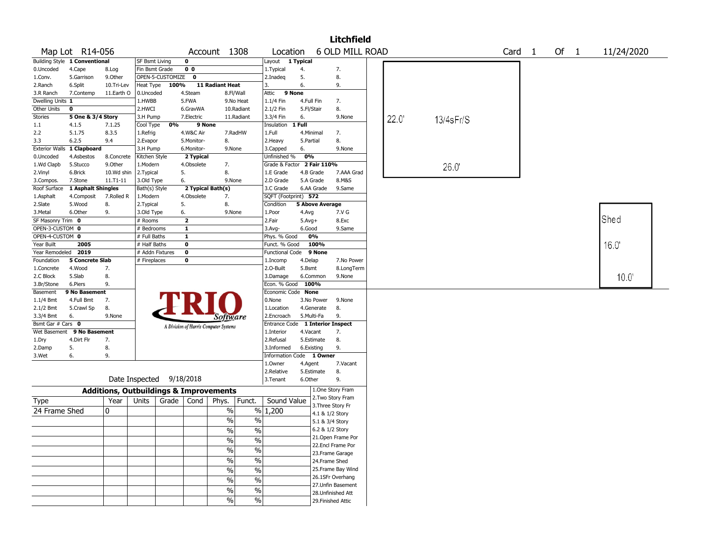|                                  |                                 |                                                   |                          |                    |                   |                                       |               |                            |            |                        | <b>Litchfield</b>         |      |           |                   |        |            |  |
|----------------------------------|---------------------------------|---------------------------------------------------|--------------------------|--------------------|-------------------|---------------------------------------|---------------|----------------------------|------------|------------------------|---------------------------|------|-----------|-------------------|--------|------------|--|
|                                  | Map Lot R14-056                 |                                                   |                          |                    |                   | Account 1308                          |               | Location                   |            |                        | 6 OLD MILL ROAD           |      |           | Card <sub>1</sub> | Of $1$ | 11/24/2020 |  |
|                                  | Building Style 1 Conventional   |                                                   | <b>SF Bsmt Living</b>    |                    | 0                 |                                       |               | Layout 1 Typical           |            |                        |                           |      |           |                   |        |            |  |
| 0.Uncoded                        | 4.Cape                          | 8.Log                                             | Fin Bsmt Grade           |                    | 0 <sub>0</sub>    |                                       |               | 1. Typical                 | 4.         |                        | 7.                        |      |           |                   |        |            |  |
| 1.Conv.                          | 5.Garrison                      | 9.0ther                                           |                          | OPEN-5-CUSTOMIZE 0 |                   |                                       |               | 2.Inadeg                   | 5.         |                        | 8.                        |      |           |                   |        |            |  |
| 2.Ranch                          | 6.Split                         | 10.Tri-Lev                                        | Heat Type                | 100%               |                   | 11 Radiant Heat                       |               | 3.                         | 6.         |                        | 9.                        |      |           |                   |        |            |  |
| 3.R Ranch                        | 7.Contemp                       | 11.Earth O                                        | 0.Uncoded                |                    | 4.Steam           |                                       | 8.Fl/Wall     | Attic 9 None               |            |                        |                           |      |           |                   |        |            |  |
| Dwelling Units 1                 |                                 |                                                   | 1.HWBB                   |                    | 5.FWA             |                                       | 9.No Heat     | 1.1/4 Fin                  | 4.Full Fin |                        | 7.                        |      |           |                   |        |            |  |
| <b>Other Units</b>               | 0                               |                                                   | 2.HWCI                   |                    | 6.GravWA          |                                       | 10.Radiant    | 2.1/2 Fin                  | 5.Fl/Stair |                        | 8.                        |      |           |                   |        |            |  |
| Stories                          | 5 One & 3/4 Story               |                                                   | 3.H Pump                 |                    | 7.Electric        |                                       | 11.Radiant    | 3.3/4 Fin                  | 6.         |                        | 9.None                    | 22.0 | 13/4sFr/S |                   |        |            |  |
| 1.1                              | 4.1.5                           | 7.1.25                                            | Cool Type                | 0%                 | 9 None            |                                       |               | Insulation                 | 1 Full     |                        |                           |      |           |                   |        |            |  |
| 2.2                              | 5.1.75                          | 8.3.5                                             | 1.Refrig                 |                    | 4.W&C Air         |                                       | 7.RadHW       | 1.Full                     | 4.Minimal  |                        | 7.                        |      |           |                   |        |            |  |
| 3.3                              | 6.2.5                           | 9.4                                               | 2.Evapor                 |                    | 5.Monitor-        | 8.                                    |               | 2. Heavy                   | 5.Partial  |                        | 8.                        |      |           |                   |        |            |  |
| <b>Exterior Walls</b>            | 1 Clapboard                     |                                                   | 3.H Pump                 |                    | 6.Monitor-        | 9.None                                |               | 3.Capped                   | 6.         |                        | 9.None                    |      |           |                   |        |            |  |
| 0.Uncoded                        | 4.Asbestos                      | 8.Concrete                                        | Kitchen Style            |                    | 2 Typical         |                                       |               | Unfinished %               | 0%         |                        |                           |      |           |                   |        |            |  |
| 1.Wd Clapb                       | 5.Stucco                        | 9.0ther                                           | 1.Modern                 |                    | 4.Obsolete        | 7.                                    |               | Grade & Factor 2 Fair 110% |            |                        |                           |      | 26.0      |                   |        |            |  |
| 2.Vinyl                          | 6.Brick                         | 10.Wd shin                                        | 2.Typical                |                    | 5.                | 8.                                    |               | 1.E Grade                  | 4.B Grade  |                        | 7.AAA Grad                |      |           |                   |        |            |  |
| 3.Compos.                        | 7.Stone                         | $11.71 - 11$                                      | 3.Old Type               |                    | 6.                | 9.None                                |               | 2.D Grade                  | 5.A Grade  |                        | 8.M&S                     |      |           |                   |        |            |  |
|                                  | Roof Surface 1 Asphalt Shingles |                                                   | Bath(s) Style            |                    | 2 Typical Bath(s) |                                       |               | 3.C Grade                  |            | 6.AA Grade             | 9.Same                    |      |           |                   |        |            |  |
| 1.Asphalt                        | 4.Composit                      | 7.Rolled R                                        | 1.Modern                 |                    | 4.Obsolete        | 7.                                    |               | SQFT (Footprint) 572       |            |                        |                           |      |           |                   |        |            |  |
| 2.Slate                          | 5.Wood                          | 8.                                                | 2.Typical                |                    | 5.                | 8.                                    |               | Condition                  |            | <b>5 Above Average</b> |                           |      |           |                   |        |            |  |
| 3. Metal                         | 6.Other                         | 9.                                                | 3.Old Type               |                    | 6.                | 9.None                                |               | 1.Poor                     | 4.Avg      |                        | 7.V G                     |      |           |                   |        |            |  |
| SF Masonry Trim 0                |                                 |                                                   | # Rooms                  |                    | $\overline{2}$    |                                       |               | 2.Fair                     | $5.Avg+$   |                        | 8.Exc                     |      |           |                   |        | Shed       |  |
| OPEN-3-CUSTOM 0                  |                                 |                                                   | # Bedrooms               |                    | $\mathbf{1}$      |                                       |               | 3.Avg-                     | 6.Good     |                        | 9.Same                    |      |           |                   |        |            |  |
| OPEN-4-CUSTOM 0                  |                                 |                                                   | # Full Baths             |                    | $\mathbf{1}$      |                                       |               | Phys. % Good               |            | 0%                     |                           |      |           |                   |        |            |  |
| Year Built                       | 2005                            |                                                   | # Half Baths             |                    | $\mathbf 0$       |                                       |               | Funct. % Good              |            | 100%                   |                           |      |           |                   |        | 16.0       |  |
| Year Remodeled 2019              |                                 |                                                   | # Addn Fixtures          |                    | $\mathbf 0$       |                                       |               | Functional Code 9 None     |            |                        |                           |      |           |                   |        |            |  |
| Foundation                       | <b>5 Concrete Slab</b>          |                                                   | # Fireplaces             |                    | 0                 |                                       |               | 1.Incomp                   | 4.Delap    |                        | 7.No Power                |      |           |                   |        |            |  |
| 1.Concrete                       | 4.Wood                          | 7.                                                |                          |                    |                   |                                       |               | 2.O-Built                  | 5.Bsmt     |                        | 8.LongTerm                |      |           |                   |        |            |  |
| 2.C Block                        | 5.Slab                          | 8.                                                |                          |                    |                   |                                       |               | 3.Damage                   |            | 6.Common               | 9.None                    |      |           |                   |        | 10.0       |  |
| 3.Br/Stone                       | 6.Piers                         | 9.                                                |                          |                    |                   |                                       |               | Econ. % Good 100%          |            |                        |                           |      |           |                   |        |            |  |
| Basement                         | 9 No Basement                   |                                                   |                          |                    |                   |                                       |               | Economic Code None         |            |                        |                           |      |           |                   |        |            |  |
| 1.1/4 Bmt                        | 4.Full Bmt                      | 7.                                                |                          |                    |                   |                                       |               | 0.None                     |            | 3.No Power             | 9.None                    |      |           |                   |        |            |  |
| 2.1/2 Bmt                        | 5.Crawl Sp                      | 8.                                                |                          |                    |                   |                                       |               | 1.Location                 |            | 4.Generate             | 8.                        |      |           |                   |        |            |  |
| 3.3/4 Bmt                        | 6.                              | 9.None                                            |                          |                    |                   | <i>Software</i>                       |               | 2.Encroach                 | 5.Multi-Fa |                        | 9.                        |      |           |                   |        |            |  |
| Bsmt Gar $#$ Cars $\overline{0}$ |                                 |                                                   |                          |                    |                   |                                       |               | Entrance Code              |            |                        | <b>1 Interior Inspect</b> |      |           |                   |        |            |  |
| Wet Basement                     | 9 No Basement                   |                                                   |                          |                    |                   | A Division of Harris Computer Systems |               | 1.Interior                 | 4.Vacant   |                        | 7.                        |      |           |                   |        |            |  |
| 1.Dry                            | 4.Dirt Flr                      | 7.                                                |                          |                    |                   |                                       |               | 2.Refusal                  |            | 5.Estimate             | 8.                        |      |           |                   |        |            |  |
| 2.Damp                           | 5.                              | 8.                                                |                          |                    |                   |                                       |               | 3.Informed                 | 6.Existing |                        | 9.                        |      |           |                   |        |            |  |
| 3.Wet                            | 6.                              | 9.                                                |                          |                    |                   |                                       |               | Information Code 1 Owner   |            |                        |                           |      |           |                   |        |            |  |
|                                  |                                 |                                                   |                          |                    |                   |                                       |               | 1.0wner                    | 4.Agent    |                        | 7.Vacant                  |      |           |                   |        |            |  |
|                                  |                                 |                                                   |                          |                    |                   |                                       |               | 2.Relative                 |            | 5.Estimate             | 8.                        |      |           |                   |        |            |  |
|                                  |                                 |                                                   | Date Inspected 9/18/2018 |                    |                   |                                       |               | 3.Tenant                   | 6.Other    |                        | 9.                        |      |           |                   |        |            |  |
|                                  |                                 | <b>Additions, Outbuildings &amp; Improvements</b> |                          |                    |                   |                                       |               |                            |            |                        | 1.One Story Fram          |      |           |                   |        |            |  |
|                                  |                                 | Year                                              | Units                    | Grade   Cond       |                   |                                       | Funct.        | Sound Value                |            |                        | 2. Two Story Fram         |      |           |                   |        |            |  |
| Type                             |                                 |                                                   |                          |                    |                   | Phys.                                 |               |                            |            |                        | 3. Three Story Fr         |      |           |                   |        |            |  |
| 24 Frame Shed                    |                                 | 0                                                 |                          |                    |                   | $\%$                                  |               | % 1,200                    |            | 4.1 & 1/2 Story        |                           |      |           |                   |        |            |  |
|                                  |                                 |                                                   |                          |                    |                   | $\frac{1}{2}$                         | $\sqrt{6}$    |                            |            | 5.1 & 3/4 Story        |                           |      |           |                   |        |            |  |
|                                  |                                 |                                                   |                          |                    |                   | $\frac{1}{2}$                         | $\frac{0}{6}$ |                            |            | 6.2 & 1/2 Story        |                           |      |           |                   |        |            |  |
|                                  |                                 |                                                   |                          |                    |                   | $\frac{1}{2}$                         | $\sqrt{6}$    |                            |            |                        | 21.Open Frame Por         |      |           |                   |        |            |  |
|                                  |                                 |                                                   |                          |                    |                   |                                       |               |                            |            |                        | 22.Encl Frame Por         |      |           |                   |        |            |  |
|                                  |                                 |                                                   |                          |                    |                   | $\%$                                  | $\%$          |                            |            |                        | 23. Frame Garage          |      |           |                   |        |            |  |
|                                  |                                 |                                                   |                          |                    |                   | $\%$                                  | $\%$          |                            |            | 24.Frame Shed          |                           |      |           |                   |        |            |  |
|                                  |                                 |                                                   |                          |                    |                   | $\%$                                  | $\sqrt{6}$    |                            |            |                        | 25. Frame Bay Wind        |      |           |                   |        |            |  |
|                                  |                                 |                                                   |                          |                    |                   | $\%$                                  | $\frac{0}{6}$ |                            |            |                        | 26.1SFr Overhang          |      |           |                   |        |            |  |
|                                  |                                 |                                                   |                          |                    |                   | $\%$                                  | $\sqrt{6}$    |                            |            |                        | 27. Unfin Basement        |      |           |                   |        |            |  |
|                                  |                                 |                                                   |                          |                    |                   |                                       |               |                            |            |                        | 28. Unfinished Att        |      |           |                   |        |            |  |
|                                  |                                 |                                                   |                          |                    |                   | $\frac{1}{2}$                         | $\frac{9}{6}$ |                            |            |                        | 29. Finished Attic        |      |           |                   |        |            |  |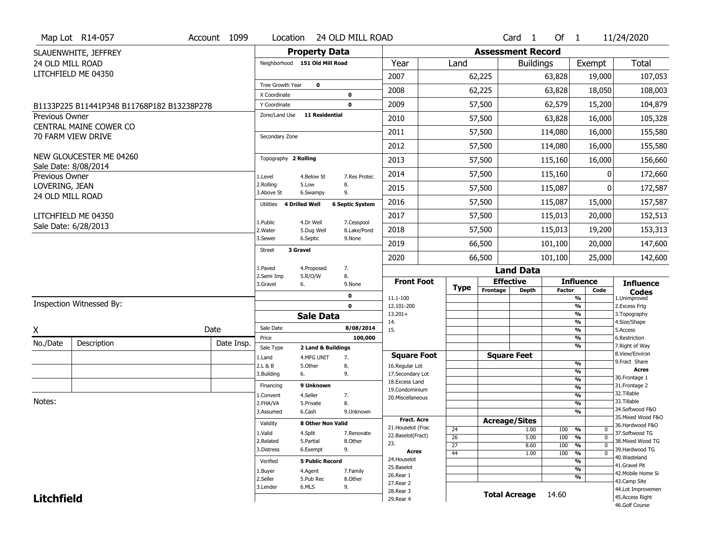|                   | Map Lot R14-057                                 | Account 1099 | Location                     |                                | 24 OLD MILL ROAD       |                                   |             |          | Card <sub>1</sub>            | Of $1$        |                              | 11/24/2020                           |
|-------------------|-------------------------------------------------|--------------|------------------------------|--------------------------------|------------------------|-----------------------------------|-------------|----------|------------------------------|---------------|------------------------------|--------------------------------------|
|                   | SLAUENWHITE, JEFFREY                            |              |                              | <b>Property Data</b>           |                        |                                   |             |          | <b>Assessment Record</b>     |               |                              |                                      |
| 24 OLD MILL ROAD  |                                                 |              |                              | Neighborhood 151 Old Mill Road |                        | Year                              | Land        |          | <b>Buildings</b>             |               | Exempt                       | <b>Total</b>                         |
|                   | LITCHFIELD ME 04350                             |              |                              |                                |                        | 2007                              |             | 62,225   |                              | 63,828        | 19,000                       | 107,053                              |
|                   |                                                 |              | Tree Growth Year             | $\mathbf 0$                    |                        | 2008                              |             | 62,225   |                              | 63,828        | 18,050                       | 108,003                              |
|                   |                                                 |              | X Coordinate<br>Y Coordinate |                                | 0<br>$\mathbf 0$       | 2009                              |             | 57,500   |                              | 62,579        | 15,200                       | 104,879                              |
| Previous Owner    | B1133P225 B11441P348 B11768P182 B13238P278      |              | Zone/Land Use                | <b>11 Residential</b>          |                        |                                   |             |          |                              |               |                              |                                      |
|                   | CENTRAL MAINE COWER CO                          |              |                              |                                |                        | 2010                              |             | 57,500   |                              | 63,828        | 16,000                       | 105,328                              |
|                   | 70 FARM VIEW DRIVE                              |              | Secondary Zone               |                                |                        | 2011                              |             | 57,500   |                              | 114,080       | 16,000                       | 155,580                              |
|                   |                                                 |              |                              |                                |                        | 2012                              |             | 57,500   |                              | 114,080       | 16,000                       | 155,580                              |
|                   | NEW GLOUCESTER ME 04260<br>Sale Date: 8/08/2014 |              | Topography 2 Rolling         |                                |                        | 2013                              |             | 57,500   |                              | 115,160       | 16,000                       | 156,660                              |
| Previous Owner    |                                                 |              | 1.Level                      | 4.Below St                     | 7.Res Protec           | 2014                              |             | 57,500   |                              | 115,160       | ŋ                            | 172,660                              |
| LOVERING, JEAN    |                                                 |              | 2.Rolling<br>3.Above St      | 5.Low<br>6.Swampy              | 8.<br>9.               | 2015                              |             | 57,500   |                              | 115,087       | $\mathbf{0}$                 | 172,587                              |
| 24 OLD MILL ROAD  |                                                 |              | Utilities                    | <b>4 Drilled Well</b>          | <b>6 Septic System</b> | 2016                              |             | 57,500   |                              | 115,087       | 15,000                       | 157,587                              |
|                   | LITCHFIELD ME 04350                             |              | 1.Public                     | 4.Dr Well                      | 7.Cesspool             | 2017                              |             | 57,500   |                              | 115,013       | 20,000                       | 152,513                              |
|                   | Sale Date: 6/28/2013                            |              | 2. Water                     | 5.Dug Well                     | 8.Lake/Pond            | 2018                              |             | 57,500   |                              | 115,013       | 19,200                       | 153,313                              |
|                   |                                                 |              | 3.Sewer                      | 6.Septic                       | 9.None                 | 2019                              |             | 66,500   |                              | 101,100       | 20,000                       | 147,600                              |
|                   |                                                 |              | 3 Gravel<br><b>Street</b>    |                                |                        | 2020                              |             | 66,500   |                              | 101,100       | 25,000                       | 142,600                              |
|                   |                                                 |              | 1.Paved                      | 4.Proposed                     | 7.                     |                                   |             |          | <b>Land Data</b>             |               |                              |                                      |
|                   |                                                 |              | 2.Semi Imp<br>3.Gravel       | 5.R/O/W<br>6.                  | 8.<br>9.None           | <b>Front Foot</b>                 | <b>Type</b> |          | <b>Effective</b>             |               | <b>Influence</b>             | <b>Influence</b>                     |
|                   |                                                 |              |                              |                                | 0                      | 11.1-100                          |             | Frontage | <b>Depth</b>                 | <b>Factor</b> | Code<br>%                    | <b>Codes</b><br>1.Unimproved         |
|                   | Inspection Witnessed By:                        |              |                              |                                | $\mathbf 0$            | 12.101-200                        |             |          |                              |               | $\overline{\frac{9}{6}}$     | 2. Excess Frtg                       |
|                   |                                                 |              |                              | <b>Sale Data</b>               |                        | $13.201+$<br>14.                  |             |          |                              |               | %<br>%                       | 3. Topography<br>4.Size/Shape        |
| X                 |                                                 | Date         | Sale Date                    |                                | 8/08/2014              | 15.                               |             |          |                              |               | $\frac{9}{6}$                | 5.Access                             |
| No./Date          | Description                                     | Date Insp.   | Price<br>Sale Type           | 2 Land & Buildings             | 100,000                |                                   |             |          |                              |               | %<br>%                       | 6.Restriction<br>7. Right of Way     |
|                   |                                                 |              | 1.Land                       | 4.MFG UNIT                     | 7.                     | <b>Square Foot</b>                |             |          | <b>Square Feet</b>           |               |                              | 8.View/Environ                       |
|                   |                                                 |              | 2.L & B                      | 5.Other                        | 8.                     | 16.Regular Lot                    |             |          |                              |               | %<br>$\frac{9}{6}$           | 9. Fract Share<br><b>Acres</b>       |
|                   |                                                 |              |                              |                                |                        |                                   |             |          |                              |               |                              |                                      |
|                   |                                                 |              | 3.Building                   | 6.                             | 9.                     | 17.Secondary Lot                  |             |          |                              |               | $\frac{9}{6}$                | 30. Frontage 1                       |
|                   |                                                 |              | Financing                    | 9 Unknown                      |                        | 18. Excess Land<br>19.Condominium |             |          |                              |               | $\frac{9}{6}$                | 31. Frontage 2                       |
|                   |                                                 |              | L.Convent                    | 4.Seller                       | 7.                     | 20.Miscellaneous                  |             |          |                              |               | $\frac{9}{6}$                | 32.Tillable                          |
| Notes:            |                                                 |              | 2.FHA/VA                     | 5.Private                      | 8.                     |                                   |             |          |                              |               | $\frac{9}{6}$                | 33.Tillable<br>34.Softwood F&O       |
|                   |                                                 |              | 3.Assumed                    | 6.Cash                         | 9.Unknown              | Fract. Acre                       |             |          |                              |               | $\overline{\frac{9}{6}}$     | 35. Mixed Wood F&O                   |
|                   |                                                 |              | Validity                     | 8 Other Non Valid              |                        | 21. Houselot (Frac                |             |          | <b>Acreage/Sites</b><br>1.00 | 100           | %<br>0                       | 36.Hardwood F&O                      |
|                   |                                                 |              | 1.Valid                      | 4.Split                        | 7.Renovate             | 22.Baselot(Fract)                 | 24<br>26    |          | 5.00                         | 100           | $\frac{9}{6}$<br>$\mathbf 0$ | 37.Softwood TG                       |
|                   |                                                 |              | 2.Related<br>3.Distress      | 5.Partial                      | 8.Other                | 23.                               | 27          |          | 8.60                         | 100           | $\frac{9}{6}$<br>$\Omega$    | 38. Mixed Wood TG                    |
|                   |                                                 |              |                              | 6.Exempt                       | 9.                     | <b>Acres</b>                      | 44          |          | 1.00                         | 100           | $\frac{9}{6}$<br>0           | 39.Hardwood TG<br>40. Wasteland      |
|                   |                                                 |              | Verified                     | <b>5 Public Record</b>         |                        | 24. Houselot<br>25.Baselot        |             |          |                              |               | %                            | 41.Gravel Pit                        |
|                   |                                                 |              | 1.Buyer                      | 4.Agent                        | 7.Family               | 26.Rear 1                         |             |          |                              |               | $\frac{9}{6}$<br>%           | 42. Mobile Home Si                   |
|                   |                                                 |              | 2.Seller                     | 5.Pub Rec                      | 8.Other                | 27.Rear 2                         |             |          |                              |               |                              | 43.Camp Site                         |
| <b>Litchfield</b> |                                                 |              | 3.Lender                     | 6.MLS                          | 9.                     | 28. Rear 3<br>29. Rear 4          |             |          | <b>Total Acreage</b>         | 14.60         |                              | 44.Lot Improvemen<br>45.Access Right |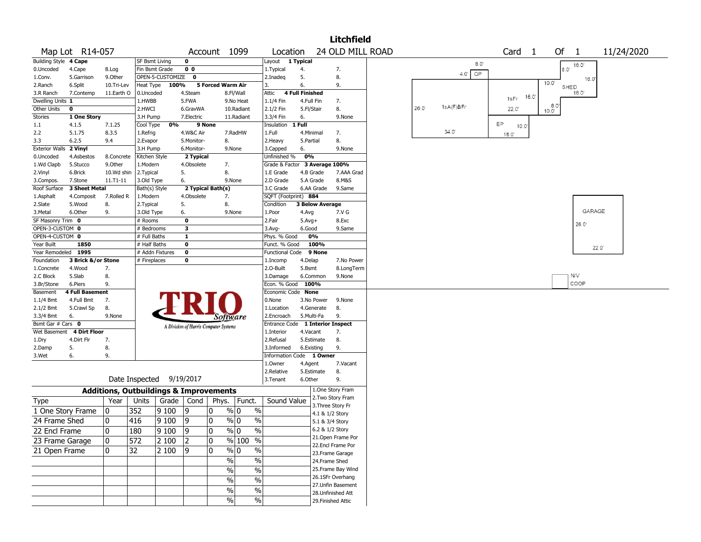|                         |                        |                                                   |                           |                  |                                       |                   |                                |                                  |                        |                        | <b>Litchfield</b>                      |       |                   |    |                   |       |                        |                |            |  |
|-------------------------|------------------------|---------------------------------------------------|---------------------------|------------------|---------------------------------------|-------------------|--------------------------------|----------------------------------|------------------------|------------------------|----------------------------------------|-------|-------------------|----|-------------------|-------|------------------------|----------------|------------|--|
|                         | Map Lot R14-057        |                                                   |                           |                  |                                       | Account 1099      |                                | Location                         |                        |                        | 24 OLD MILL ROAD                       |       |                   |    | Card <sub>1</sub> |       | Of                     | $\overline{1}$ | 11/24/2020 |  |
| Building Style 4 Cape   |                        |                                                   | SF Bsmt Living            |                  | $\mathbf 0$                           |                   |                                | Layout                           | 1 Typical              |                        |                                        |       | $8.0^\circ$       |    |                   |       |                        |                |            |  |
| 0.Uncoded               | 4.Cape                 | 8.Log                                             | Fin Bsmt Grade            |                  | 0 <sub>0</sub>                        |                   |                                | 1. Typical                       | 4.                     |                        | 7.                                     |       |                   |    |                   |       | 8.0'                   | 16.0'          |            |  |
| 1.Conv.                 | 5.Garrison             | 9.0ther                                           |                           | OPEN-5-CUSTOMIZE | $\mathbf 0$                           |                   |                                | 2.Inadeg                         | 5.                     |                        | 8.                                     |       | OP<br>$4.0^\circ$ |    |                   |       |                        | 16.0'          |            |  |
| 2.Ranch                 | 6.Split                | 10.Tri-Lev                                        | Heat Type                 | 100%             |                                       | 5 Forced Warm Air |                                | 3.                               | 6.                     |                        | 9.                                     |       |                   |    |                   |       | $10.0^{\circ}$<br>SHED |                |            |  |
| 3.R Ranch               | 7.Contemp              | 11.Earth O                                        | 0.Uncoded                 |                  | 4.Steam                               |                   | 8.Fl/Wall                      | Attic                            | <b>4 Full Finished</b> |                        |                                        |       |                   |    |                   | 16.0' |                        | 16.0'          |            |  |
| Dwelling Units 1        |                        |                                                   | 1.HWBB                    |                  | 5.FWA                                 |                   | 9.No Heat                      | 1.1/4 Fin                        | 4.Full Fin             |                        | 7.                                     |       |                   |    | 1sFr              |       |                        |                |            |  |
| Other Units             | 0                      |                                                   | 2.HWCI                    |                  | 6.GravWA                              |                   | 10.Radiant                     | 2.1/2 Fin                        | 5.Fl/Stair             |                        | 8.                                     | 26.0' | 1sA(F)BFr         |    | 22.0'             |       | $8.0^{\circ}$          |                |            |  |
| <b>Stories</b>          | 1 One Story            |                                                   | 3.H Pump                  |                  | 7.Electric                            |                   | 11.Radiant                     | 3.3/4 Fin                        | 6.                     |                        | 9.None                                 |       |                   |    |                   |       |                        |                |            |  |
| 1.1                     | 4.1.5                  | 7.1.25                                            | Cool Type                 | 0%               | 9 None                                |                   |                                | Insulation                       | 1 Full                 |                        |                                        |       | 34.0'             | EP | 10.0              |       |                        |                |            |  |
| 2.2                     | 5.1.75                 | 8.3.5                                             | 1.Refrig                  |                  | 4.W&C Air                             |                   | 7.RadHW                        | 1.Full                           | 4.Minimal              |                        | 7.                                     |       |                   |    | 18.0'             |       |                        |                |            |  |
| 3.3                     | 6.2.5                  | 9.4                                               | 2.Evapor                  |                  | 5.Monitor-                            | 8.                |                                | 2. Heavy                         | 5.Partial              |                        | 8.                                     |       |                   |    |                   |       |                        |                |            |  |
| <b>Exterior Walls</b>   | 2 Vinyl<br>4.Asbestos  |                                                   | 3.H Pump                  |                  | 6.Monitor-                            |                   | 9.None                         | 3.Capped<br>Unfinished %         | 6.<br>0%               |                        | 9.None                                 |       |                   |    |                   |       |                        |                |            |  |
| 0.Uncoded<br>1.Wd Clapb | 5.Stucco               | 8.Concrete<br>9.0ther                             | Kitchen Style<br>1.Modern |                  | 2 Typical<br>4.Obsolete               | 7.                |                                | Grade & Factor 3 Average 100%    |                        |                        |                                        |       |                   |    |                   |       |                        |                |            |  |
| 2.Vinyl                 | 6.Brick                | 10.Wd shin                                        | 2.Typical                 |                  | 5.                                    | 8.                |                                | 1.E Grade                        | 4.B Grade              |                        | 7.AAA Grad                             |       |                   |    |                   |       |                        |                |            |  |
| 3.Compos.               | 7.Stone                | 11.T1-11                                          | 3.Old Type                |                  | 6.                                    |                   | 9.None                         | 2.D Grade                        | 5.A Grade              |                        | 8.M&S                                  |       |                   |    |                   |       |                        |                |            |  |
| Roof Surface            | 3 Sheet Metal          |                                                   | Bath(s) Style             |                  |                                       | 2 Typical Bath(s) |                                | 3.C Grade                        |                        | 6.AA Grade             | 9.Same                                 |       |                   |    |                   |       |                        |                |            |  |
| 1.Asphalt               | 4.Composit             | 7.Rolled R                                        | 1.Modern                  |                  | 4.Obsolete                            | 7.                |                                | SQFT (Footprint) 884             |                        |                        |                                        |       |                   |    |                   |       |                        |                |            |  |
| 2.Slate                 | 5.Wood                 | 8.                                                | 2. Typical                |                  | 5.                                    | 8.                |                                | Condition                        |                        | <b>3 Below Average</b> |                                        |       |                   |    |                   |       |                        |                |            |  |
| 3.Metal                 | 6.Other                | 9.                                                | 3.Old Type                |                  | 6.                                    |                   | 9.None                         | 1.Poor                           | 4.Avg                  |                        | 7.V G                                  |       |                   |    |                   |       |                        | GARAGE         |            |  |
| SF Masonry Trim 0       |                        |                                                   | # Rooms                   |                  | $\mathbf 0$                           |                   |                                | 2.Fair                           | $5.Avg+$               |                        | 8.Exc                                  |       |                   |    |                   |       |                        |                |            |  |
| OPEN-3-CUSTOM 0         |                        |                                                   | # Bedrooms                |                  | 3                                     |                   |                                | $3.$ Avg-                        | 6.Good                 |                        | 9.Same                                 |       |                   |    |                   |       |                        | 26.0'          |            |  |
| OPEN-4-CUSTOM 0         |                        |                                                   | # Full Baths              |                  | $\mathbf{1}$                          |                   |                                | Phys. % Good                     |                        | 0%                     |                                        |       |                   |    |                   |       |                        |                |            |  |
| Year Built              | 1850                   |                                                   | # Half Baths              |                  | $\mathbf 0$                           |                   |                                | Funct. % Good                    |                        | 100%                   |                                        |       |                   |    |                   |       |                        | $22.0^{\circ}$ |            |  |
| Year Remodeled 1995     |                        |                                                   | # Addn Fixtures           |                  | $\mathbf 0$                           |                   |                                | Functional Code 9 None           |                        |                        |                                        |       |                   |    |                   |       |                        |                |            |  |
| Foundation              | 3 Brick &/or Stone     |                                                   | # Fireplaces              |                  | 0                                     |                   |                                | 1.Incomp                         | 4.Delap                |                        | 7.No Power                             |       |                   |    |                   |       |                        |                |            |  |
| 1.Concrete              | 4.Wood                 | 7.                                                |                           |                  |                                       |                   |                                | 2.O-Built                        | 5.Bsmt                 |                        | 8.LongTerm                             |       |                   |    |                   |       |                        |                |            |  |
| 2.C Block               | 5.Slab                 | 8.                                                |                           |                  |                                       |                   |                                | 3.Damage                         |                        | 6.Common               | 9.None                                 |       |                   |    |                   |       |                        | N/V            |            |  |
| 3.Br/Stone              | 6.Piers                | 9.                                                |                           |                  |                                       |                   |                                | Econ. % Good                     | 100%                   |                        |                                        |       |                   |    |                   |       |                        | COOP           |            |  |
| Basement                | <b>4 Full Basement</b> |                                                   |                           |                  |                                       |                   |                                | Economic Code None               |                        |                        |                                        |       |                   |    |                   |       |                        |                |            |  |
| 1.1/4 Bmt               | 4.Full Bmt             | 7.                                                |                           |                  |                                       |                   |                                | 0.None                           |                        | 3.No Power             | 9.None                                 |       |                   |    |                   |       |                        |                |            |  |
| 2.1/2 Bmt<br>3.3/4 Bmt  | 5.Crawl Sp<br>6.       | 8.<br>9.None                                      |                           |                  |                                       |                   |                                | 1.Location<br>2.Encroach         | 5.Multi-Fa             | 4.Generate             | 8.<br>9.                               |       |                   |    |                   |       |                        |                |            |  |
| Bsmt Gar # Cars 0       |                        |                                                   |                           |                  |                                       | Software          |                                | Entrance Code 1 Interior Inspect |                        |                        |                                        |       |                   |    |                   |       |                        |                |            |  |
| Wet Basement            | <b>4 Dirt Floor</b>    |                                                   |                           |                  | A Division of Harris Computer Systems |                   |                                | 1.Interior                       | 4.Vacant               |                        | 7.                                     |       |                   |    |                   |       |                        |                |            |  |
| 1.Dry                   | 4.Dirt Flr             | 7.                                                |                           |                  |                                       |                   |                                | 2.Refusal                        |                        | 5.Estimate             | 8.                                     |       |                   |    |                   |       |                        |                |            |  |
| 2.Damp                  | 5.                     | 8.                                                |                           |                  |                                       |                   |                                | 3.Informed                       | 6.Existing             |                        | 9.                                     |       |                   |    |                   |       |                        |                |            |  |
| 3.Wet                   | 6.                     | 9.                                                |                           |                  |                                       |                   |                                | Information Code 1 Owner         |                        |                        |                                        |       |                   |    |                   |       |                        |                |            |  |
|                         |                        |                                                   |                           |                  |                                       |                   |                                | 1.Owner                          | 4.Agent                |                        | 7.Vacant                               |       |                   |    |                   |       |                        |                |            |  |
|                         |                        |                                                   |                           |                  |                                       |                   |                                | 2.Relative                       |                        | 5.Estimate             | 8.                                     |       |                   |    |                   |       |                        |                |            |  |
|                         |                        | Date Inspected 9/19/2017                          |                           |                  |                                       |                   |                                | 3.Tenant                         | 6.Other                |                        | 9.                                     |       |                   |    |                   |       |                        |                |            |  |
|                         |                        | <b>Additions, Outbuildings &amp; Improvements</b> |                           |                  |                                       |                   |                                |                                  |                        |                        | 1.One Story Fram                       |       |                   |    |                   |       |                        |                |            |  |
| <b>Type</b>             |                        | Year                                              | Units                     | Grade            | Cond                                  | Phys.             | Funct.                         | Sound Value                      |                        |                        | 2. Two Story Fram                      |       |                   |    |                   |       |                        |                |            |  |
| 1 One Story Frame       |                        |                                                   |                           |                  |                                       | 0                 |                                |                                  |                        |                        | 3. Three Story Fr                      |       |                   |    |                   |       |                        |                |            |  |
|                         |                        | 0                                                 | 352                       | 9 100            | 19                                    |                   | $\%$<br>% 0                    |                                  |                        |                        | 4.1 & 1/2 Story                        |       |                   |    |                   |       |                        |                |            |  |
| 24 Frame Shed           |                        | 0                                                 | 416                       | 9 1 0 0          | 9                                     | 0                 | % 0<br>$\%$                    |                                  |                        |                        | 5.1 & 3/4 Story                        |       |                   |    |                   |       |                        |                |            |  |
| 22 Encl Frame           |                        | 0                                                 | 180                       | $\sqrt{9100}$    | 9                                     | 10                | $\sqrt[6]{0}$<br>$\frac{0}{6}$ |                                  |                        |                        | 6.2 & 1/2 Story                        |       |                   |    |                   |       |                        |                |            |  |
| 23 Frame Garage         |                        | 0                                                 | 572                       | 2 100            | $ 2\rangle$                           | 10                | $\frac{9}{6}$ 100 %            |                                  |                        |                        | 21. Open Frame Por                     |       |                   |    |                   |       |                        |                |            |  |
| 21 Open Frame           |                        | 0                                                 | 32                        | 2 100            | $ 9\rangle$                           | 0                 | $\sqrt[6]{0}$<br>$\%$          |                                  |                        |                        | 22.Encl Frame Por                      |       |                   |    |                   |       |                        |                |            |  |
|                         |                        |                                                   |                           |                  |                                       | $\sqrt{6}$        |                                |                                  |                        |                        | 23. Frame Garage                       |       |                   |    |                   |       |                        |                |            |  |
|                         |                        |                                                   |                           |                  |                                       |                   | $\%$                           |                                  |                        |                        | 24.Frame Shed                          |       |                   |    |                   |       |                        |                |            |  |
|                         |                        |                                                   |                           |                  |                                       | $\%$              | $\frac{0}{0}$                  |                                  |                        |                        | 25. Frame Bay Wind<br>26.1SFr Overhang |       |                   |    |                   |       |                        |                |            |  |
|                         |                        |                                                   |                           |                  |                                       | $\%$              | $\%$                           |                                  |                        |                        | 27. Unfin Basement                     |       |                   |    |                   |       |                        |                |            |  |
|                         |                        |                                                   |                           |                  |                                       | $\sqrt{6}$        | $\overline{\frac{0}{0}}$       |                                  |                        |                        | 28. Unfinished Att                     |       |                   |    |                   |       |                        |                |            |  |
|                         |                        |                                                   |                           |                  |                                       | $\sqrt{6}$        | $\frac{1}{2}$                  |                                  |                        |                        | 29. Finished Attic                     |       |                   |    |                   |       |                        |                |            |  |
|                         |                        |                                                   |                           |                  |                                       |                   |                                |                                  |                        |                        |                                        |       |                   |    |                   |       |                        |                |            |  |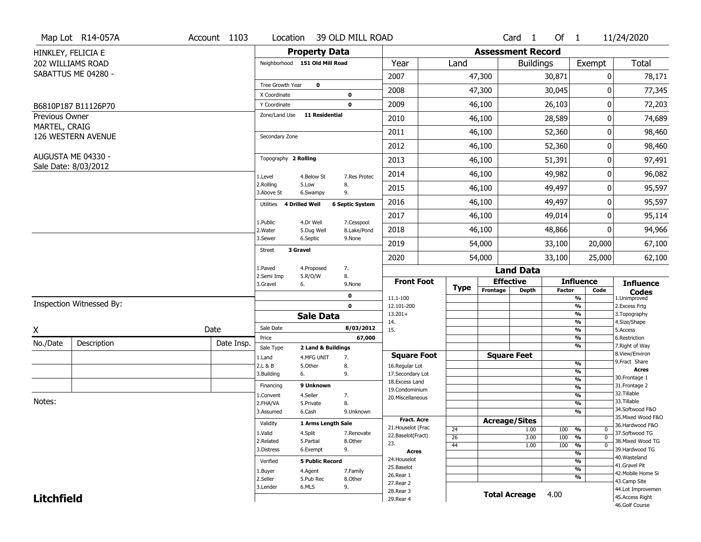|                                 | Map Lot R14-057A                           | Account 1103 | Location                       |                                  | 39 OLD MILL ROAD       |                            |             |                          | Card <sub>1</sub>    | Of $1$        |                                | 11/24/2020                          |
|---------------------------------|--------------------------------------------|--------------|--------------------------------|----------------------------------|------------------------|----------------------------|-------------|--------------------------|----------------------|---------------|--------------------------------|-------------------------------------|
|                                 | HINKLEY, FELICIA E                         |              |                                | <b>Property Data</b>             |                        |                            |             | <b>Assessment Record</b> |                      |               |                                |                                     |
|                                 | 202 WILLIAMS ROAD                          |              | Neighborhood 151 Old Mill Road |                                  |                        | Year                       | Land        |                          | <b>Buildings</b>     |               | Exempt                         | <b>Total</b>                        |
|                                 | SABATTUS ME 04280 -                        |              |                                |                                  |                        | 2007                       |             | 47,300                   |                      | 30,871        | 0                              | 78,171                              |
|                                 |                                            |              | Tree Growth Year               | $\mathbf 0$                      |                        | 2008                       |             | 47,300                   |                      | 30,045        | 0                              | 77,345                              |
|                                 |                                            |              | X Coordinate                   |                                  | 0                      |                            |             |                          |                      |               |                                |                                     |
|                                 | B6810P187 B11126P70                        |              | Y Coordinate                   | <b>11 Residential</b>            | $\mathbf 0$            | 2009                       |             | 46,100                   |                      | 26,103        | 0                              | 72,203                              |
| Previous Owner<br>MARTEL, CRAIG |                                            |              | Zone/Land Use                  |                                  |                        | 2010                       |             | 46,100                   |                      | 28,589        | 0                              | 74,689                              |
|                                 | 126 WESTERN AVENUE                         |              | Secondary Zone                 |                                  |                        | 2011                       |             | 46,100                   |                      | 52,360        | 0                              | 98,460                              |
|                                 |                                            |              |                                |                                  |                        | 2012                       |             | 46,100                   |                      | 52,360        | 0                              | 98,460                              |
|                                 | AUGUSTA ME 04330 -<br>Sale Date: 8/03/2012 |              | Topography 2 Rolling           |                                  |                        | 2013                       |             | 46,100                   |                      | 51,391        | 0                              | 97,491                              |
|                                 |                                            |              | 1.Level                        | 4.Below St                       | 7.Res Protec           | 2014                       |             | 46,100                   |                      | 49,982        | 0                              | 96,082                              |
|                                 |                                            |              | 2.Rolling<br>3.Above St        | 5.Low<br>6.Swampy                | 8.<br>9.               | 2015                       |             | 46,100                   |                      | 49,497        | 0                              | 95,597                              |
|                                 |                                            |              | 4 Drilled Well<br>Utilities    |                                  | <b>6 Septic System</b> | 2016                       |             | 46,100                   |                      | 49,497        | 0                              | 95,597                              |
|                                 |                                            |              |                                | 4.Dr Well                        | 7.Cesspool             | 2017                       |             | 46,100                   |                      | 49,014        | 0                              | 95,114                              |
|                                 |                                            |              | 1.Public<br>2. Water           | 5.Dug Well                       | 8.Lake/Pond            | 2018                       |             | 46,100                   |                      | 48,866        | 0                              | 94,966                              |
|                                 |                                            |              | 3.Sewer                        | 6.Septic                         | 9.None                 | 2019                       |             | 54,000                   |                      | 33,100        | 20,000                         | 67,100                              |
|                                 |                                            |              | 3 Gravel<br>Street             |                                  |                        | 2020                       |             | 54,000                   |                      | 33,100        | 25,000                         | 62,100                              |
|                                 |                                            |              | 1.Paved                        | 4.Proposed                       | 7.                     |                            |             |                          | <b>Land Data</b>     |               |                                |                                     |
|                                 |                                            |              | 2.Semi Imp<br>3.Gravel         | 5.R/O/W<br>6.                    | 8.<br>9.None           | <b>Front Foot</b>          | <b>Type</b> |                          | <b>Effective</b>     |               | <b>Influence</b>               | <b>Influence</b>                    |
|                                 |                                            |              |                                |                                  | 0                      | 11.1-100                   |             | Frontage                 | <b>Depth</b>         | <b>Factor</b> | Code<br>%                      | <b>Codes</b><br>1.Unimproved        |
|                                 | Inspection Witnessed By:                   |              |                                |                                  | $\mathbf 0$            | 12.101-200                 |             |                          |                      |               | $\frac{9}{6}$                  | 2.Excess Frtg                       |
|                                 |                                            |              |                                | <b>Sale Data</b>                 |                        | $13.201+$<br>14.           |             |                          |                      |               | %<br>%                         | 3. Topography<br>4.Size/Shape       |
| X                               |                                            | Date         | Sale Date                      |                                  | 8/03/2012              | 15.                        |             |                          |                      |               | $\frac{9}{6}$                  | 5.Access                            |
| No./Date                        | Description                                | Date Insp.   | Price                          |                                  | 67,000                 |                            |             |                          |                      |               | $\frac{9}{6}$<br>%             | 6.Restriction<br>7. Right of Way    |
|                                 |                                            |              | Sale Type<br>1.Land            | 2 Land & Buildings<br>4.MFG UNIT | 7.                     | <b>Square Foot</b>         |             |                          | <b>Square Feet</b>   |               |                                | 8.View/Environ                      |
|                                 |                                            |              | 2.L & B                        | 5.Other                          | 8.                     | 16.Regular Lot             |             |                          |                      |               | $\frac{9}{6}$                  | 9. Fract Share                      |
|                                 |                                            |              | 3.Building                     | 6.                               | 9.                     | 17.Secondary Lot           |             |                          |                      |               | $\frac{9}{6}$                  | <b>Acres</b><br>30. Frontage 1      |
|                                 |                                            |              | Financing                      | 9 Unknown                        |                        | 18.Excess Land             |             |                          |                      |               | $\frac{9}{6}$<br>$\frac{9}{6}$ | 31. Frontage 2                      |
|                                 |                                            |              | 1.Convent                      | 4.Seller                         | 7.                     | 19.Condominium             |             |                          |                      |               | $\frac{9}{6}$                  | 32. Tillable                        |
| Notes:                          |                                            |              | 2.FHA/VA                       | 5.Private                        | 8.                     | 20.Miscellaneous           |             |                          |                      |               | $\frac{9}{6}$                  | 33.Tillable                         |
|                                 |                                            |              | 3.Assumed                      | 6.Cash                           | 9.Unknown              |                            |             |                          |                      |               | $\overline{\frac{9}{6}}$       | 34.Softwood F&O                     |
|                                 |                                            |              | Validity                       | 1 Arms Length Sale               |                        | <b>Fract, Acre</b>         |             |                          | <b>Acreage/Sites</b> |               |                                | 35. Mixed Wood F&O                  |
|                                 |                                            |              |                                |                                  |                        | 21. Houselot (Frac         | 24          |                          | 1.00                 | 100           | %<br>0                         | 36.Hardwood F&O                     |
|                                 |                                            |              | 1.Valid<br>2.Related           | 4.Split<br>5.Partial             | 7.Renovate<br>8.Other  | 22.Baselot(Fract)          | 26          |                          | 3.00                 | 100           | %<br>$\mathbf 0$               | 37.Softwood TG<br>38. Mixed Wood TG |
|                                 |                                            |              | 3.Distress                     | 6.Exempt                         | 9.                     | 23.                        | 44          |                          | 1.00                 | 100           | $\frac{9}{6}$<br>$\mathbf 0$   | 39.Hardwood TG                      |
|                                 |                                            |              |                                |                                  |                        | <b>Acres</b>               |             |                          |                      |               | $\frac{9}{6}$                  | 40. Wasteland                       |
|                                 |                                            |              | Verified                       | <b>5 Public Record</b>           |                        | 24. Houselot<br>25.Baselot |             |                          |                      |               | $\frac{9}{6}$                  | 41.Gravel Pit                       |
|                                 |                                            |              | 1.Buyer                        | 4.Agent                          | 7.Family               | 26.Rear 1                  |             |                          |                      |               | $\frac{9}{6}$                  | 42. Mobile Home Si                  |
|                                 |                                            |              | 2.Seller                       | 5.Pub Rec                        | 8.Other                | 27.Rear 2                  |             |                          |                      |               | $\frac{9}{6}$                  | 43.Camp Site                        |
|                                 |                                            |              | 3.Lender                       | 6.MLS                            | 9.                     | 28. Rear 3                 |             |                          |                      |               |                                | 44.Lot Improvemen                   |
|                                 |                                            |              |                                |                                  |                        |                            |             |                          |                      |               |                                |                                     |
| <b>Litchfield</b>               |                                            |              |                                |                                  |                        | 29. Rear 4                 |             |                          | <b>Total Acreage</b> | 4.00          |                                | 45.Access Right<br>46.Golf Course   |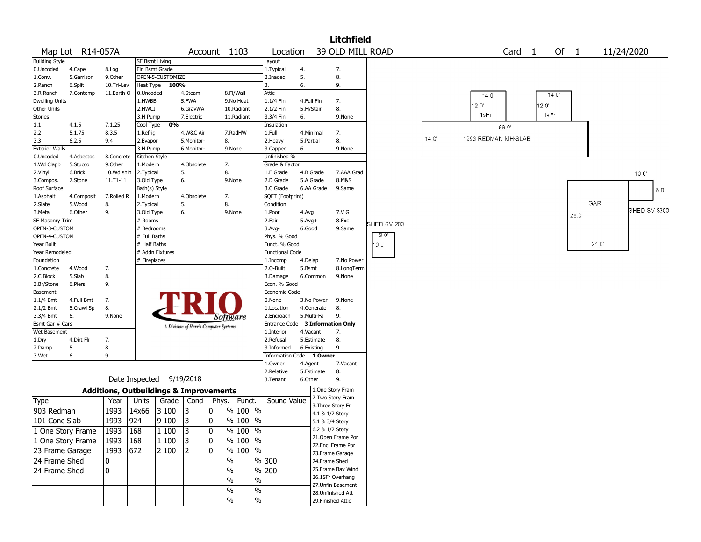|                       |                  |            |                       |                  |            |                                                   |                     |                                  |                       |                   | <b>Litchfield</b>                      |             |                |                     |                   |                |       |      |       |               |
|-----------------------|------------------|------------|-----------------------|------------------|------------|---------------------------------------------------|---------------------|----------------------------------|-----------------------|-------------------|----------------------------------------|-------------|----------------|---------------------|-------------------|----------------|-------|------|-------|---------------|
|                       | Map Lot R14-057A |            |                       |                  |            | Account 1103                                      |                     | Location                         |                       |                   | 39 OLD MILL ROAD                       |             |                |                     | Card <sub>1</sub> |                |       | Of 1 |       | 11/24/2020    |
| <b>Building Style</b> |                  |            | <b>SF Bsmt Living</b> |                  |            |                                                   |                     | Layout                           |                       |                   |                                        |             |                |                     |                   |                |       |      |       |               |
| 0.Uncoded             | 4.Cape           | 8.Log      |                       | Fin Bsmt Grade   |            |                                                   |                     | 1. Typical                       | 4.                    |                   | 7.                                     |             |                |                     |                   |                |       |      |       |               |
| 1.Conv.               | 5.Garrison       | 9.0ther    |                       | OPEN-5-CUSTOMIZE |            |                                                   |                     | 2.Inadeq                         | 5.                    |                   | 8.                                     |             |                |                     |                   |                |       |      |       |               |
| 2.Ranch               | 6.Split          | 10.Tri-Lev | Heat Type             | 100%             |            |                                                   |                     | 3.                               | 6.                    |                   | 9.                                     |             |                |                     |                   |                |       |      |       |               |
| 3.R Ranch             | 7.Contemp        | 11.Earth O | 0.Uncoded             |                  | 4.Steam    |                                                   | 8.Fl/Wall           | Attic                            |                       |                   |                                        |             |                | 14.0'               |                   |                | 14.0' |      |       |               |
| <b>Dwelling Units</b> |                  |            | 1.HWBB                |                  | 5.FWA      |                                                   | 9.No Heat           | 1.1/4 Fin                        | 4.Full Fin            |                   | 7.                                     |             |                |                     |                   |                |       |      |       |               |
| Other Units           |                  |            | 2.HWCI                |                  | 6.GravWA   |                                                   | 10.Radiant          | 2.1/2 Fin                        | 5.Fl/Stair            |                   | 8.                                     |             |                | $12.0^{\circ}$      |                   | $12.0^{\circ}$ |       |      |       |               |
| <b>Stories</b>        |                  |            | 3.H Pump              |                  | 7.Electric |                                                   | 11.Radiant          | 3.3/4 Fin                        | 6.                    |                   | 9.None                                 |             |                | 1sFr                |                   |                | 1sFr  |      |       |               |
| 1.1                   | 4.1.5            | 7.1.25     | Cool Type             | 0%               |            |                                                   |                     | Insulation                       |                       |                   |                                        |             |                |                     | 66.0              |                |       |      |       |               |
| 2.2                   | 5.1.75           | 8.3.5      | 1.Refrig              |                  | 4.W&C Air  |                                                   | 7.RadHW             | 1.Full                           | 4.Minimal             |                   | 7.                                     |             |                |                     |                   |                |       |      |       |               |
| 3.3                   | 6.2.5            | 9.4        | 2.Evapor              |                  | 5.Monitor- | 8.                                                |                     | 2. Heavy                         | 5.Partial             |                   | 8.                                     |             | $14.0^{\circ}$ | 1993 REDMAN MH/SLAB |                   |                |       |      |       |               |
| <b>Exterior Walls</b> |                  |            | 3.H Pump              |                  | 6.Monitor- | 9.None                                            |                     | 3.Capped                         | 6.                    |                   | 9.None                                 |             |                |                     |                   |                |       |      |       |               |
| 0.Uncoded             | 4.Asbestos       | 8.Concrete | Kitchen Style         |                  |            |                                                   |                     | Unfinished %                     |                       |                   |                                        |             |                |                     |                   |                |       |      |       |               |
| 1.Wd Clapb            | 5.Stucco         | 9.0ther    | 1.Modern              |                  | 4.Obsolete | 7.                                                |                     | Grade & Factor                   |                       |                   |                                        |             |                |                     |                   |                |       |      |       |               |
| 2.Vinyl               | 6.Brick          | 10.Wd shin | 2. Typical            |                  | 5.         | 8.                                                |                     | 1.E Grade                        | 4.B Grade             |                   | 7.AAA Grad                             |             |                |                     |                   |                |       |      |       | 10.0          |
| 3.Compos.             | 7.Stone          | 11.T1-11   | 3.Old Type            |                  | 6.         | 9.None                                            |                     | 2.D Grade                        | 5.A Grade             |                   | 8.M&S                                  |             |                |                     |                   |                |       |      |       |               |
| Roof Surface          |                  |            | Bath(s) Style         |                  |            |                                                   |                     | 3.C Grade                        |                       | 6.AA Grade        | 9.Same                                 |             |                |                     |                   |                |       |      |       | $8.0^{\circ}$ |
| 1.Asphalt             | 4.Composit       | 7.Rolled R | 1.Modern              |                  | 4.Obsolete | 7.                                                |                     | SQFT (Footprint)                 |                       |                   |                                        |             |                |                     |                   |                |       |      |       |               |
| 2.Slate               | 5.Wood           | 8.         | 2. Typical            |                  | 5.         | 8.                                                |                     | Condition                        |                       |                   |                                        |             |                |                     |                   |                |       |      | GAR   |               |
| 3.Metal               | 6.Other          | 9.         | 3.Old Type            |                  | 6.         | 9.None                                            |                     | 1.Poor                           | 4.Avg                 |                   | 7.V G                                  |             |                |                     |                   |                |       | 28.0 |       | SHED SV \$300 |
| SF Masonry Trim       |                  |            | # Rooms               |                  |            |                                                   |                     | 2.Fair                           | $5.$ Avg $+$          |                   | 8.Exc                                  | SHED SV 200 |                |                     |                   |                |       |      |       |               |
| OPEN-3-CUSTOM         |                  |            | # Bedrooms            |                  |            |                                                   |                     | 3.Avg-                           | 6.Good                |                   | 9.Same                                 |             |                |                     |                   |                |       |      |       |               |
| OPEN-4-CUSTOM         |                  |            | # Full Baths          |                  |            |                                                   |                     | Phys. % Good                     |                       |                   |                                        | -9.0"       |                |                     |                   |                |       |      |       |               |
| Year Built            |                  |            | # Half Baths          |                  |            |                                                   |                     | Funct. % Good                    |                       |                   |                                        | 10.0'       |                |                     |                   |                |       |      | 24.0' |               |
| Year Remodeled        |                  |            |                       | # Addn Fixtures  |            |                                                   |                     | <b>Functional Code</b>           |                       |                   |                                        |             |                |                     |                   |                |       |      |       |               |
| Foundation            |                  |            | # Fireplaces          |                  |            |                                                   |                     | 1.Incomp                         | 4.Delap               |                   | 7.No Power                             |             |                |                     |                   |                |       |      |       |               |
| 1.Concrete            | 4.Wood           | 7.         |                       |                  |            |                                                   |                     | 2.O-Built                        | 5.Bsmt                |                   | 8.LongTerm                             |             |                |                     |                   |                |       |      |       |               |
| 2.C Block             | 5.Slab           | 8.         |                       |                  |            |                                                   |                     | 3.Damage                         |                       | 6.Common          | 9.None                                 |             |                |                     |                   |                |       |      |       |               |
| 3.Br/Stone            | 6.Piers          | 9.         |                       |                  |            |                                                   |                     | Econ. % Good                     |                       |                   |                                        |             |                |                     |                   |                |       |      |       |               |
| Basement              |                  |            |                       |                  |            |                                                   |                     | Economic Code                    |                       |                   |                                        |             |                |                     |                   |                |       |      |       |               |
| 1.1/4 Bmt             | 4.Full Bmt       | 7.         |                       |                  |            |                                                   |                     | 0.None                           |                       | 3.No Power        | 9.None                                 |             |                |                     |                   |                |       |      |       |               |
| 2.1/2 Bmt             | 5.Crawl Sp       | 8.         |                       |                  |            |                                                   |                     | 1.Location                       |                       | 4.Generate        | 8.                                     |             |                |                     |                   |                |       |      |       |               |
| 3.3/4 Bmt             | 6.               | 9.None     |                       |                  |            | Software                                          |                     | 2.Encroach                       | 5.Multi-Fa            |                   | 9.                                     |             |                |                     |                   |                |       |      |       |               |
| Bsmt Gar # Cars       |                  |            |                       |                  |            | A Division of Harris Computer Systems             |                     | Entrance Code 3 Information Only |                       |                   |                                        |             |                |                     |                   |                |       |      |       |               |
| Wet Basement          |                  |            |                       |                  |            |                                                   |                     | 1.Interior                       | 4.Vacant              |                   | 7.                                     |             |                |                     |                   |                |       |      |       |               |
| 1.Dry                 | 4.Dirt Flr       | 7.         |                       |                  |            |                                                   |                     | 2.Refusal                        | 5.Estimate            |                   | 8.                                     |             |                |                     |                   |                |       |      |       |               |
| 2.Damp                | 5.               | 8.         |                       |                  |            |                                                   |                     | 3.Informed                       | 6.Existing            |                   | 9.                                     |             |                |                     |                   |                |       |      |       |               |
| 3.Wet                 | 6.               | 9.         |                       |                  |            |                                                   |                     | <b>Information Code</b>          |                       | 1 Owner           |                                        |             |                |                     |                   |                |       |      |       |               |
|                       |                  |            |                       |                  |            |                                                   |                     | 1.Owner<br>2.Relative            | 4.Agent<br>5.Estimate |                   | 7.Vacant<br>8.                         |             |                |                     |                   |                |       |      |       |               |
|                       |                  |            | Date Inspected        |                  | 9/19/2018  |                                                   |                     | 3. Tenant                        | 6.Other               |                   | 9.                                     |             |                |                     |                   |                |       |      |       |               |
|                       |                  |            |                       |                  |            |                                                   |                     |                                  |                       |                   | 1.One Story Fram                       |             |                |                     |                   |                |       |      |       |               |
|                       |                  |            |                       |                  |            | <b>Additions, Outbuildings &amp; Improvements</b> |                     |                                  |                       |                   | 2. Two Story Fram                      |             |                |                     |                   |                |       |      |       |               |
| Type                  |                  | Year       | Units                 | Grade            | Cond       | Phys.                                             | Funct.              | Sound Value                      |                       | 3. Three Story Fr |                                        |             |                |                     |                   |                |       |      |       |               |
| 903 Redman            |                  | 1993       | 14x66                 | 3 100            | 13         | 10                                                | % 100 %             |                                  |                       | 4.1 & 1/2 Story   |                                        |             |                |                     |                   |                |       |      |       |               |
| 101 Conc Slab         |                  | 1993       | 924                   | 9100             | 3          | 10                                                | $%100$ %            |                                  |                       | 5.1 & 3/4 Story   |                                        |             |                |                     |                   |                |       |      |       |               |
| 1 One Story Frame     |                  | 1993       | 168                   | 1 100            | 3          | $\pmb{0}$                                         | $\frac{9}{6}$ 100 % |                                  |                       | 6.2 & 1/2 Story   |                                        |             |                |                     |                   |                |       |      |       |               |
| 1 One Story Frame     |                  | 1993   168 |                       | 1 100            | 3          | 10                                                | $\%$ 100 $\%$       |                                  |                       |                   | 21. Open Frame Por                     |             |                |                     |                   |                |       |      |       |               |
| 23 Frame Garage       |                  | 1993 672   |                       | 2 100            | 2          | 0                                                 | $\frac{9}{6}$ 100 % |                                  |                       |                   | 22.Encl Frame Por                      |             |                |                     |                   |                |       |      |       |               |
| 24 Frame Shed         |                  |            |                       |                  |            | $\%$                                              |                     | %300                             |                       |                   | 23. Frame Garage                       |             |                |                     |                   |                |       |      |       |               |
|                       |                  | 0          |                       |                  |            |                                                   |                     |                                  |                       | 24.Frame Shed     |                                        |             |                |                     |                   |                |       |      |       |               |
| 24 Frame Shed         |                  | 0          |                       |                  |            | $\%$                                              |                     | $\sqrt{8}$ 200                   |                       |                   | 25. Frame Bay Wind<br>26.1SFr Overhang |             |                |                     |                   |                |       |      |       |               |
|                       |                  |            |                       |                  |            | $\%$                                              | $\frac{1}{2}$       |                                  |                       |                   | 27.Unfin Basement                      |             |                |                     |                   |                |       |      |       |               |
|                       |                  |            |                       |                  |            | %                                                 | $\%$                |                                  |                       |                   | 28.Unfinished Att                      |             |                |                     |                   |                |       |      |       |               |
|                       |                  |            |                       |                  |            | %                                                 | $\%$                |                                  |                       |                   | 29. Finished Attic                     |             |                |                     |                   |                |       |      |       |               |
|                       |                  |            |                       |                  |            |                                                   |                     |                                  |                       |                   |                                        |             |                |                     |                   |                |       |      |       |               |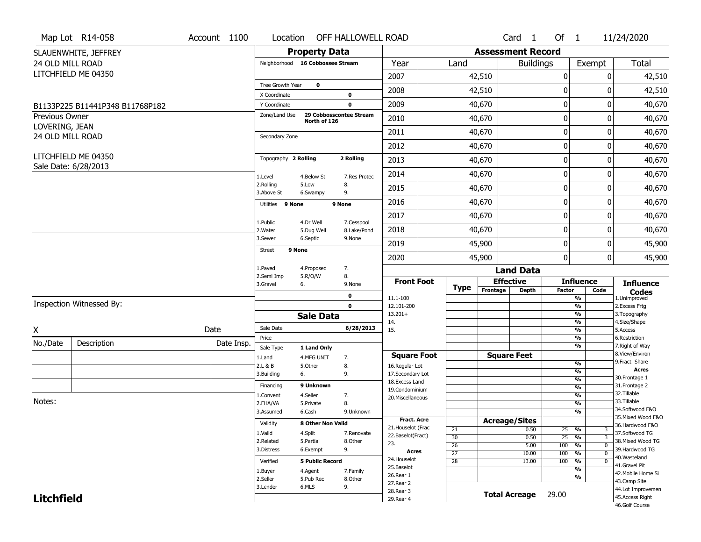|                                  | Map Lot R14-058                 | Account 1100 | Location                |                                  | OFF HALLOWELL ROAD        |                         |                 |                          | $Card \t1$           | Of $1$      |                                           | 11/24/2020                           |
|----------------------------------|---------------------------------|--------------|-------------------------|----------------------------------|---------------------------|-------------------------|-----------------|--------------------------|----------------------|-------------|-------------------------------------------|--------------------------------------|
|                                  | SLAUENWHITE, JEFFREY            |              |                         | <b>Property Data</b>             |                           |                         |                 | <b>Assessment Record</b> |                      |             |                                           |                                      |
| 24 OLD MILL ROAD                 |                                 |              |                         | Neighborhood 16 Cobbossee Stream |                           | Year                    | Land            |                          | <b>Buildings</b>     |             | Exempt                                    | Total                                |
|                                  | LITCHFIELD ME 04350             |              |                         |                                  |                           | 2007                    |                 | 42,510                   |                      | 0           | 0                                         | 42,510                               |
|                                  |                                 |              | Tree Growth Year        | $\mathbf 0$                      |                           | 2008                    |                 | 42,510                   |                      | 0           | 0                                         | 42,510                               |
|                                  |                                 |              | X Coordinate            |                                  | 0                         |                         |                 |                          |                      |             |                                           |                                      |
|                                  | B1133P225 B11441P348 B11768P182 |              | Y Coordinate            | 29 Cobbosscontee Stream          | $\mathbf 0$               | 2009                    |                 | 40,670                   |                      | $\pmb{0}$   | 0                                         | 40,670                               |
| Previous Owner<br>LOVERING, JEAN |                                 |              | Zone/Land Use           | North of 126                     |                           | 2010                    |                 | 40,670                   |                      | 0           | 0                                         | 40,670                               |
| 24 OLD MILL ROAD                 |                                 |              | Secondary Zone          |                                  |                           | 2011                    |                 | 40,670                   |                      | $\mathbf 0$ | 0                                         | 40,670                               |
|                                  |                                 |              |                         |                                  |                           | 2012                    |                 | 40,670                   |                      | 0           | 0                                         | 40,670                               |
|                                  | LITCHFIELD ME 04350             |              | Topography 2 Rolling    |                                  | 2 Rolling                 | 2013                    |                 | 40,670                   |                      | $\pmb{0}$   | 0                                         | 40,670                               |
|                                  | Sale Date: 6/28/2013            |              | 1.Level                 | 4.Below St                       | 7.Res Protec              | 2014                    |                 | 40,670                   |                      | 0           | 0                                         | 40,670                               |
|                                  |                                 |              | 2.Rolling<br>3.Above St | 5.Low<br>6.Swampy                | 8.<br>9.                  | 2015                    |                 | 40,670                   |                      | 0           | 0                                         | 40,670                               |
|                                  |                                 |              | Utilities 9 None        |                                  | 9 None                    | 2016                    |                 | 40,670                   |                      | $\pmb{0}$   | 0                                         | 40,670                               |
|                                  |                                 |              |                         |                                  |                           | 2017                    |                 | 40,670                   |                      | $\mathbf 0$ | 0                                         | 40,670                               |
|                                  |                                 |              | 1.Public<br>2. Water    | 4.Dr Well<br>5.Dug Well          | 7.Cesspool<br>8.Lake/Pond | 2018                    |                 | 40,670                   |                      | 0           | 0                                         | 40,670                               |
|                                  |                                 |              | 3.Sewer                 | 6.Septic                         | 9.None                    | 2019                    |                 | 45,900                   |                      | $\mathbf 0$ | 0                                         | 45,900                               |
|                                  |                                 |              | 9 None<br><b>Street</b> |                                  |                           | 2020                    |                 | 45,900                   |                      | 0           | $\overline{0}$                            | 45,900                               |
|                                  |                                 |              | 1.Paved                 | 4.Proposed                       | 7.                        |                         |                 |                          | <b>Land Data</b>     |             |                                           |                                      |
|                                  |                                 |              | 2.Semi Imp<br>3.Gravel  | 5.R/O/W<br>6.                    | 8.<br>9.None              | <b>Front Foot</b>       |                 | <b>Effective</b>         |                      |             | <b>Influence</b>                          | <b>Influence</b>                     |
|                                  |                                 |              |                         |                                  | 0                         | 11.1-100                | <b>Type</b>     | Frontage                 | <b>Depth</b>         | Factor      | Code<br>%                                 | <b>Codes</b><br>1.Unimproved         |
|                                  | Inspection Witnessed By:        |              |                         |                                  | $\mathbf 0$               | 12.101-200              |                 |                          |                      |             | $\overline{\frac{9}{6}}$                  | 2. Excess Frtg                       |
|                                  |                                 |              |                         | <b>Sale Data</b>                 |                           | $13.201+$<br>14.        |                 |                          |                      |             | %<br>%                                    | 3. Topography<br>4.Size/Shape        |
| X                                |                                 | Date         | Sale Date               |                                  | 6/28/2013                 | 15.                     |                 |                          |                      |             | $\overline{\frac{9}{6}}$                  | 5.Access                             |
| No./Date                         | Description                     | Date Insp.   | Price                   |                                  |                           |                         |                 |                          |                      |             | %                                         | 6.Restriction                        |
|                                  |                                 |              | Sale Type               | 1 Land Only                      |                           | <b>Square Foot</b>      |                 |                          | <b>Square Feet</b>   |             | %                                         | 7. Right of Way<br>8.View/Environ    |
|                                  |                                 |              | 1.Land<br>2.L & B       | 4.MFG UNIT<br>5.Other            | 7.<br>8.                  | 16.Regular Lot          |                 |                          |                      |             | $\frac{9}{6}$                             | 9. Fract Share                       |
|                                  |                                 |              | 3.Building              | 6.                               | 9.                        | 17.Secondary Lot        |                 |                          |                      |             | $\overline{\frac{9}{6}}$                  | <b>Acres</b>                         |
|                                  |                                 |              | Financing               | 9 Unknown                        |                           | 18. Excess Land         |                 |                          |                      |             | $\frac{9}{6}$                             | 30.Frontage 1<br>31. Frontage 2      |
|                                  |                                 |              | 1.Convent               | 4.Seller                         | 7.                        | 19.Condominium          |                 |                          |                      |             | $\overline{\frac{9}{6}}$<br>$\frac{9}{6}$ | 32.Tillable                          |
| Notes:                           |                                 |              | 2.FHA/VA                | 5.Private                        | 8.                        | 20.Miscellaneous        |                 |                          |                      |             | $\overline{\frac{9}{6}}$                  | 33.Tillable                          |
|                                  |                                 |              | 3.Assumed               | 6.Cash                           | 9.Unknown                 |                         |                 |                          |                      |             | %                                         | 34.Softwood F&O                      |
|                                  |                                 |              |                         |                                  |                           | <b>Fract. Acre</b>      |                 | <b>Acreage/Sites</b>     |                      |             |                                           | 35. Mixed Wood F&O                   |
|                                  |                                 |              | Validity                | 8 Other Non Valid                |                           | 21. Houselot (Frac      | 21              |                          | 0.50                 | 25          | %<br>3                                    | 36.Hardwood F&O                      |
|                                  |                                 |              | 1.Valid                 | 4.Split                          | 7.Renovate                | 22.Baselot(Fract)       | 30              |                          | 0.50                 | 25          | $\overline{3}$<br>$\frac{9}{6}$           | 37.Softwood TG                       |
|                                  |                                 |              | 2.Related               | 5.Partial                        | 8.Other                   | 23.                     | $\overline{26}$ |                          | 5.00                 | 100         | $\frac{9}{6}$<br>$\mathbf 0$              | 38. Mixed Wood TG                    |
|                                  |                                 |              | 3.Distress              | 6.Exempt                         | 9.                        | <b>Acres</b>            | $\overline{27}$ |                          | 10.00                | 100         | $\frac{9}{6}$<br>$\mathbf 0$              | 39.Hardwood TG                       |
|                                  |                                 |              | Verified                | <b>5 Public Record</b>           |                           | 24. Houselot            | $\overline{28}$ |                          | 13.00                | 100         | %<br>$\mathbf 0$                          | 40. Wasteland<br>41.Gravel Pit       |
|                                  |                                 |              | 1.Buyer                 | 4.Agent                          | 7.Family                  | 25.Baselot              |                 |                          |                      |             | $\overline{\frac{9}{6}}$                  | 42. Mobile Home Si                   |
|                                  |                                 |              | 2.Seller                | 5.Pub Rec                        | 8.Other                   | 26.Rear 1               |                 |                          |                      |             | %                                         | 43.Camp Site                         |
|                                  |                                 |              |                         |                                  |                           |                         |                 |                          |                      |             |                                           |                                      |
|                                  |                                 |              | 3.Lender                | 6.MLS                            | 9.                        | 27.Rear 2               |                 |                          |                      |             |                                           |                                      |
| <b>Litchfield</b>                |                                 |              |                         |                                  |                           | 28.Rear 3<br>29. Rear 4 |                 |                          | <b>Total Acreage</b> | 29.00       |                                           | 44.Lot Improvemen<br>45.Access Right |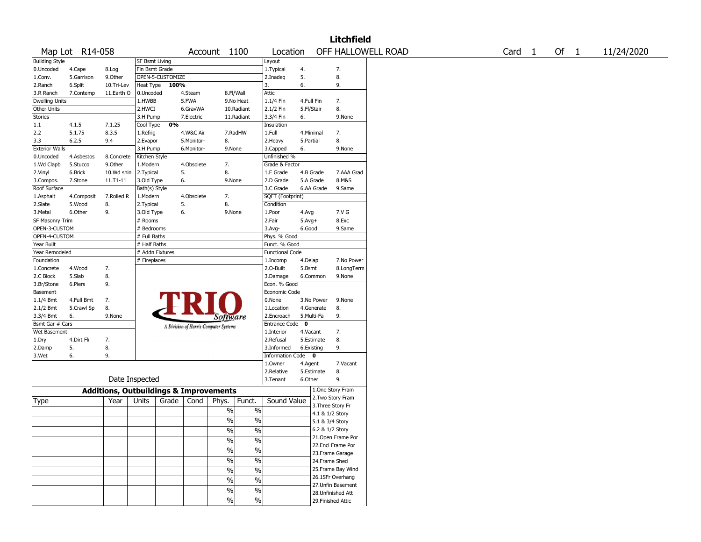|                       |                 |                                                   |                 |                  |            |                                       |                          |                        |              |            | <b>Litchfield</b>  |                    |                   |        |            |
|-----------------------|-----------------|---------------------------------------------------|-----------------|------------------|------------|---------------------------------------|--------------------------|------------------------|--------------|------------|--------------------|--------------------|-------------------|--------|------------|
|                       | Map Lot R14-058 |                                                   |                 |                  |            | Account 1100                          |                          | Location               |              |            |                    | OFF HALLOWELL ROAD | Card <sub>1</sub> | Of $1$ | 11/24/2020 |
| <b>Building Style</b> |                 |                                                   | SF Bsmt Living  |                  |            |                                       |                          | Layout                 |              |            |                    |                    |                   |        |            |
| 0.Uncoded             | 4.Cape          | 8.Log                                             | Fin Bsmt Grade  |                  |            |                                       |                          | 1. Typical             | 4.           |            | 7.                 |                    |                   |        |            |
| 1.Conv.               | 5.Garrison      | 9.0ther                                           |                 | OPEN-5-CUSTOMIZE |            |                                       |                          | 2.Inadeq               | 5.           |            | 8.                 |                    |                   |        |            |
| 2.Ranch               | 6.Split         | 10.Tri-Lev                                        | Heat Type       | 100%             |            |                                       |                          | 3.                     | 6.           |            | 9.                 |                    |                   |        |            |
| 3.R Ranch             | 7.Contemp       | 11.Earth O                                        | 0.Uncoded       |                  | 4.Steam    |                                       | 8.Fl/Wall                | Attic                  |              |            |                    |                    |                   |        |            |
| <b>Dwelling Units</b> |                 |                                                   | 1.HWBB          |                  | 5.FWA      |                                       | 9.No Heat                | 1.1/4 Fin              | 4.Full Fin   |            | 7.                 |                    |                   |        |            |
| Other Units           |                 |                                                   | 2.HWCI          |                  | 6.GravWA   |                                       | 10.Radiant               | 2.1/2 Fin              | 5.Fl/Stair   |            | 8.                 |                    |                   |        |            |
| <b>Stories</b>        |                 |                                                   | 3.H Pump        |                  | 7.Electric |                                       | 11.Radiant               | 3.3/4 Fin              | 6.           |            | 9.None             |                    |                   |        |            |
| 1.1                   | 4.1.5           | 7.1.25                                            | Cool Type       | 0%               |            |                                       |                          | Insulation             |              |            |                    |                    |                   |        |            |
| 2.2                   | 5.1.75          | 8.3.5                                             | 1.Refrig        |                  | 4.W&C Air  |                                       | 7.RadHW                  | 1.Full                 | 4.Minimal    |            | 7.                 |                    |                   |        |            |
| 3.3                   | 6.2.5           | 9.4                                               | 2.Evapor        |                  | 5.Monitor- | 8.                                    |                          | 2.Heavy                | 5.Partial    |            | 8.                 |                    |                   |        |            |
| <b>Exterior Walls</b> |                 |                                                   | 3.H Pump        |                  | 6.Monitor- | 9.None                                |                          | 3.Capped               | 6.           |            | 9.None             |                    |                   |        |            |
| 0.Uncoded             | 4.Asbestos      | 8.Concrete                                        | Kitchen Style   |                  |            |                                       |                          | Unfinished %           |              |            |                    |                    |                   |        |            |
| 1.Wd Clapb            | 5.Stucco        | 9.0ther                                           | 1.Modern        |                  | 4.Obsolete | 7.                                    |                          | Grade & Factor         |              |            |                    |                    |                   |        |            |
| 2.Vinyl               | 6.Brick         | 10.Wd shin                                        | 2.Typical       |                  | 5.         | 8.                                    |                          | 1.E Grade              |              | 4.B Grade  | 7.AAA Grad         |                    |                   |        |            |
| 3.Compos.             | 7.Stone         | 11.T1-11                                          | 3.Old Type      |                  | 6.         | 9.None                                |                          | 2.D Grade              |              | 5.A Grade  | 8.M&S              |                    |                   |        |            |
| Roof Surface          |                 |                                                   | Bath(s) Style   |                  |            |                                       |                          | 3.C Grade              |              | 6.AA Grade | 9.Same             |                    |                   |        |            |
| 1.Asphalt             | 4.Composit      | 7.Rolled R                                        | 1.Modern        |                  | 4.Obsolete | 7.                                    |                          | SQFT (Footprint)       |              |            |                    |                    |                   |        |            |
| 2.Slate               | 5.Wood          | 8.                                                | 2.Typical       |                  | 5.         | 8.                                    |                          | Condition              |              |            |                    |                    |                   |        |            |
| 3.Metal               | 6.Other         | 9.                                                | 3.Old Type      |                  | 6.         | 9.None                                |                          | 1.Poor                 | 4.Avg        |            | 7.V G              |                    |                   |        |            |
| SF Masonry Trim       |                 |                                                   | # Rooms         |                  |            |                                       |                          | 2.Fair                 | $5.$ Avg $+$ |            | 8.Exc              |                    |                   |        |            |
| OPEN-3-CUSTOM         |                 |                                                   | # Bedrooms      |                  |            |                                       |                          | 3.Avg-                 | 6.Good       |            | 9.Same             |                    |                   |        |            |
| OPEN-4-CUSTOM         |                 |                                                   | # Full Baths    |                  |            |                                       |                          | Phys. % Good           |              |            |                    |                    |                   |        |            |
| Year Built            |                 |                                                   | # Half Baths    |                  |            |                                       |                          | Funct. % Good          |              |            |                    |                    |                   |        |            |
| Year Remodeled        |                 |                                                   | # Addn Fixtures |                  |            |                                       |                          | <b>Functional Code</b> |              |            |                    |                    |                   |        |            |
| Foundation            |                 |                                                   | # Fireplaces    |                  |            |                                       |                          | 1.Incomp               | 4.Delap      |            | 7.No Power         |                    |                   |        |            |
| 1.Concrete            | 4.Wood          | 7.                                                |                 |                  |            |                                       |                          | 2.0-Built              | 5.Bsmt       |            | 8.LongTerm         |                    |                   |        |            |
| 2.C Block             | 5.Slab          | 8.                                                |                 |                  |            |                                       |                          | 3.Damage               |              | 6.Common   | 9.None             |                    |                   |        |            |
| 3.Br/Stone            | 6.Piers         | 9.                                                |                 |                  |            |                                       |                          | Econ. % Good           |              |            |                    |                    |                   |        |            |
| Basement              |                 |                                                   |                 |                  |            |                                       |                          | Economic Code          |              |            |                    |                    |                   |        |            |
| 1.1/4 Bmt             | 4.Full Bmt      | 7.                                                |                 |                  |            |                                       |                          | 0.None                 |              | 3.No Power | 9.None             |                    |                   |        |            |
| 2.1/2 Bmt             | 5.Crawl Sp      | 8.                                                |                 |                  |            |                                       |                          | 1.Location             |              | 4.Generate | 8.                 |                    |                   |        |            |
| 3.3/4 Bmt             | 6.              | 9.None                                            |                 |                  |            | Software                              |                          | 2.Encroach             | 5.Multi-Fa   |            | 9.                 |                    |                   |        |            |
| Bsmt Gar # Cars       |                 |                                                   |                 |                  |            |                                       |                          | Entrance Code          | $\mathbf 0$  |            |                    |                    |                   |        |            |
| Wet Basement          |                 |                                                   |                 |                  |            | A Division of Harris Computer Systems |                          | 1.Interior             | 4.Vacant     |            | 7.                 |                    |                   |        |            |
| 1.Dry                 | 4.Dirt Flr      | 7.                                                |                 |                  |            |                                       |                          | 2.Refusal              |              | 5.Estimate | 8.                 |                    |                   |        |            |
| 2.Damp                | 5.              | 8.                                                |                 |                  |            |                                       |                          | 3.Informed             | 6.Existing   |            | 9.                 |                    |                   |        |            |
| 3.Wet                 | 6.              | 9.                                                |                 |                  |            |                                       |                          | Information Code 0     |              |            |                    |                    |                   |        |            |
|                       |                 |                                                   |                 |                  |            |                                       |                          | 1.0wner                | 4.Agent      |            | 7.Vacant           |                    |                   |        |            |
|                       |                 |                                                   |                 |                  |            |                                       |                          | 2.Relative             |              | 5.Estimate | 8.                 |                    |                   |        |            |
|                       |                 |                                                   | Date Inspected  |                  |            |                                       |                          | 3.Tenant               | 6.Other      |            | 9.                 |                    |                   |        |            |
|                       |                 |                                                   |                 |                  |            |                                       |                          |                        |              |            | 1.One Story Fram   |                    |                   |        |            |
|                       |                 | <b>Additions, Outbuildings &amp; Improvements</b> |                 |                  |            |                                       |                          |                        |              |            | 2. Two Story Fram  |                    |                   |        |            |
| Type                  |                 | Year                                              | Units           | Grade            | Cond       | Phys.                                 | Funct.                   | Sound Value            |              |            | 3. Three Story Fr  |                    |                   |        |            |
|                       |                 |                                                   |                 |                  |            | $\%$                                  | $\%$                     |                        |              |            | 4.1 & 1/2 Story    |                    |                   |        |            |
|                       |                 |                                                   |                 |                  |            | $\frac{0}{0}$                         | $\%$                     |                        |              |            | 5.1 & 3/4 Story    |                    |                   |        |            |
|                       |                 |                                                   |                 |                  |            | $\frac{1}{2}$                         | $\sqrt{96}$              |                        |              |            | 6.2 & 1/2 Story    |                    |                   |        |            |
|                       |                 |                                                   |                 |                  |            |                                       |                          |                        |              |            | 21. Open Frame Por |                    |                   |        |            |
|                       |                 |                                                   |                 |                  |            | $\frac{1}{2}$                         | $\overline{\frac{0}{0}}$ |                        |              |            | 22.Encl Frame Por  |                    |                   |        |            |
|                       |                 |                                                   |                 |                  |            | $\frac{0}{6}$                         | $\overline{\frac{0}{0}}$ |                        |              |            | 23.Frame Garage    |                    |                   |        |            |
|                       |                 |                                                   |                 |                  |            | $\frac{9}{6}$                         | $\overline{\frac{0}{0}}$ |                        |              |            | 24.Frame Shed      |                    |                   |        |            |
|                       |                 |                                                   |                 |                  |            | $\frac{9}{6}$                         | $\overline{\frac{0}{0}}$ |                        |              |            | 25. Frame Bay Wind |                    |                   |        |            |
|                       |                 |                                                   |                 |                  |            |                                       |                          |                        |              |            | 26.1SFr Overhang   |                    |                   |        |            |
|                       |                 |                                                   |                 |                  |            | $\frac{1}{2}$                         | $\overline{\frac{0}{0}}$ |                        |              |            | 27.Unfin Basement  |                    |                   |        |            |
|                       |                 |                                                   |                 |                  |            | $\frac{1}{2}$                         | $\overline{\frac{0}{0}}$ |                        |              |            | 28. Unfinished Att |                    |                   |        |            |
|                       |                 |                                                   |                 |                  |            | $\sqrt{6}$                            | $\sqrt{6}$               |                        |              |            | 29. Finished Attic |                    |                   |        |            |
|                       |                 |                                                   |                 |                  |            |                                       |                          |                        |              |            |                    |                    |                   |        |            |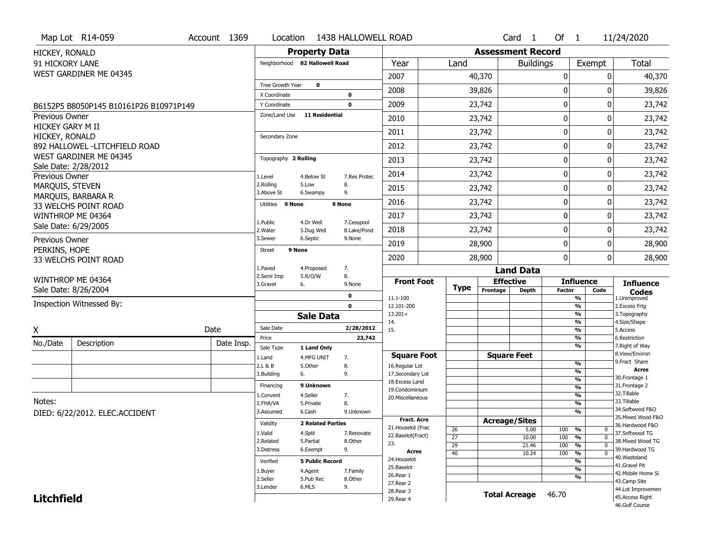| Map Lot R14-059                        | Account 1369 | Location                     |                                | 1438 HALLOWELL ROAD         |                                      |                 |                          | Card 1           | Of $1$        |                                           | 11/24/2020                        |
|----------------------------------------|--------------|------------------------------|--------------------------------|-----------------------------|--------------------------------------|-----------------|--------------------------|------------------|---------------|-------------------------------------------|-----------------------------------|
| HICKEY, RONALD                         |              |                              | <b>Property Data</b>           |                             |                                      |                 | <b>Assessment Record</b> |                  |               |                                           |                                   |
| 91 HICKORY LANE                        |              |                              | Neighborhood 82 Hallowell Road |                             | Year                                 | Land            |                          | <b>Buildings</b> |               | Exempt                                    | Total                             |
| WEST GARDINER ME 04345                 |              |                              |                                |                             | 2007                                 |                 | 40,370                   |                  | 0             | 0                                         | 40,370                            |
|                                        |              | <b>Tree Growth Year</b>      | $\mathbf 0$                    |                             | 2008                                 |                 | 39,826                   |                  | 0             | 0                                         | 39,826                            |
| B6152P5 B8050P145 B10161P26 B10971P149 |              | X Coordinate<br>Y Coordinate |                                | 0<br>$\mathbf 0$            | 2009                                 |                 | 23,742                   |                  | 0             | 0                                         | 23,742                            |
| <b>Previous Owner</b>                  |              | Zone/Land Use                | <b>11 Residential</b>          |                             |                                      |                 |                          |                  |               |                                           |                                   |
| HICKEY GARY M II                       |              |                              |                                |                             | 2010                                 |                 | 23,742                   |                  | $\mathbf{0}$  | 0                                         | 23,742                            |
| HICKEY, RONALD                         |              | Secondary Zone               |                                |                             | 2011                                 |                 | 23,742                   |                  | 0             | 0                                         | 23,742                            |
| 892 HALLOWEL -LITCHFIELD ROAD          |              |                              |                                |                             | 2012                                 |                 | 23,742                   |                  | 0             | 0                                         | 23,742                            |
| WEST GARDINER ME 04345                 |              | Topography 2 Rolling         |                                |                             | 2013                                 |                 | 23,742                   |                  | 0             | 0                                         | 23,742                            |
| Sale Date: 2/28/2012<br>Previous Owner |              |                              | 4.Below St                     | 7.Res Protec                | 2014                                 |                 | 23,742                   |                  | 0             | 0                                         | 23,742                            |
| MARQUIS, STEVEN                        |              | 1.Level<br>2.Rolling         | 5.Low                          | 8.                          | 2015                                 |                 | 23,742                   |                  | 0             | 0                                         | 23,742                            |
| MARQUIS, BARBARA R                     |              | 3.Above St                   | 6.Swampy                       | 9.                          |                                      |                 |                          |                  |               |                                           |                                   |
| 33 WELCHS POINT ROAD                   |              | Utilities 9 None             |                                | 9 None                      | 2016                                 |                 | 23,742                   |                  | 0             | 0                                         | 23,742                            |
| WINTHROP ME 04364                      |              | 1.Public                     | 4.Dr Well                      | 7.Cesspool                  | 2017                                 |                 | 23,742                   |                  | 0             | 0                                         | 23,742                            |
| Sale Date: 6/29/2005                   |              | 2. Water                     | 5.Dug Well                     | 8.Lake/Pond                 | 2018                                 |                 | 23,742                   |                  | $\mathbf{0}$  | 0                                         | 23,742                            |
| Previous Owner                         |              | 3.Sewer                      | 6.Septic                       | 9.None                      | 2019                                 |                 | 28,900                   |                  | 0             | 0                                         | 28,900                            |
| PERKINS, HOPE                          |              | <b>Street</b>                | 9 None                         |                             | 2020                                 |                 | 28,900                   |                  | 0             | $\Omega$                                  | 28,900                            |
| 33 WELCHS POINT ROAD                   |              | 1.Paved                      | 4.Proposed                     | 7.                          |                                      |                 |                          | <b>Land Data</b> |               |                                           |                                   |
| WINTHROP ME 04364                      |              | 2.Semi Imp                   | 5.R/O/W                        | 8.                          | <b>Front Foot</b>                    |                 | <b>Effective</b>         |                  |               | <b>Influence</b>                          | <b>Influence</b>                  |
| Sale Date: 8/26/2004                   |              | 3.Gravel                     | 6.                             | 9.None                      |                                      | <b>Type</b>     | Frontage                 | <b>Depth</b>     | <b>Factor</b> | Code                                      | <b>Codes</b>                      |
| Inspection Witnessed By:               |              |                              |                                | $\mathbf 0$<br>$\mathbf{0}$ | 11.1-100<br>12.101-200               |                 |                          |                  |               | $\overline{\frac{9}{6}}$<br>$\frac{9}{6}$ | 1.Unimproved<br>2. Excess Frtg    |
|                                        |              |                              | <b>Sale Data</b>               |                             | $13.201+$                            |                 |                          |                  |               | $\frac{9}{6}$                             | 3. Topography                     |
| X                                      | Date         | Sale Date                    |                                | 2/28/2012                   | 14.<br>15.                           |                 |                          |                  |               | $\frac{9}{6}$<br>$\frac{9}{6}$            | 4.Size/Shape<br>5.Access          |
|                                        |              | Price                        |                                | 23,742                      |                                      |                 |                          |                  |               | $\frac{9}{6}$                             | 6.Restriction                     |
| No./Date<br>Description                | Date Insp.   | Sale Type                    | 1 Land Only                    |                             |                                      |                 |                          |                  |               | $\frac{9}{6}$                             | 7. Right of Way<br>8.View/Environ |
|                                        |              | 1.Land<br>2.L & B            | 4.MFG UNIT<br>5.Other          | 7.<br>8.                    | <b>Square Foot</b><br>16.Regular Lot |                 | <b>Square Feet</b>       |                  |               | %                                         | 9. Fract Share                    |
|                                        |              | 3.Building                   | 6.                             | 9.                          | 17.Secondary Lot                     |                 |                          |                  |               | $\frac{9}{6}$                             | <b>Acres</b>                      |
|                                        |              | Financing                    | 9 Unknown                      |                             | 18. Excess Land                      |                 |                          |                  |               | $\frac{9}{6}$<br>%                        | 30. Frontage 1<br>31. Frontage 2  |
|                                        |              | 1.Convent                    | 4.Seller                       | 7.                          | 19.Condominium<br>20.Miscellaneous   |                 |                          |                  |               | $\frac{9}{6}$                             | 32.Tillable                       |
| Notes:                                 |              | 2.FHA/VA                     | 5.Private                      | 8.                          |                                      |                 |                          |                  |               | %                                         | 33.Tillable<br>34.Softwood F&O    |
| DIED: 6/22/2012. ELEC.ACCIDENT         |              | 3.Assumed                    | 6.Cash                         | 9.Unknown                   | <b>Fract. Acre</b>                   |                 |                          |                  |               | $\frac{9}{6}$                             | 35. Mixed Wood F&O                |
|                                        |              | Validity                     | <b>2 Related Parties</b>       |                             | 21. Houselot (Frac                   | 26              | <b>Acreage/Sites</b>     |                  | $100 - 96$    |                                           | 36.Hardwood F&O                   |
|                                        |              | 1.Valid                      | 4.Split                        | 7.Renovate                  | 22.Baselot(Fract)                    | $\overline{27}$ |                          | 5.00<br>10.00    | 100           | 0<br>%<br>$\mathbf 0$                     | 37.Softwood TG                    |
|                                        |              | 2.Related                    | 5.Partial                      | 8.Other                     | 23.                                  | 29              |                          | 21.46            | 100           | $\frac{9}{6}$<br>0                        | 38. Mixed Wood TG                 |
|                                        |              | 3.Distress                   | 6.Exempt                       | 9.                          | Acres                                | 40              |                          | 10.24            | 100           | $\frac{9}{6}$<br>0                        | 39.Hardwood TG<br>40. Wasteland   |
|                                        |              | Verified                     | <b>5 Public Record</b>         |                             | 24. Houselot                         |                 |                          |                  |               | $\frac{9}{6}$                             | 41.Gravel Pit                     |
|                                        |              | 1.Buyer                      | 4.Agent                        | 7.Family                    | 25.Baselot<br>26.Rear 1              |                 |                          |                  |               | $\frac{9}{6}$                             | 42. Mobile Home Si                |
|                                        |              | 2.Seller                     | 5.Pub Rec                      | 8.Other                     | 27. Rear 2                           |                 |                          |                  |               | %                                         | 43.Camp Site                      |
|                                        |              | 3.Lender                     | 6.MLS                          | 9.                          | 28. Rear 3                           |                 | <b>Total Acreage</b>     |                  | 46.70         |                                           | 44.Lot Improvemen                 |
| <b>Litchfield</b>                      |              |                              |                                |                             | 29. Rear 4                           |                 |                          |                  |               |                                           | 45.Access Right<br>46.Golf Course |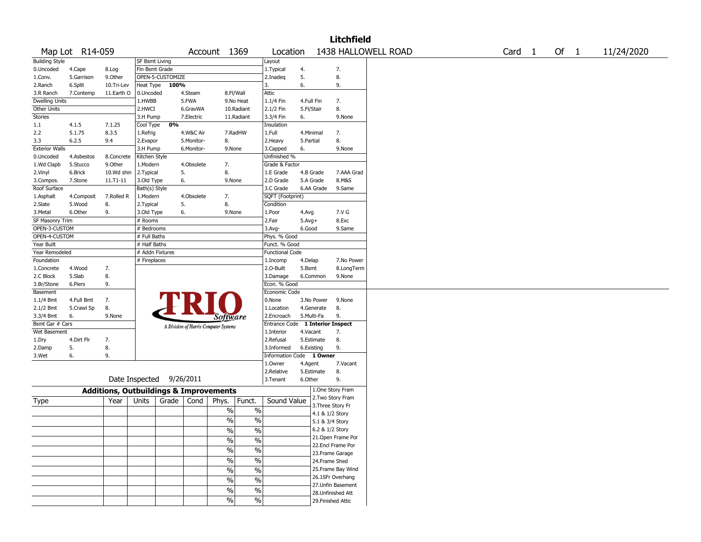| 1438 HALLOWELL ROAD<br>Of $1$<br>Map Lot R14-059<br>Account 1369<br>Location<br>Card 1<br>11/24/2020<br><b>Building Style</b><br><b>SF Bsmt Living</b><br>Layout<br>4.<br>7.<br>0.Uncoded<br>Fin Bsmt Grade<br>1. Typical<br>4.Cape<br>8.Log<br>OPEN-5-CUSTOMIZE<br>5.<br>8.<br>5.Garrison<br>9.0ther<br>1.Conv.<br>2.Inadeg<br>100%<br>6.<br>9.<br>6.Split<br>Heat Type<br>2.Ranch<br>10.Tri-Lev<br>3.<br>11.Earth O<br>Attic<br>7.Contemp<br>0.Uncoded<br>4.Steam<br>8.Fl/Wall<br>3.R Ranch<br><b>Dwelling Units</b><br>5.FWA<br>1.HWBB<br>9.No Heat<br>1.1/4 Fin<br>4.Full Fin<br>7.<br>8.<br>Other Units<br>2.HWCI<br>6.GravWA<br>10.Radiant<br>2.1/2 Fin<br>5.Fl/Stair<br>Stories<br>7.Electric<br>11.Radiant<br>3.H Pump<br>3.3/4 Fin<br>6.<br>9.None<br>0%<br>Cool Type<br>1.1<br>4.1.5<br>7.1.25<br>Insulation<br>2.2<br>5.1.75<br>8.3.5<br>7.<br>4.W&C Air<br>7.RadHW<br>1.Full<br>4.Minimal<br>1.Refrig<br>8.<br>3.3<br>8.<br>6.2.5<br>9.4<br>2.Evapor<br>5.Monitor-<br>2.Heavy<br>5.Partial<br><b>Exterior Walls</b><br>9.None<br>3.H Pump<br>6.Monitor-<br>9.None<br>3.Capped<br>6.<br>Unfinished %<br>4.Asbestos<br>8.Concrete<br>Kitchen Style<br>0.Uncoded<br>1.Wd Clapb<br>5.Stucco<br>9.0ther<br>1.Modern<br>4.Obsolete<br>7.<br>Grade & Factor<br>10.Wd shin<br>5.<br>8.<br>2.Vinyl<br>6.Brick<br>2. Typical<br>1.E Grade<br>4.B Grade<br>7.AAA Grad<br>6.<br>8.M&S<br>11.T1-11<br>3.Old Type<br>9.None<br>2.D Grade<br>5.A Grade<br>3.Compos.<br>7.Stone<br>Roof Surface<br>6.AA Grade<br>9.Same<br>Bath(s) Style<br>3.C Grade<br>1.Asphalt<br>7.Rolled R<br>1.Modern<br>4.Obsolete<br>7.<br>SQFT (Footprint)<br>4.Composit<br>8.<br>5.<br>8.<br>2.Slate<br>5.Wood<br>2. Typical<br>Condition<br>9.<br>7.V G<br>3.Metal<br>6.Other<br>3.Old Type<br>6.<br>9.None<br>1.Poor<br>4.Avg<br>SF Masonry Trim<br>8.Exc<br># Rooms<br>2.Fair<br>$5.Avg+$<br>OPEN-3-CUSTOM<br># Bedrooms<br>6.Good<br>9.Same<br>3.Avg-<br>OPEN-4-CUSTOM<br># Full Baths<br>Phys. % Good<br>Year Built<br># Half Baths<br>Funct. % Good<br># Addn Fixtures<br>Year Remodeled<br><b>Functional Code</b><br>Foundation<br># Fireplaces<br>1.Incomp<br>4.Delap<br>7.No Power<br>4.Wood<br>7.<br>2.O-Built<br>5.Bsmt<br>8.LongTerm<br>1.Concrete<br>8.<br>2.C Block<br>5.Slab<br>3.Damage<br>6.Common<br>9.None<br>9.<br>Econ. % Good<br>3.Br/Stone<br>6.Piers<br>Economic Code<br>Basement<br>$1.1/4$ Bmt<br>4.Full Bmt<br>7.<br>0.None<br>3.No Power<br>9.None<br>8.<br>8.<br>2.1/2 Bmt<br>5.Crawl Sp<br>1.Location<br>4.Generate<br>9.None<br>5.Multi-Fa<br>9.<br>3.3/4 Bmt<br>6.<br>2.Encroach<br>Software<br>Bsmt Gar # Cars<br><b>1 Interior Inspect</b><br>Entrance Code<br>A Division of Harris Computer Systems<br>Wet Basement<br>4.Vacant<br>7.<br>1.Interior<br>8.<br>4.Dirt Flr<br>7.<br>5.Estimate<br>1.Dry<br>2.Refusal<br>5.<br>8.<br>9.<br>3.Informed<br>6.Existing<br>2.Damp<br>9.<br>1 Owner<br>3.Wet<br>6.<br><b>Information Code</b><br>7.Vacant<br>1.Owner<br>4.Agent<br>8.<br>2.Relative<br>5.Estimate<br>Date Inspected 9/26/2011<br>9.<br>3. Tenant<br>6.Other<br>1.One Story Fram<br><b>Additions, Outbuildings &amp; Improvements</b><br>2. Two Story Fram<br>Funct.<br>Sound Value<br>Year<br>Units<br>Grade<br>Phys.<br>Type<br>Cond<br>3. Three Story Fr<br>$\%$<br>$\%$<br>4.1 & 1/2 Story |
|----------------------------------------------------------------------------------------------------------------------------------------------------------------------------------------------------------------------------------------------------------------------------------------------------------------------------------------------------------------------------------------------------------------------------------------------------------------------------------------------------------------------------------------------------------------------------------------------------------------------------------------------------------------------------------------------------------------------------------------------------------------------------------------------------------------------------------------------------------------------------------------------------------------------------------------------------------------------------------------------------------------------------------------------------------------------------------------------------------------------------------------------------------------------------------------------------------------------------------------------------------------------------------------------------------------------------------------------------------------------------------------------------------------------------------------------------------------------------------------------------------------------------------------------------------------------------------------------------------------------------------------------------------------------------------------------------------------------------------------------------------------------------------------------------------------------------------------------------------------------------------------------------------------------------------------------------------------------------------------------------------------------------------------------------------------------------------------------------------------------------------------------------------------------------------------------------------------------------------------------------------------------------------------------------------------------------------------------------------------------------------------------------------------------------------------------------------------------------------------------------------------------------------------------------------------------------------------------------------------------------------------------------------------------------------------------------------------------------------------------------------------------------------------------------------------------------------------------------------------------------------------------------------------------------------------------------------------------------------------------------------------------------------------------------------------------------------------------------------------------------------------------------------------------------------------------------------------------------------------------------------------------------------------------------------------|
|                                                                                                                                                                                                                                                                                                                                                                                                                                                                                                                                                                                                                                                                                                                                                                                                                                                                                                                                                                                                                                                                                                                                                                                                                                                                                                                                                                                                                                                                                                                                                                                                                                                                                                                                                                                                                                                                                                                                                                                                                                                                                                                                                                                                                                                                                                                                                                                                                                                                                                                                                                                                                                                                                                                                                                                                                                                                                                                                                                                                                                                                                                                                                                                                                                                                                                                |
|                                                                                                                                                                                                                                                                                                                                                                                                                                                                                                                                                                                                                                                                                                                                                                                                                                                                                                                                                                                                                                                                                                                                                                                                                                                                                                                                                                                                                                                                                                                                                                                                                                                                                                                                                                                                                                                                                                                                                                                                                                                                                                                                                                                                                                                                                                                                                                                                                                                                                                                                                                                                                                                                                                                                                                                                                                                                                                                                                                                                                                                                                                                                                                                                                                                                                                                |
|                                                                                                                                                                                                                                                                                                                                                                                                                                                                                                                                                                                                                                                                                                                                                                                                                                                                                                                                                                                                                                                                                                                                                                                                                                                                                                                                                                                                                                                                                                                                                                                                                                                                                                                                                                                                                                                                                                                                                                                                                                                                                                                                                                                                                                                                                                                                                                                                                                                                                                                                                                                                                                                                                                                                                                                                                                                                                                                                                                                                                                                                                                                                                                                                                                                                                                                |
|                                                                                                                                                                                                                                                                                                                                                                                                                                                                                                                                                                                                                                                                                                                                                                                                                                                                                                                                                                                                                                                                                                                                                                                                                                                                                                                                                                                                                                                                                                                                                                                                                                                                                                                                                                                                                                                                                                                                                                                                                                                                                                                                                                                                                                                                                                                                                                                                                                                                                                                                                                                                                                                                                                                                                                                                                                                                                                                                                                                                                                                                                                                                                                                                                                                                                                                |
|                                                                                                                                                                                                                                                                                                                                                                                                                                                                                                                                                                                                                                                                                                                                                                                                                                                                                                                                                                                                                                                                                                                                                                                                                                                                                                                                                                                                                                                                                                                                                                                                                                                                                                                                                                                                                                                                                                                                                                                                                                                                                                                                                                                                                                                                                                                                                                                                                                                                                                                                                                                                                                                                                                                                                                                                                                                                                                                                                                                                                                                                                                                                                                                                                                                                                                                |
|                                                                                                                                                                                                                                                                                                                                                                                                                                                                                                                                                                                                                                                                                                                                                                                                                                                                                                                                                                                                                                                                                                                                                                                                                                                                                                                                                                                                                                                                                                                                                                                                                                                                                                                                                                                                                                                                                                                                                                                                                                                                                                                                                                                                                                                                                                                                                                                                                                                                                                                                                                                                                                                                                                                                                                                                                                                                                                                                                                                                                                                                                                                                                                                                                                                                                                                |
|                                                                                                                                                                                                                                                                                                                                                                                                                                                                                                                                                                                                                                                                                                                                                                                                                                                                                                                                                                                                                                                                                                                                                                                                                                                                                                                                                                                                                                                                                                                                                                                                                                                                                                                                                                                                                                                                                                                                                                                                                                                                                                                                                                                                                                                                                                                                                                                                                                                                                                                                                                                                                                                                                                                                                                                                                                                                                                                                                                                                                                                                                                                                                                                                                                                                                                                |
|                                                                                                                                                                                                                                                                                                                                                                                                                                                                                                                                                                                                                                                                                                                                                                                                                                                                                                                                                                                                                                                                                                                                                                                                                                                                                                                                                                                                                                                                                                                                                                                                                                                                                                                                                                                                                                                                                                                                                                                                                                                                                                                                                                                                                                                                                                                                                                                                                                                                                                                                                                                                                                                                                                                                                                                                                                                                                                                                                                                                                                                                                                                                                                                                                                                                                                                |
|                                                                                                                                                                                                                                                                                                                                                                                                                                                                                                                                                                                                                                                                                                                                                                                                                                                                                                                                                                                                                                                                                                                                                                                                                                                                                                                                                                                                                                                                                                                                                                                                                                                                                                                                                                                                                                                                                                                                                                                                                                                                                                                                                                                                                                                                                                                                                                                                                                                                                                                                                                                                                                                                                                                                                                                                                                                                                                                                                                                                                                                                                                                                                                                                                                                                                                                |
|                                                                                                                                                                                                                                                                                                                                                                                                                                                                                                                                                                                                                                                                                                                                                                                                                                                                                                                                                                                                                                                                                                                                                                                                                                                                                                                                                                                                                                                                                                                                                                                                                                                                                                                                                                                                                                                                                                                                                                                                                                                                                                                                                                                                                                                                                                                                                                                                                                                                                                                                                                                                                                                                                                                                                                                                                                                                                                                                                                                                                                                                                                                                                                                                                                                                                                                |
|                                                                                                                                                                                                                                                                                                                                                                                                                                                                                                                                                                                                                                                                                                                                                                                                                                                                                                                                                                                                                                                                                                                                                                                                                                                                                                                                                                                                                                                                                                                                                                                                                                                                                                                                                                                                                                                                                                                                                                                                                                                                                                                                                                                                                                                                                                                                                                                                                                                                                                                                                                                                                                                                                                                                                                                                                                                                                                                                                                                                                                                                                                                                                                                                                                                                                                                |
|                                                                                                                                                                                                                                                                                                                                                                                                                                                                                                                                                                                                                                                                                                                                                                                                                                                                                                                                                                                                                                                                                                                                                                                                                                                                                                                                                                                                                                                                                                                                                                                                                                                                                                                                                                                                                                                                                                                                                                                                                                                                                                                                                                                                                                                                                                                                                                                                                                                                                                                                                                                                                                                                                                                                                                                                                                                                                                                                                                                                                                                                                                                                                                                                                                                                                                                |
|                                                                                                                                                                                                                                                                                                                                                                                                                                                                                                                                                                                                                                                                                                                                                                                                                                                                                                                                                                                                                                                                                                                                                                                                                                                                                                                                                                                                                                                                                                                                                                                                                                                                                                                                                                                                                                                                                                                                                                                                                                                                                                                                                                                                                                                                                                                                                                                                                                                                                                                                                                                                                                                                                                                                                                                                                                                                                                                                                                                                                                                                                                                                                                                                                                                                                                                |
|                                                                                                                                                                                                                                                                                                                                                                                                                                                                                                                                                                                                                                                                                                                                                                                                                                                                                                                                                                                                                                                                                                                                                                                                                                                                                                                                                                                                                                                                                                                                                                                                                                                                                                                                                                                                                                                                                                                                                                                                                                                                                                                                                                                                                                                                                                                                                                                                                                                                                                                                                                                                                                                                                                                                                                                                                                                                                                                                                                                                                                                                                                                                                                                                                                                                                                                |
|                                                                                                                                                                                                                                                                                                                                                                                                                                                                                                                                                                                                                                                                                                                                                                                                                                                                                                                                                                                                                                                                                                                                                                                                                                                                                                                                                                                                                                                                                                                                                                                                                                                                                                                                                                                                                                                                                                                                                                                                                                                                                                                                                                                                                                                                                                                                                                                                                                                                                                                                                                                                                                                                                                                                                                                                                                                                                                                                                                                                                                                                                                                                                                                                                                                                                                                |
|                                                                                                                                                                                                                                                                                                                                                                                                                                                                                                                                                                                                                                                                                                                                                                                                                                                                                                                                                                                                                                                                                                                                                                                                                                                                                                                                                                                                                                                                                                                                                                                                                                                                                                                                                                                                                                                                                                                                                                                                                                                                                                                                                                                                                                                                                                                                                                                                                                                                                                                                                                                                                                                                                                                                                                                                                                                                                                                                                                                                                                                                                                                                                                                                                                                                                                                |
|                                                                                                                                                                                                                                                                                                                                                                                                                                                                                                                                                                                                                                                                                                                                                                                                                                                                                                                                                                                                                                                                                                                                                                                                                                                                                                                                                                                                                                                                                                                                                                                                                                                                                                                                                                                                                                                                                                                                                                                                                                                                                                                                                                                                                                                                                                                                                                                                                                                                                                                                                                                                                                                                                                                                                                                                                                                                                                                                                                                                                                                                                                                                                                                                                                                                                                                |
|                                                                                                                                                                                                                                                                                                                                                                                                                                                                                                                                                                                                                                                                                                                                                                                                                                                                                                                                                                                                                                                                                                                                                                                                                                                                                                                                                                                                                                                                                                                                                                                                                                                                                                                                                                                                                                                                                                                                                                                                                                                                                                                                                                                                                                                                                                                                                                                                                                                                                                                                                                                                                                                                                                                                                                                                                                                                                                                                                                                                                                                                                                                                                                                                                                                                                                                |
|                                                                                                                                                                                                                                                                                                                                                                                                                                                                                                                                                                                                                                                                                                                                                                                                                                                                                                                                                                                                                                                                                                                                                                                                                                                                                                                                                                                                                                                                                                                                                                                                                                                                                                                                                                                                                                                                                                                                                                                                                                                                                                                                                                                                                                                                                                                                                                                                                                                                                                                                                                                                                                                                                                                                                                                                                                                                                                                                                                                                                                                                                                                                                                                                                                                                                                                |
|                                                                                                                                                                                                                                                                                                                                                                                                                                                                                                                                                                                                                                                                                                                                                                                                                                                                                                                                                                                                                                                                                                                                                                                                                                                                                                                                                                                                                                                                                                                                                                                                                                                                                                                                                                                                                                                                                                                                                                                                                                                                                                                                                                                                                                                                                                                                                                                                                                                                                                                                                                                                                                                                                                                                                                                                                                                                                                                                                                                                                                                                                                                                                                                                                                                                                                                |
|                                                                                                                                                                                                                                                                                                                                                                                                                                                                                                                                                                                                                                                                                                                                                                                                                                                                                                                                                                                                                                                                                                                                                                                                                                                                                                                                                                                                                                                                                                                                                                                                                                                                                                                                                                                                                                                                                                                                                                                                                                                                                                                                                                                                                                                                                                                                                                                                                                                                                                                                                                                                                                                                                                                                                                                                                                                                                                                                                                                                                                                                                                                                                                                                                                                                                                                |
|                                                                                                                                                                                                                                                                                                                                                                                                                                                                                                                                                                                                                                                                                                                                                                                                                                                                                                                                                                                                                                                                                                                                                                                                                                                                                                                                                                                                                                                                                                                                                                                                                                                                                                                                                                                                                                                                                                                                                                                                                                                                                                                                                                                                                                                                                                                                                                                                                                                                                                                                                                                                                                                                                                                                                                                                                                                                                                                                                                                                                                                                                                                                                                                                                                                                                                                |
|                                                                                                                                                                                                                                                                                                                                                                                                                                                                                                                                                                                                                                                                                                                                                                                                                                                                                                                                                                                                                                                                                                                                                                                                                                                                                                                                                                                                                                                                                                                                                                                                                                                                                                                                                                                                                                                                                                                                                                                                                                                                                                                                                                                                                                                                                                                                                                                                                                                                                                                                                                                                                                                                                                                                                                                                                                                                                                                                                                                                                                                                                                                                                                                                                                                                                                                |
|                                                                                                                                                                                                                                                                                                                                                                                                                                                                                                                                                                                                                                                                                                                                                                                                                                                                                                                                                                                                                                                                                                                                                                                                                                                                                                                                                                                                                                                                                                                                                                                                                                                                                                                                                                                                                                                                                                                                                                                                                                                                                                                                                                                                                                                                                                                                                                                                                                                                                                                                                                                                                                                                                                                                                                                                                                                                                                                                                                                                                                                                                                                                                                                                                                                                                                                |
|                                                                                                                                                                                                                                                                                                                                                                                                                                                                                                                                                                                                                                                                                                                                                                                                                                                                                                                                                                                                                                                                                                                                                                                                                                                                                                                                                                                                                                                                                                                                                                                                                                                                                                                                                                                                                                                                                                                                                                                                                                                                                                                                                                                                                                                                                                                                                                                                                                                                                                                                                                                                                                                                                                                                                                                                                                                                                                                                                                                                                                                                                                                                                                                                                                                                                                                |
|                                                                                                                                                                                                                                                                                                                                                                                                                                                                                                                                                                                                                                                                                                                                                                                                                                                                                                                                                                                                                                                                                                                                                                                                                                                                                                                                                                                                                                                                                                                                                                                                                                                                                                                                                                                                                                                                                                                                                                                                                                                                                                                                                                                                                                                                                                                                                                                                                                                                                                                                                                                                                                                                                                                                                                                                                                                                                                                                                                                                                                                                                                                                                                                                                                                                                                                |
|                                                                                                                                                                                                                                                                                                                                                                                                                                                                                                                                                                                                                                                                                                                                                                                                                                                                                                                                                                                                                                                                                                                                                                                                                                                                                                                                                                                                                                                                                                                                                                                                                                                                                                                                                                                                                                                                                                                                                                                                                                                                                                                                                                                                                                                                                                                                                                                                                                                                                                                                                                                                                                                                                                                                                                                                                                                                                                                                                                                                                                                                                                                                                                                                                                                                                                                |
|                                                                                                                                                                                                                                                                                                                                                                                                                                                                                                                                                                                                                                                                                                                                                                                                                                                                                                                                                                                                                                                                                                                                                                                                                                                                                                                                                                                                                                                                                                                                                                                                                                                                                                                                                                                                                                                                                                                                                                                                                                                                                                                                                                                                                                                                                                                                                                                                                                                                                                                                                                                                                                                                                                                                                                                                                                                                                                                                                                                                                                                                                                                                                                                                                                                                                                                |
|                                                                                                                                                                                                                                                                                                                                                                                                                                                                                                                                                                                                                                                                                                                                                                                                                                                                                                                                                                                                                                                                                                                                                                                                                                                                                                                                                                                                                                                                                                                                                                                                                                                                                                                                                                                                                                                                                                                                                                                                                                                                                                                                                                                                                                                                                                                                                                                                                                                                                                                                                                                                                                                                                                                                                                                                                                                                                                                                                                                                                                                                                                                                                                                                                                                                                                                |
|                                                                                                                                                                                                                                                                                                                                                                                                                                                                                                                                                                                                                                                                                                                                                                                                                                                                                                                                                                                                                                                                                                                                                                                                                                                                                                                                                                                                                                                                                                                                                                                                                                                                                                                                                                                                                                                                                                                                                                                                                                                                                                                                                                                                                                                                                                                                                                                                                                                                                                                                                                                                                                                                                                                                                                                                                                                                                                                                                                                                                                                                                                                                                                                                                                                                                                                |
|                                                                                                                                                                                                                                                                                                                                                                                                                                                                                                                                                                                                                                                                                                                                                                                                                                                                                                                                                                                                                                                                                                                                                                                                                                                                                                                                                                                                                                                                                                                                                                                                                                                                                                                                                                                                                                                                                                                                                                                                                                                                                                                                                                                                                                                                                                                                                                                                                                                                                                                                                                                                                                                                                                                                                                                                                                                                                                                                                                                                                                                                                                                                                                                                                                                                                                                |
|                                                                                                                                                                                                                                                                                                                                                                                                                                                                                                                                                                                                                                                                                                                                                                                                                                                                                                                                                                                                                                                                                                                                                                                                                                                                                                                                                                                                                                                                                                                                                                                                                                                                                                                                                                                                                                                                                                                                                                                                                                                                                                                                                                                                                                                                                                                                                                                                                                                                                                                                                                                                                                                                                                                                                                                                                                                                                                                                                                                                                                                                                                                                                                                                                                                                                                                |
|                                                                                                                                                                                                                                                                                                                                                                                                                                                                                                                                                                                                                                                                                                                                                                                                                                                                                                                                                                                                                                                                                                                                                                                                                                                                                                                                                                                                                                                                                                                                                                                                                                                                                                                                                                                                                                                                                                                                                                                                                                                                                                                                                                                                                                                                                                                                                                                                                                                                                                                                                                                                                                                                                                                                                                                                                                                                                                                                                                                                                                                                                                                                                                                                                                                                                                                |
|                                                                                                                                                                                                                                                                                                                                                                                                                                                                                                                                                                                                                                                                                                                                                                                                                                                                                                                                                                                                                                                                                                                                                                                                                                                                                                                                                                                                                                                                                                                                                                                                                                                                                                                                                                                                                                                                                                                                                                                                                                                                                                                                                                                                                                                                                                                                                                                                                                                                                                                                                                                                                                                                                                                                                                                                                                                                                                                                                                                                                                                                                                                                                                                                                                                                                                                |
|                                                                                                                                                                                                                                                                                                                                                                                                                                                                                                                                                                                                                                                                                                                                                                                                                                                                                                                                                                                                                                                                                                                                                                                                                                                                                                                                                                                                                                                                                                                                                                                                                                                                                                                                                                                                                                                                                                                                                                                                                                                                                                                                                                                                                                                                                                                                                                                                                                                                                                                                                                                                                                                                                                                                                                                                                                                                                                                                                                                                                                                                                                                                                                                                                                                                                                                |
|                                                                                                                                                                                                                                                                                                                                                                                                                                                                                                                                                                                                                                                                                                                                                                                                                                                                                                                                                                                                                                                                                                                                                                                                                                                                                                                                                                                                                                                                                                                                                                                                                                                                                                                                                                                                                                                                                                                                                                                                                                                                                                                                                                                                                                                                                                                                                                                                                                                                                                                                                                                                                                                                                                                                                                                                                                                                                                                                                                                                                                                                                                                                                                                                                                                                                                                |
|                                                                                                                                                                                                                                                                                                                                                                                                                                                                                                                                                                                                                                                                                                                                                                                                                                                                                                                                                                                                                                                                                                                                                                                                                                                                                                                                                                                                                                                                                                                                                                                                                                                                                                                                                                                                                                                                                                                                                                                                                                                                                                                                                                                                                                                                                                                                                                                                                                                                                                                                                                                                                                                                                                                                                                                                                                                                                                                                                                                                                                                                                                                                                                                                                                                                                                                |
|                                                                                                                                                                                                                                                                                                                                                                                                                                                                                                                                                                                                                                                                                                                                                                                                                                                                                                                                                                                                                                                                                                                                                                                                                                                                                                                                                                                                                                                                                                                                                                                                                                                                                                                                                                                                                                                                                                                                                                                                                                                                                                                                                                                                                                                                                                                                                                                                                                                                                                                                                                                                                                                                                                                                                                                                                                                                                                                                                                                                                                                                                                                                                                                                                                                                                                                |
|                                                                                                                                                                                                                                                                                                                                                                                                                                                                                                                                                                                                                                                                                                                                                                                                                                                                                                                                                                                                                                                                                                                                                                                                                                                                                                                                                                                                                                                                                                                                                                                                                                                                                                                                                                                                                                                                                                                                                                                                                                                                                                                                                                                                                                                                                                                                                                                                                                                                                                                                                                                                                                                                                                                                                                                                                                                                                                                                                                                                                                                                                                                                                                                                                                                                                                                |
|                                                                                                                                                                                                                                                                                                                                                                                                                                                                                                                                                                                                                                                                                                                                                                                                                                                                                                                                                                                                                                                                                                                                                                                                                                                                                                                                                                                                                                                                                                                                                                                                                                                                                                                                                                                                                                                                                                                                                                                                                                                                                                                                                                                                                                                                                                                                                                                                                                                                                                                                                                                                                                                                                                                                                                                                                                                                                                                                                                                                                                                                                                                                                                                                                                                                                                                |
|                                                                                                                                                                                                                                                                                                                                                                                                                                                                                                                                                                                                                                                                                                                                                                                                                                                                                                                                                                                                                                                                                                                                                                                                                                                                                                                                                                                                                                                                                                                                                                                                                                                                                                                                                                                                                                                                                                                                                                                                                                                                                                                                                                                                                                                                                                                                                                                                                                                                                                                                                                                                                                                                                                                                                                                                                                                                                                                                                                                                                                                                                                                                                                                                                                                                                                                |
|                                                                                                                                                                                                                                                                                                                                                                                                                                                                                                                                                                                                                                                                                                                                                                                                                                                                                                                                                                                                                                                                                                                                                                                                                                                                                                                                                                                                                                                                                                                                                                                                                                                                                                                                                                                                                                                                                                                                                                                                                                                                                                                                                                                                                                                                                                                                                                                                                                                                                                                                                                                                                                                                                                                                                                                                                                                                                                                                                                                                                                                                                                                                                                                                                                                                                                                |
|                                                                                                                                                                                                                                                                                                                                                                                                                                                                                                                                                                                                                                                                                                                                                                                                                                                                                                                                                                                                                                                                                                                                                                                                                                                                                                                                                                                                                                                                                                                                                                                                                                                                                                                                                                                                                                                                                                                                                                                                                                                                                                                                                                                                                                                                                                                                                                                                                                                                                                                                                                                                                                                                                                                                                                                                                                                                                                                                                                                                                                                                                                                                                                                                                                                                                                                |
|                                                                                                                                                                                                                                                                                                                                                                                                                                                                                                                                                                                                                                                                                                                                                                                                                                                                                                                                                                                                                                                                                                                                                                                                                                                                                                                                                                                                                                                                                                                                                                                                                                                                                                                                                                                                                                                                                                                                                                                                                                                                                                                                                                                                                                                                                                                                                                                                                                                                                                                                                                                                                                                                                                                                                                                                                                                                                                                                                                                                                                                                                                                                                                                                                                                                                                                |
|                                                                                                                                                                                                                                                                                                                                                                                                                                                                                                                                                                                                                                                                                                                                                                                                                                                                                                                                                                                                                                                                                                                                                                                                                                                                                                                                                                                                                                                                                                                                                                                                                                                                                                                                                                                                                                                                                                                                                                                                                                                                                                                                                                                                                                                                                                                                                                                                                                                                                                                                                                                                                                                                                                                                                                                                                                                                                                                                                                                                                                                                                                                                                                                                                                                                                                                |
|                                                                                                                                                                                                                                                                                                                                                                                                                                                                                                                                                                                                                                                                                                                                                                                                                                                                                                                                                                                                                                                                                                                                                                                                                                                                                                                                                                                                                                                                                                                                                                                                                                                                                                                                                                                                                                                                                                                                                                                                                                                                                                                                                                                                                                                                                                                                                                                                                                                                                                                                                                                                                                                                                                                                                                                                                                                                                                                                                                                                                                                                                                                                                                                                                                                                                                                |
| $\frac{0}{0}$<br>$\%$<br>5.1 & 3/4 Story                                                                                                                                                                                                                                                                                                                                                                                                                                                                                                                                                                                                                                                                                                                                                                                                                                                                                                                                                                                                                                                                                                                                                                                                                                                                                                                                                                                                                                                                                                                                                                                                                                                                                                                                                                                                                                                                                                                                                                                                                                                                                                                                                                                                                                                                                                                                                                                                                                                                                                                                                                                                                                                                                                                                                                                                                                                                                                                                                                                                                                                                                                                                                                                                                                                                       |
| 6.2 & 1/2 Story<br>%<br>$\%$                                                                                                                                                                                                                                                                                                                                                                                                                                                                                                                                                                                                                                                                                                                                                                                                                                                                                                                                                                                                                                                                                                                                                                                                                                                                                                                                                                                                                                                                                                                                                                                                                                                                                                                                                                                                                                                                                                                                                                                                                                                                                                                                                                                                                                                                                                                                                                                                                                                                                                                                                                                                                                                                                                                                                                                                                                                                                                                                                                                                                                                                                                                                                                                                                                                                                   |
| 21. Open Frame Por<br>$\frac{0}{6}$<br>$\%$                                                                                                                                                                                                                                                                                                                                                                                                                                                                                                                                                                                                                                                                                                                                                                                                                                                                                                                                                                                                                                                                                                                                                                                                                                                                                                                                                                                                                                                                                                                                                                                                                                                                                                                                                                                                                                                                                                                                                                                                                                                                                                                                                                                                                                                                                                                                                                                                                                                                                                                                                                                                                                                                                                                                                                                                                                                                                                                                                                                                                                                                                                                                                                                                                                                                    |
| 22.Encl Frame Por                                                                                                                                                                                                                                                                                                                                                                                                                                                                                                                                                                                                                                                                                                                                                                                                                                                                                                                                                                                                                                                                                                                                                                                                                                                                                                                                                                                                                                                                                                                                                                                                                                                                                                                                                                                                                                                                                                                                                                                                                                                                                                                                                                                                                                                                                                                                                                                                                                                                                                                                                                                                                                                                                                                                                                                                                                                                                                                                                                                                                                                                                                                                                                                                                                                                                              |
| $\frac{1}{2}$<br>$\frac{1}{2}$<br>23. Frame Garage                                                                                                                                                                                                                                                                                                                                                                                                                                                                                                                                                                                                                                                                                                                                                                                                                                                                                                                                                                                                                                                                                                                                                                                                                                                                                                                                                                                                                                                                                                                                                                                                                                                                                                                                                                                                                                                                                                                                                                                                                                                                                                                                                                                                                                                                                                                                                                                                                                                                                                                                                                                                                                                                                                                                                                                                                                                                                                                                                                                                                                                                                                                                                                                                                                                             |
|                                                                                                                                                                                                                                                                                                                                                                                                                                                                                                                                                                                                                                                                                                                                                                                                                                                                                                                                                                                                                                                                                                                                                                                                                                                                                                                                                                                                                                                                                                                                                                                                                                                                                                                                                                                                                                                                                                                                                                                                                                                                                                                                                                                                                                                                                                                                                                                                                                                                                                                                                                                                                                                                                                                                                                                                                                                                                                                                                                                                                                                                                                                                                                                                                                                                                                                |
| $\frac{1}{2}$<br>$\frac{0}{0}$<br>24.Frame Shed                                                                                                                                                                                                                                                                                                                                                                                                                                                                                                                                                                                                                                                                                                                                                                                                                                                                                                                                                                                                                                                                                                                                                                                                                                                                                                                                                                                                                                                                                                                                                                                                                                                                                                                                                                                                                                                                                                                                                                                                                                                                                                                                                                                                                                                                                                                                                                                                                                                                                                                                                                                                                                                                                                                                                                                                                                                                                                                                                                                                                                                                                                                                                                                                                                                                |
| 25. Frame Bay Wind                                                                                                                                                                                                                                                                                                                                                                                                                                                                                                                                                                                                                                                                                                                                                                                                                                                                                                                                                                                                                                                                                                                                                                                                                                                                                                                                                                                                                                                                                                                                                                                                                                                                                                                                                                                                                                                                                                                                                                                                                                                                                                                                                                                                                                                                                                                                                                                                                                                                                                                                                                                                                                                                                                                                                                                                                                                                                                                                                                                                                                                                                                                                                                                                                                                                                             |
| $\%$<br>$\%$<br>26.1SFr Overhang                                                                                                                                                                                                                                                                                                                                                                                                                                                                                                                                                                                                                                                                                                                                                                                                                                                                                                                                                                                                                                                                                                                                                                                                                                                                                                                                                                                                                                                                                                                                                                                                                                                                                                                                                                                                                                                                                                                                                                                                                                                                                                                                                                                                                                                                                                                                                                                                                                                                                                                                                                                                                                                                                                                                                                                                                                                                                                                                                                                                                                                                                                                                                                                                                                                                               |
| $\frac{0}{0}$<br>$\%$<br>27. Unfin Basement                                                                                                                                                                                                                                                                                                                                                                                                                                                                                                                                                                                                                                                                                                                                                                                                                                                                                                                                                                                                                                                                                                                                                                                                                                                                                                                                                                                                                                                                                                                                                                                                                                                                                                                                                                                                                                                                                                                                                                                                                                                                                                                                                                                                                                                                                                                                                                                                                                                                                                                                                                                                                                                                                                                                                                                                                                                                                                                                                                                                                                                                                                                                                                                                                                                                    |
| $\%$<br>$\%$<br>28. Unfinished Att<br>$\%$<br>$\%$                                                                                                                                                                                                                                                                                                                                                                                                                                                                                                                                                                                                                                                                                                                                                                                                                                                                                                                                                                                                                                                                                                                                                                                                                                                                                                                                                                                                                                                                                                                                                                                                                                                                                                                                                                                                                                                                                                                                                                                                                                                                                                                                                                                                                                                                                                                                                                                                                                                                                                                                                                                                                                                                                                                                                                                                                                                                                                                                                                                                                                                                                                                                                                                                                                                             |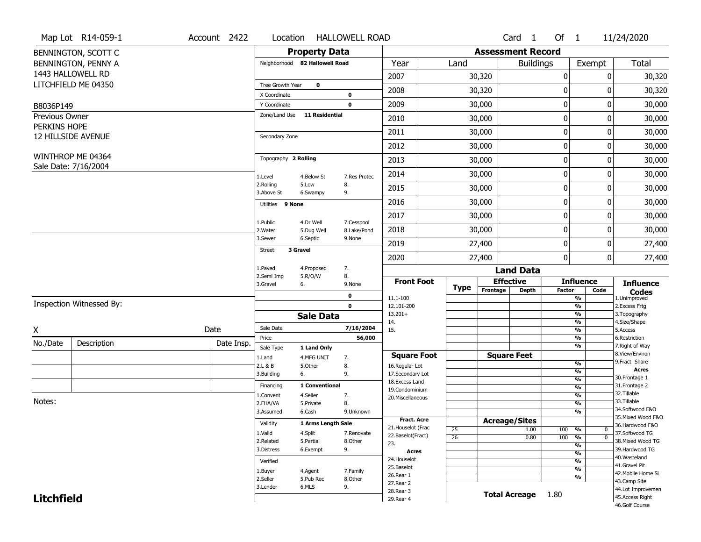|                                | Map Lot R14-059-1                         | Account 2422 | Location                |                                | <b>HALLOWELL ROAD</b> |                                    |                 |                      | Card <sub>1</sub>        | Of $1$                                                 |                | 11/24/2020                            |
|--------------------------------|-------------------------------------------|--------------|-------------------------|--------------------------------|-----------------------|------------------------------------|-----------------|----------------------|--------------------------|--------------------------------------------------------|----------------|---------------------------------------|
|                                | BENNINGTON, SCOTT C                       |              |                         | <b>Property Data</b>           |                       |                                    |                 |                      | <b>Assessment Record</b> |                                                        |                |                                       |
|                                | BENNINGTON, PENNY A                       |              |                         | Neighborhood 82 Hallowell Road |                       | Year                               | Land            |                      | <b>Buildings</b>         |                                                        | Exempt         | <b>Total</b>                          |
|                                | 1443 HALLOWELL RD                         |              |                         |                                |                       | 2007                               |                 | 30,320               |                          | 0                                                      | 0              | 30,320                                |
|                                | LITCHFIELD ME 04350                       |              | Tree Growth Year        | $\mathbf 0$                    |                       | 2008                               |                 | 30,320               |                          | 0                                                      | 0              | 30,320                                |
|                                |                                           |              | X Coordinate            |                                | 0                     |                                    |                 |                      |                          |                                                        |                |                                       |
| B8036P149                      |                                           |              | Y Coordinate            |                                | $\mathbf 0$           | 2009                               |                 | 30,000               |                          | 0                                                      | 0              | 30,000                                |
| Previous Owner<br>PERKINS HOPE |                                           |              | Zone/Land Use           | <b>11 Residential</b>          |                       | 2010                               |                 | 30,000               |                          | 0                                                      | 0              | 30,000                                |
|                                | 12 HILLSIDE AVENUE                        |              | Secondary Zone          |                                |                       | 2011                               |                 | 30,000               |                          | $\pmb{0}$                                              | 0              | 30,000                                |
|                                |                                           |              |                         |                                |                       | 2012                               |                 | 30,000               |                          | $\pmb{0}$                                              | 0              | 30,000                                |
|                                | WINTHROP ME 04364<br>Sale Date: 7/16/2004 |              | Topography 2 Rolling    |                                |                       | 2013                               |                 | 30,000               |                          | 0                                                      | 0              | 30,000                                |
|                                |                                           |              | 1.Level                 | 4.Below St                     | 7.Res Protec          | 2014                               |                 | 30,000               |                          | $\mathbf 0$                                            | 0              | 30,000                                |
|                                |                                           |              | 2.Rolling<br>3.Above St | 5.Low<br>6.Swampy              | 8.<br>9.              | 2015                               |                 | 30,000               |                          | 0                                                      | 0              | 30,000                                |
|                                |                                           |              | Utilities 9 None        |                                |                       | 2016                               |                 | 30,000               |                          | $\mathbf 0$                                            | 0              | 30,000                                |
|                                |                                           |              | 1.Public                | 4.Dr Well                      | 7.Cesspool            | 2017                               |                 | 30,000               |                          | 0                                                      | 0              | 30,000                                |
|                                |                                           |              | 2. Water                | 5.Dug Well                     | 8.Lake/Pond           | 2018                               |                 | 30,000               |                          | 0                                                      | 0              | 30,000                                |
|                                |                                           |              | 3.Sewer                 | 6.Septic                       | 9.None                | 2019                               |                 | 27,400               |                          | $\pmb{0}$                                              | 0              | 27,400                                |
|                                |                                           |              | <b>Street</b>           | 3 Gravel                       |                       | 2020                               |                 | 27,400               |                          | $\mathbf 0$                                            | $\overline{0}$ | 27,400                                |
|                                |                                           |              | 1.Paved<br>2.Semi Imp   | 4.Proposed<br>5.R/O/W          | 7.<br>8.              |                                    |                 |                      | <b>Land Data</b>         |                                                        |                |                                       |
|                                |                                           |              | 3.Gravel                | 6.                             | 9.None                | <b>Front Foot</b>                  | <b>Type</b>     | <b>Effective</b>     |                          | <b>Influence</b>                                       |                | <b>Influence</b>                      |
|                                |                                           |              |                         |                                | $\mathbf 0$           | 11.1-100                           |                 | Frontage             | <b>Depth</b>             | <b>Factor</b><br>$\frac{9}{6}$                         | Code           | <b>Codes</b><br>1.Unimproved          |
|                                | Inspection Witnessed By:                  |              |                         |                                | $\mathbf 0$           | 12.101-200                         |                 |                      |                          | $\overline{\frac{9}{6}}$                               |                | 2.Excess Frtg                         |
|                                |                                           |              |                         | <b>Sale Data</b>               |                       | $13.201+$<br>14.                   |                 |                      |                          | $\frac{9}{6}$<br>$\frac{9}{6}$                         |                | 3. Topography<br>4.Size/Shape         |
| X                              |                                           | Date         | Sale Date               |                                | 7/16/2004             | 15.                                |                 |                      |                          | $\frac{9}{6}$                                          |                | 5.Access                              |
| No./Date                       | Description                               | Date Insp.   | Price                   |                                | 56,000                |                                    |                 |                      |                          | %                                                      |                | 6.Restriction                         |
|                                |                                           |              | Sale Type               | 1 Land Only                    |                       |                                    |                 |                      |                          | $\overline{\frac{9}{6}}$                               |                | 7. Right of Way<br>8.View/Environ     |
|                                |                                           |              |                         |                                |                       |                                    |                 |                      |                          |                                                        |                |                                       |
|                                |                                           |              | 1.Land                  | 4.MFG UNIT                     | 7.                    | <b>Square Foot</b>                 |                 | <b>Square Feet</b>   |                          | %                                                      |                | 9.Fract Share                         |
|                                |                                           |              | 2.L & B<br>3.Building   | 5.Other<br>6.                  | 8.<br>9.              | 16.Regular Lot<br>17.Secondary Lot |                 |                      |                          | %                                                      |                | <b>Acres</b>                          |
|                                |                                           |              |                         |                                |                       | 18. Excess Land                    |                 |                      |                          | %                                                      |                | 30. Frontage 1                        |
|                                |                                           |              | Financing               | 1 Conventional                 |                       | 19.Condominium                     |                 |                      |                          | %                                                      |                | 31. Frontage 2<br>32.Tillable         |
| Notes:                         |                                           |              | 1.Convent<br>2.FHA/VA   | 4.Seller<br>5.Private          | 7.<br>8.              | 20.Miscellaneous                   |                 |                      |                          | %<br>%                                                 |                | 33.Tillable                           |
|                                |                                           |              | 3.Assumed               | 6.Cash                         | 9.Unknown             |                                    |                 |                      |                          | %                                                      |                | 34.Softwood F&O                       |
|                                |                                           |              |                         |                                |                       | Fract. Acre                        |                 | <b>Acreage/Sites</b> |                          |                                                        |                | 35. Mixed Wood F&O                    |
|                                |                                           |              | Validity                | 1 Arms Length Sale             |                       | 21. Houselot (Frac                 | 25              |                      | 1.00                     | 100 %                                                  | 0              | 36.Hardwood F&O                       |
|                                |                                           |              | 1.Valid<br>2.Related    | 4.Split<br>5.Partial           | 7.Renovate<br>8.Other | 22.Baselot(Fract)                  | $\overline{26}$ |                      | 0.80                     | 100<br>$\frac{9}{6}$                                   | $\mathbf 0$    | 37.Softwood TG<br>38. Mixed Wood TG   |
|                                |                                           |              | 3.Distress              | 6.Exempt                       | 9.                    | 23.                                |                 |                      |                          | %                                                      |                | 39.Hardwood TG                        |
|                                |                                           |              |                         |                                |                       | <b>Acres</b><br>24. Houselot       |                 |                      |                          | $\frac{9}{6}$                                          |                | 40. Wasteland                         |
|                                |                                           |              | Verified                |                                |                       | 25.Baselot                         |                 |                      |                          | $\overline{\mathcal{C}_{\mathbf{0}}}$<br>$\frac{9}{6}$ |                | 41.Gravel Pit                         |
|                                |                                           |              | 1.Buyer                 | 4.Agent                        | 7.Family              | 26.Rear 1                          |                 |                      |                          | %                                                      |                | 42. Mobile Home Si                    |
|                                |                                           |              | 2.Seller<br>3.Lender    | 5.Pub Rec<br>6.MLS             | 8.Other               | 27. Rear 2                         |                 |                      |                          |                                                        |                | 43.Camp Site                          |
| <b>Litchfield</b>              |                                           |              |                         |                                | 9.                    | 28. Rear 3<br>29. Rear 4           |                 |                      | Total Acreage 1.80       |                                                        |                | 44.Lot Improvemen<br>45. Access Right |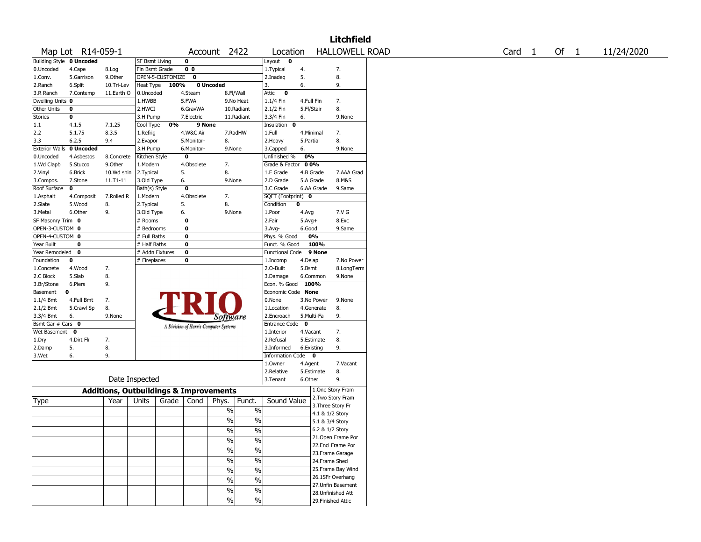|                                 |                   |                                                   |                           |                    |                                       |                 |                          |                                 |            |                     | <b>Litchfield</b>     |                   |  |        |            |  |
|---------------------------------|-------------------|---------------------------------------------------|---------------------------|--------------------|---------------------------------------|-----------------|--------------------------|---------------------------------|------------|---------------------|-----------------------|-------------------|--|--------|------------|--|
|                                 | Map Lot R14-059-1 |                                                   |                           |                    |                                       | Account 2422    |                          | Location                        |            |                     | <b>HALLOWELL ROAD</b> | Card <sub>1</sub> |  | Of $1$ | 11/24/2020 |  |
| <b>Building Style 0 Uncoded</b> |                   |                                                   | <b>SF Bsmt Living</b>     |                    | 0                                     |                 |                          | Layout $\mathbf 0$              |            |                     |                       |                   |  |        |            |  |
| 0.Uncoded                       | 4.Cape            | 8.Log                                             | Fin Bsmt Grade            |                    | 0 <sub>0</sub>                        |                 |                          | 1.Typical                       | 4.         |                     | 7.                    |                   |  |        |            |  |
| 1.Conv.                         | 5.Garrison        | 9.Other                                           |                           | OPEN-5-CUSTOMIZE 0 |                                       |                 |                          | 2.Inadeg                        | 5.         |                     | 8.                    |                   |  |        |            |  |
| 2.Ranch                         | 6.Split           | 10.Tri-Lev                                        | Heat Type                 | 100%               |                                       | 0 Uncoded       |                          | 3.                              | 6.         |                     | 9.                    |                   |  |        |            |  |
| 3.R Ranch                       | 7.Contemp         | 11.Earth O                                        | 0.Uncoded                 |                    | 4.Steam                               | 8.Fl/Wall       |                          | Attic<br>$\bf{0}$               |            |                     |                       |                   |  |        |            |  |
| Dwelling Units 0                |                   |                                                   | 1.HWBB                    |                    | 5.FWA                                 |                 | 9.No Heat                | 1.1/4 Fin                       | 4.Full Fin |                     | 7.                    |                   |  |        |            |  |
| Other Units                     | 0                 |                                                   | 2.HWCI                    |                    | 6.GravWA                              |                 | 10.Radiant               | 2.1/2 Fin                       | 5.Fl/Stair |                     | 8.                    |                   |  |        |            |  |
| Stories                         | 0                 |                                                   | 3.H Pump                  |                    | 7.Electric                            |                 | 11.Radiant               | 3.3/4 Fin                       | 6.         |                     | 9.None                |                   |  |        |            |  |
| 1.1                             | 4.1.5             | 7.1.25                                            | Cool Type                 | 0%                 | 9 None                                |                 |                          | Insulation<br>0                 |            |                     |                       |                   |  |        |            |  |
| 2.2                             | 5.1.75            | 8.3.5                                             | 1.Refrig                  |                    | 4.W&C Air                             |                 | 7.RadHW                  | 1.Full                          | 4.Minimal  |                     | 7.                    |                   |  |        |            |  |
| 3.3                             | 6.2.5             | 9.4                                               | 2.Evapor                  |                    | 5.Monitor-                            | 8.              |                          | 2. Heavy                        | 5.Partial  |                     | 8.                    |                   |  |        |            |  |
| <b>Exterior Walls</b>           | 0 Uncoded         |                                                   | 3.H Pump                  |                    | 6.Monitor-                            | 9.None          |                          | 3.Capped                        | 6.         |                     | 9.None                |                   |  |        |            |  |
| 0.Uncoded                       | 4.Asbestos        | 8.Concrete                                        | Kitchen Style             |                    | 0                                     |                 |                          | Unfinished %                    | 0%         |                     |                       |                   |  |        |            |  |
| 1.Wd Clapb                      | 5.Stucco          | 9.0ther                                           | 1.Modern                  |                    | 4.Obsolete                            | 7.              |                          | Grade & Factor                  | 0 0%       |                     |                       |                   |  |        |            |  |
| 2.Vinyl                         | 6.Brick           | 10.Wd shin                                        | 2.Typical                 |                    | 5.                                    | 8.              |                          | 1.E Grade<br>2.D Grade          | 4.B Grade  |                     | 7.AAA Grad<br>8.M&S   |                   |  |        |            |  |
| 3.Compos.                       | 7.Stone<br>0      | 11.T1-11                                          | 3.Old Type                |                    | 6.<br>$\overline{\mathbf{0}}$         | 9.None          |                          |                                 | 5.A Grade  |                     |                       |                   |  |        |            |  |
| Roof Surface<br>1.Asphalt       | 4.Composit        | 7.Rolled R                                        | Bath(s) Style<br>1.Modern |                    | 4.Obsolete                            | 7.              |                          | 3.C Grade<br>SQFT (Footprint) 0 |            | 6.AA Grade          | 9.Same                |                   |  |        |            |  |
| 2.Slate                         | 5.Wood            | 8.                                                | 2. Typical                |                    | 5.                                    | 8.              |                          | Condition                       | $\bf{0}$   |                     |                       |                   |  |        |            |  |
| 3.Metal                         | 6.Other           | 9.                                                | 3.Old Type                |                    | 6.                                    | 9.None          |                          | 1.Poor                          | 4.Avg      |                     | 7.V G                 |                   |  |        |            |  |
| SF Masonry Trim 0               |                   |                                                   | # Rooms                   |                    | 0                                     |                 |                          | 2.Fair                          | $5.Avg+$   |                     | 8.Exc                 |                   |  |        |            |  |
| OPEN-3-CUSTOM 0                 |                   |                                                   | # Bedrooms                |                    | 0                                     |                 |                          | 3.Avg-                          | 6.Good     |                     | 9.Same                |                   |  |        |            |  |
| OPEN-4-CUSTOM 0                 |                   |                                                   | # Full Baths              |                    | 0                                     |                 |                          | Phys. % Good                    |            | 0%                  |                       |                   |  |        |            |  |
| Year Built                      | 0                 |                                                   | # Half Baths              |                    | 0                                     |                 |                          | Funct. % Good                   |            | 100%                |                       |                   |  |        |            |  |
| Year Remodeled 0                |                   |                                                   | # Addn Fixtures           |                    | 0                                     |                 |                          | <b>Functional Code</b>          |            | 9 None              |                       |                   |  |        |            |  |
| Foundation                      | 0                 |                                                   | # Fireplaces              |                    | 0                                     |                 |                          | 1.Incomp                        | 4.Delap    |                     | 7.No Power            |                   |  |        |            |  |
| 1.Concrete                      | 4.Wood            | 7.                                                |                           |                    |                                       |                 |                          | 2.0-Built                       | 5.Bsmt     |                     | 8.LongTerm            |                   |  |        |            |  |
| 2.C Block                       | 5.Slab            | 8.                                                |                           |                    |                                       |                 |                          | 3.Damage                        |            | 6.Common            | 9.None                |                   |  |        |            |  |
| 3.Br/Stone                      | 6.Piers           | 9.                                                |                           |                    |                                       |                 |                          | Econ. % Good 100%               |            |                     |                       |                   |  |        |            |  |
| Basement                        | 0                 |                                                   |                           |                    |                                       |                 |                          | Economic Code None              |            |                     |                       |                   |  |        |            |  |
| 1.1/4 Bmt                       | 4.Full Bmt        | 7.                                                |                           |                    |                                       |                 |                          | 0.None                          |            | 3.No Power          | 9.None                |                   |  |        |            |  |
| 2.1/2 Bmt                       | 5.Crawl Sp        | 8.                                                |                           |                    |                                       |                 |                          | 1.Location                      |            | 4.Generate          | 8.                    |                   |  |        |            |  |
| 3.3/4 Bmt                       | 6.                | 9.None                                            |                           |                    |                                       | <i>Software</i> |                          | 2.Encroach                      | 5.Multi-Fa |                     | 9.                    |                   |  |        |            |  |
| Bsmt Gar # Cars 0               |                   |                                                   |                           |                    | A Division of Harris Computer Systems |                 |                          | Entrance Code 0                 |            |                     |                       |                   |  |        |            |  |
| Wet Basement 0                  |                   |                                                   |                           |                    |                                       |                 |                          | 1.Interior                      | 4.Vacant   |                     | 7.                    |                   |  |        |            |  |
| 1.Dry                           | 4.Dirt Flr        | 7.                                                |                           |                    |                                       |                 |                          | 2.Refusal                       |            | 5.Estimate          | 8.                    |                   |  |        |            |  |
| 2.Damp                          | 5.                | 8.                                                |                           |                    |                                       |                 |                          | 3.Informed                      | 6.Existing |                     | 9.                    |                   |  |        |            |  |
| 3.Wet                           | 6.                | 9.                                                |                           |                    |                                       |                 |                          | Information Code 0              |            |                     |                       |                   |  |        |            |  |
|                                 |                   |                                                   |                           |                    |                                       |                 |                          | 1.0wner                         | 4.Agent    |                     | 7.Vacant              |                   |  |        |            |  |
|                                 |                   |                                                   |                           |                    |                                       |                 |                          | 2.Relative                      |            | 5.Estimate          | 8.                    |                   |  |        |            |  |
|                                 |                   | Date Inspected                                    |                           |                    |                                       |                 |                          | 3.Tenant                        | 6.Other    |                     | 9.                    |                   |  |        |            |  |
|                                 |                   | <b>Additions, Outbuildings &amp; Improvements</b> |                           |                    |                                       |                 |                          |                                 |            |                     | 1.One Story Fram      |                   |  |        |            |  |
| Type                            |                   | Year                                              | Units                     | Grade              | Cond                                  | Phys.           | Funct.                   | Sound Value                     |            |                     | 2. Two Story Fram     |                   |  |        |            |  |
|                                 |                   |                                                   |                           |                    |                                       |                 |                          |                                 |            |                     | 3. Three Story Fr     |                   |  |        |            |  |
|                                 |                   |                                                   |                           |                    |                                       | %               | $\%$                     |                                 |            | 4.1 & 1/2 Story     |                       |                   |  |        |            |  |
|                                 |                   |                                                   |                           |                    |                                       | $\sqrt{6}$      | $\%$                     |                                 |            | 5.1 & 3/4 Story     |                       |                   |  |        |            |  |
|                                 |                   |                                                   |                           |                    |                                       | %               | %                        |                                 |            | $6.2$ & $1/2$ Story |                       |                   |  |        |            |  |
|                                 |                   |                                                   |                           |                    |                                       | $\frac{1}{2}$   | $\overline{\frac{0}{0}}$ |                                 |            |                     | 21. Open Frame Por    |                   |  |        |            |  |
|                                 |                   |                                                   |                           |                    |                                       | $\sqrt{6}$      | $\overline{\frac{0}{0}}$ |                                 |            |                     | 22.Encl Frame Por     |                   |  |        |            |  |
|                                 |                   |                                                   |                           |                    |                                       |                 |                          |                                 |            |                     | 23. Frame Garage      |                   |  |        |            |  |
|                                 |                   |                                                   |                           |                    |                                       | $\sqrt{6}$      | $\overline{\frac{0}{0}}$ |                                 |            | 24.Frame Shed       |                       |                   |  |        |            |  |
|                                 |                   |                                                   |                           |                    |                                       | $\sqrt{6}$      | $\overline{\frac{0}{0}}$ |                                 |            |                     | 25. Frame Bay Wind    |                   |  |        |            |  |
|                                 |                   |                                                   |                           |                    |                                       | $\frac{0}{0}$   | $\overline{\frac{0}{0}}$ |                                 |            |                     | 26.1SFr Overhang      |                   |  |        |            |  |
|                                 |                   |                                                   |                           |                    |                                       | $\%$            | $\%$                     |                                 |            |                     | 27. Unfin Basement    |                   |  |        |            |  |
|                                 |                   |                                                   |                           |                    |                                       |                 |                          |                                 |            |                     | 28. Unfinished Att    |                   |  |        |            |  |
|                                 |                   |                                                   |                           |                    |                                       | $\frac{1}{2}$   | $\sqrt{6}$               |                                 |            |                     | 29. Finished Attic    |                   |  |        |            |  |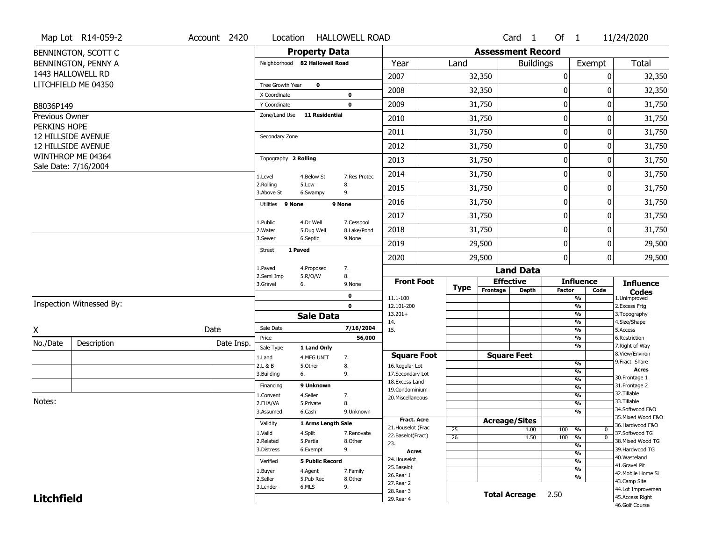|                             | Map Lot R14-059-2        | Account 2420 | Location                     |                                | <b>HALLOWELL ROAD</b>     |                                         |             |                          | Card 1               | Of $1$        |                                               | 11/24/2020                         |
|-----------------------------|--------------------------|--------------|------------------------------|--------------------------------|---------------------------|-----------------------------------------|-------------|--------------------------|----------------------|---------------|-----------------------------------------------|------------------------------------|
|                             | BENNINGTON, SCOTT C      |              |                              | <b>Property Data</b>           |                           |                                         |             | <b>Assessment Record</b> |                      |               |                                               |                                    |
|                             | BENNINGTON, PENNY A      |              |                              | Neighborhood 82 Hallowell Road |                           | Year                                    | Land        |                          | <b>Buildings</b>     |               | Exempt                                        | <b>Total</b>                       |
|                             | 1443 HALLOWELL RD        |              |                              |                                |                           | 2007                                    |             | 32,350                   |                      | 0             | 0                                             | 32,350                             |
|                             | LITCHFIELD ME 04350      |              | Tree Growth Year             | $\pmb{0}$                      |                           | 2008                                    |             | 32,350                   |                      | 0             | 0                                             | 32,350                             |
|                             |                          |              | X Coordinate<br>Y Coordinate |                                | 0<br>$\mathbf 0$          | 2009                                    |             | 31,750                   |                      | 0             | 0                                             | 31,750                             |
| B8036P149<br>Previous Owner |                          |              | Zone/Land Use                | <b>11 Residential</b>          |                           |                                         |             |                          |                      |               |                                               |                                    |
| PERKINS HOPE                |                          |              |                              |                                |                           | 2010                                    |             | 31,750                   |                      | 0             | $\Omega$                                      | 31,750                             |
|                             | 12 HILLSIDE AVENUE       |              | Secondary Zone               |                                |                           | 2011                                    |             | 31,750                   |                      | 0             | 0                                             | 31,750                             |
|                             | 12 HILLSIDE AVENUE       |              |                              |                                |                           | 2012                                    |             | 31,750                   |                      | 0             | 0                                             | 31,750                             |
|                             | WINTHROP ME 04364        |              | Topography 2 Rolling         |                                |                           | 2013                                    |             | 31,750                   |                      | 0             | 0                                             | 31,750                             |
|                             | Sale Date: 7/16/2004     |              | 1.Level                      | 4.Below St                     | 7.Res Protec              | 2014                                    |             | 31,750                   |                      | 0             | 0                                             | 31,750                             |
|                             |                          |              | 2.Rolling<br>3.Above St      | 5.Low<br>6.Swampy              | 8.<br>9.                  | 2015                                    |             | 31,750                   |                      | 0             | 0                                             | 31,750                             |
|                             |                          |              | Utilities 9 None             |                                | 9 None                    | 2016                                    |             | 31,750                   |                      | 0             | 0                                             | 31,750                             |
|                             |                          |              |                              | 4.Dr Well                      |                           | 2017                                    |             | 31,750                   |                      | 0             | 0                                             | 31,750                             |
|                             |                          |              | 1.Public<br>2. Water         | 5.Dug Well                     | 7.Cesspool<br>8.Lake/Pond | 2018                                    |             | 31,750                   |                      | 0             | 0                                             | 31,750                             |
|                             |                          |              | 3.Sewer                      | 6.Septic                       | 9.None                    | 2019                                    |             | 29,500                   |                      | 0             | 0                                             | 29,500                             |
|                             |                          |              | <b>Street</b>                | 1 Paved                        |                           | 2020                                    |             | 29,500                   |                      | 0             | $\mathbf 0$                                   | 29,500                             |
|                             |                          |              | 1.Paved                      | 4.Proposed                     | 7.                        |                                         |             |                          | <b>Land Data</b>     |               |                                               |                                    |
|                             |                          |              | 2.Semi Imp<br>3.Gravel       | 5.R/O/W<br>6.                  | 8.<br>9.None              | <b>Front Foot</b>                       |             | <b>Effective</b>         |                      |               | <b>Influence</b>                              | <b>Influence</b>                   |
|                             |                          |              |                              |                                | 0                         | 11.1-100                                | <b>Type</b> | Frontage                 | <b>Depth</b>         | <b>Factor</b> | Code<br>%                                     | <b>Codes</b><br>1.Unimproved       |
|                             | Inspection Witnessed By: |              |                              |                                | $\mathbf 0$               | 12.101-200                              |             |                          |                      |               | $\frac{9}{6}$                                 | 2.Excess Frtg                      |
|                             |                          |              |                              | <b>Sale Data</b>               |                           | $13.201+$<br>14.                        |             |                          |                      |               | %<br>%                                        | 3. Topography<br>4.Size/Shape      |
| X                           |                          | Date         | Sale Date                    |                                | 7/16/2004                 | 15.                                     |             |                          |                      |               | %                                             | 5.Access                           |
| No./Date                    | Description              | Date Insp.   | Price                        |                                | 56,000                    |                                         |             |                          |                      |               | %<br>%                                        | 6.Restriction<br>7. Right of Way   |
|                             |                          |              | Sale Type<br>1.Land          | 1 Land Only<br>4.MFG UNIT      | 7.                        | <b>Square Foot</b>                      |             | <b>Square Feet</b>       |                      |               |                                               | 8.View/Environ                     |
|                             |                          |              | 2.L & B                      | 5.Other                        | 8.                        | 16.Regular Lot                          |             |                          |                      |               | %                                             | 9. Fract Share                     |
|                             |                          |              | 3.Building                   | 6.                             | 9.                        | 17.Secondary Lot                        |             |                          |                      |               | $\frac{9}{6}$<br>$\frac{9}{6}$                | <b>Acres</b><br>30.Frontage 1      |
|                             |                          |              | Financing                    | 9 Unknown                      |                           | 18. Excess Land<br>19.Condominium       |             |                          |                      |               | $\frac{9}{6}$                                 | 31. Frontage 2                     |
|                             |                          |              | 1.Convent                    | 4.Seller                       | 7.                        | 20.Miscellaneous                        |             |                          |                      |               | $\frac{9}{6}$                                 | 32.Tillable                        |
| Notes:                      |                          |              | 2.FHA/VA                     | 5.Private                      | 8.                        |                                         |             |                          |                      |               | $\frac{9}{6}$                                 | 33.Tillable<br>34.Softwood F&O     |
|                             |                          |              | 3.Assumed                    | 6.Cash                         | 9.Unknown                 |                                         |             |                          |                      |               | $\frac{9}{6}$                                 | 35. Mixed Wood F&O                 |
|                             |                          |              | Validity                     | 1 Arms Length Sale             |                           | <b>Fract. Acre</b>                      |             | <b>Acreage/Sites</b>     |                      |               |                                               | 36.Hardwood F&O                    |
|                             |                          |              | 1.Valid                      | 4.Split                        | 7.Renovate                | 21. Houselot (Frac<br>22.Baselot(Fract) | 25          |                          | 1.00                 | 100           | %<br>$\mathbf 0$                              | 37.Softwood TG                     |
|                             |                          |              | 2.Related                    | 5.Partial                      | 8.Other                   | 23.                                     | 26          |                          | 1.50                 | 100           | %<br>$\mathbf{0}$<br>$\overline{\frac{9}{6}}$ | 38. Mixed Wood TG                  |
|                             |                          |              | 3.Distress                   | 6.Exempt                       | 9.                        | <b>Acres</b>                            |             |                          |                      |               | $\frac{9}{6}$                                 | 39.Hardwood TG                     |
|                             |                          |              | Verified                     | <b>5 Public Record</b>         |                           | 24. Houselot                            |             |                          |                      |               | $\frac{9}{6}$                                 | 40. Wasteland                      |
|                             |                          |              | 1.Buyer                      | 4.Agent                        | 7.Family                  | 25.Baselot                              |             |                          |                      |               | $\frac{9}{6}$                                 | 41.Gravel Pit                      |
|                             |                          |              | 2.Seller                     | 5.Pub Rec                      | 8.Other                   | 26.Rear 1                               |             |                          |                      |               | %                                             | 42. Mobile Home Si<br>43.Camp Site |
|                             |                          |              |                              |                                |                           |                                         |             |                          |                      |               |                                               |                                    |
|                             |                          |              | 3.Lender                     | 6.MLS                          | 9.                        | 27.Rear 2                               |             |                          |                      |               |                                               | 44.Lot Improvemen                  |
| <b>Litchfield</b>           |                          |              |                              |                                |                           | 28. Rear 3<br>29. Rear 4                |             |                          | <b>Total Acreage</b> | 2.50          |                                               | 45.Access Right                    |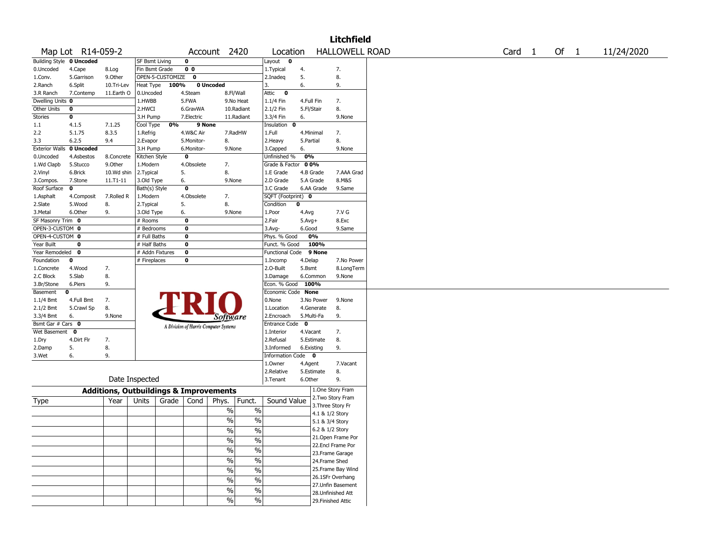|                                 |                   |                                                   |                       |                               |                         |                                       |                          |                        |            |                 | <b>Litchfield</b>                      |                   |  |        |            |
|---------------------------------|-------------------|---------------------------------------------------|-----------------------|-------------------------------|-------------------------|---------------------------------------|--------------------------|------------------------|------------|-----------------|----------------------------------------|-------------------|--|--------|------------|
|                                 | Map Lot R14-059-2 |                                                   |                       |                               |                         | Account 2420                          |                          | Location               |            |                 | <b>HALLOWELL ROAD</b>                  | Card <sub>1</sub> |  | Of $1$ | 11/24/2020 |
| <b>Building Style 0 Uncoded</b> |                   |                                                   | <b>SF Bsmt Living</b> |                               | 0                       |                                       |                          | Layout 0               |            |                 |                                        |                   |  |        |            |
| 0.Uncoded                       | 4.Cape            | 8.Log                                             | Fin Bsmt Grade        |                               | 0 <sub>0</sub>          |                                       |                          | 1.Typical              | 4.         |                 | 7.                                     |                   |  |        |            |
| 1.Conv.                         | 5.Garrison        | 9.Other                                           |                       | OPEN-5-CUSTOMIZE <sup>O</sup> |                         |                                       |                          | 2.Inadeg               | 5.         |                 | 8.                                     |                   |  |        |            |
| 2.Ranch                         | 6.Split           | 10.Tri-Lev                                        | Heat Type             | 100%                          |                         | 0 Uncoded                             |                          | 3.                     | 6.         |                 | 9.                                     |                   |  |        |            |
| 3.R Ranch                       | 7.Contemp         | 11.Earth O                                        | 0.Uncoded             |                               | 4.Steam                 | 8.Fl/Wall                             |                          | Attic<br>$\bf{0}$      |            |                 |                                        |                   |  |        |            |
| Dwelling Units 0                |                   |                                                   | 1.HWBB                |                               | 5.FWA                   |                                       | 9.No Heat                | 1.1/4 Fin              | 4.Full Fin |                 | 7.                                     |                   |  |        |            |
| Other Units                     | 0                 |                                                   | 2.HWCI                |                               | 6.GravWA                |                                       | 10.Radiant               | 2.1/2 Fin              | 5.Fl/Stair |                 | 8.                                     |                   |  |        |            |
| <b>Stories</b>                  | 0                 |                                                   | 3.H Pump              |                               | 7.Electric              |                                       | 11.Radiant               | 3.3/4 Fin              | 6.         |                 | 9.None                                 |                   |  |        |            |
| 1.1                             | 4.1.5             | 7.1.25                                            | Cool Type             | 0%                            | 9 None                  |                                       |                          | Insulation<br>0        |            |                 |                                        |                   |  |        |            |
| 2.2                             | 5.1.75            | 8.3.5                                             | 1.Refrig              |                               | 4.W&C Air               |                                       | 7.RadHW                  | 1.Full                 | 4.Minimal  |                 | 7.                                     |                   |  |        |            |
| 3.3                             | 6.2.5             | 9.4                                               | 2.Evapor              |                               | 5.Monitor-              | 8.                                    |                          | 2.Heavy                | 5.Partial  |                 | 8.                                     |                   |  |        |            |
| <b>Exterior Walls</b>           | 0 Uncoded         |                                                   | 3.H Pump              |                               | 6.Monitor-              | 9.None                                |                          | 3.Capped               | 6.         |                 | 9.None                                 |                   |  |        |            |
| 0.Uncoded                       | 4.Asbestos        | 8.Concrete                                        | Kitchen Style         |                               | $\overline{\mathbf{0}}$ |                                       |                          | Unfinished %           | 0%         |                 |                                        |                   |  |        |            |
| 1.Wd Clapb                      | 5.Stucco          | 9.Other                                           | 1.Modern              |                               | 4.Obsolete              | 7.                                    |                          | Grade & Factor         | 00%        |                 |                                        |                   |  |        |            |
| 2.Vinyl                         | 6.Brick           | 10.Wd shin                                        | 2.Typical             |                               | 5.                      | 8.                                    |                          | 1.E Grade              | 4.B Grade  |                 | 7.AAA Grad                             |                   |  |        |            |
| 3.Compos.                       | 7.Stone           | 11.T1-11                                          | 3.Old Type            |                               | 6.                      | 9.None                                |                          | 2.D Grade              | 5.A Grade  |                 | 8.M&S                                  |                   |  |        |            |
| Roof Surface                    | 0                 |                                                   | Bath(s) Style         |                               | $\overline{\mathbf{0}}$ |                                       |                          | 3.C Grade              |            | 6.AA Grade      | 9.Same                                 |                   |  |        |            |
| 1.Asphalt                       | 4.Composit        | 7.Rolled R                                        | 1.Modern              |                               | 4.Obsolete              | 7.                                    |                          | SQFT (Footprint) 0     |            |                 |                                        |                   |  |        |            |
| 2.Slate                         | 5.Wood            | 8.                                                | 2. Typical            |                               | 5.                      | 8.                                    |                          | Condition              | 0          |                 |                                        |                   |  |        |            |
| 3.Metal                         | 6.Other           | 9.                                                | 3.Old Type            |                               | 6.                      | 9.None                                |                          | 1.Poor                 | 4.Avg      |                 | 7.V G                                  |                   |  |        |            |
| SF Masonry Trim 0               |                   |                                                   | # Rooms               |                               | 0                       |                                       |                          | 2.Fair                 | $5.Avg+$   |                 | 8.Exc                                  |                   |  |        |            |
| OPEN-3-CUSTOM 0                 |                   |                                                   | # Bedrooms            |                               | 0                       |                                       |                          | 3.Avg-                 | 6.Good     |                 | 9.Same                                 |                   |  |        |            |
| OPEN-4-CUSTOM 0                 |                   |                                                   | # Full Baths          |                               | 0                       |                                       |                          | Phys. % Good           |            | 0%              |                                        |                   |  |        |            |
| Year Built                      | 0                 |                                                   | # Half Baths          |                               | 0                       |                                       |                          | Funct. % Good          |            | 100%            |                                        |                   |  |        |            |
| Year Remodeled                  | $\mathbf 0$       |                                                   | # Addn Fixtures       |                               | 0                       |                                       |                          | <b>Functional Code</b> |            | 9 None          |                                        |                   |  |        |            |
| Foundation                      | 0                 |                                                   | # Fireplaces          |                               | 0                       |                                       |                          | 1.Incomp               | 4.Delap    |                 | 7.No Power                             |                   |  |        |            |
| 1.Concrete                      | 4.Wood            | 7.                                                |                       |                               |                         |                                       |                          | 2.O-Built              | 5.Bsmt     |                 | 8.LongTerm                             |                   |  |        |            |
| 2.C Block                       | 5.Slab            | 8.                                                |                       |                               |                         |                                       |                          | 3.Damage               |            | 6.Common        | 9.None                                 |                   |  |        |            |
| 3.Br/Stone                      | 6.Piers           | 9.                                                |                       |                               |                         |                                       |                          | Econ. % Good           | 100%       |                 |                                        |                   |  |        |            |
| Basement                        | 0                 |                                                   |                       |                               |                         |                                       |                          | Economic Code None     |            |                 |                                        |                   |  |        |            |
| 1.1/4 Bmt                       | 4.Full Bmt        | 7.                                                |                       |                               |                         |                                       |                          | 0.None                 |            | 3.No Power      | 9.None                                 |                   |  |        |            |
| 2.1/2 Bmt                       | 5.Crawl Sp        | 8.                                                |                       |                               |                         |                                       |                          | 1.Location             |            | 4.Generate      | 8.                                     |                   |  |        |            |
| 3.3/4 Bmt                       | 6.                | 9.None                                            |                       |                               |                         | Software                              |                          | 2.Encroach             | 5.Multi-Fa |                 | 9.                                     |                   |  |        |            |
| Bsmt Gar # Cars 0               |                   |                                                   |                       |                               |                         | A Division of Harris Computer Systems |                          | Entrance Code 0        |            |                 |                                        |                   |  |        |            |
| Wet Basement                    | $\mathbf 0$       |                                                   |                       |                               |                         |                                       |                          | 1.Interior             | 4.Vacant   |                 | 7.                                     |                   |  |        |            |
| 1.Dry                           | 4.Dirt Flr        | 7.                                                |                       |                               |                         |                                       |                          | 2.Refusal              |            | 5.Estimate      | 8.                                     |                   |  |        |            |
| 2.Damp                          | 5.                | 8.                                                |                       |                               |                         |                                       |                          | 3.Informed             | 6.Existing |                 | 9.                                     |                   |  |        |            |
| 3.Wet                           | 6.                | 9.                                                |                       |                               |                         |                                       |                          | Information Code 0     |            |                 |                                        |                   |  |        |            |
|                                 |                   |                                                   |                       |                               |                         |                                       |                          | 1.Owner                | 4.Agent    |                 | 7.Vacant                               |                   |  |        |            |
|                                 |                   |                                                   |                       |                               |                         |                                       |                          | 2.Relative             |            | 5.Estimate      | 8.                                     |                   |  |        |            |
|                                 |                   | Date Inspected                                    |                       |                               |                         |                                       |                          | 3.Tenant               | 6.Other    |                 | 9.                                     |                   |  |        |            |
|                                 |                   |                                                   |                       |                               |                         |                                       |                          |                        |            |                 | 1.One Story Fram                       |                   |  |        |            |
|                                 |                   | <b>Additions, Outbuildings &amp; Improvements</b> |                       |                               |                         |                                       |                          |                        |            |                 | 2. Two Story Fram                      |                   |  |        |            |
| Type                            |                   | Year                                              | Units                 | Grade                         | Cond                    | Phys.                                 | Funct.                   | Sound Value            |            |                 | 3. Three Story Fr                      |                   |  |        |            |
|                                 |                   |                                                   |                       |                               |                         | $\%$                                  | $\%$                     |                        |            | 4.1 & 1/2 Story |                                        |                   |  |        |            |
|                                 |                   |                                                   |                       |                               |                         | $\%$                                  | $\%$                     |                        |            | 5.1 & 3/4 Story |                                        |                   |  |        |            |
|                                 |                   |                                                   |                       |                               |                         |                                       |                          |                        |            | 6.2 & 1/2 Story |                                        |                   |  |        |            |
|                                 |                   |                                                   |                       |                               |                         | %                                     | $\%$                     |                        |            |                 | 21.Open Frame Por                      |                   |  |        |            |
|                                 |                   |                                                   |                       |                               |                         | $\frac{1}{2}$                         | $\overline{\frac{0}{6}}$ |                        |            |                 | 22.Encl Frame Por                      |                   |  |        |            |
|                                 |                   |                                                   |                       |                               |                         | $\sqrt{6}$                            | $\overline{\frac{0}{6}}$ |                        |            |                 | 23. Frame Garage                       |                   |  |        |            |
|                                 |                   |                                                   |                       |                               |                         | $\frac{9}{6}$                         | $\%$                     |                        |            | 24.Frame Shed   |                                        |                   |  |        |            |
|                                 |                   |                                                   |                       |                               |                         |                                       |                          |                        |            |                 | 25. Frame Bay Wind                     |                   |  |        |            |
|                                 |                   |                                                   |                       |                               |                         | $\sqrt{6}$                            | $\%$                     |                        |            |                 | 26.1SFr Overhang                       |                   |  |        |            |
|                                 |                   |                                                   |                       |                               |                         | $\sqrt{6}$                            | $\%$                     |                        |            |                 |                                        |                   |  |        |            |
|                                 |                   |                                                   |                       |                               |                         | $\%$                                  | $\%$                     |                        |            |                 | 27.Unfin Basement<br>28.Unfinished Att |                   |  |        |            |
|                                 |                   |                                                   |                       |                               |                         | $\sqrt{6}$                            | $\%$                     |                        |            |                 |                                        |                   |  |        |            |
|                                 |                   |                                                   |                       |                               |                         |                                       |                          |                        |            |                 | 29. Finished Attic                     |                   |  |        |            |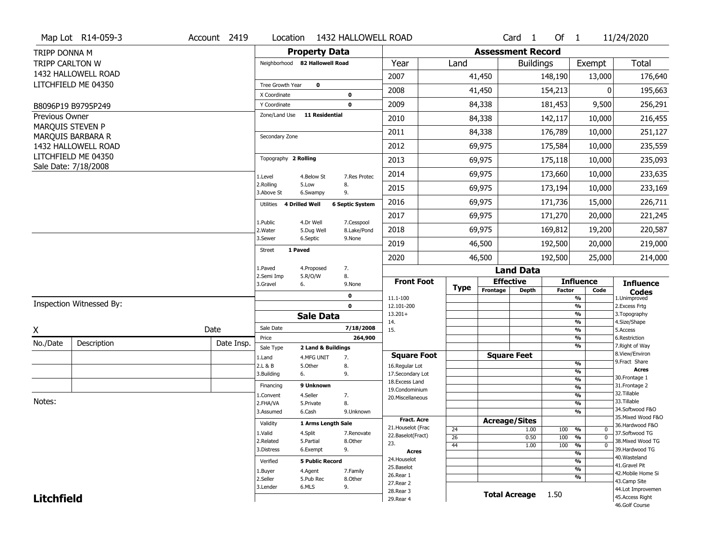|                        | Map Lot R14-059-3        | Account 2419 | Location                           |                        | 1432 HALLOWELL ROAD    |                                   |                       |                          | $Card \t1$           | Of $1$        |                                         | 11/24/2020                        |
|------------------------|--------------------------|--------------|------------------------------------|------------------------|------------------------|-----------------------------------|-----------------------|--------------------------|----------------------|---------------|-----------------------------------------|-----------------------------------|
| TRIPP DONNA M          |                          |              |                                    | <b>Property Data</b>   |                        |                                   |                       | <b>Assessment Record</b> |                      |               |                                         |                                   |
| <b>TRIPP CARLTON W</b> |                          |              | Neighborhood 82 Hallowell Road     |                        |                        | Year                              | Land                  |                          | <b>Buildings</b>     |               | Exempt                                  | <b>Total</b>                      |
|                        | 1432 HALLOWELL ROAD      |              |                                    |                        |                        | 2007                              |                       | 41,450                   |                      | 148,190       | 13,000                                  | 176,640                           |
|                        | LITCHFIELD ME 04350      |              | Tree Growth Year                   | $\mathbf 0$            |                        | 2008                              |                       | 41,450                   |                      | 154,213       | 0                                       | 195,663                           |
|                        |                          |              | X Coordinate                       |                        | 0                      |                                   |                       |                          |                      |               |                                         |                                   |
|                        | B8096P19 B9795P249       |              | Y Coordinate<br>Zone/Land Use      | 11 Residential         | $\mathbf 0$            | 2009                              |                       | 84,338                   |                      | 181,453       | 9,500                                   | 256,291                           |
| Previous Owner         | MARQUIS STEVEN P         |              |                                    |                        |                        | 2010                              |                       | 84,338                   |                      | 142,117       | 10,000                                  | 216,455                           |
|                        | MARQUIS BARBARA R        |              | Secondary Zone                     |                        |                        | 2011                              |                       | 84,338                   |                      | 176,789       | 10,000                                  | 251,127                           |
|                        | 1432 HALLOWELL ROAD      |              |                                    |                        |                        | 2012                              |                       | 69,975                   |                      | 175,584       | 10,000                                  | 235,559                           |
|                        | LITCHFIELD ME 04350      |              | Topography 2 Rolling               |                        |                        | 2013                              |                       | 69,975                   |                      | 175,118       | 10,000                                  | 235,093                           |
|                        | Sale Date: 7/18/2008     |              | 1.Level                            | 4.Below St             | 7.Res Protec           | 2014                              |                       | 69,975                   |                      | 173,660       | 10,000                                  | 233,635                           |
|                        |                          |              | 2.Rolling<br>3.Above St            | 5.Low<br>6.Swampy      | 8.<br>9.               | 2015                              |                       | 69,975                   |                      | 173,194       | 10,000                                  | 233,169                           |
|                        |                          |              | <b>4 Drilled Well</b><br>Utilities |                        | <b>6 Septic System</b> | 2016                              |                       | 69,975                   |                      | 171,736       | 15,000                                  | 226,711                           |
|                        |                          |              | 1.Public                           | 4.Dr Well              | 7.Cesspool             | 2017                              |                       | 69,975                   |                      | 171,270       | 20,000                                  | 221,245                           |
|                        |                          |              | 2. Water                           | 5.Dug Well             | 8.Lake/Pond            | 2018                              |                       | 69,975                   |                      | 169,812       | 19,200                                  | 220,587                           |
|                        |                          |              | 3.Sewer                            | 6.Septic               | 9.None                 | 2019                              |                       | 46,500                   |                      | 192,500       | 20,000                                  | 219,000                           |
|                        |                          |              | 1 Paved<br><b>Street</b>           |                        |                        | 2020                              |                       | 46,500                   |                      | 192,500       | 25,000                                  | 214,000                           |
|                        |                          |              | 1.Paved<br>2.Semi Imp              | 4.Proposed             | 7.                     |                                   |                       |                          | <b>Land Data</b>     |               |                                         |                                   |
|                        |                          |              | 3.Gravel<br>6.                     | 5.R/O/W                | 8.<br>9.None           | <b>Front Foot</b>                 | <b>Type</b>           | <b>Effective</b>         |                      |               | <b>Influence</b>                        | <b>Influence</b>                  |
|                        |                          |              |                                    |                        | 0                      | 11.1-100                          |                       | Frontage                 | <b>Depth</b>         | <b>Factor</b> | Code<br>%                               | <b>Codes</b><br>1.Unimproved      |
|                        | Inspection Witnessed By: |              |                                    |                        | $\mathbf 0$            | 12.101-200                        |                       |                          |                      |               | $\frac{9}{6}$                           | 2.Excess Frtg                     |
|                        |                          |              |                                    | <b>Sale Data</b>       |                        | $13.201+$<br>14.                  |                       |                          |                      |               | $\frac{9}{6}$<br>$\frac{9}{6}$          | 3. Topography<br>4.Size/Shape     |
| X                      |                          | Date         | Sale Date                          |                        | 7/18/2008              | 15.                               |                       |                          |                      |               | $\frac{9}{6}$                           | 5.Access                          |
| No./Date               | Description              | Date Insp.   | Price<br>Sale Type                 | 2 Land & Buildings     | 264,900                |                                   |                       |                          |                      |               | %<br>%                                  | 6.Restriction<br>7. Right of Way  |
|                        |                          |              | 1.Land                             | 4.MFG UNIT             | 7.                     | <b>Square Foot</b>                |                       | <b>Square Feet</b>       |                      |               |                                         | 8.View/Environ                    |
|                        |                          |              | 2.L & B                            | 5.Other                | 8.                     | 16.Regular Lot                    |                       |                          |                      |               | $\frac{9}{6}$                           | 9. Fract Share<br><b>Acres</b>    |
|                        |                          |              | 3.Building<br>6.                   |                        | 9.                     | 17.Secondary Lot                  |                       |                          |                      |               | $\frac{9}{6}$<br>$\frac{9}{6}$          | 30. Frontage 1                    |
|                        |                          |              | Financing                          | 9 Unknown              |                        | 18. Excess Land<br>19.Condominium |                       |                          |                      |               | $\frac{9}{6}$                           | 31. Frontage 2                    |
|                        |                          |              | 1.Convent                          | 4.Seller               | 7.                     | 20.Miscellaneous                  |                       |                          |                      |               | $\frac{9}{6}$                           | 32. Tillable                      |
| Notes:                 |                          |              | 2.FHA/VA                           | 5.Private              | 8.                     |                                   |                       |                          |                      |               | $\frac{9}{6}$                           | 33.Tillable<br>34.Softwood F&O    |
|                        |                          |              | 3.Assumed                          | 6.Cash                 | 9.Unknown              | <b>Fract. Acre</b>                |                       |                          |                      |               | $\overline{\frac{9}{6}}$                | 35. Mixed Wood F&O                |
|                        |                          |              | Validity                           | 1 Arms Length Sale     |                        | 21. Houselot (Frac                |                       | <b>Acreage/Sites</b>     |                      |               |                                         | 36.Hardwood F&O                   |
|                        |                          |              | 1.Valid                            | 4.Split                | 7.Renovate             | 22.Baselot(Fract)                 | 24<br>$\overline{26}$ |                          | 1.00<br>0.50         | 100<br>100    | %<br>0<br>$\frac{9}{6}$<br>$\mathbf{0}$ | 37.Softwood TG                    |
|                        |                          |              | 2.Related                          | 5.Partial              | 8.Other                | 23.                               | 44                    |                          | 1.00                 | 100           | $\frac{9}{6}$<br>$\mathbf 0$            | 38. Mixed Wood TG                 |
|                        |                          |              | 3.Distress                         | 6.Exempt               | 9.                     | <b>Acres</b>                      |                       |                          |                      |               | $\frac{9}{6}$                           | 39.Hardwood TG                    |
|                        |                          |              | Verified                           | <b>5 Public Record</b> |                        | 24. Houselot                      |                       |                          |                      |               | $\frac{9}{6}$                           | 40. Wasteland<br>41.Gravel Pit    |
|                        |                          |              | 1.Buyer                            | 4.Agent                | 7.Family               | 25.Baselot                        |                       |                          |                      |               | $\frac{9}{6}$                           | 42. Mobile Home Si                |
|                        |                          |              | 2.Seller                           | 5.Pub Rec              | 8.Other                | 26.Rear 1<br>27.Rear 2            |                       |                          |                      |               | %                                       | 43.Camp Site                      |
|                        |                          |              | 3.Lender                           | 6.MLS                  | 9.                     |                                   |                       |                          |                      |               |                                         | 44.Lot Improvemen                 |
|                        |                          |              |                                    |                        |                        |                                   |                       |                          |                      |               |                                         |                                   |
| <b>Litchfield</b>      |                          |              |                                    |                        |                        | 28. Rear 3<br>29. Rear 4          |                       |                          | <b>Total Acreage</b> | 1.50          |                                         | 45.Access Right<br>46.Golf Course |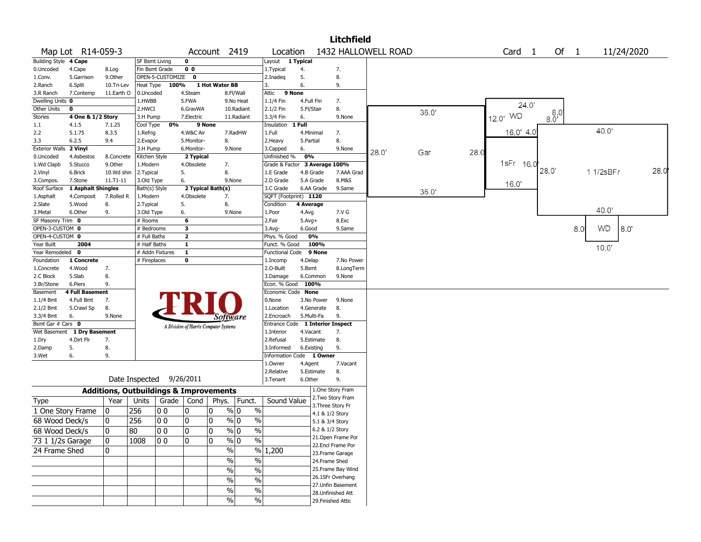|                       |                             |                                                   |                          |                  |                         |                                       |                             |                                    |            |                 | <b>Litchfield</b>                     |                     |       |      |                   |            |     |            |      |
|-----------------------|-----------------------------|---------------------------------------------------|--------------------------|------------------|-------------------------|---------------------------------------|-----------------------------|------------------------------------|------------|-----------------|---------------------------------------|---------------------|-------|------|-------------------|------------|-----|------------|------|
|                       | Map Lot R14-059-3           |                                                   |                          |                  |                         | Account 2419                          |                             | Location                           |            |                 |                                       | 1432 HALLOWELL ROAD |       |      | Card <sub>1</sub> | Of 1       |     | 11/24/2020 |      |
| Building Style 4 Cape |                             |                                                   | SF Bsmt Living           |                  | $\mathbf 0$             |                                       |                             | Layout                             | 1 Typical  |                 |                                       |                     |       |      |                   |            |     |            |      |
| 0.Uncoded             | 4.Cape                      | 8.Log                                             | Fin Bsmt Grade           |                  | 0 <sub>0</sub>          |                                       |                             | 1. Typical                         | 4.         |                 | 7.                                    |                     |       |      |                   |            |     |            |      |
| 1.Conv.               | 5.Garrison                  | 9.0ther                                           |                          | OPEN-5-CUSTOMIZE | $\mathbf 0$             |                                       |                             | 2.Inadeg                           | 5.         |                 | 8.                                    |                     |       |      |                   |            |     |            |      |
| 2.Ranch               | 6.Split                     | 10.Tri-Lev                                        | Heat Type                | 100%             |                         | 1 Hot Water BB                        |                             | 3.                                 | 6.         |                 | 9.                                    |                     |       |      |                   |            |     |            |      |
| 3.R Ranch             | 7.Contemp                   | 11.Earth O                                        | 0.Uncoded                |                  | 4.Steam                 |                                       | 8.Fl/Wall                   | Attic                              | 9 None     |                 |                                       |                     |       |      |                   |            |     |            |      |
| Dwelling Units 0      |                             |                                                   | 1.HWBB                   |                  | 5.FWA                   |                                       | 9.No Heat                   | $1.1/4$ Fin                        | 4.Full Fin |                 | 7.                                    |                     |       |      | 24.0              |            |     |            |      |
| Other Units           | $\mathbf 0$                 |                                                   | 2.HWCI                   |                  | 6.GravWA                |                                       | 10.Radiant                  | 2.1/2 Fin                          | 5.Fl/Stair |                 | 8.                                    |                     | 36.0' |      |                   |            |     |            |      |
| <b>Stories</b>        | 4 One & 1/2 Story           |                                                   | 3.H Pump                 |                  | 7.Electric              |                                       | 11.Radiant                  | 3.3/4 Fin                          | 6.         |                 | 9.None                                |                     |       |      | 12.0' WD          | $80^{8,0}$ |     |            |      |
| 1.1                   | 4.1.5                       | 7.1.25                                            | Cool Type                | 0%               |                         | 9 None                                |                             | Insulation                         | 1 Full     |                 |                                       |                     |       |      |                   |            |     | 40.0       |      |
| 2.2                   | 5.1.75                      | 8.3.5                                             | 1.Refrig                 |                  | 4.W&C Air               |                                       | 7.RadHW                     | 1.Full                             | 4.Minimal  |                 | 7.                                    |                     |       |      | 16.0' 4.0         |            |     |            |      |
| 3.3                   | 6.2.5                       | 9.4                                               | 2.Evapor                 |                  | 5.Monitor-              | 8.                                    |                             | 2. Heavy                           | 5.Partial  |                 | 8.                                    |                     |       |      |                   |            |     |            |      |
| <b>Exterior Walls</b> | 2 Vinyl                     |                                                   | 3.H Pump                 |                  | 6.Monitor-              |                                       | 9.None                      | 3.Capped                           | 6.         |                 | 9.None                                | 28.0                | Gar   | 28.0 |                   |            |     |            |      |
| 0.Uncoded             | 4.Asbestos                  | 8.Concrete                                        | Kitchen Style            |                  | 2 Typical               |                                       |                             | Unfinished %                       | 0%         |                 |                                       |                     |       |      | 1sFr 16.0         |            |     |            |      |
| 1.Wd Clapb            | 5.Stucco                    | 9.0ther                                           | 1.Modern                 |                  | 4.Obsolete              | 7.                                    |                             | Grade & Factor                     |            |                 | 3 Average 100%                        |                     |       |      |                   | 28.0'      |     | 1 1/2sBFr  | 28.0 |
| 2.Vinyl               | 6.Brick                     | 10.Wd shin                                        | 2. Typical               |                  | 5.                      | 8.                                    |                             | 1.E Grade                          | 4.B Grade  |                 | 7.AAA Grad                            |                     |       |      |                   |            |     |            |      |
| 3.Compos.             | 7.Stone                     | $11. T1 - 11$                                     | 3.Old Type               |                  | 6.                      |                                       | 9.None                      | 2.D Grade                          | 5.A Grade  |                 | 8.M&S                                 |                     |       |      | 16.0'             |            |     |            |      |
| Roof Surface          | 1 Asphalt Shingles          |                                                   | Bath(s) Style            |                  | 4.Obsolete              | 2 Typical Bath(s)                     |                             | 3.C Grade<br>SQFT (Footprint) 1120 |            | 6.AA Grade      | 9.Same                                |                     | 36.0' |      |                   |            |     |            |      |
| 1.Asphalt<br>2.Slate  | 4.Composit<br>5.Wood        | 7.Rolled R<br>8.                                  | 1.Modern                 |                  | 5.                      | 7.<br>8.                              |                             | Condition                          | 4 Average  |                 |                                       |                     |       |      |                   |            |     |            |      |
| 3.Metal               | 6.Other                     | 9.                                                | 2. Typical<br>3.Old Type |                  | 6.                      |                                       | 9.None                      | 1.Poor                             | 4.Avg      |                 | 7.V G                                 |                     |       |      |                   |            |     | 40.0'      |      |
| SF Masonry Trim 0     |                             |                                                   | # Rooms                  |                  | 6                       |                                       |                             | 2.Fair                             | $5.Avg+$   |                 | 8.Exc                                 |                     |       |      |                   |            |     |            |      |
| OPEN-3-CUSTOM 0       |                             |                                                   | # Bedrooms               |                  | 3                       |                                       |                             | 3.Avg-                             | 6.Good     |                 | 9.Same                                |                     |       |      |                   |            | 8.0 | WD<br>8.0' |      |
| OPEN-4-CUSTOM 0       |                             |                                                   | # Full Baths             |                  | $\overline{2}$          |                                       |                             | Phys. % Good                       |            | 0%              |                                       |                     |       |      |                   |            |     |            |      |
| Year Built            | 2004                        |                                                   | # Half Baths             |                  | $\overline{\mathbf{1}}$ |                                       |                             | Funct. % Good                      |            | 100%            |                                       |                     |       |      |                   |            |     |            |      |
| Year Remodeled        | $\mathbf 0$                 |                                                   | # Addn Fixtures          |                  | $\mathbf{1}$            |                                       |                             | Functional Code                    |            | 9 None          |                                       |                     |       |      |                   |            |     | 10.0'      |      |
| Foundation            | 1 Concrete                  |                                                   | # Fireplaces             |                  | $\mathbf 0$             |                                       |                             | 1.Incomp                           | 4.Delap    |                 | 7.No Power                            |                     |       |      |                   |            |     |            |      |
| 1.Concrete            | 4.Wood                      | 7.                                                |                          |                  |                         |                                       |                             | 2.O-Built                          | 5.Bsmt     |                 | 8.LongTerm                            |                     |       |      |                   |            |     |            |      |
| 2.C Block             | 5.Slab                      | 8.                                                |                          |                  |                         |                                       |                             | 3.Damage                           | 6.Common   |                 | 9.None                                |                     |       |      |                   |            |     |            |      |
| 3.Br/Stone            | 6.Piers                     | 9.                                                |                          |                  |                         |                                       |                             | Econ. % Good 100%                  |            |                 |                                       |                     |       |      |                   |            |     |            |      |
| Basement              | <b>4 Full Basement</b>      |                                                   |                          |                  |                         |                                       |                             | Economic Code None                 |            |                 |                                       |                     |       |      |                   |            |     |            |      |
| $1.1/4$ Bmt           | 4.Full Bmt                  | 7.                                                |                          |                  |                         |                                       |                             | 0.None                             |            | 3.No Power      | 9.None                                |                     |       |      |                   |            |     |            |      |
| 2.1/2 Bmt             | 5.Crawl Sp                  | 8.                                                |                          |                  |                         |                                       |                             | 1.Location                         |            | 4.Generate      | 8.                                    |                     |       |      |                   |            |     |            |      |
| 3.3/4 Bmt             | 6.                          | 9.None                                            |                          |                  |                         | <i>Software</i>                       |                             | 2.Encroach                         | 5.Multi-Fa |                 | 9.                                    |                     |       |      |                   |            |     |            |      |
| Bsmt Gar # Cars 0     |                             |                                                   |                          |                  |                         | A Division of Harris Computer Systems |                             | Entrance Code                      |            |                 | 1 Interior Inspect                    |                     |       |      |                   |            |     |            |      |
|                       | Wet Basement 1 Dry Basement |                                                   |                          |                  |                         |                                       |                             | 1.Interior                         | 4.Vacant   |                 | 7.                                    |                     |       |      |                   |            |     |            |      |
| 1.Dry                 | 4.Dirt Flr                  | 7.                                                |                          |                  |                         |                                       |                             | 2.Refusal                          | 5.Estimate |                 | 8.                                    |                     |       |      |                   |            |     |            |      |
| 2.Damp                | 5.                          | 8.                                                |                          |                  |                         |                                       |                             | 3.Informed                         | 6.Existing |                 | 9.                                    |                     |       |      |                   |            |     |            |      |
| 3.Wet                 | 6.                          | 9.                                                |                          |                  |                         |                                       |                             | Information Code 1 Owner           |            |                 |                                       |                     |       |      |                   |            |     |            |      |
|                       |                             |                                                   |                          |                  |                         |                                       |                             | 1.0wner                            | 4.Agent    |                 | 7.Vacant                              |                     |       |      |                   |            |     |            |      |
|                       |                             |                                                   |                          |                  |                         |                                       |                             | 2.Relative                         | 5.Estimate |                 | 8.                                    |                     |       |      |                   |            |     |            |      |
|                       |                             |                                                   | Date Inspected           |                  | 9/26/2011               |                                       |                             | 3. Tenant                          | 6.Other    |                 | 9.                                    |                     |       |      |                   |            |     |            |      |
|                       |                             | <b>Additions, Outbuildings &amp; Improvements</b> |                          |                  |                         |                                       |                             |                                    |            |                 | 1.One Story Fram                      |                     |       |      |                   |            |     |            |      |
| <b>Type</b>           |                             | Year                                              | Units                    | Grade            | Cond                    | Phys.                                 | Funct.                      | Sound Value                        |            |                 | 2. Two Story Fram                     |                     |       |      |                   |            |     |            |      |
|                       | 1 One Story Frame           | 0                                                 | 256                      | 00               | 10                      | $\mathbf{0}$                          | % 0<br>$\%$                 |                                    |            |                 | 3. Three Story Fr                     |                     |       |      |                   |            |     |            |      |
| 68 Wood Deck/s        |                             | $\mathbf 0$                                       | 256                      | 0 <sub>0</sub>   | 0                       | $\mathbf 0$                           | $\%$ 0<br>$\%$              |                                    |            | 4.1 & 1/2 Story |                                       |                     |       |      |                   |            |     |            |      |
|                       |                             |                                                   |                          |                  |                         |                                       |                             |                                    |            | 5.1 & 3/4 Story |                                       |                     |       |      |                   |            |     |            |      |
| 68 Wood Deck/s        |                             | 10                                                | 80                       | 100              | 10                      | 10                                    | % 0<br>%                    |                                    |            |                 | 6.2 & 1/2 Story<br>21. Open Frame Por |                     |       |      |                   |            |     |            |      |
| 73 1 1/2s Garage      |                             | 0                                                 | 1008                     | 00               | ۱o                      | 0                                     | $\sqrt{96}$ 0<br>$\sqrt{6}$ |                                    |            |                 | 22.Encl Frame Por                     |                     |       |      |                   |            |     |            |      |
| 24 Frame Shed         |                             | 0                                                 |                          |                  |                         | $\sqrt{2}$                            | $\sqrt{6}$                  | 1,200                              |            |                 | 23. Frame Garage                      |                     |       |      |                   |            |     |            |      |
|                       |                             |                                                   |                          |                  |                         | $\sqrt{6}$                            | $\%$                        |                                    |            |                 | 24.Frame Shed                         |                     |       |      |                   |            |     |            |      |
|                       |                             |                                                   |                          |                  |                         | $\sqrt{6}$                            | $\%$                        |                                    |            |                 | 25. Frame Bay Wind                    |                     |       |      |                   |            |     |            |      |
|                       |                             |                                                   |                          |                  |                         |                                       |                             |                                    |            |                 | 26.1SFr Overhang                      |                     |       |      |                   |            |     |            |      |
|                       |                             |                                                   |                          |                  |                         | %                                     | $\%$                        |                                    |            |                 | 27.Unfin Basement                     |                     |       |      |                   |            |     |            |      |
|                       |                             |                                                   |                          |                  |                         | %                                     | $\%$                        |                                    |            |                 | 28. Unfinished Att                    |                     |       |      |                   |            |     |            |      |
|                       |                             |                                                   |                          |                  |                         | $\frac{9}{6}$                         | $\sqrt{6}$                  |                                    |            |                 | 29. Finished Attic                    |                     |       |      |                   |            |     |            |      |
|                       |                             |                                                   |                          |                  |                         |                                       |                             |                                    |            |                 |                                       |                     |       |      |                   |            |     |            |      |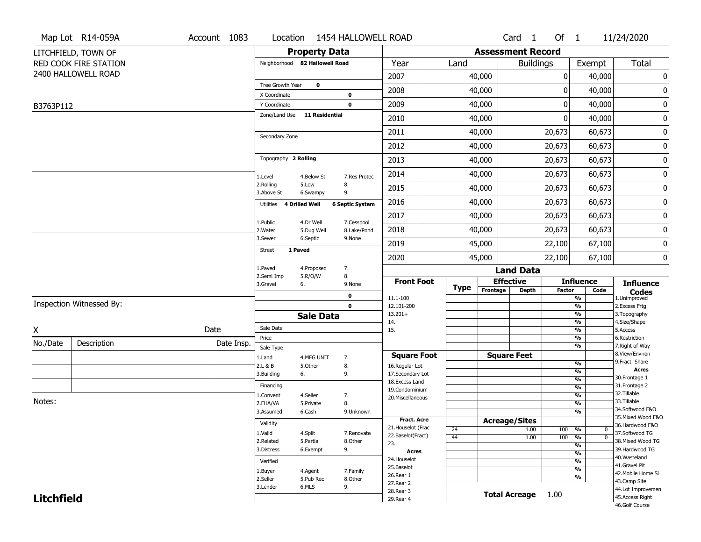|                   | Map Lot R14-059A         | Account 1083 |                                |                       | Location 1454 HALLOWELL ROAD |                                       |             |                          | Card <sub>1</sub>            | Of $1$        |                                | 11/24/2020                           |
|-------------------|--------------------------|--------------|--------------------------------|-----------------------|------------------------------|---------------------------------------|-------------|--------------------------|------------------------------|---------------|--------------------------------|--------------------------------------|
|                   | LITCHFIELD, TOWN OF      |              |                                | <b>Property Data</b>  |                              |                                       |             | <b>Assessment Record</b> |                              |               |                                |                                      |
|                   | RED COOK FIRE STATION    |              | Neighborhood 82 Hallowell Road |                       |                              | Year                                  | Land        |                          | <b>Buildings</b>             |               | Exempt                         | Total                                |
|                   | 2400 HALLOWELL ROAD      |              |                                |                       |                              | 2007                                  |             | 40,000                   |                              | 0             | 40,000                         | 0                                    |
|                   |                          |              | Tree Growth Year               | $\mathbf 0$           |                              | 2008                                  |             | 40,000                   |                              | 0             | 40,000                         | $\pmb{0}$                            |
|                   |                          |              | X Coordinate<br>Y Coordinate   |                       | $\mathbf 0$<br>$\mathbf 0$   | 2009                                  |             | 40,000                   |                              | 0             | 40,000                         | $\pmb{0}$                            |
| B3763P112         |                          |              | Zone/Land Use                  | <b>11 Residential</b> |                              |                                       |             |                          |                              |               |                                |                                      |
|                   |                          |              |                                |                       |                              | 2010                                  |             | 40,000                   |                              | 0             | 40,000                         | $\pmb{0}$                            |
|                   |                          |              | Secondary Zone                 |                       |                              | 2011                                  |             | 40,000                   |                              | 20,673        | 60,673                         | $\pmb{0}$                            |
|                   |                          |              |                                |                       |                              | 2012                                  |             | 40,000                   |                              | 20,673        | 60,673                         | $\pmb{0}$                            |
|                   |                          |              | Topography 2 Rolling           |                       |                              | 2013                                  |             | 40,000                   |                              | 20,673        | 60,673                         | $\bf{0}$                             |
|                   |                          |              | 1.Level                        | 4.Below St            | 7.Res Protec                 | 2014                                  |             | 40,000                   |                              | 20,673        | 60,673                         | $\pmb{0}$                            |
|                   |                          |              | 2.Rolling<br>3.Above St        | 5.Low<br>6.Swampy     | 8.<br>9.                     | 2015                                  |             | 40,000                   |                              | 20,673        | 60,673                         | $\pmb{0}$                            |
|                   |                          |              | Utilities 4 Drilled Well       |                       | <b>6 Septic System</b>       | 2016                                  |             | 40,000                   |                              | 20,673        | 60,673                         | $\pmb{0}$                            |
|                   |                          |              | 1.Public                       | 4.Dr Well             | 7.Cesspool                   | 2017                                  |             | 40,000                   |                              | 20,673        | 60,673                         | $\pmb{0}$                            |
|                   |                          |              | 2. Water                       | 5.Dug Well            | 8.Lake/Pond                  | 2018                                  |             | 40,000                   |                              | 20,673        | 60,673                         | $\pmb{0}$                            |
|                   |                          |              | 3.Sewer<br>1 Paved             | 6.Septic              | 9.None                       | 2019                                  |             | 45,000                   |                              | 22,100        | 67,100                         | $\pmb{0}$                            |
|                   |                          |              | <b>Street</b>                  |                       |                              | 2020                                  |             | 45,000                   |                              | 22,100        | 67,100                         | $\pmb{0}$                            |
|                   |                          |              | 1.Paved<br>2.Semi Imp          | 4.Proposed<br>5.R/O/W | 7.<br>8.                     |                                       |             |                          | <b>Land Data</b>             |               |                                |                                      |
|                   |                          |              | 3.Gravel                       | 6.                    | 9.None                       | <b>Front Foot</b>                     | <b>Type</b> |                          | <b>Effective</b>             |               | <b>Influence</b>               | <b>Influence</b>                     |
|                   |                          |              |                                |                       | $\mathbf 0$                  | 11.1-100                              |             | Frontage                 | <b>Depth</b>                 | <b>Factor</b> | Code<br>%                      | <b>Codes</b><br>1.Unimproved         |
|                   | Inspection Witnessed By: |              |                                |                       | $\mathbf 0$                  | 12.101-200                            |             |                          |                              |               | $\frac{9}{6}$                  | 2. Excess Frtg                       |
|                   |                          |              |                                | <b>Sale Data</b>      |                              | $13.201+$<br>14.                      |             |                          |                              |               | $\frac{9}{6}$<br>%             | 3. Topography<br>4.Size/Shape        |
| X                 |                          | Date         | Sale Date                      |                       |                              | 15.                                   |             |                          |                              |               | $\frac{9}{6}$                  | 5.Access                             |
| No./Date          | Description              | Date Insp.   | Price<br>Sale Type             |                       |                              |                                       |             |                          |                              |               | %<br>%                         | 6.Restriction<br>7. Right of Way     |
|                   |                          |              | 1.Land                         | 4.MFG UNIT            | 7.                           | <b>Square Foot</b>                    |             |                          | <b>Square Feet</b>           |               |                                | 8.View/Environ                       |
|                   |                          |              | 2.L & B                        | 5.Other               | 8.                           | 16.Regular Lot                        |             |                          |                              |               | $\frac{9}{6}$                  | 9.Fract Share<br>Acres               |
|                   |                          |              | 3.Building                     | 6.                    | 9.                           | 17.Secondary Lot                      |             |                          |                              |               | $\frac{9}{6}$<br>$\frac{9}{6}$ | 30.Frontage 1                        |
|                   |                          |              | Financing                      |                       |                              | 18. Excess Land<br>19.Condominium     |             |                          |                              |               | %                              | 31. Frontage 2                       |
|                   |                          |              | 1.Convent                      | 4.Seller              | 7.                           | 20.Miscellaneous                      |             |                          |                              |               | $\frac{9}{6}$                  | 32.Tillable                          |
| Notes:            |                          |              | 2.FHA/VA                       | 5.Private             | 8.                           |                                       |             |                          |                              |               | $\frac{9}{6}$                  | 33.Tillable<br>34.Softwood F&O       |
|                   |                          |              | 3.Assumed                      | 6.Cash                | 9.Unknown                    | <b>Fract, Acre</b>                    |             |                          |                              |               | $\frac{9}{6}$                  | 35. Mixed Wood F&O                   |
|                   |                          |              | Validity                       |                       |                              | 21. Houselot (Frac                    | 24          |                          | <b>Acreage/Sites</b><br>1.00 | 100           | %<br>$\mathbf 0$               | 36.Hardwood F&O                      |
|                   |                          |              | 1.Valid                        | 4.Split               | 7.Renovate                   | 22.Baselot(Fract)                     | 44          |                          | 1.00                         | 100           | $\overline{0}$<br>%            | 37.Softwood TG                       |
|                   |                          |              | 2.Related                      | 5.Partial             | 8.Other                      | 23.                                   |             |                          |                              |               | $\frac{9}{6}$                  | 38. Mixed Wood TG                    |
|                   |                          |              | 3.Distress                     | 6.Exempt              | 9.                           | <b>Acres</b>                          |             |                          |                              |               | %                              | 39.Hardwood TG<br>40. Wasteland      |
|                   |                          |              | Verified                       |                       |                              | 24. Houselot                          |             |                          |                              |               | %                              | 41.Gravel Pit                        |
|                   |                          |              | 1.Buyer                        | 4.Agent               | 7.Family                     | 25.Baselot<br>26.Rear 1               |             |                          |                              |               | $\frac{9}{6}$                  | 42. Mobile Home Si                   |
|                   |                          |              | 2.Seller                       | 5.Pub Rec             | 8.Other                      |                                       |             |                          |                              |               | %                              | 43.Camp Site                         |
|                   |                          |              |                                |                       |                              |                                       |             |                          |                              |               |                                |                                      |
| <b>Litchfield</b> |                          |              | 3.Lender                       | 6.MLS                 | 9.                           | 27.Rear 2<br>28. Rear 3<br>29. Rear 4 |             |                          | <b>Total Acreage</b>         | 1.00          |                                | 44.Lot Improvemen<br>45.Access Right |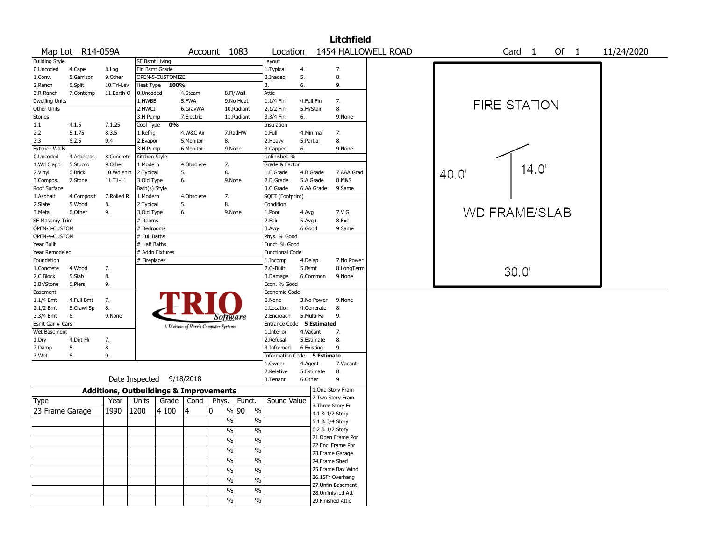|                        |                  |                                                   |                          |                  |            |                                       |                        |                             |            |            | <b>Litchfield</b>                     |                     |       |                      |        |      |        |            |  |
|------------------------|------------------|---------------------------------------------------|--------------------------|------------------|------------|---------------------------------------|------------------------|-----------------------------|------------|------------|---------------------------------------|---------------------|-------|----------------------|--------|------|--------|------------|--|
|                        | Map Lot R14-059A |                                                   |                          |                  |            | Account 1083                          |                        | Location                    |            |            |                                       | 1454 HALLOWELL ROAD |       |                      | Card 1 |      | Of $1$ | 11/24/2020 |  |
| <b>Building Style</b>  |                  |                                                   | SF Bsmt Living           |                  |            |                                       |                        | Layout                      |            |            |                                       |                     |       |                      |        |      |        |            |  |
| 0.Uncoded              | 4.Cape           | 8.Log                                             | Fin Bsmt Grade           |                  |            |                                       |                        | 1. Typical                  | 4.         |            | 7.                                    |                     |       |                      |        |      |        |            |  |
| 1.Conv.                | 5.Garrison       | 9.0ther                                           |                          | OPEN-5-CUSTOMIZE |            |                                       |                        | 2.Inadeq                    | 5.         |            | 8.                                    |                     |       |                      |        |      |        |            |  |
| 2.Ranch                | 6.Split          | 10.Tri-Lev                                        | <b>Heat Type</b>         | 100%             |            |                                       |                        | 3.                          | 6.         |            | 9.                                    |                     |       |                      |        |      |        |            |  |
| 3.R Ranch              | 7.Contemp        | 11.Earth O                                        | 0.Uncoded                |                  | 4.Steam    |                                       | 8.Fl/Wall              | Attic                       |            |            |                                       |                     |       |                      |        |      |        |            |  |
| <b>Dwelling Units</b>  |                  |                                                   | 1.HWBB                   |                  | 5.FWA      |                                       | 9.No Heat              | $1.1/4$ Fin                 | 4.Full Fin |            | 7.                                    |                     |       | <b>FIRE STATION</b>  |        |      |        |            |  |
| Other Units            |                  |                                                   | 2.HWCI                   |                  | 6.GravWA   |                                       | 10.Radiant             | 2.1/2 Fin                   | 5.Fl/Stair |            | 8.                                    |                     |       |                      |        |      |        |            |  |
| Stories                |                  |                                                   | 3.H Pump                 |                  | 7.Electric |                                       | 11.Radiant             | 3.3/4 Fin                   | 6.         |            | 9.None                                |                     |       |                      |        |      |        |            |  |
| 1.1                    | 4.1.5            | 7.1.25                                            | Cool Type                | 0%               |            |                                       |                        | Insulation                  |            |            |                                       |                     |       |                      |        |      |        |            |  |
| 2.2                    | 5.1.75           | 8.3.5                                             | 1.Refrig                 |                  | 4.W&C Air  |                                       | 7.RadHW                | 1.Full                      | 4.Minimal  |            | 7.                                    |                     |       |                      |        |      |        |            |  |
| 3.3                    | 6.2.5            | 9.4                                               | 2.Evapor                 |                  | 5.Monitor- | 8.                                    |                        | 2.Heavy                     | 5.Partial  |            | 8.                                    |                     |       |                      |        |      |        |            |  |
| <b>Exterior Walls</b>  |                  |                                                   | 3.H Pump                 |                  | 6.Monitor- | 9.None                                |                        | 3.Capped                    | 6.         |            | 9.None                                |                     |       |                      |        |      |        |            |  |
| 0.Uncoded              | 4.Asbestos       | 8.Concrete                                        | Kitchen Style            |                  |            |                                       |                        | Unfinished %                |            |            |                                       |                     |       |                      |        |      |        |            |  |
| 1.Wd Clapb             | 5.Stucco         | 9.0ther                                           | 1.Modern                 |                  | 4.Obsolete | 7.                                    |                        | Grade & Factor              |            |            |                                       |                     |       |                      |        |      |        |            |  |
| 2.Vinyl                | 6.Brick          | 10.Wd shin                                        | 2. Typical               |                  | 5.         | 8.                                    |                        | 1.E Grade                   | 4.B Grade  |            | 7.AAA Grad                            |                     | 40.0' |                      |        | 14.0 |        |            |  |
| 3.Compos.              | 7.Stone          | 11.T1-11                                          | 3.Old Type               |                  | 6.         | 9.None                                |                        | 2.D Grade                   | 5.A Grade  |            | 8.M&S                                 |                     |       |                      |        |      |        |            |  |
| Roof Surface           |                  |                                                   | Bath(s) Style            |                  |            |                                       |                        | 3.C Grade                   |            | 6.AA Grade | 9.Same                                |                     |       |                      |        |      |        |            |  |
| 1.Asphalt              | 4.Composit       | 7.Rolled R                                        | 1.Modern                 |                  | 4.Obsolete | 7.                                    |                        | SQFT (Footprint)            |            |            |                                       |                     |       |                      |        |      |        |            |  |
| 2.Slate                | 5.Wood           | 8.                                                | 2. Typical               |                  | 5.         | 8.                                    |                        | Condition                   |            |            |                                       |                     |       |                      |        |      |        |            |  |
| 3. Metal               | 6.Other          | 9.                                                | 3.Old Type               |                  | 6.         | 9.None                                |                        | 1.Poor                      | 4.Avg      |            | 7.V G                                 |                     |       | <b>WD FRAME/SLAB</b> |        |      |        |            |  |
| <b>SF Masonry Trim</b> |                  |                                                   | # Rooms                  |                  |            |                                       |                        | 2.Fair                      | $5.Avg+$   |            | 8.Exc                                 |                     |       |                      |        |      |        |            |  |
| OPEN-3-CUSTOM          |                  |                                                   | # Bedrooms               |                  |            |                                       |                        | 3.Avg-                      | 6.Good     |            | 9.Same                                |                     |       |                      |        |      |        |            |  |
| OPEN-4-CUSTOM          |                  |                                                   | # Full Baths             |                  |            |                                       |                        | Phys. % Good                |            |            |                                       |                     |       |                      |        |      |        |            |  |
| Year Built             |                  |                                                   | # Half Baths             |                  |            |                                       |                        | Funct. % Good               |            |            |                                       |                     |       |                      |        |      |        |            |  |
| Year Remodeled         |                  |                                                   |                          | # Addn Fixtures  |            |                                       |                        | <b>Functional Code</b>      |            |            |                                       |                     |       |                      |        |      |        |            |  |
| Foundation             |                  |                                                   | # Fireplaces             |                  |            |                                       |                        | 1.Incomp                    | 4.Delap    |            | 7.No Power                            |                     |       |                      |        |      |        |            |  |
| 1.Concrete             | 4.Wood           | 7.                                                |                          |                  |            |                                       |                        | 2.0-Built                   | 5.Bsmt     |            | 8.LongTerm                            |                     |       |                      |        |      |        |            |  |
| 2.C Block              | 5.Slab           | 8.                                                |                          |                  |            |                                       |                        | 3.Damage                    |            | 6.Common   | 9.None                                |                     |       |                      | 30.0'  |      |        |            |  |
| 3.Br/Stone             | 6.Piers          | 9.                                                |                          |                  |            |                                       |                        | Econ. % Good                |            |            |                                       |                     |       |                      |        |      |        |            |  |
| Basement               |                  |                                                   |                          |                  |            |                                       |                        | Economic Code               |            |            |                                       |                     |       |                      |        |      |        |            |  |
| 1.1/4 Bmt              | 4.Full Bmt       | 7.                                                |                          |                  |            |                                       |                        | 0.None                      |            | 3.No Power | 9.None                                |                     |       |                      |        |      |        |            |  |
| 2.1/2 Bmt              | 5.Crawl Sp       | 8.                                                |                          |                  |            |                                       |                        | 1.Location                  |            | 4.Generate | 8.                                    |                     |       |                      |        |      |        |            |  |
| 3.3/4 Bmt              | 6.               | 9.None                                            |                          |                  |            |                                       |                        | 2.Encroach                  | 5.Multi-Fa |            | 9.                                    |                     |       |                      |        |      |        |            |  |
| Bsmt Gar # Cars        |                  |                                                   |                          |                  |            | Software                              |                        | Entrance Code 5 Estimated   |            |            |                                       |                     |       |                      |        |      |        |            |  |
| Wet Basement           |                  |                                                   |                          |                  |            | A Division of Harris Computer Systems |                        | 1.Interior                  | 4.Vacant   |            | 7.                                    |                     |       |                      |        |      |        |            |  |
| 1.Dry                  | 4.Dirt Flr       | 7.                                                |                          |                  |            |                                       |                        | 2.Refusal                   | 5.Estimate |            | 8.                                    |                     |       |                      |        |      |        |            |  |
| 2.Damp                 | 5.               | 8.                                                |                          |                  |            |                                       |                        | 3.Informed                  | 6.Existing |            | 9.                                    |                     |       |                      |        |      |        |            |  |
| 3.Wet                  | 6.               | 9.                                                |                          |                  |            |                                       |                        | Information Code 5 Estimate |            |            |                                       |                     |       |                      |        |      |        |            |  |
|                        |                  |                                                   |                          |                  |            |                                       |                        | 1.Owner                     | 4.Agent    |            | 7.Vacant                              |                     |       |                      |        |      |        |            |  |
|                        |                  |                                                   |                          |                  |            |                                       |                        | 2.Relative                  | 5.Estimate |            | 8.                                    |                     |       |                      |        |      |        |            |  |
|                        |                  |                                                   | Date Inspected 9/18/2018 |                  |            |                                       |                        | 3.Tenant                    | 6.Other    |            | 9.                                    |                     |       |                      |        |      |        |            |  |
|                        |                  |                                                   |                          |                  |            |                                       |                        |                             |            |            |                                       |                     |       |                      |        |      |        |            |  |
|                        |                  | <b>Additions, Outbuildings &amp; Improvements</b> |                          |                  |            |                                       |                        |                             |            |            | 1.One Story Fram<br>2. Two Story Fram |                     |       |                      |        |      |        |            |  |
| Type                   |                  | Year                                              | Units                    | Grade            | Cond       | Phys. Funct.                          |                        | Sound Value                 |            |            | 3. Three Story Fr                     |                     |       |                      |        |      |        |            |  |
| 23 Frame Garage        |                  | 1990                                              | 1200                     | 4 100            | 14         | 0                                     | %  90<br>$\frac{1}{2}$ |                             |            |            | 4.1 & 1/2 Story                       |                     |       |                      |        |      |        |            |  |
|                        |                  |                                                   |                          |                  |            | $\frac{0}{0}$                         | $\%$                   |                             |            |            |                                       |                     |       |                      |        |      |        |            |  |
|                        |                  |                                                   |                          |                  |            |                                       |                        |                             |            |            | 5.1 & 3/4 Story                       |                     |       |                      |        |      |        |            |  |
|                        |                  |                                                   |                          |                  |            | $\sqrt{6}$                            | $\sqrt{6}$             |                             |            |            | 6.2 & 1/2 Story                       |                     |       |                      |        |      |        |            |  |
|                        |                  |                                                   |                          |                  |            | $\%$                                  | $\sqrt{6}$             |                             |            |            | 21.Open Frame Por                     |                     |       |                      |        |      |        |            |  |
|                        |                  |                                                   |                          |                  |            | $\sqrt{6}$                            | $\sqrt{6}$             |                             |            |            | 22.Encl Frame Por                     |                     |       |                      |        |      |        |            |  |
|                        |                  |                                                   |                          |                  |            |                                       |                        |                             |            |            | 23. Frame Garage                      |                     |       |                      |        |      |        |            |  |
|                        |                  |                                                   |                          |                  |            | $\sqrt{6}$                            | $\frac{0}{6}$          |                             |            |            | 24.Frame Shed                         |                     |       |                      |        |      |        |            |  |
|                        |                  |                                                   |                          |                  |            | $\sqrt{6}$                            | $\sqrt{20}$            |                             |            |            | 25. Frame Bay Wind                    |                     |       |                      |        |      |        |            |  |
|                        |                  |                                                   |                          |                  |            | $\sqrt{6}$                            | $\frac{9}{6}$          |                             |            |            | 26.1SFr Overhang                      |                     |       |                      |        |      |        |            |  |
|                        |                  |                                                   |                          |                  |            |                                       | $\frac{0}{6}$          |                             |            |            | 27.Unfin Basement                     |                     |       |                      |        |      |        |            |  |
|                        |                  |                                                   |                          |                  |            | $\sqrt{6}$                            |                        |                             |            |            | 28. Unfinished Att                    |                     |       |                      |        |      |        |            |  |
|                        |                  |                                                   |                          |                  |            | $\sqrt{6}$                            | $\sqrt{6}$             |                             |            |            | 29. Finished Attic                    |                     |       |                      |        |      |        |            |  |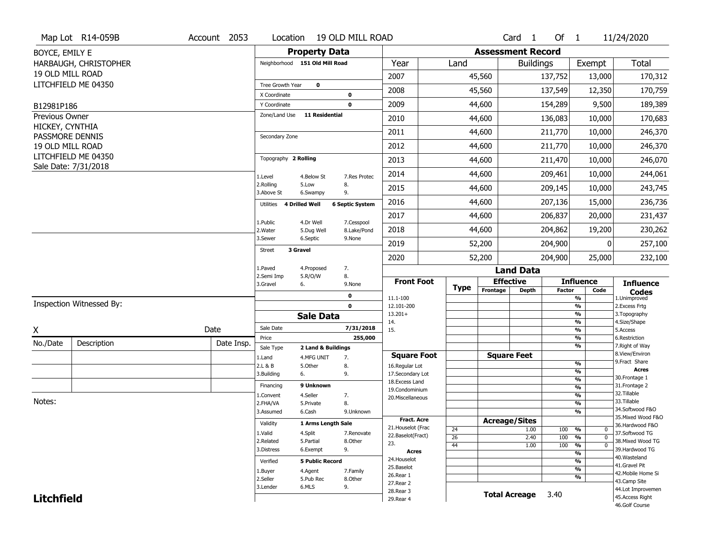|                                   | Map Lot R14-059B                            | Account 2053 | Location                      | 19 OLD MILL ROAD                        |                                      |                 |                          | Card <sub>1</sub>    | Of $1$        |                                | 11/24/2020                            |
|-----------------------------------|---------------------------------------------|--------------|-------------------------------|-----------------------------------------|--------------------------------------|-----------------|--------------------------|----------------------|---------------|--------------------------------|---------------------------------------|
| BOYCE, EMILY E                    |                                             |              |                               | <b>Property Data</b>                    |                                      |                 | <b>Assessment Record</b> |                      |               |                                |                                       |
|                                   | HARBAUGH, CHRISTOPHER                       |              |                               | Neighborhood 151 Old Mill Road          | Year                                 | Land            |                          | <b>Buildings</b>     |               | Exempt                         | Total                                 |
| 19 OLD MILL ROAD                  |                                             |              |                               |                                         | 2007                                 |                 | 45,560                   |                      | 137,752       | 13,000                         | 170,312                               |
|                                   | LITCHFIELD ME 04350                         |              | Tree Growth Year              | $\mathbf{o}$                            | 2008                                 |                 | 45,560                   |                      | 137,549       | 12,350                         | 170,759                               |
|                                   |                                             |              | X Coordinate                  | 0                                       |                                      |                 |                          |                      |               |                                |                                       |
| B12981P186                        |                                             |              | Y Coordinate<br>Zone/Land Use | $\mathbf 0$<br><b>11 Residential</b>    | 2009                                 |                 | 44,600                   |                      | 154,289       | 9,500                          | 189,389                               |
| Previous Owner<br>HICKEY, CYNTHIA |                                             |              |                               |                                         | 2010                                 |                 | 44,600                   |                      | 136,083       | 10,000                         | 170,683                               |
| PASSMORE DENNIS                   |                                             |              | Secondary Zone                |                                         | 2011                                 |                 | 44,600                   |                      | 211,770       | 10,000                         | 246,370                               |
| 19 OLD MILL ROAD                  |                                             |              |                               |                                         | 2012                                 |                 | 44,600                   |                      | 211,770       | 10,000                         | 246,370                               |
|                                   | LITCHFIELD ME 04350<br>Sale Date: 7/31/2018 |              | Topography 2 Rolling          |                                         | 2013                                 |                 | 44,600                   |                      | 211,470       | 10,000                         | 246,070                               |
|                                   |                                             |              | 1.Level                       | 4.Below St<br>7.Res Protec              | 2014                                 |                 | 44,600                   |                      | 209,461       | 10,000                         | 244,061                               |
|                                   |                                             |              | 2.Rolling<br>3.Above St       | 5.Low<br>8.<br>9.<br>6.Swampy           | 2015                                 |                 | 44,600                   |                      | 209,145       | 10,000                         | 243,745                               |
|                                   |                                             |              | Utilities 4 Drilled Well      | <b>6 Septic System</b>                  | 2016                                 |                 | 44,600                   |                      | 207,136       | 15,000                         | 236,736                               |
|                                   |                                             |              | 1.Public                      | 4.Dr Well                               | 2017                                 |                 | 44,600                   |                      | 206,837       | 20,000                         | 231,437                               |
|                                   |                                             |              | 2. Water                      | 7.Cesspool<br>8.Lake/Pond<br>5.Dug Well | 2018                                 |                 | 44,600                   |                      | 204,862       | 19,200                         | 230,262                               |
|                                   |                                             |              | 3.Sewer                       | 6.Septic<br>9.None                      | 2019                                 |                 | 52,200                   |                      | 204,900       | 0                              | 257,100                               |
|                                   |                                             |              | 3 Gravel<br>Street            |                                         | 2020                                 |                 | 52,200                   |                      | 204,900       | 25,000                         | 232,100                               |
|                                   |                                             |              | 1.Paved                       | 7.<br>4.Proposed                        |                                      |                 |                          | <b>Land Data</b>     |               |                                |                                       |
|                                   |                                             |              | 2.Semi Imp                    | 5.R/O/W<br>8.                           | <b>Front Foot</b>                    |                 |                          | <b>Effective</b>     |               | <b>Influence</b>               |                                       |
|                                   |                                             |              | 3.Gravel                      | 6.<br>9.None                            |                                      |                 |                          |                      |               |                                | <b>Influence</b>                      |
|                                   |                                             |              |                               | $\mathbf 0$                             | 11.1-100                             | <b>Type</b>     | Frontage                 | <b>Depth</b>         | <b>Factor</b> | Code<br>$\frac{9}{6}$          | <b>Codes</b><br>1.Unimproved          |
|                                   | Inspection Witnessed By:                    |              |                               | $\mathbf 0$                             | 12.101-200                           |                 |                          |                      |               | $\frac{9}{6}$                  | 2.Excess Frtg                         |
|                                   |                                             |              |                               | <b>Sale Data</b>                        | $13.201+$                            |                 |                          |                      |               | $\frac{9}{6}$                  | 3. Topography                         |
| X                                 |                                             | Date         | Sale Date                     | 7/31/2018                               | 14.<br>15.                           |                 |                          |                      |               | $\frac{9}{6}$<br>$\frac{9}{6}$ | 4.Size/Shape<br>5.Access              |
|                                   |                                             |              | Price                         | 255,000                                 |                                      |                 |                          |                      |               | %                              | 6.Restriction                         |
| No./Date                          | Description                                 | Date Insp.   | Sale Type                     | 2 Land & Buildings                      |                                      |                 |                          |                      |               | $\frac{9}{6}$                  | 7. Right of Way<br>8.View/Environ     |
|                                   |                                             |              | 1.Land<br>2.L & B             | 4.MFG UNIT<br>7.<br>5.Other<br>8.       | <b>Square Foot</b><br>16.Regular Lot |                 |                          | <b>Square Feet</b>   |               | $\frac{9}{6}$                  | 9. Fract Share                        |
|                                   |                                             |              | 3.Building                    | 9.<br>6.                                | 17.Secondary Lot                     |                 |                          |                      |               | %                              | <b>Acres</b>                          |
|                                   |                                             |              | Financing                     | 9 Unknown                               | 18.Excess Land                       |                 |                          |                      |               | %                              | 30. Frontage 1<br>31. Frontage 2      |
|                                   |                                             |              | 1.Convent                     | 4.Seller<br>7.                          | 19.Condominium                       |                 |                          |                      |               | $\frac{9}{6}$<br>%             | 32.Tillable                           |
| Notes:                            |                                             |              | 2.FHA/VA                      | 8.<br>5.Private                         | 20.Miscellaneous                     |                 |                          |                      |               | %                              | 33.Tillable                           |
|                                   |                                             |              | 3.Assumed                     | 6.Cash<br>9.Unknown                     |                                      |                 |                          |                      |               | %                              | 34.Softwood F&O                       |
|                                   |                                             |              | Validity                      | 1 Arms Length Sale                      | <b>Fract. Acre</b>                   |                 |                          | <b>Acreage/Sites</b> |               |                                | 35. Mixed Wood F&O<br>36.Hardwood F&O |
|                                   |                                             |              | 1.Valid                       | 4.Split<br>7.Renovate                   | 21. Houselot (Frac                   | 24              |                          | 1.00                 | 100 %         | 0                              | 37.Softwood TG                        |
|                                   |                                             |              | 2.Related                     | 5.Partial<br>8.Other                    | 22.Baselot(Fract)<br>23.             | $\overline{26}$ |                          | 2.40                 | 100           | %<br>$\mathbf{0}$<br>$\Omega$  | 38. Mixed Wood TG                     |
|                                   |                                             |              | 3.Distress                    | 9.<br>6.Exempt                          | <b>Acres</b>                         | 44              |                          | 1.00                 | 100           | %<br>%                         | 39.Hardwood TG                        |
|                                   |                                             |              | Verified                      | <b>5 Public Record</b>                  | 24. Houselot                         |                 |                          |                      |               | $\overline{\frac{9}{6}}$       | 40. Wasteland                         |
|                                   |                                             |              | 1.Buyer                       | 4.Agent<br>7.Family                     | 25.Baselot                           |                 |                          |                      |               | $\frac{9}{6}$                  | 41.Gravel Pit<br>42. Mobile Home Si   |
|                                   |                                             |              | 2.Seller                      | 5.Pub Rec<br>8.Other                    | 26.Rear 1                            |                 |                          |                      |               | $\frac{9}{6}$                  | 43.Camp Site                          |
| <b>Litchfield</b>                 |                                             |              | 3.Lender                      | 6.MLS<br>9.                             | 27. Rear 2<br>28. Rear 3             |                 |                          | <b>Total Acreage</b> | 3.40          |                                | 44.Lot Improvemen<br>45.Access Right  |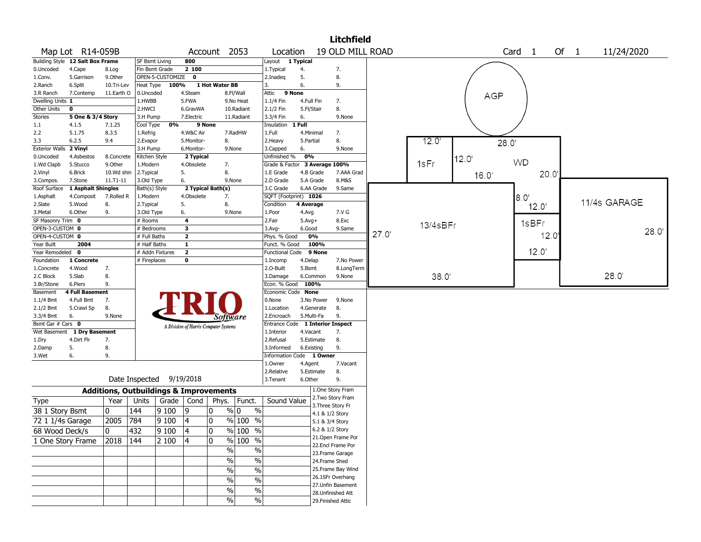|                              |                                      |                                                   |                           |                          |                         |                                       |                      |                                  |            |                          | <b>Litchfield</b>                      |       |          |            |                        |      |              |      |
|------------------------------|--------------------------------------|---------------------------------------------------|---------------------------|--------------------------|-------------------------|---------------------------------------|----------------------|----------------------------------|------------|--------------------------|----------------------------------------|-------|----------|------------|------------------------|------|--------------|------|
|                              | Map Lot R14-059B                     |                                                   |                           |                          |                         | Account 2053                          |                      | Location                         |            |                          | 19 OLD MILL ROAD                       |       |          |            | Card<br>$\overline{1}$ | Of 1 | 11/24/2020   |      |
|                              | Building Style 12 Salt Box Frame     |                                                   | <b>SF Bsmt Living</b>     |                          | 800                     |                                       |                      | Layout 1 Typical                 |            |                          |                                        |       |          |            |                        |      |              |      |
| 0.Uncoded                    | 4.Cape                               | 8.Log                                             | Fin Bsmt Grade            |                          | 2 100                   |                                       |                      | 1. Typical                       | 4.         |                          | 7.                                     |       |          |            |                        |      |              |      |
| 1.Conv.                      | 5.Garrison                           | 9.Other                                           |                           | OPEN-5-CUSTOMIZE         | $\mathbf 0$             |                                       |                      | 2.Inadeq                         | 5.         |                          | 8.                                     |       |          |            |                        |      |              |      |
| 2.Ranch                      | 6.Split                              | 10.Tri-Lev                                        | Heat Type                 | 100%                     |                         | 1 Hot Water BB                        |                      | 3.                               | 6.         |                          | 9.                                     |       |          |            |                        |      |              |      |
| 3.R Ranch                    | 7.Contemp                            | 11.Earth O                                        | 0.Uncoded                 |                          | 4.Steam                 |                                       | 8.Fl/Wall            | 9 None<br>Attic                  |            |                          |                                        |       |          | <b>AGP</b> |                        |      |              |      |
| Dwelling Units 1             |                                      |                                                   | 1.HWBB                    |                          | 5.FWA                   |                                       | 9.No Heat            | 1.1/4 Fin                        | 4.Full Fin |                          | 7.                                     |       |          |            |                        |      |              |      |
| Other Units                  | 0                                    |                                                   | 2.HWCI                    |                          | 6.GravWA                |                                       | 10.Radiant           | 2.1/2 Fin                        | 5.Fl/Stair |                          | 8.                                     |       |          |            |                        |      |              |      |
| <b>Stories</b>               | 5 One & 3/4 Story                    |                                                   | 3.H Pump                  |                          | 7.Electric              |                                       | 11.Radiant           | 3.3/4 Fin                        | 6.         |                          | 9.None                                 |       |          |            |                        |      |              |      |
| 1.1                          | 4.1.5                                | 7.1.25                                            | Cool Type                 | 0%                       | 9 None                  |                                       |                      | Insulation 1 Full                |            |                          |                                        |       |          |            |                        |      |              |      |
| 2.2                          | 5.1.75                               | 8.3.5                                             | 1.Refrig                  |                          | 4.W&C Air               |                                       | 7.RadHW              | 1.Full                           | 4.Minimal  |                          | 7.                                     |       |          |            |                        |      |              |      |
| 3.3<br><b>Exterior Walls</b> | 6.2.5<br>2 Vinyl                     | 9.4                                               | 2.Evapor                  |                          | 5.Monitor-              | 8.                                    |                      | 2. Heavy                         | 5.Partial  |                          | 8.                                     |       | 12.0     | 28.0'      |                        |      |              |      |
| 0.Uncoded                    | 4.Asbestos                           | 8.Concrete                                        | 3.H Pump<br>Kitchen Style |                          | 6.Monitor-<br>2 Typical | 9.None                                |                      | 3.Capped<br>Unfinished %         | 6.<br>0%   |                          | 9.None                                 |       |          |            |                        |      |              |      |
| 1.Wd Clapb                   | 5.Stucco                             | 9.0ther                                           | 1.Modern                  |                          | 4.Obsolete              | 7.                                    |                      | Grade & Factor                   |            | 3 Average 100%           |                                        |       | 1sFr     | 12.0       | <b>WD</b>              |      |              |      |
| 2.Vinyl                      | 6.Brick                              | 10.Wd shin                                        | 2.Typical                 |                          | 5.                      | 8.                                    |                      | 1.E Grade                        | 4.B Grade  |                          | 7.AAA Grad                             |       |          |            | 20.0'                  |      |              |      |
| 3.Compos.                    | 7.Stone                              | $11. T1 - 11$                                     | 3.Old Type                |                          | 6.                      | 9.None                                |                      | 2.D Grade                        | 5.A Grade  |                          | 8.M&S                                  |       |          | 16.0'      |                        |      |              |      |
| Roof Surface                 | 1 Asphalt Shingles                   |                                                   | Bath(s) Style             |                          |                         | 2 Typical Bath(s)                     |                      | 3.C Grade                        |            | 6.AA Grade               | 9.Same                                 |       |          |            |                        |      |              |      |
| 1.Asphalt                    | 4.Composit                           | 7.Rolled R                                        | 1.Modern                  |                          | 4.Obsolete              | 7.                                    |                      | SQFT (Footprint) 1026            |            |                          |                                        |       |          |            | 8.O'                   |      |              |      |
| 2.Slate                      | 5.Wood                               | 8.                                                | 2. Typical                |                          | 5.                      | 8.                                    |                      | Condition                        | 4 Average  |                          |                                        |       |          |            | 12.0'                  |      | 11/4s GARAGE |      |
| 3.Metal                      | 6.Other                              | 9.                                                | 3.Old Type                |                          | 6.                      | 9.None                                |                      | 1.Poor                           | 4.Avg      |                          | 7.V G                                  |       |          |            |                        |      |              |      |
| SF Masonry Trim 0            |                                      |                                                   | # Rooms                   |                          | 4                       |                                       |                      | 2.Fair                           | $5.Avg+$   |                          | 8.Exc                                  |       |          |            | 1sBFr                  |      |              |      |
| OPEN-3-CUSTOM 0              |                                      |                                                   | # Bedrooms                |                          | 3                       |                                       |                      | 3.Avg-                           | 6.Good     |                          | 9.Same                                 |       | 13/4sBFr |            |                        |      |              | 28.0 |
| OPEN-4-CUSTOM 0              |                                      |                                                   | # Full Baths              |                          | $\mathbf{2}$            |                                       |                      | Phys. % Good                     |            | 0%                       |                                        | 27.0' |          |            | 12.0'                  |      |              |      |
| Year Built                   | 2004                                 |                                                   | # Half Baths              |                          | $\mathbf{1}$            |                                       |                      | Funct. % Good                    |            | 100%                     |                                        |       |          |            |                        |      |              |      |
| Year Remodeled 0             |                                      |                                                   | # Addn Fixtures           |                          | $\overline{2}$          |                                       |                      | <b>Functional Code</b>           |            | 9 None                   |                                        |       |          |            | 12.0'                  |      |              |      |
| Foundation                   | 1 Concrete                           |                                                   | # Fireplaces              |                          | 0                       |                                       |                      | 1.Incomp                         | 4.Delap    |                          | 7.No Power                             |       |          |            |                        |      |              |      |
| 1.Concrete                   | 4.Wood                               | 7.                                                |                           |                          |                         |                                       |                      | 2.0-Built                        | 5.Bsmt     |                          | 8.LongTerm                             |       |          |            |                        |      |              |      |
| 2.C Block                    | 5.Slab                               | 8.                                                |                           |                          |                         |                                       |                      | 3.Damage                         |            | 6.Common                 | 9.None                                 |       | 38.0'    |            |                        |      | 28.0'        |      |
| 3.Br/Stone                   | 6.Piers                              | 9.                                                |                           |                          |                         |                                       |                      | Econ. % Good 100%                |            |                          |                                        |       |          |            |                        |      |              |      |
| Basement                     | <b>4 Full Basement</b><br>4.Full Bmt |                                                   |                           |                          |                         |                                       |                      | Economic Code None<br>0.None     |            |                          |                                        |       |          |            |                        |      |              |      |
| 1.1/4 Bmt<br>2.1/2 Bmt       | 5.Crawl Sp                           | 7.<br>8.                                          |                           |                          |                         |                                       |                      | 1.Location                       |            | 3.No Power<br>4.Generate | 9.None<br>8.                           |       |          |            |                        |      |              |      |
| 3.3/4 Bmt                    | 6.                                   | 9.None                                            |                           |                          |                         |                                       |                      | 2.Encroach                       | 5.Multi-Fa |                          | 9.                                     |       |          |            |                        |      |              |      |
| Bsmt Gar # Cars 0            |                                      |                                                   |                           |                          |                         | Software                              |                      | Entrance Code 1 Interior Inspect |            |                          |                                        |       |          |            |                        |      |              |      |
|                              | Wet Basement 1 Dry Basement          |                                                   |                           |                          |                         | A Division of Harris Computer Systems |                      | 1.Interior                       | 4.Vacant   |                          | 7.                                     |       |          |            |                        |      |              |      |
| 1.Dry                        | 4.Dirt Flr                           | 7.                                                |                           |                          |                         |                                       |                      | 2.Refusal                        |            | 5.Estimate               | 8.                                     |       |          |            |                        |      |              |      |
| 2.Damp                       | 5.                                   | 8.                                                |                           |                          |                         |                                       |                      | 3.Informed                       | 6.Existing |                          | 9.                                     |       |          |            |                        |      |              |      |
| 3.Wet                        | 6.                                   | 9.                                                |                           |                          |                         |                                       |                      | Information Code 1 Owner         |            |                          |                                        |       |          |            |                        |      |              |      |
|                              |                                      |                                                   |                           |                          |                         |                                       |                      | 1.0wner                          | 4.Agent    |                          | 7.Vacant                               |       |          |            |                        |      |              |      |
|                              |                                      |                                                   |                           |                          |                         |                                       |                      | 2.Relative                       |            | 5.Estimate               | 8.                                     |       |          |            |                        |      |              |      |
|                              |                                      |                                                   |                           | Date Inspected 9/19/2018 |                         |                                       |                      | 3. Tenant                        | 6.Other    |                          | 9.                                     |       |          |            |                        |      |              |      |
|                              |                                      | <b>Additions, Outbuildings &amp; Improvements</b> |                           |                          |                         |                                       |                      |                                  |            |                          | 1.One Story Fram                       |       |          |            |                        |      |              |      |
| Type                         |                                      | Year                                              | Units                     | Grade   Cond             |                         | Phys.                                 | Funct.               | Sound Value                      |            |                          | 2. Two Story Fram                      |       |          |            |                        |      |              |      |
| 38 1 Story Bsmt              |                                      | 0                                                 | 144                       | 9100                     | 19                      | 0                                     | $\frac{0}{0}$<br>% 0 |                                  |            |                          | 3. Three Story Fr                      |       |          |            |                        |      |              |      |
|                              |                                      |                                                   |                           |                          |                         |                                       |                      |                                  |            | 4.1 & 1/2 Story          |                                        |       |          |            |                        |      |              |      |
| 72 1 1/4s Garage             |                                      | 2005                                              | 784                       | 9 1 0 0                  | 4                       | $\mathbf 0$                           | % 100 %              |                                  |            | 5.1 & 3/4 Story          |                                        |       |          |            |                        |      |              |      |
| 68 Wood Deck/s               |                                      | 0                                                 | 432                       | 9100                     | 4                       | 0                                     | $\frac{9}{6}$ 100 %  |                                  |            | 6.2 & 1/2 Story          |                                        |       |          |            |                        |      |              |      |
|                              | 1 One Story Frame                    | 2018                                              | 144                       | 2 100                    | 4                       | 0                                     | % 100 %              |                                  |            |                          | 21.Open Frame Por<br>22.Encl Frame Por |       |          |            |                        |      |              |      |
|                              |                                      |                                                   |                           |                          |                         | $\frac{0}{0}$                         | $\%$                 |                                  |            |                          | 23. Frame Garage                       |       |          |            |                        |      |              |      |
|                              |                                      |                                                   |                           |                          |                         | $\sqrt{6}$                            | $\%$                 |                                  |            | 24.Frame Shed            |                                        |       |          |            |                        |      |              |      |
|                              |                                      |                                                   |                           |                          |                         | $\%$                                  | $\frac{0}{0}$        |                                  |            |                          | 25. Frame Bay Wind                     |       |          |            |                        |      |              |      |
|                              |                                      |                                                   |                           |                          |                         |                                       |                      |                                  |            |                          | 26.1SFr Overhang                       |       |          |            |                        |      |              |      |
|                              |                                      |                                                   |                           |                          |                         | $\%$                                  | $\%$                 |                                  |            |                          | 27. Unfin Basement                     |       |          |            |                        |      |              |      |
|                              |                                      |                                                   |                           |                          |                         | %                                     | $\%$                 |                                  |            |                          | 28. Unfinished Att                     |       |          |            |                        |      |              |      |
|                              |                                      |                                                   |                           |                          |                         | $\%$                                  | $\frac{0}{0}$        |                                  |            |                          | 29. Finished Attic                     |       |          |            |                        |      |              |      |
|                              |                                      |                                                   |                           |                          |                         |                                       |                      |                                  |            |                          |                                        |       |          |            |                        |      |              |      |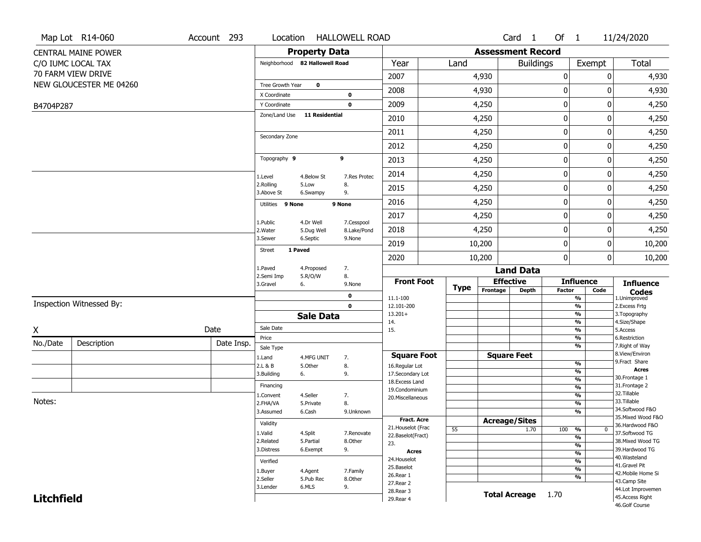| <b>Property Data</b><br><b>Assessment Record</b><br><b>CENTRAL MAINE POWER</b><br><b>Total</b><br>Neighborhood 82 Hallowell Road<br>Year<br>Land<br><b>Buildings</b><br>Exempt<br>C/O IUMC LOCAL TAX<br>70 FARM VIEW DRIVE<br>2007<br>0<br>4,930<br>0<br>4,930<br>NEW GLOUCESTER ME 04260<br>Tree Growth Year<br>$\mathbf 0$<br>0<br>2008<br>0<br>4,930<br>4,930<br>X Coordinate<br>$\mathbf 0$<br>$\pmb{0}$<br>$\mathbf 0$<br>2009<br>4,250<br>4,250<br>$\mathbf 0$<br>Y Coordinate<br>B4704P287<br>Zone/Land Use<br>11 Residential<br>0<br>4,250<br>2010<br>4,250<br>0<br>$\mathbf 0$<br>2011<br>0<br>4,250<br>4,250<br>Secondary Zone<br>0<br>2012<br>4,250<br>0<br>4,250<br>9<br>Topography 9<br>$\pmb{0}$<br>2013<br>4,250<br>0<br>4,250<br>$\pmb{0}$<br>2014<br>4,250<br>0<br>4,250<br>4.Below St<br>7.Res Protec<br>1.Level<br>2.Rolling<br>5.Low<br>8.<br>2015<br>0<br>0<br>4,250<br>4,250<br>3.Above St<br>9.<br>6.Swampy<br>0<br>2016<br>0<br>4,250<br>4,250<br>Utilities 9 None<br>9 None<br>$\pmb{0}$<br>2017<br>0<br>4,250<br>4,250<br>1.Public<br>4.Dr Well<br>7.Cesspool<br>0<br>4,250<br>2018<br>4,250<br>0<br>8.Lake/Pond<br>2. Water<br>5.Dug Well<br>3.Sewer<br>6.Septic<br>9.None<br>$\pmb{0}$<br>2019<br>10,200<br>10,200<br>0<br>1 Paved<br><b>Street</b><br>0<br>2020<br>10,200<br>0<br>10,200<br>1.Paved<br>7.<br>4.Proposed<br><b>Land Data</b><br>2.Semi Imp<br>8.<br>5.R/O/W<br><b>Effective</b><br><b>Front Foot</b><br><b>Influence</b><br><b>Influence</b><br>3.Gravel<br>6.<br>9.None<br><b>Type</b><br>Frontage<br><b>Depth</b><br><b>Factor</b><br>Code<br><b>Codes</b><br>$\mathbf 0$<br>11.1-100<br>%<br>1.Unimproved<br>Inspection Witnessed By:<br>$\frac{9}{6}$<br>$\mathbf 0$<br>12.101-200<br>2.Excess Frtg<br>$13.201+$<br>%<br>3. Topography<br><b>Sale Data</b><br>4.Size/Shape<br>%<br>14.<br>Sale Date<br>Date<br>Χ<br>$\frac{9}{6}$<br>15.<br>5.Access<br>Price<br>%<br>6.Restriction<br>No./Date<br>Description<br>Date Insp.<br>%<br>7. Right of Way<br>Sale Type<br>8.View/Environ<br><b>Square Feet</b><br><b>Square Foot</b><br>1.Land<br>4.MFG UNIT<br>7.<br>9.Fract Share<br>$\frac{9}{6}$<br>8.<br>2.L & B<br>5.Other<br>16.Regular Lot<br><b>Acres</b><br>$\frac{9}{6}$<br>3.Building<br>9.<br>17.Secondary Lot<br>6.<br>30.Frontage 1<br>$\frac{9}{6}$<br>18.Excess Land<br>31. Frontage 2<br>Financing<br>$\frac{9}{6}$<br>19.Condominium<br>32.Tillable<br>$\frac{9}{6}$<br>4.Seller<br>7.<br>1.Convent<br>20.Miscellaneous<br>Notes:<br>33.Tillable<br>8.<br>$\frac{9}{6}$<br>2.FHA/VA<br>5.Private<br>34.Softwood F&O<br>$\frac{9}{6}$<br>3.Assumed<br>6.Cash<br>9.Unknown<br>35. Mixed Wood F&O<br>Fract. Acre<br><b>Acreage/Sites</b><br>Validity<br>36.Hardwood F&O<br>21. Houselot (Frac<br>55<br>1.70<br>100<br>%<br>0<br>37.Softwood TG<br>1.Valid<br>4.Split<br>7.Renovate<br>22.Baselot(Fract)<br>%<br>2.Related<br>38. Mixed Wood TG<br>5.Partial<br>8.Other<br>23.<br>$\frac{9}{6}$<br>39.Hardwood TG<br>3.Distress<br>6.Exempt<br>9.<br><b>Acres</b><br>$\frac{9}{6}$<br>40. Wasteland<br>24. Houselot<br>$\frac{9}{6}$<br>Verified<br>41.Gravel Pit<br>25.Baselot<br>$\frac{9}{6}$<br>1.Buyer<br>4.Agent<br>7.Family<br>42. Mobile Home Si<br>26.Rear 1<br>%<br>2.Seller<br>8.Other<br>5.Pub Rec<br>43.Camp Site | Map Lot R14-060 | Account 293 | Location | <b>HALLOWELL ROAD</b> |    |           |  | Card <sub>1</sub> | Of 1 | 11/24/2020 |
|------------------------------------------------------------------------------------------------------------------------------------------------------------------------------------------------------------------------------------------------------------------------------------------------------------------------------------------------------------------------------------------------------------------------------------------------------------------------------------------------------------------------------------------------------------------------------------------------------------------------------------------------------------------------------------------------------------------------------------------------------------------------------------------------------------------------------------------------------------------------------------------------------------------------------------------------------------------------------------------------------------------------------------------------------------------------------------------------------------------------------------------------------------------------------------------------------------------------------------------------------------------------------------------------------------------------------------------------------------------------------------------------------------------------------------------------------------------------------------------------------------------------------------------------------------------------------------------------------------------------------------------------------------------------------------------------------------------------------------------------------------------------------------------------------------------------------------------------------------------------------------------------------------------------------------------------------------------------------------------------------------------------------------------------------------------------------------------------------------------------------------------------------------------------------------------------------------------------------------------------------------------------------------------------------------------------------------------------------------------------------------------------------------------------------------------------------------------------------------------------------------------------------------------------------------------------------------------------------------------------------------------------------------------------------------------------------------------------------------------------------------------------------------------------------------------------------------------------------------------------------------------------------------------------------------------------------------------------------------------------------------------------------------------------------------------------------------------------------------------------------------------------------------------------------------------------------------------------------------------------------------------------------------------|-----------------|-------------|----------|-----------------------|----|-----------|--|-------------------|------|------------|
|                                                                                                                                                                                                                                                                                                                                                                                                                                                                                                                                                                                                                                                                                                                                                                                                                                                                                                                                                                                                                                                                                                                                                                                                                                                                                                                                                                                                                                                                                                                                                                                                                                                                                                                                                                                                                                                                                                                                                                                                                                                                                                                                                                                                                                                                                                                                                                                                                                                                                                                                                                                                                                                                                                                                                                                                                                                                                                                                                                                                                                                                                                                                                                                                                                                                                          |                 |             |          |                       |    |           |  |                   |      |            |
|                                                                                                                                                                                                                                                                                                                                                                                                                                                                                                                                                                                                                                                                                                                                                                                                                                                                                                                                                                                                                                                                                                                                                                                                                                                                                                                                                                                                                                                                                                                                                                                                                                                                                                                                                                                                                                                                                                                                                                                                                                                                                                                                                                                                                                                                                                                                                                                                                                                                                                                                                                                                                                                                                                                                                                                                                                                                                                                                                                                                                                                                                                                                                                                                                                                                                          |                 |             |          |                       |    |           |  |                   |      |            |
|                                                                                                                                                                                                                                                                                                                                                                                                                                                                                                                                                                                                                                                                                                                                                                                                                                                                                                                                                                                                                                                                                                                                                                                                                                                                                                                                                                                                                                                                                                                                                                                                                                                                                                                                                                                                                                                                                                                                                                                                                                                                                                                                                                                                                                                                                                                                                                                                                                                                                                                                                                                                                                                                                                                                                                                                                                                                                                                                                                                                                                                                                                                                                                                                                                                                                          |                 |             |          |                       |    |           |  |                   |      |            |
|                                                                                                                                                                                                                                                                                                                                                                                                                                                                                                                                                                                                                                                                                                                                                                                                                                                                                                                                                                                                                                                                                                                                                                                                                                                                                                                                                                                                                                                                                                                                                                                                                                                                                                                                                                                                                                                                                                                                                                                                                                                                                                                                                                                                                                                                                                                                                                                                                                                                                                                                                                                                                                                                                                                                                                                                                                                                                                                                                                                                                                                                                                                                                                                                                                                                                          |                 |             |          |                       |    |           |  |                   |      |            |
|                                                                                                                                                                                                                                                                                                                                                                                                                                                                                                                                                                                                                                                                                                                                                                                                                                                                                                                                                                                                                                                                                                                                                                                                                                                                                                                                                                                                                                                                                                                                                                                                                                                                                                                                                                                                                                                                                                                                                                                                                                                                                                                                                                                                                                                                                                                                                                                                                                                                                                                                                                                                                                                                                                                                                                                                                                                                                                                                                                                                                                                                                                                                                                                                                                                                                          |                 |             |          |                       |    |           |  |                   |      |            |
|                                                                                                                                                                                                                                                                                                                                                                                                                                                                                                                                                                                                                                                                                                                                                                                                                                                                                                                                                                                                                                                                                                                                                                                                                                                                                                                                                                                                                                                                                                                                                                                                                                                                                                                                                                                                                                                                                                                                                                                                                                                                                                                                                                                                                                                                                                                                                                                                                                                                                                                                                                                                                                                                                                                                                                                                                                                                                                                                                                                                                                                                                                                                                                                                                                                                                          |                 |             |          |                       |    |           |  |                   |      |            |
|                                                                                                                                                                                                                                                                                                                                                                                                                                                                                                                                                                                                                                                                                                                                                                                                                                                                                                                                                                                                                                                                                                                                                                                                                                                                                                                                                                                                                                                                                                                                                                                                                                                                                                                                                                                                                                                                                                                                                                                                                                                                                                                                                                                                                                                                                                                                                                                                                                                                                                                                                                                                                                                                                                                                                                                                                                                                                                                                                                                                                                                                                                                                                                                                                                                                                          |                 |             |          |                       |    |           |  |                   |      |            |
|                                                                                                                                                                                                                                                                                                                                                                                                                                                                                                                                                                                                                                                                                                                                                                                                                                                                                                                                                                                                                                                                                                                                                                                                                                                                                                                                                                                                                                                                                                                                                                                                                                                                                                                                                                                                                                                                                                                                                                                                                                                                                                                                                                                                                                                                                                                                                                                                                                                                                                                                                                                                                                                                                                                                                                                                                                                                                                                                                                                                                                                                                                                                                                                                                                                                                          |                 |             |          |                       |    |           |  |                   |      |            |
|                                                                                                                                                                                                                                                                                                                                                                                                                                                                                                                                                                                                                                                                                                                                                                                                                                                                                                                                                                                                                                                                                                                                                                                                                                                                                                                                                                                                                                                                                                                                                                                                                                                                                                                                                                                                                                                                                                                                                                                                                                                                                                                                                                                                                                                                                                                                                                                                                                                                                                                                                                                                                                                                                                                                                                                                                                                                                                                                                                                                                                                                                                                                                                                                                                                                                          |                 |             |          |                       |    |           |  |                   |      |            |
|                                                                                                                                                                                                                                                                                                                                                                                                                                                                                                                                                                                                                                                                                                                                                                                                                                                                                                                                                                                                                                                                                                                                                                                                                                                                                                                                                                                                                                                                                                                                                                                                                                                                                                                                                                                                                                                                                                                                                                                                                                                                                                                                                                                                                                                                                                                                                                                                                                                                                                                                                                                                                                                                                                                                                                                                                                                                                                                                                                                                                                                                                                                                                                                                                                                                                          |                 |             |          |                       |    |           |  |                   |      |            |
|                                                                                                                                                                                                                                                                                                                                                                                                                                                                                                                                                                                                                                                                                                                                                                                                                                                                                                                                                                                                                                                                                                                                                                                                                                                                                                                                                                                                                                                                                                                                                                                                                                                                                                                                                                                                                                                                                                                                                                                                                                                                                                                                                                                                                                                                                                                                                                                                                                                                                                                                                                                                                                                                                                                                                                                                                                                                                                                                                                                                                                                                                                                                                                                                                                                                                          |                 |             |          |                       |    |           |  |                   |      |            |
|                                                                                                                                                                                                                                                                                                                                                                                                                                                                                                                                                                                                                                                                                                                                                                                                                                                                                                                                                                                                                                                                                                                                                                                                                                                                                                                                                                                                                                                                                                                                                                                                                                                                                                                                                                                                                                                                                                                                                                                                                                                                                                                                                                                                                                                                                                                                                                                                                                                                                                                                                                                                                                                                                                                                                                                                                                                                                                                                                                                                                                                                                                                                                                                                                                                                                          |                 |             |          |                       |    |           |  |                   |      |            |
|                                                                                                                                                                                                                                                                                                                                                                                                                                                                                                                                                                                                                                                                                                                                                                                                                                                                                                                                                                                                                                                                                                                                                                                                                                                                                                                                                                                                                                                                                                                                                                                                                                                                                                                                                                                                                                                                                                                                                                                                                                                                                                                                                                                                                                                                                                                                                                                                                                                                                                                                                                                                                                                                                                                                                                                                                                                                                                                                                                                                                                                                                                                                                                                                                                                                                          |                 |             |          |                       |    |           |  |                   |      |            |
|                                                                                                                                                                                                                                                                                                                                                                                                                                                                                                                                                                                                                                                                                                                                                                                                                                                                                                                                                                                                                                                                                                                                                                                                                                                                                                                                                                                                                                                                                                                                                                                                                                                                                                                                                                                                                                                                                                                                                                                                                                                                                                                                                                                                                                                                                                                                                                                                                                                                                                                                                                                                                                                                                                                                                                                                                                                                                                                                                                                                                                                                                                                                                                                                                                                                                          |                 |             |          |                       |    |           |  |                   |      |            |
|                                                                                                                                                                                                                                                                                                                                                                                                                                                                                                                                                                                                                                                                                                                                                                                                                                                                                                                                                                                                                                                                                                                                                                                                                                                                                                                                                                                                                                                                                                                                                                                                                                                                                                                                                                                                                                                                                                                                                                                                                                                                                                                                                                                                                                                                                                                                                                                                                                                                                                                                                                                                                                                                                                                                                                                                                                                                                                                                                                                                                                                                                                                                                                                                                                                                                          |                 |             |          |                       |    |           |  |                   |      |            |
|                                                                                                                                                                                                                                                                                                                                                                                                                                                                                                                                                                                                                                                                                                                                                                                                                                                                                                                                                                                                                                                                                                                                                                                                                                                                                                                                                                                                                                                                                                                                                                                                                                                                                                                                                                                                                                                                                                                                                                                                                                                                                                                                                                                                                                                                                                                                                                                                                                                                                                                                                                                                                                                                                                                                                                                                                                                                                                                                                                                                                                                                                                                                                                                                                                                                                          |                 |             |          |                       |    |           |  |                   |      |            |
|                                                                                                                                                                                                                                                                                                                                                                                                                                                                                                                                                                                                                                                                                                                                                                                                                                                                                                                                                                                                                                                                                                                                                                                                                                                                                                                                                                                                                                                                                                                                                                                                                                                                                                                                                                                                                                                                                                                                                                                                                                                                                                                                                                                                                                                                                                                                                                                                                                                                                                                                                                                                                                                                                                                                                                                                                                                                                                                                                                                                                                                                                                                                                                                                                                                                                          |                 |             |          |                       |    |           |  |                   |      |            |
|                                                                                                                                                                                                                                                                                                                                                                                                                                                                                                                                                                                                                                                                                                                                                                                                                                                                                                                                                                                                                                                                                                                                                                                                                                                                                                                                                                                                                                                                                                                                                                                                                                                                                                                                                                                                                                                                                                                                                                                                                                                                                                                                                                                                                                                                                                                                                                                                                                                                                                                                                                                                                                                                                                                                                                                                                                                                                                                                                                                                                                                                                                                                                                                                                                                                                          |                 |             |          |                       |    |           |  |                   |      |            |
|                                                                                                                                                                                                                                                                                                                                                                                                                                                                                                                                                                                                                                                                                                                                                                                                                                                                                                                                                                                                                                                                                                                                                                                                                                                                                                                                                                                                                                                                                                                                                                                                                                                                                                                                                                                                                                                                                                                                                                                                                                                                                                                                                                                                                                                                                                                                                                                                                                                                                                                                                                                                                                                                                                                                                                                                                                                                                                                                                                                                                                                                                                                                                                                                                                                                                          |                 |             |          |                       |    |           |  |                   |      |            |
|                                                                                                                                                                                                                                                                                                                                                                                                                                                                                                                                                                                                                                                                                                                                                                                                                                                                                                                                                                                                                                                                                                                                                                                                                                                                                                                                                                                                                                                                                                                                                                                                                                                                                                                                                                                                                                                                                                                                                                                                                                                                                                                                                                                                                                                                                                                                                                                                                                                                                                                                                                                                                                                                                                                                                                                                                                                                                                                                                                                                                                                                                                                                                                                                                                                                                          |                 |             |          |                       |    |           |  |                   |      |            |
|                                                                                                                                                                                                                                                                                                                                                                                                                                                                                                                                                                                                                                                                                                                                                                                                                                                                                                                                                                                                                                                                                                                                                                                                                                                                                                                                                                                                                                                                                                                                                                                                                                                                                                                                                                                                                                                                                                                                                                                                                                                                                                                                                                                                                                                                                                                                                                                                                                                                                                                                                                                                                                                                                                                                                                                                                                                                                                                                                                                                                                                                                                                                                                                                                                                                                          |                 |             |          |                       |    |           |  |                   |      |            |
|                                                                                                                                                                                                                                                                                                                                                                                                                                                                                                                                                                                                                                                                                                                                                                                                                                                                                                                                                                                                                                                                                                                                                                                                                                                                                                                                                                                                                                                                                                                                                                                                                                                                                                                                                                                                                                                                                                                                                                                                                                                                                                                                                                                                                                                                                                                                                                                                                                                                                                                                                                                                                                                                                                                                                                                                                                                                                                                                                                                                                                                                                                                                                                                                                                                                                          |                 |             |          |                       |    |           |  |                   |      |            |
|                                                                                                                                                                                                                                                                                                                                                                                                                                                                                                                                                                                                                                                                                                                                                                                                                                                                                                                                                                                                                                                                                                                                                                                                                                                                                                                                                                                                                                                                                                                                                                                                                                                                                                                                                                                                                                                                                                                                                                                                                                                                                                                                                                                                                                                                                                                                                                                                                                                                                                                                                                                                                                                                                                                                                                                                                                                                                                                                                                                                                                                                                                                                                                                                                                                                                          |                 |             |          |                       |    |           |  |                   |      |            |
|                                                                                                                                                                                                                                                                                                                                                                                                                                                                                                                                                                                                                                                                                                                                                                                                                                                                                                                                                                                                                                                                                                                                                                                                                                                                                                                                                                                                                                                                                                                                                                                                                                                                                                                                                                                                                                                                                                                                                                                                                                                                                                                                                                                                                                                                                                                                                                                                                                                                                                                                                                                                                                                                                                                                                                                                                                                                                                                                                                                                                                                                                                                                                                                                                                                                                          |                 |             |          |                       |    |           |  |                   |      |            |
|                                                                                                                                                                                                                                                                                                                                                                                                                                                                                                                                                                                                                                                                                                                                                                                                                                                                                                                                                                                                                                                                                                                                                                                                                                                                                                                                                                                                                                                                                                                                                                                                                                                                                                                                                                                                                                                                                                                                                                                                                                                                                                                                                                                                                                                                                                                                                                                                                                                                                                                                                                                                                                                                                                                                                                                                                                                                                                                                                                                                                                                                                                                                                                                                                                                                                          |                 |             |          |                       |    |           |  |                   |      |            |
|                                                                                                                                                                                                                                                                                                                                                                                                                                                                                                                                                                                                                                                                                                                                                                                                                                                                                                                                                                                                                                                                                                                                                                                                                                                                                                                                                                                                                                                                                                                                                                                                                                                                                                                                                                                                                                                                                                                                                                                                                                                                                                                                                                                                                                                                                                                                                                                                                                                                                                                                                                                                                                                                                                                                                                                                                                                                                                                                                                                                                                                                                                                                                                                                                                                                                          |                 |             |          |                       |    |           |  |                   |      |            |
|                                                                                                                                                                                                                                                                                                                                                                                                                                                                                                                                                                                                                                                                                                                                                                                                                                                                                                                                                                                                                                                                                                                                                                                                                                                                                                                                                                                                                                                                                                                                                                                                                                                                                                                                                                                                                                                                                                                                                                                                                                                                                                                                                                                                                                                                                                                                                                                                                                                                                                                                                                                                                                                                                                                                                                                                                                                                                                                                                                                                                                                                                                                                                                                                                                                                                          |                 |             |          |                       |    |           |  |                   |      |            |
|                                                                                                                                                                                                                                                                                                                                                                                                                                                                                                                                                                                                                                                                                                                                                                                                                                                                                                                                                                                                                                                                                                                                                                                                                                                                                                                                                                                                                                                                                                                                                                                                                                                                                                                                                                                                                                                                                                                                                                                                                                                                                                                                                                                                                                                                                                                                                                                                                                                                                                                                                                                                                                                                                                                                                                                                                                                                                                                                                                                                                                                                                                                                                                                                                                                                                          |                 |             |          |                       |    |           |  |                   |      |            |
|                                                                                                                                                                                                                                                                                                                                                                                                                                                                                                                                                                                                                                                                                                                                                                                                                                                                                                                                                                                                                                                                                                                                                                                                                                                                                                                                                                                                                                                                                                                                                                                                                                                                                                                                                                                                                                                                                                                                                                                                                                                                                                                                                                                                                                                                                                                                                                                                                                                                                                                                                                                                                                                                                                                                                                                                                                                                                                                                                                                                                                                                                                                                                                                                                                                                                          |                 |             |          |                       |    |           |  |                   |      |            |
|                                                                                                                                                                                                                                                                                                                                                                                                                                                                                                                                                                                                                                                                                                                                                                                                                                                                                                                                                                                                                                                                                                                                                                                                                                                                                                                                                                                                                                                                                                                                                                                                                                                                                                                                                                                                                                                                                                                                                                                                                                                                                                                                                                                                                                                                                                                                                                                                                                                                                                                                                                                                                                                                                                                                                                                                                                                                                                                                                                                                                                                                                                                                                                                                                                                                                          |                 |             |          |                       |    |           |  |                   |      |            |
|                                                                                                                                                                                                                                                                                                                                                                                                                                                                                                                                                                                                                                                                                                                                                                                                                                                                                                                                                                                                                                                                                                                                                                                                                                                                                                                                                                                                                                                                                                                                                                                                                                                                                                                                                                                                                                                                                                                                                                                                                                                                                                                                                                                                                                                                                                                                                                                                                                                                                                                                                                                                                                                                                                                                                                                                                                                                                                                                                                                                                                                                                                                                                                                                                                                                                          |                 |             |          |                       |    |           |  |                   |      |            |
|                                                                                                                                                                                                                                                                                                                                                                                                                                                                                                                                                                                                                                                                                                                                                                                                                                                                                                                                                                                                                                                                                                                                                                                                                                                                                                                                                                                                                                                                                                                                                                                                                                                                                                                                                                                                                                                                                                                                                                                                                                                                                                                                                                                                                                                                                                                                                                                                                                                                                                                                                                                                                                                                                                                                                                                                                                                                                                                                                                                                                                                                                                                                                                                                                                                                                          |                 |             |          |                       |    |           |  |                   |      |            |
|                                                                                                                                                                                                                                                                                                                                                                                                                                                                                                                                                                                                                                                                                                                                                                                                                                                                                                                                                                                                                                                                                                                                                                                                                                                                                                                                                                                                                                                                                                                                                                                                                                                                                                                                                                                                                                                                                                                                                                                                                                                                                                                                                                                                                                                                                                                                                                                                                                                                                                                                                                                                                                                                                                                                                                                                                                                                                                                                                                                                                                                                                                                                                                                                                                                                                          |                 |             |          |                       |    |           |  |                   |      |            |
|                                                                                                                                                                                                                                                                                                                                                                                                                                                                                                                                                                                                                                                                                                                                                                                                                                                                                                                                                                                                                                                                                                                                                                                                                                                                                                                                                                                                                                                                                                                                                                                                                                                                                                                                                                                                                                                                                                                                                                                                                                                                                                                                                                                                                                                                                                                                                                                                                                                                                                                                                                                                                                                                                                                                                                                                                                                                                                                                                                                                                                                                                                                                                                                                                                                                                          |                 |             |          |                       |    |           |  |                   |      |            |
|                                                                                                                                                                                                                                                                                                                                                                                                                                                                                                                                                                                                                                                                                                                                                                                                                                                                                                                                                                                                                                                                                                                                                                                                                                                                                                                                                                                                                                                                                                                                                                                                                                                                                                                                                                                                                                                                                                                                                                                                                                                                                                                                                                                                                                                                                                                                                                                                                                                                                                                                                                                                                                                                                                                                                                                                                                                                                                                                                                                                                                                                                                                                                                                                                                                                                          |                 |             |          |                       |    |           |  |                   |      |            |
|                                                                                                                                                                                                                                                                                                                                                                                                                                                                                                                                                                                                                                                                                                                                                                                                                                                                                                                                                                                                                                                                                                                                                                                                                                                                                                                                                                                                                                                                                                                                                                                                                                                                                                                                                                                                                                                                                                                                                                                                                                                                                                                                                                                                                                                                                                                                                                                                                                                                                                                                                                                                                                                                                                                                                                                                                                                                                                                                                                                                                                                                                                                                                                                                                                                                                          |                 |             |          |                       |    |           |  |                   |      |            |
|                                                                                                                                                                                                                                                                                                                                                                                                                                                                                                                                                                                                                                                                                                                                                                                                                                                                                                                                                                                                                                                                                                                                                                                                                                                                                                                                                                                                                                                                                                                                                                                                                                                                                                                                                                                                                                                                                                                                                                                                                                                                                                                                                                                                                                                                                                                                                                                                                                                                                                                                                                                                                                                                                                                                                                                                                                                                                                                                                                                                                                                                                                                                                                                                                                                                                          |                 |             |          |                       |    |           |  |                   |      |            |
|                                                                                                                                                                                                                                                                                                                                                                                                                                                                                                                                                                                                                                                                                                                                                                                                                                                                                                                                                                                                                                                                                                                                                                                                                                                                                                                                                                                                                                                                                                                                                                                                                                                                                                                                                                                                                                                                                                                                                                                                                                                                                                                                                                                                                                                                                                                                                                                                                                                                                                                                                                                                                                                                                                                                                                                                                                                                                                                                                                                                                                                                                                                                                                                                                                                                                          |                 |             |          |                       |    |           |  |                   |      |            |
| 44.Lot Improvemen<br>28.Rear 3                                                                                                                                                                                                                                                                                                                                                                                                                                                                                                                                                                                                                                                                                                                                                                                                                                                                                                                                                                                                                                                                                                                                                                                                                                                                                                                                                                                                                                                                                                                                                                                                                                                                                                                                                                                                                                                                                                                                                                                                                                                                                                                                                                                                                                                                                                                                                                                                                                                                                                                                                                                                                                                                                                                                                                                                                                                                                                                                                                                                                                                                                                                                                                                                                                                           |                 |             |          |                       |    |           |  |                   |      |            |
| <b>Total Acreage</b><br><b>Litchfield</b><br>45.Access Right<br>29. Rear 4<br>46.Golf Course                                                                                                                                                                                                                                                                                                                                                                                                                                                                                                                                                                                                                                                                                                                                                                                                                                                                                                                                                                                                                                                                                                                                                                                                                                                                                                                                                                                                                                                                                                                                                                                                                                                                                                                                                                                                                                                                                                                                                                                                                                                                                                                                                                                                                                                                                                                                                                                                                                                                                                                                                                                                                                                                                                                                                                                                                                                                                                                                                                                                                                                                                                                                                                                             |                 |             | 3.Lender | 6.MLS                 | 9. | 27.Rear 2 |  |                   | 1.70 |            |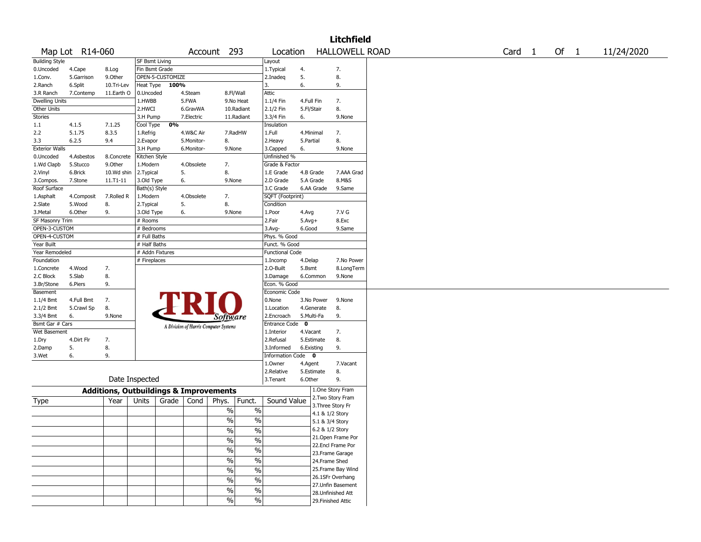|                       |                 |                                                   |                 |                  |            |                                        |                        |              |                 | <b>Litchfield</b>     |  |                   |  |      |            |
|-----------------------|-----------------|---------------------------------------------------|-----------------|------------------|------------|----------------------------------------|------------------------|--------------|-----------------|-----------------------|--|-------------------|--|------|------------|
|                       | Map Lot R14-060 |                                                   |                 |                  |            | Account 293                            | Location               |              |                 | <b>HALLOWELL ROAD</b> |  | Card <sub>1</sub> |  | Of 1 | 11/24/2020 |
| <b>Building Style</b> |                 |                                                   | SF Bsmt Living  |                  |            |                                        | Layout                 |              |                 |                       |  |                   |  |      |            |
| 0.Uncoded             | 4.Cape          | 8.Log                                             | Fin Bsmt Grade  |                  |            |                                        | 1. Typical             | 4.           |                 | 7.                    |  |                   |  |      |            |
| 1.Conv.               | 5.Garrison      | 9.0ther                                           |                 | OPEN-5-CUSTOMIZE |            |                                        | 2.Inadeq               | 5.           |                 | 8.                    |  |                   |  |      |            |
| 2.Ranch               | 6.Split         | 10.Tri-Lev                                        | Heat Type       | 100%             |            |                                        | 3.                     | 6.           |                 | 9.                    |  |                   |  |      |            |
| 3.R Ranch             | 7.Contemp       | 11.Earth O                                        | 0.Uncoded       |                  | 4.Steam    | 8.Fl/Wall                              | Attic                  |              |                 |                       |  |                   |  |      |            |
| <b>Dwelling Units</b> |                 |                                                   | 1.HWBB          |                  | 5.FWA      | 9.No Heat                              | 1.1/4 Fin              | 4.Full Fin   |                 | 7.                    |  |                   |  |      |            |
| Other Units           |                 |                                                   | 2.HWCI          |                  | 6.GravWA   | 10.Radiant                             | 2.1/2 Fin              | 5.Fl/Stair   |                 | 8.                    |  |                   |  |      |            |
| Stories               |                 |                                                   | 3.H Pump        |                  | 7.Electric | 11.Radiant                             | 3.3/4 Fin              | 6.           |                 | 9.None                |  |                   |  |      |            |
| 1.1                   | 4.1.5           | 7.1.25                                            | Cool Type       | 0%               |            |                                        | Insulation             |              |                 |                       |  |                   |  |      |            |
| 2.2                   | 5.1.75          | 8.3.5                                             | 1.Refrig        |                  | 4.W&C Air  | 7.RadHW                                | 1.Full                 | 4.Minimal    |                 | 7.                    |  |                   |  |      |            |
| 3.3                   | 6.2.5           | 9.4                                               | 2.Evapor        |                  | 5.Monitor- | 8.                                     | 2.Heavy                | 5.Partial    |                 | 8.                    |  |                   |  |      |            |
| <b>Exterior Walls</b> |                 |                                                   | 3.H Pump        |                  | 6.Monitor- | 9.None                                 | 3.Capped               | 6.           |                 | 9.None                |  |                   |  |      |            |
| 0.Uncoded             | 4.Asbestos      | 8.Concrete                                        | Kitchen Style   |                  |            |                                        | Unfinished %           |              |                 |                       |  |                   |  |      |            |
| 1.Wd Clapb            | 5.Stucco        | 9.Other                                           | 1.Modern        |                  | 4.Obsolete | 7.                                     | Grade & Factor         |              |                 |                       |  |                   |  |      |            |
| 2.Vinyl               | 6.Brick         | 10.Wd shin                                        | 2. Typical      |                  | 5.         | 8.                                     | 1.E Grade              | 4.B Grade    |                 | 7.AAA Grad            |  |                   |  |      |            |
| 3.Compos.             | 7.Stone         | 11.T1-11                                          | 3.Old Type      |                  | 6.         | 9.None                                 | 2.D Grade              | 5.A Grade    |                 | 8.M&S                 |  |                   |  |      |            |
| Roof Surface          |                 |                                                   | Bath(s) Style   |                  |            |                                        | 3.C Grade              |              | 6.AA Grade      | 9.Same                |  |                   |  |      |            |
| 1.Asphalt             | 4.Composit      | 7.Rolled R                                        | 1.Modern        |                  | 4.Obsolete | 7.                                     | SQFT (Footprint)       |              |                 |                       |  |                   |  |      |            |
| 2.Slate               | 5.Wood          | 8.                                                | 2. Typical      |                  | 5.         | 8.                                     | Condition              |              |                 |                       |  |                   |  |      |            |
| 3.Metal               | 6.Other         | 9.                                                | 3.Old Type      |                  | 6.         | 9.None                                 | 1.Poor                 | 4.Avg        |                 | 7.V G                 |  |                   |  |      |            |
| SF Masonry Trim       |                 |                                                   | # Rooms         |                  |            |                                        | 2.Fair                 | $5.Avg+$     |                 | 8.Exc                 |  |                   |  |      |            |
| OPEN-3-CUSTOM         |                 |                                                   | # Bedrooms      |                  |            |                                        | 3.Avg-                 | 6.Good       |                 | 9.Same                |  |                   |  |      |            |
| OPEN-4-CUSTOM         |                 |                                                   | # Full Baths    |                  |            |                                        | Phys. % Good           |              |                 |                       |  |                   |  |      |            |
| Year Built            |                 |                                                   | # Half Baths    |                  |            |                                        | Funct. % Good          |              |                 |                       |  |                   |  |      |            |
| Year Remodeled        |                 |                                                   | # Addn Fixtures |                  |            |                                        | <b>Functional Code</b> |              |                 |                       |  |                   |  |      |            |
| Foundation            |                 |                                                   | # Fireplaces    |                  |            |                                        | 1.Incomp               | 4.Delap      |                 | 7.No Power            |  |                   |  |      |            |
| 1.Concrete            | 4.Wood          | 7.                                                |                 |                  |            |                                        | 2.0-Built              | 5.Bsmt       |                 | 8.LongTerm            |  |                   |  |      |            |
| 2.C Block             | 5.Slab          | 8.                                                |                 |                  |            |                                        | 3.Damage               |              | 6.Common        | 9.None                |  |                   |  |      |            |
| 3.Br/Stone            | 6.Piers         | 9.                                                |                 |                  |            |                                        | Econ. % Good           |              |                 |                       |  |                   |  |      |            |
| Basement              |                 |                                                   |                 |                  |            |                                        | Economic Code          |              |                 |                       |  |                   |  |      |            |
| 1.1/4 Bmt             | 4.Full Bmt      | 7.                                                |                 |                  |            |                                        | 0.None                 |              | 3.No Power      | 9.None                |  |                   |  |      |            |
| 2.1/2 Bmt             | 5.Crawl Sp      | 8.                                                |                 |                  |            |                                        | 1.Location             |              | 4.Generate      | 8.                    |  |                   |  |      |            |
| 3.3/4 Bmt             | 6.              | 9.None                                            |                 |                  |            | <i>Software</i>                        | 2.Encroach             | 5.Multi-Fa   |                 | 9.                    |  |                   |  |      |            |
| Bsmt Gar # Cars       |                 |                                                   |                 |                  |            |                                        | Entrance Code          | $\mathbf{0}$ |                 |                       |  |                   |  |      |            |
| Wet Basement          |                 |                                                   |                 |                  |            | A Division of Harris Computer Systems  | 1.Interior             | 4.Vacant     |                 | 7.                    |  |                   |  |      |            |
| 1.Dry                 | 4.Dirt Flr      | 7.                                                |                 |                  |            |                                        | 2.Refusal              | 5.Estimate   |                 | 8.                    |  |                   |  |      |            |
| 2.Damp                | 5.              | 8.                                                |                 |                  |            |                                        | 3.Informed             | 6.Existing   |                 | 9.                    |  |                   |  |      |            |
| 3.Wet                 | 6.              | 9.                                                |                 |                  |            |                                        | Information Code 0     |              |                 |                       |  |                   |  |      |            |
|                       |                 |                                                   |                 |                  |            |                                        | 1.0wner                | 4.Agent      |                 | 7.Vacant              |  |                   |  |      |            |
|                       |                 |                                                   |                 |                  |            |                                        | 2.Relative             | 5.Estimate   |                 | 8.                    |  |                   |  |      |            |
|                       |                 | Date Inspected                                    |                 |                  |            |                                        | 3.Tenant               | 6.Other      |                 | 9.                    |  |                   |  |      |            |
|                       |                 | <b>Additions, Outbuildings &amp; Improvements</b> |                 |                  |            |                                        |                        |              |                 | 1.One Story Fram      |  |                   |  |      |            |
|                       |                 | Year                                              | Units           | Grade            | Cond       | Funct.<br>Phys.                        | Sound Value            |              |                 | 2. Two Story Fram     |  |                   |  |      |            |
| Type                  |                 |                                                   |                 |                  |            |                                        |                        |              |                 | 3. Three Story Fr     |  |                   |  |      |            |
|                       |                 |                                                   |                 |                  |            | $\%$<br>$\%$                           |                        |              | 4.1 & 1/2 Story |                       |  |                   |  |      |            |
|                       |                 |                                                   |                 |                  |            | $\frac{0}{0}$<br>$\%$                  |                        |              | 5.1 & 3/4 Story |                       |  |                   |  |      |            |
|                       |                 |                                                   |                 |                  |            | $\frac{9}{6}$<br>$\frac{1}{2}$         |                        |              | 6.2 & 1/2 Story |                       |  |                   |  |      |            |
|                       |                 |                                                   |                 |                  |            | %<br>$\%$                              |                        |              |                 | 21. Open Frame Por    |  |                   |  |      |            |
|                       |                 |                                                   |                 |                  |            |                                        |                        |              |                 | 22.Encl Frame Por     |  |                   |  |      |            |
|                       |                 |                                                   |                 |                  |            | $\overline{\frac{0}{6}}$<br>$\sqrt{6}$ |                        |              |                 | 23. Frame Garage      |  |                   |  |      |            |
|                       |                 |                                                   |                 |                  |            | $\sqrt{6}$<br>$\%$                     |                        |              |                 | 24.Frame Shed         |  |                   |  |      |            |
|                       |                 |                                                   |                 |                  |            | %<br>$\%$                              |                        |              |                 | 25.Frame Bay Wind     |  |                   |  |      |            |
|                       |                 |                                                   |                 |                  |            |                                        |                        |              |                 | 26.1SFr Overhang      |  |                   |  |      |            |
|                       |                 |                                                   |                 |                  |            | $\%$<br>$\%$                           |                        |              |                 | 27.Unfin Basement     |  |                   |  |      |            |
|                       |                 |                                                   |                 |                  |            | $\frac{1}{2}$<br>$\sqrt{6}$            |                        |              |                 | 28.Unfinished Att     |  |                   |  |      |            |
|                       |                 |                                                   |                 |                  |            | $\%$<br>$\frac{0}{0}$                  |                        |              |                 | 29. Finished Attic    |  |                   |  |      |            |
|                       |                 |                                                   |                 |                  |            |                                        |                        |              |                 |                       |  |                   |  |      |            |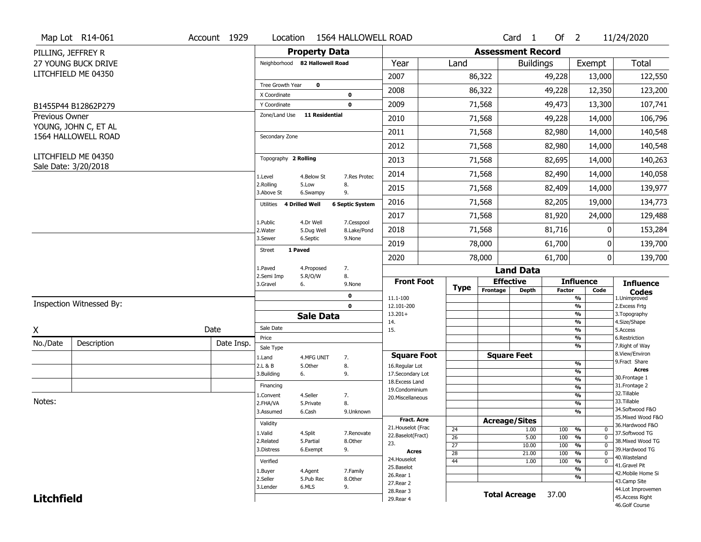|                    | Map Lot R14-061          | Account 1929 | Location                       |                        | 1564 HALLOWELL ROAD    |                                         |                       |                              | Card <sub>1</sub> | Of $2$        |                                   | 11/24/2020                          |
|--------------------|--------------------------|--------------|--------------------------------|------------------------|------------------------|-----------------------------------------|-----------------------|------------------------------|-------------------|---------------|-----------------------------------|-------------------------------------|
| PILLING, JEFFREY R |                          |              |                                | <b>Property Data</b>   |                        |                                         |                       | <b>Assessment Record</b>     |                   |               |                                   |                                     |
|                    | 27 YOUNG BUCK DRIVE      |              | Neighborhood 82 Hallowell Road |                        |                        | Year                                    | Land                  |                              | <b>Buildings</b>  |               | Exempt                            | Total                               |
|                    | LITCHFIELD ME 04350      |              |                                |                        |                        | 2007                                    |                       | 86,322                       |                   | 49,228        | 13,000                            | 122,550                             |
|                    |                          |              | Tree Growth Year               | $\mathbf 0$            |                        | 2008                                    |                       | 86,322                       |                   | 49,228        | 12,350                            | 123,200                             |
|                    |                          |              | X Coordinate<br>Y Coordinate   |                        | 0<br>$\mathbf 0$       | 2009                                    |                       | 71,568                       |                   | 49,473        | 13,300                            | 107,741                             |
| Previous Owner     | B1455P44 B12862P279      |              | Zone/Land Use                  | <b>11 Residential</b>  |                        | 2010                                    |                       | 71,568                       |                   | 49,228        | 14,000                            | 106,796                             |
|                    | YOUNG, JOHN C, ET AL     |              |                                |                        |                        | 2011                                    |                       |                              |                   |               |                                   | 140,548                             |
|                    | 1564 HALLOWELL ROAD      |              | Secondary Zone                 |                        |                        |                                         |                       | 71,568                       |                   | 82,980        | 14,000                            |                                     |
|                    | LITCHFIELD ME 04350      |              | Topography 2 Rolling           |                        |                        | 2012                                    |                       | 71,568                       |                   | 82,980        | 14,000                            | 140,548                             |
|                    | Sale Date: 3/20/2018     |              |                                |                        |                        | 2013                                    |                       | 71,568                       |                   | 82,695        | 14,000                            | 140,263                             |
|                    |                          |              | 1.Level<br>2.Rolling           | 4.Below St<br>5.Low    | 7.Res Protec<br>8.     | 2014                                    |                       | 71,568                       |                   | 82,490        | 14,000                            | 140,058                             |
|                    |                          |              | 3.Above St                     | 6.Swampy               | 9.                     | 2015                                    |                       | 71,568                       |                   | 82,409        | 14,000                            | 139,977                             |
|                    |                          |              | Utilities 4 Drilled Well       |                        | <b>6 Septic System</b> | 2016                                    |                       | 71,568                       |                   | 82,205        | 19,000                            | 134,773                             |
|                    |                          |              | 1.Public                       | 4.Dr Well              | 7.Cesspool             | 2017                                    |                       | 71,568                       |                   | 81,920        | 24,000                            | 129,488                             |
|                    |                          |              | 2. Water<br>3.Sewer            | 5.Dug Well<br>6.Septic | 8.Lake/Pond<br>9.None  | 2018                                    |                       | 71,568                       |                   | 81,716        | 0                                 | 153,284                             |
|                    |                          |              | 1 Paved<br>Street              |                        |                        | 2019                                    |                       | 78,000                       |                   | 61,700        | 0                                 | 139,700                             |
|                    |                          |              |                                |                        |                        | 2020                                    |                       | 78,000                       |                   | 61,700        | $\mathbf 0$                       | 139,700                             |
|                    |                          |              | 1.Paved<br>2.Semi Imp          | 4.Proposed<br>5.R/O/W  | 7.<br>8.               |                                         |                       |                              | <b>Land Data</b>  |               |                                   |                                     |
|                    |                          |              | 3.Gravel<br>6.                 |                        | 9.None                 | <b>Front Foot</b>                       | Type                  | <b>Effective</b><br>Frontage | <b>Depth</b>      | <b>Factor</b> | <b>Influence</b><br>Code          | <b>Influence</b>                    |
|                    |                          |              |                                |                        | $\mathbf 0$            | 11.1-100                                |                       |                              |                   |               | $\frac{9}{6}$                     | <b>Codes</b><br>1.Unimproved        |
|                    | Inspection Witnessed By: |              |                                |                        | $\mathbf 0$            | 12.101-200                              |                       |                              |                   |               | $\frac{9}{6}$<br>$\frac{9}{6}$    | 2. Excess Frtg                      |
|                    |                          |              |                                | <b>Sale Data</b>       |                        | $13.201+$<br>14.                        |                       |                              |                   |               | $\frac{9}{6}$                     | 3. Topography<br>4.Size/Shape       |
| X                  |                          | Date         | Sale Date                      |                        |                        | 15.                                     |                       |                              |                   |               | $\frac{9}{6}$                     | 5.Access                            |
| No./Date           | Description              | Date Insp.   | Price<br>Sale Type             |                        |                        |                                         |                       |                              |                   |               | %<br>$\frac{9}{6}$                | 6.Restriction<br>7. Right of Way    |
|                    |                          |              | 1.Land                         | 4.MFG UNIT             | 7.                     | <b>Square Foot</b>                      |                       | <b>Square Feet</b>           |                   |               |                                   | 8.View/Environ                      |
|                    |                          |              | 2.L & B                        | 5.0ther                | 8.                     | 16.Regular Lot                          |                       |                              |                   |               | $\frac{9}{6}$                     | 9. Fract Share<br><b>Acres</b>      |
|                    |                          |              | 3.Building<br>6.               |                        | 9.                     | 17.Secondary Lot                        |                       |                              |                   |               | %<br>%                            | 30. Frontage 1                      |
|                    |                          |              | Financing                      |                        |                        | 18.Excess Land<br>19.Condominium        |                       |                              |                   |               | $\frac{9}{6}$                     | 31. Frontage 2                      |
|                    |                          |              | 1.Convent                      | 4.Seller               | 7.                     | 20.Miscellaneous                        |                       |                              |                   |               | %                                 | 32.Tillable                         |
| Notes:             |                          |              | 2.FHA/VA                       | 5.Private              | 8.                     |                                         |                       |                              |                   |               | %                                 | 33.Tillable<br>34.Softwood F&O      |
|                    |                          |              | 3.Assumed                      | 6.Cash                 | 9.Unknown              |                                         |                       |                              |                   |               | %                                 | 35. Mixed Wood F&O                  |
|                    |                          |              | Validity                       |                        |                        | <b>Fract. Acre</b>                      |                       | <b>Acreage/Sites</b>         |                   |               |                                   | 36.Hardwood F&O                     |
|                    |                          |              | 1.Valid                        | 4.Split                | 7.Renovate             | 21. Houselot (Frac<br>22.Baselot(Fract) | 24<br>$\overline{26}$ |                              | 1.00              | 100 %<br>100  | 0<br>$\frac{9}{6}$<br>$\mathbf 0$ | 37.Softwood TG                      |
|                    |                          |              | 2.Related                      | 5.Partial              | 8.Other                | 23.                                     | $\overline{27}$       |                              | 5.00<br>10.00     | 100           | $\frac{9}{6}$<br>$\Omega$         | 38. Mixed Wood TG                   |
|                    |                          |              | 3.Distress                     | 6.Exempt               | 9.                     | <b>Acres</b>                            | 28                    |                              | 21.00             | 100           | $\frac{9}{6}$<br>$\mathbf 0$      | 39.Hardwood TG                      |
|                    |                          |              | Verified                       |                        |                        | 24. Houselot                            | 44                    |                              | 1.00              | 100           | %<br>0                            | 40.Wasteland                        |
|                    |                          |              | 1.Buyer                        | 4.Agent                | 7.Family               | 25.Baselot                              |                       |                              |                   |               | $\frac{9}{6}$                     | 41.Gravel Pit<br>42. Mobile Home Si |
|                    |                          |              |                                |                        |                        | 26.Rear 1                               |                       |                              |                   |               | %                                 |                                     |
|                    |                          |              | 2.Seller                       | 5.Pub Rec              | 8.Other                |                                         |                       |                              |                   |               |                                   |                                     |
|                    |                          |              | 3.Lender                       | 6.MLS                  | 9.                     | 27. Rear 2                              |                       |                              |                   |               |                                   | 43.Camp Site<br>44.Lot Improvemen   |
| <b>Litchfield</b>  |                          |              |                                |                        |                        | 28. Rear 3<br>29. Rear 4                |                       | <b>Total Acreage</b>         |                   | 37.00         |                                   | 45.Access Right                     |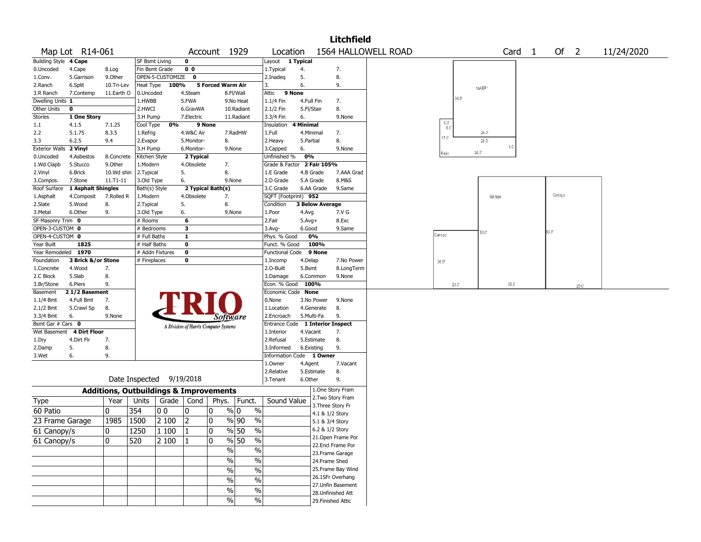|                        |                          |                                                   |                       |                          |                |                                       |                                 |                                         |                 |                        | <b>Litchfield</b>                      |                     |                                   |                    |                         |                |                |     |            |
|------------------------|--------------------------|---------------------------------------------------|-----------------------|--------------------------|----------------|---------------------------------------|---------------------------------|-----------------------------------------|-----------------|------------------------|----------------------------------------|---------------------|-----------------------------------|--------------------|-------------------------|----------------|----------------|-----|------------|
|                        | Map Lot R14-061          |                                                   |                       |                          |                | Account 1929                          |                                 | Location                                |                 |                        |                                        | 1564 HALLOWELL ROAD |                                   |                    | Card                    | $\overline{1}$ | Of 2           |     | 11/24/2020 |
| <b>Building Style</b>  | 4 Cape                   |                                                   | SF Bsmt Living        |                          | $\mathbf 0$    |                                       |                                 | Layout 1 Typical                        |                 |                        |                                        |                     |                                   |                    |                         |                |                |     |            |
| 0.Uncoded              | 4.Cape                   | 8.Log                                             | Fin Bsmt Grade        |                          | 0 <sub>0</sub> |                                       |                                 | 1.Typical                               | 4.              |                        | 7.                                     |                     |                                   |                    |                         |                |                |     |            |
| 1.Conv.                | 5.Garrison               | 9.0ther                                           |                       | OPEN-5-CUSTOMIZE 0       |                |                                       |                                 | 2.Inadeg                                | 5.              |                        | 8.                                     |                     |                                   |                    |                         |                |                |     |            |
| 2.Ranch                | 6.Split                  | 10.Tri-Lev                                        | Heat Type             | 100%                     |                | 5 Forced Warm Air                     |                                 | 3.                                      | 6.              |                        | 9.                                     |                     |                                   | 1sABF <sup>-</sup> |                         |                |                |     |            |
| 3.R Ranch              | 7.Contemp                | 11.Earth O                                        | 0.Uncoded             |                          | 4.Steam        |                                       | 8.Fl/Wall                       | 9 None<br>Attic                         |                 |                        |                                        |                     | $34.0^{\circ}$                    |                    |                         |                |                |     |            |
| Dwelling Units 1       |                          |                                                   | 1.HWBB                |                          | 5.FWA          |                                       | 9.No Heat                       | 1.1/4 Fin                               | 4.Full Fin      |                        | 7.                                     |                     |                                   |                    |                         |                |                |     |            |
| Other Units            | $\pmb{0}$                |                                                   | 2.HWCI                |                          | 6.GravWA       |                                       | 10.Radiant                      | 2.1/2 Fin                               | 5.Fl/Stair      |                        | 8.                                     |                     |                                   |                    |                         |                |                |     |            |
| Stories<br>1.1         | 1 One Story<br>4.1.5     | 7.1.25                                            | 3.H Pump<br>Cool Type | 0%                       | 7.Electric     | 9 None                                | 11.Radiant                      | 3.3/4 Fin<br>Insulation                 | 6.<br>4 Minimal |                        | 9.None                                 |                     | $\frac{6.0^{\circ}}{8.0^{\circ}}$ |                    |                         |                |                |     |            |
| 2.2                    | 5.1.75                   | 8.3.5                                             | 1.Refrig              |                          | 4.W&C Air      |                                       | 7.RadHW                         | 1.Full                                  | 4.Minimal       |                        | 7.                                     |                     |                                   | $28.0^{\circ}$     |                         |                |                |     |            |
| 3.3                    | 6.2.5                    | 9.4                                               | 2.Evapor              |                          | 5.Monitor-     | 8.                                    |                                 | 2.Heavy                                 | 5.Partial       |                        | 8.                                     |                     | $17.0^{\circ}$                    | 26.0               |                         |                |                |     |            |
| Exterior Walls 2 Vinyl |                          |                                                   | 3.H Pump              |                          | 6.Monitor-     |                                       | 9.None                          | 3.Capped                                | 6.              |                        | 9.None                                 |                     |                                   |                    | $\mathbb{G}.\mathbb{O}$ |                |                |     |            |
| 0.Uncoded              | 4.Asbestos               | 8.Concrete                                        | Kitchen Style         |                          | 2 Typical      |                                       |                                 | Unfinished %                            | 0%              |                        |                                        |                     | Patio                             | $34.0^{\circ}$     |                         |                |                |     |            |
| 1.Wd Clapb             | 5.Stucco                 | 9.Other                                           | 1.Modern              |                          | 4.Obsolete     | 7.                                    |                                 | Grade & Factor                          |                 | 2 Fair 105%            |                                        |                     |                                   |                    |                         |                |                |     |            |
| 2.Vinyl                | 6.Brick                  | 10.Wd shin                                        | 2. Typical            |                          | 5.             | 8.                                    |                                 | 1.E Grade                               | 4.B Grade       |                        | 7.AAA Grad                             |                     |                                   |                    |                         |                |                |     |            |
| 3.Compos.              | 7.Stone                  | $11.71 - 11$                                      | 3.Old Type            |                          | 6.             |                                       | 9.None                          | 2.D Grade                               | 5.A Grade       |                        | 8.M&S                                  |                     |                                   |                    |                         |                |                |     |            |
| Roof Surface           | 1 Asphalt Shingles       |                                                   | Bath(s) Style         |                          |                | 2 Typical Bath(s)                     |                                 | 3.C Grade                               |                 | 6.AA Grade             | 9.Same                                 |                     |                                   |                    |                         |                |                |     |            |
| 1.Asphalt              | 4.Composit               | 7.Rolled R                                        | 1.Modern              |                          | 4.Obsolete     | 7.                                    |                                 | SQFT (Footprint) 952                    |                 |                        |                                        |                     |                                   |                    | Garage                  |                | Canopy         |     |            |
| 2.Slate                | 5.Wood                   | 8.                                                | 2. Typical            |                          | 5.             | 8.                                    |                                 | Condition                               |                 | <b>3 Below Average</b> |                                        |                     |                                   |                    |                         |                |                |     |            |
| 3.Metal                | 6.Other                  | 9.                                                | 3.Old Type            |                          | 6.             |                                       | 9.None                          | 1.Poor                                  | 4.Avg           |                        | 7.V G                                  |                     |                                   |                    |                         |                |                |     |            |
| SF Masonry Trim 0      |                          |                                                   | # Rooms               |                          | 6              |                                       |                                 | 2.Fair                                  | $5.Avg+$        |                        | 8.Exc                                  |                     |                                   |                    |                         |                |                |     |            |
| OPEN-3-CUSTOM 0        |                          |                                                   | # Bedrooms            |                          | 3              |                                       |                                 | 3.Avg-                                  | 6.Good          |                        | 9.Same                                 |                     |                                   | 50.C'              |                         |                | $50.0^{\circ}$ |     |            |
| OPEN-4-CUSTOM 0        |                          |                                                   | # Full Baths          |                          | $\mathbf{1}$   |                                       |                                 | Phys. % Good                            |                 | 0%                     |                                        |                     | Caropy                            |                    |                         |                |                |     |            |
| Year Built             | 1825                     |                                                   | # Half Baths          |                          | $\bf o$        |                                       |                                 | Funct. % Good                           |                 | 100%                   |                                        |                     |                                   |                    |                         |                |                |     |            |
| Year Remodeled 1970    |                          |                                                   |                       | # Addn Fixtures          | $\mathbf 0$    |                                       |                                 | Functional Code 9 None                  |                 |                        |                                        |                     |                                   |                    |                         |                |                |     |            |
| Foundation             | 3 Brick &/or Stone       |                                                   | # Fireplaces          |                          | $\mathbf 0$    |                                       |                                 | 1.Incomp                                | 4.Delap         |                        | 7.No Power                             |                     | 26.0                              |                    |                         |                |                |     |            |
| 1.Concrete             | 4.Wood                   | 7.                                                |                       |                          |                |                                       |                                 | 2.O-Built                               | 5.Bsmt          |                        | 8.LongTerm                             |                     |                                   |                    |                         |                |                |     |            |
| 2.C Block              | 5.Slab                   | 8.                                                |                       |                          |                |                                       |                                 | 3.Damage                                | 6.Common        |                        | 9.None                                 |                     |                                   |                    | 30.0                    |                |                |     |            |
| 3.Br/Stone<br>Basement | 6.Piers<br>21/2 Basement | 9.                                                |                       |                          |                |                                       |                                 | Econ. % Good 100%<br>Economic Code None |                 |                        |                                        |                     | $20.0^\circ$                      |                    |                         |                |                | 25C |            |
| $1.1/4$ Bmt            | 4.Full Bmt               | 7.                                                |                       |                          |                |                                       |                                 | 0.None                                  |                 | 3.No Power             | 9.None                                 |                     |                                   |                    |                         |                |                |     |            |
| 2.1/2 Bmt              | 5.Crawl Sp               | 8.                                                |                       |                          |                |                                       |                                 | 1.Location                              |                 | 4.Generate             | 8.                                     |                     |                                   |                    |                         |                |                |     |            |
| 3.3/4 Bmt              | 6.                       | 9.None                                            |                       |                          |                | Software                              |                                 | 2.Encroach                              | 5.Multi-Fa      |                        | 9.                                     |                     |                                   |                    |                         |                |                |     |            |
| Bsmt Gar # Cars 0      |                          |                                                   |                       |                          |                |                                       |                                 | Entrance Code                           |                 |                        | 1 Interior Inspect                     |                     |                                   |                    |                         |                |                |     |            |
| Wet Basement           | <b>4 Dirt Floor</b>      |                                                   |                       |                          |                | A Division of Harris Computer Systems |                                 | 1.Interior                              | 4.Vacant        |                        | 7.                                     |                     |                                   |                    |                         |                |                |     |            |
| 1.Dry                  | 4.Dirt Flr               | 7.                                                |                       |                          |                |                                       |                                 | 2.Refusal                               |                 | 5.Estimate             | 8.                                     |                     |                                   |                    |                         |                |                |     |            |
| 2.Damp                 | 5.                       | 8.                                                |                       |                          |                |                                       |                                 | 3.Informed                              | 6.Existing      |                        | 9.                                     |                     |                                   |                    |                         |                |                |     |            |
| 3.Wet                  | 6.                       | 9.                                                |                       |                          |                |                                       |                                 | Information Code 1 Owner                |                 |                        |                                        |                     |                                   |                    |                         |                |                |     |            |
|                        |                          |                                                   |                       |                          |                |                                       |                                 | 1.Owner                                 | 4.Agent         |                        | 7.Vacant                               |                     |                                   |                    |                         |                |                |     |            |
|                        |                          |                                                   |                       |                          |                |                                       |                                 | 2.Relative                              |                 | 5.Estimate             | 8.                                     |                     |                                   |                    |                         |                |                |     |            |
|                        |                          |                                                   |                       | Date Inspected 9/19/2018 |                |                                       |                                 | 3.Tenant                                | 6.Other         |                        | 9.                                     |                     |                                   |                    |                         |                |                |     |            |
|                        |                          | <b>Additions, Outbuildings &amp; Improvements</b> |                       |                          |                |                                       |                                 |                                         |                 |                        | 1.One Story Fram                       |                     |                                   |                    |                         |                |                |     |            |
| Type                   |                          | Year                                              | Units                 | Grade   Cond             |                | Phys.                                 | Funct.                          | Sound Value                             |                 |                        | 2. Two Story Fram<br>3. Three Story Fr |                     |                                   |                    |                         |                |                |     |            |
| 60 Patio               |                          | 0                                                 | 354                   | 00                       | 0              | 0                                     | % 0<br>$\%$                     |                                         |                 | 4.1 & 1/2 Story        |                                        |                     |                                   |                    |                         |                |                |     |            |
| 23 Frame Garage        |                          | 1985                                              | 1500                  | 2 100                    | $\overline{2}$ | 0                                     | $\sqrt{90}$ 90<br>$\frac{0}{0}$ |                                         |                 | 5.1 & 3/4 Story        |                                        |                     |                                   |                    |                         |                |                |     |            |
|                        |                          |                                                   | 1250                  |                          | $\mathbf{1}$   | $\pmb{0}$                             |                                 |                                         |                 | 6.2 & 1/2 Story        |                                        |                     |                                   |                    |                         |                |                |     |            |
| 61 Canopy/s            |                          | 0                                                 |                       | 1 100                    |                |                                       | $\%$ 50<br>$\%$                 |                                         |                 |                        | 21.Open Frame Por                      |                     |                                   |                    |                         |                |                |     |            |
| 61 Canopy/s            |                          | 10                                                | 520                   | 2 100                    | $\vert$ 1      | $\mathbf 0$                           | $\frac{9}{6}$ 50<br>$\%$        |                                         |                 |                        | 22.Encl Frame Por                      |                     |                                   |                    |                         |                |                |     |            |
|                        |                          |                                                   |                       |                          |                | $\%$                                  | $\%$                            |                                         |                 |                        | 23. Frame Garage                       |                     |                                   |                    |                         |                |                |     |            |
|                        |                          |                                                   |                       |                          |                | $\sqrt{6}$                            | $\%$                            |                                         |                 | 24.Frame Shed          |                                        |                     |                                   |                    |                         |                |                |     |            |
|                        |                          |                                                   |                       |                          |                | %                                     | $\%$                            |                                         |                 |                        | 25. Frame Bay Wind                     |                     |                                   |                    |                         |                |                |     |            |
|                        |                          |                                                   |                       |                          |                | $\frac{0}{6}$                         | $\overline{\frac{0}{0}}$        |                                         |                 |                        | 26.1SFr Overhang                       |                     |                                   |                    |                         |                |                |     |            |
|                        |                          |                                                   |                       |                          |                |                                       |                                 |                                         |                 |                        | 27. Unfin Basement                     |                     |                                   |                    |                         |                |                |     |            |
|                        |                          |                                                   |                       |                          |                | $\sqrt{6}$                            | $\%$                            |                                         |                 |                        | 28. Unfinished Att                     |                     |                                   |                    |                         |                |                |     |            |
|                        |                          |                                                   |                       |                          |                | $\sqrt{6}$                            | $\%$                            |                                         |                 |                        | 29. Finished Attic                     |                     |                                   |                    |                         |                |                |     |            |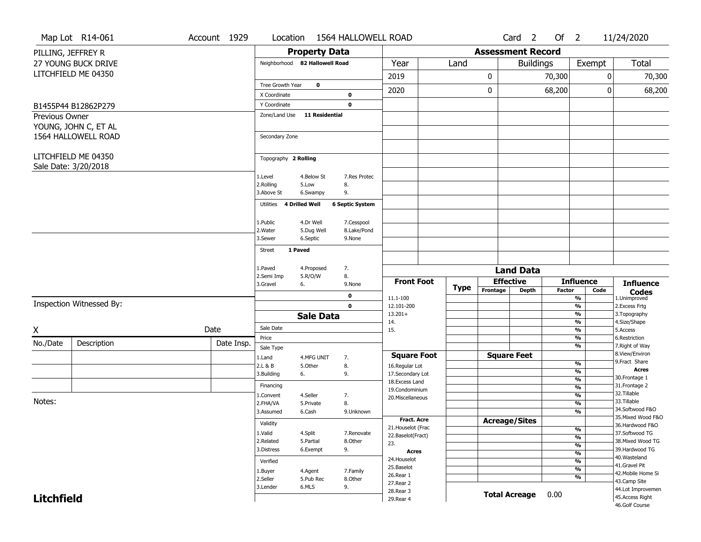|                   | Map Lot R14-061                             | Account 1929 |            | Location                       |                       | 1564 HALLOWELL ROAD    |                                    |             |                      |                                                                                                                                                                                                                                                                                                                                                                                               |        |                                |      | 11/24/2020                          |
|-------------------|---------------------------------------------|--------------|------------|--------------------------------|-----------------------|------------------------|------------------------------------|-------------|----------------------|-----------------------------------------------------------------------------------------------------------------------------------------------------------------------------------------------------------------------------------------------------------------------------------------------------------------------------------------------------------------------------------------------|--------|--------------------------------|------|-------------------------------------|
|                   | PILLING, JEFFREY R                          |              |            |                                |                       | <b>Property Data</b>   |                                    |             |                      |                                                                                                                                                                                                                                                                                                                                                                                               |        |                                |      |                                     |
|                   | <b>27 YOUNG BUCK DRIVE</b>                  |              |            | Neighborhood 82 Hallowell Road |                       |                        | Year                               | Land        |                      |                                                                                                                                                                                                                                                                                                                                                                                               |        |                                |      | Total                               |
|                   | LITCHFIELD ME 04350                         |              |            |                                |                       |                        | 2019                               |             | 0                    |                                                                                                                                                                                                                                                                                                                                                                                               | 70,300 |                                | 0    | 70,300                              |
|                   |                                             |              |            | Tree Growth Year               | $\mathbf 0$           |                        | 2020                               |             |                      | Card <sub>2</sub><br>Of $2$<br><b>Assessment Record</b><br><b>Buildings</b><br>Exempt<br>0<br>68,200<br><b>Land Data</b><br><b>Effective</b><br><b>Influence</b><br><b>Depth</b><br><b>Factor</b><br>$\frac{9}{6}$<br>$\frac{9}{6}$<br>$\frac{9}{6}$<br>%<br>$\frac{9}{6}$<br>%<br>$\frac{9}{6}$<br><b>Square Feet</b><br>%<br>$\frac{9}{6}$<br>%<br>$\frac{9}{6}$<br>%<br>$\frac{9}{6}$<br>% | 0      | 68,200                         |      |                                     |
|                   |                                             |              |            | X Coordinate                   |                       | 0                      |                                    |             |                      |                                                                                                                                                                                                                                                                                                                                                                                               |        |                                |      |                                     |
|                   | B1455P44 B12862P279                         |              |            | Y Coordinate                   |                       | $\mathbf 0$            |                                    |             |                      |                                                                                                                                                                                                                                                                                                                                                                                               |        |                                |      |                                     |
| Previous Owner    | YOUNG, JOHN C, ET AL                        |              |            | Zone/Land Use                  |                       | 11 Residential         |                                    |             |                      |                                                                                                                                                                                                                                                                                                                                                                                               |        |                                |      |                                     |
|                   | 1564 HALLOWELL ROAD                         |              |            | Secondary Zone                 |                       |                        |                                    |             |                      |                                                                                                                                                                                                                                                                                                                                                                                               |        |                                |      |                                     |
|                   | LITCHFIELD ME 04350<br>Sale Date: 3/20/2018 |              |            | Topography 2 Rolling           |                       |                        |                                    |             |                      |                                                                                                                                                                                                                                                                                                                                                                                               |        |                                |      |                                     |
|                   |                                             |              |            | 1.Level                        | 4.Below St            | 7.Res Protec           |                                    |             |                      |                                                                                                                                                                                                                                                                                                                                                                                               |        |                                |      |                                     |
|                   |                                             |              |            | 2.Rolling                      | 5.Low                 | 8.                     |                                    |             |                      |                                                                                                                                                                                                                                                                                                                                                                                               |        |                                |      |                                     |
|                   |                                             |              |            | 3.Above St                     | 6.Swampy              | 9.                     |                                    |             |                      |                                                                                                                                                                                                                                                                                                                                                                                               |        |                                |      |                                     |
|                   |                                             |              |            | Utilities 4 Drilled Well       |                       | <b>6 Septic System</b> |                                    |             |                      |                                                                                                                                                                                                                                                                                                                                                                                               |        |                                |      |                                     |
|                   |                                             |              |            | 1.Public                       | 4.Dr Well             | 7.Cesspool             |                                    |             |                      |                                                                                                                                                                                                                                                                                                                                                                                               |        |                                |      |                                     |
|                   |                                             |              |            | 2. Water                       | 5.Dug Well            | 8.Lake/Pond            |                                    |             |                      |                                                                                                                                                                                                                                                                                                                                                                                               |        |                                |      |                                     |
|                   |                                             |              |            | 3.Sewer                        | 6.Septic              | 9.None                 |                                    |             |                      |                                                                                                                                                                                                                                                                                                                                                                                               |        |                                |      |                                     |
|                   |                                             |              |            | <b>Street</b>                  | 1 Paved               |                        |                                    |             |                      |                                                                                                                                                                                                                                                                                                                                                                                               |        |                                |      |                                     |
|                   |                                             |              |            | 1.Paved                        | 4.Proposed            | 7.                     |                                    |             |                      |                                                                                                                                                                                                                                                                                                                                                                                               |        |                                |      |                                     |
|                   |                                             |              |            | 2.Semi Imp                     | 5.R/O/W               | 8.                     | <b>Front Foot</b>                  |             |                      |                                                                                                                                                                                                                                                                                                                                                                                               |        |                                |      |                                     |
|                   |                                             |              |            | 3.Gravel                       | 6.                    | 9.None                 |                                    | <b>Type</b> | Frontage             |                                                                                                                                                                                                                                                                                                                                                                                               |        |                                | Code | <b>Influence</b>                    |
|                   |                                             |              |            |                                |                       | $\mathbf 0$            | 11.1-100                           |             |                      |                                                                                                                                                                                                                                                                                                                                                                                               |        |                                |      | <b>Codes</b><br>1.Unimproved        |
|                   | Inspection Witnessed By:                    |              |            |                                |                       | $\mathbf 0$            | 12.101-200                         |             |                      |                                                                                                                                                                                                                                                                                                                                                                                               |        |                                |      | 2.Excess Frtg                       |
|                   |                                             |              |            |                                | <b>Sale Data</b>      |                        | $13.201+$<br>14.                   |             |                      |                                                                                                                                                                                                                                                                                                                                                                                               |        |                                |      | 3. Topography<br>4.Size/Shape       |
| X                 |                                             | Date         |            | Sale Date                      |                       |                        | 15.                                |             |                      |                                                                                                                                                                                                                                                                                                                                                                                               |        |                                |      | 5.Access                            |
|                   |                                             |              |            | Price                          |                       |                        |                                    |             |                      |                                                                                                                                                                                                                                                                                                                                                                                               |        |                                |      | 6.Restriction                       |
| No./Date          | Description                                 |              | Date Insp. | Sale Type                      |                       |                        |                                    |             |                      |                                                                                                                                                                                                                                                                                                                                                                                               |        |                                |      | 7. Right of Way                     |
|                   |                                             |              |            | 1.Land                         | 4.MFG UNIT            | 7.                     | <b>Square Foot</b>                 |             |                      |                                                                                                                                                                                                                                                                                                                                                                                               |        |                                |      | 8.View/Environ<br>9.Fract Share     |
|                   |                                             |              |            | 2.L & B<br>3.Building          | 5.0ther<br>6.         | 8.<br>9.               | 16.Regular Lot<br>17.Secondary Lot |             |                      |                                                                                                                                                                                                                                                                                                                                                                                               |        |                                |      | <b>Acres</b>                        |
|                   |                                             |              |            |                                |                       |                        | 18.Excess Land                     |             |                      |                                                                                                                                                                                                                                                                                                                                                                                               |        |                                |      | 30. Frontage 1                      |
|                   |                                             |              |            | Financing                      |                       |                        | 19.Condominium                     |             |                      |                                                                                                                                                                                                                                                                                                                                                                                               |        |                                |      | 31. Frontage 2<br>32. Tillable      |
| Notes:            |                                             |              |            | 1.Convent<br>2.FHA/VA          | 4.Seller<br>5.Private | 7.<br>8.               | 20.Miscellaneous                   |             |                      |                                                                                                                                                                                                                                                                                                                                                                                               |        |                                |      | 33.Tillable                         |
|                   |                                             |              |            | 3.Assumed                      | 6.Cash                | 9.Unknown              |                                    |             |                      |                                                                                                                                                                                                                                                                                                                                                                                               |        |                                |      | 34.Softwood F&O                     |
|                   |                                             |              |            | Validity                       |                       |                        | <b>Fract. Acre</b>                 |             | <b>Acreage/Sites</b> |                                                                                                                                                                                                                                                                                                                                                                                               |        |                                |      | 35. Mixed Wood F&O                  |
|                   |                                             |              |            |                                |                       |                        | 21. Houselot (Frac                 |             |                      |                                                                                                                                                                                                                                                                                                                                                                                               |        | $\frac{9}{6}$                  |      | 36.Hardwood F&O                     |
|                   |                                             |              |            | 1.Valid<br>2.Related           | 4.Split<br>5.Partial  | 7.Renovate<br>8.Other  | 22.Baselot(Fract)                  |             |                      |                                                                                                                                                                                                                                                                                                                                                                                               |        | $\overline{\frac{9}{6}}$       |      | 37.Softwood TG<br>38. Mixed Wood TG |
|                   |                                             |              |            | 3.Distress                     | 6.Exempt              | 9.                     | 23.<br><b>Acres</b>                |             |                      |                                                                                                                                                                                                                                                                                                                                                                                               |        | $\frac{9}{6}$                  |      | 39.Hardwood TG                      |
|                   |                                             |              |            | Verified                       |                       |                        | 24. Houselot                       |             |                      |                                                                                                                                                                                                                                                                                                                                                                                               |        | $\frac{9}{6}$<br>$\frac{9}{6}$ |      | 40. Wasteland                       |
|                   |                                             |              |            | 1.Buyer                        | 4.Agent               | 7.Family               | 25.Baselot                         |             |                      |                                                                                                                                                                                                                                                                                                                                                                                               |        | $\frac{9}{6}$                  |      | 41.Gravel Pit                       |
|                   |                                             |              |            | 2.Seller                       | 5.Pub Rec             | 8.Other                | 26.Rear 1                          |             |                      |                                                                                                                                                                                                                                                                                                                                                                                               |        | $\frac{9}{6}$                  |      | 42. Mobile Home Si                  |
|                   |                                             |              |            | 3.Lender                       | 6.MLS                 | 9.                     | 27. Rear 2                         |             |                      |                                                                                                                                                                                                                                                                                                                                                                                               |        |                                |      | 43.Camp Site<br>44.Lot Improvemen   |
| <b>Litchfield</b> |                                             |              |            |                                |                       |                        | 28. Rear 3<br>29. Rear 4           |             |                      | <b>Total Acreage</b>                                                                                                                                                                                                                                                                                                                                                                          | 0.00   |                                |      | 45.Access Right                     |
|                   |                                             |              |            |                                |                       |                        |                                    |             |                      |                                                                                                                                                                                                                                                                                                                                                                                               |        |                                |      | 46.Golf Course                      |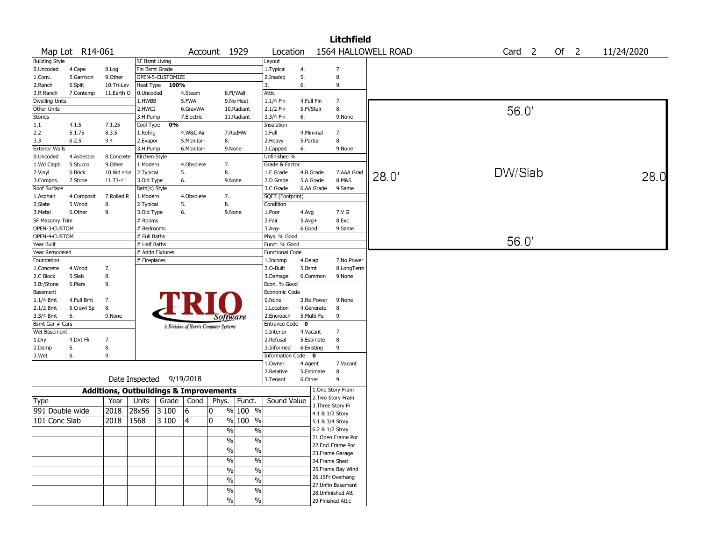|                       |                 |                                                   |                |                          |            |                                       |                                |                         |              |              | <b>Litchfield</b>                      |                     |                   |      |            |
|-----------------------|-----------------|---------------------------------------------------|----------------|--------------------------|------------|---------------------------------------|--------------------------------|-------------------------|--------------|--------------|----------------------------------------|---------------------|-------------------|------|------------|
|                       | Map Lot R14-061 |                                                   |                |                          |            | Account 1929                          |                                | Location                |              |              |                                        | 1564 HALLOWELL ROAD | Card <sub>2</sub> | Of 2 | 11/24/2020 |
| <b>Building Style</b> |                 |                                                   | SF Bsmt Living |                          |            |                                       |                                | Layout                  |              |              |                                        |                     |                   |      |            |
| 0.Uncoded             | 4.Cape          | 8.Log                                             | Fin Bsmt Grade |                          |            |                                       |                                | 1. Typical              | 4.           |              | 7.                                     |                     |                   |      |            |
| 1.Conv.               | 5.Garrison      | 9.0ther                                           |                | OPEN-5-CUSTOMIZE         |            |                                       |                                | 2.Inadeq                | 5.           |              | 8.                                     |                     |                   |      |            |
| 2.Ranch               | 6.Split         | 10.Tri-Lev                                        |                | Heat Type 100%           |            |                                       |                                | 3.                      | 6.           |              | 9.                                     |                     |                   |      |            |
| 3.R Ranch             | 7.Contemp       | 11.Earth O                                        | 0.Uncoded      |                          | 4.Steam    |                                       | 8.Fl/Wall                      | Attic                   |              |              |                                        |                     |                   |      |            |
| <b>Dwelling Units</b> |                 |                                                   | 1.HWBB         |                          | 5.FWA      |                                       | 9.No Heat                      | 1.1/4 Fin               |              | 4.Full Fin   | 7.                                     |                     |                   |      |            |
| Other Units           |                 |                                                   | 2.HWCI         |                          | 6.GravWA   |                                       | 10.Radiant                     | 2.1/2 Fin               |              | 5.Fl/Stair   | 8.                                     |                     | 56.0              |      |            |
| Stories               |                 |                                                   | 3.H Pump       |                          | 7.Electric |                                       | 11.Radiant                     | 3.3/4 Fin               | 6.           |              | 9.None                                 |                     |                   |      |            |
| 1.1                   | 4.1.5           | 7.1.25                                            | Cool Type      | 0%                       |            |                                       |                                | Insulation              |              |              |                                        |                     |                   |      |            |
| 2.2                   | 5.1.75          | 8.3.5                                             | 1.Refrig       |                          | 4.W&C Air  |                                       | 7.RadHW                        | 1.Full                  |              | 4.Minimal    | 7.                                     |                     |                   |      |            |
| 3.3                   | 6.2.5           | 9.4                                               | 2.Evapor       |                          | 5.Monitor- | 8.                                    |                                | 2. Heavy                | 5.Partial    |              | 8.                                     |                     |                   |      |            |
| <b>Exterior Walls</b> |                 |                                                   | 3.H Pump       |                          | 6.Monitor- |                                       | 9.None                         | 3.Capped                | 6.           |              | 9.None                                 |                     |                   |      |            |
| 0.Uncoded             | 4.Asbestos      | 8.Concrete                                        | Kitchen Style  |                          |            |                                       |                                | Unfinished %            |              |              |                                        |                     |                   |      |            |
| 1.Wd Clapb            | 5.Stucco        | 9.Other                                           | 1.Modern       |                          | 4.Obsolete | 7.                                    |                                | Grade & Factor          |              |              |                                        |                     |                   |      |            |
| 2.Vinyl               | 6.Brick         | 10.Wd shin                                        | 2.Typical      |                          | 5.         | 8.                                    |                                | 1.E Grade               |              | 4.B Grade    | 7.AAA Grad                             | 28.0'               | DW/Slab           |      | 28.0       |
| 3.Compos.             | 7.Stone         | $11.71 - 11$                                      | 3.Old Type     |                          | 6.         |                                       | 9.None                         | 2.D Grade               |              | 5.A Grade    | 8.M&S                                  |                     |                   |      |            |
| Roof Surface          |                 |                                                   | Bath(s) Style  |                          |            |                                       |                                | 3.C Grade               |              | 6.AA Grade   | 9.Same                                 |                     |                   |      |            |
| 1.Asphalt             | 4.Composit      | 7.Rolled R                                        | 1.Modern       |                          | 4.Obsolete | 7.                                    |                                | SQFT (Footprint)        |              |              |                                        |                     |                   |      |            |
| 2.Slate               | 5.Wood          | 8.                                                | 2. Typical     |                          | 5.         | 8.                                    |                                | Condition               |              |              |                                        |                     |                   |      |            |
| 3. Metal              | 6.Other         | 9.                                                | 3.Old Type     |                          | 6.         |                                       | 9.None                         | 1.Poor                  | 4.Avg        |              | 7.V G                                  |                     |                   |      |            |
| SF Masonry Trim       |                 |                                                   | # Rooms        |                          |            |                                       |                                | 2.Fair                  | $5.$ Avg $+$ |              | 8.Exc                                  |                     |                   |      |            |
| OPEN-3-CUSTOM         |                 |                                                   | # Bedrooms     |                          |            |                                       |                                | 3.Avg-                  | 6.Good       |              | 9.Same                                 |                     |                   |      |            |
| OPEN-4-CUSTOM         |                 |                                                   | # Full Baths   |                          |            |                                       |                                | Phys. % Good            |              |              |                                        |                     | 56.0'             |      |            |
| Year Built            |                 |                                                   | # Half Baths   |                          |            |                                       |                                | Funct. % Good           |              |              |                                        |                     |                   |      |            |
| Year Remodeled        |                 |                                                   |                | # Addn Fixtures          |            |                                       |                                | <b>Functional Code</b>  |              |              |                                        |                     |                   |      |            |
| Foundation            |                 |                                                   | # Fireplaces   |                          |            |                                       |                                | 1.Incomp                | 4.Delap      |              | 7.No Power                             |                     |                   |      |            |
| 1.Concrete            | 4.Wood          | 7.                                                |                |                          |            |                                       |                                | 2.0-Built               | 5.Bsmt       |              | 8.LongTerm                             |                     |                   |      |            |
| 2.C Block             | 5.Slab          | 8.                                                |                |                          |            |                                       |                                | 3.Damage                |              | 6.Common     | 9.None                                 |                     |                   |      |            |
| 3.Br/Stone            | 6.Piers         | 9.                                                |                |                          |            |                                       |                                | Econ. % Good            |              |              |                                        |                     |                   |      |            |
| Basement              |                 |                                                   |                |                          |            |                                       |                                | Economic Code           |              |              |                                        |                     |                   |      |            |
| $1.1/4$ Bmt           | 4.Full Bmt      | 7.                                                |                |                          |            |                                       |                                | 0.None                  |              | 3.No Power   | 9.None                                 |                     |                   |      |            |
| 2.1/2 Bmt             | 5.Crawl Sp      | 8.                                                |                |                          |            |                                       |                                | 1.Location              |              | 4.Generate   | 8.                                     |                     |                   |      |            |
| 3.3/4 Bmt             | 6.              | 9.None                                            |                |                          |            |                                       | Software                       | 2.Encroach              |              | 5.Multi-Fa   | 9.                                     |                     |                   |      |            |
| Bsmt Gar # Cars       |                 |                                                   |                |                          |            | A Division of Harris Computer Systems |                                | Entrance Code           | $\mathbf 0$  |              |                                        |                     |                   |      |            |
| Wet Basement          |                 |                                                   |                |                          |            |                                       |                                | 1.Interior              | 4.Vacant     |              | 7.                                     |                     |                   |      |            |
| 1.Dry                 | 4.Dirt Flr      | 7.                                                |                |                          |            |                                       |                                | 2.Refusal               |              | 5.Estimate   | 8.                                     |                     |                   |      |            |
| 2.Damp                | 5.              | 8.                                                |                |                          |            |                                       |                                | 3.Informed              |              | 6.Existing   | 9.                                     |                     |                   |      |            |
| 3.Wet                 | 6.              | 9.                                                |                |                          |            |                                       |                                | <b>Information Code</b> |              | $\mathbf{0}$ |                                        |                     |                   |      |            |
|                       |                 |                                                   |                |                          |            |                                       |                                | 1.0wner                 | 4.Agent      |              | 7.Vacant                               |                     |                   |      |            |
|                       |                 |                                                   |                |                          |            |                                       |                                | 2.Relative              |              | 5.Estimate   | 8.                                     |                     |                   |      |            |
|                       |                 |                                                   |                | Date Inspected 9/19/2018 |            |                                       |                                | 3.Tenant                | 6.Other      |              | 9.                                     |                     |                   |      |            |
|                       |                 | <b>Additions, Outbuildings &amp; Improvements</b> |                |                          |            |                                       |                                |                         |              |              | 1.One Story Fram                       |                     |                   |      |            |
| Type                  |                 | Year                                              | Units          | Grade                    | Cond       | Phys.                                 | Funct.                         | Sound Value             |              |              | 2. Two Story Fram<br>3. Three Story Fr |                     |                   |      |            |
| 991 Double wide       |                 | 2018                                              | 28x56          | 3100                     | 16         | 0                                     | % 100 %                        |                         |              |              | 4.1 & 1/2 Story                        |                     |                   |      |            |
| 101 Conc Slab         |                 | 2018                                              | 1568           | 3 100                    | 4          | 0                                     | % 100 %                        |                         |              |              | 5.1 & 3/4 Story                        |                     |                   |      |            |
|                       |                 |                                                   |                |                          |            |                                       | $\sqrt{20}$<br>$\%$            |                         |              |              | 6.2 & 1/2 Story                        |                     |                   |      |            |
|                       |                 |                                                   |                |                          |            |                                       |                                |                         |              |              | 21. Open Frame Por                     |                     |                   |      |            |
|                       |                 |                                                   |                |                          |            |                                       | $\frac{1}{2}$<br>$\frac{1}{2}$ |                         |              |              | 22.Encl Frame Por                      |                     |                   |      |            |
|                       |                 |                                                   |                |                          |            |                                       | $\frac{1}{2}$<br>$\frac{1}{2}$ |                         |              |              | 23. Frame Garage                       |                     |                   |      |            |
|                       |                 |                                                   |                |                          |            |                                       | $\%$<br>$\%$                   |                         |              |              | 24.Frame Shed                          |                     |                   |      |            |
|                       |                 |                                                   |                |                          |            |                                       | $\%$<br>$\frac{0}{0}$          |                         |              |              | 25. Frame Bay Wind                     |                     |                   |      |            |
|                       |                 |                                                   |                |                          |            |                                       |                                |                         |              |              | 26.1SFr Overhang                       |                     |                   |      |            |
|                       |                 |                                                   |                |                          |            |                                       | $\%$<br>$\%$                   |                         |              |              | 27. Unfin Basement                     |                     |                   |      |            |
|                       |                 |                                                   |                |                          |            |                                       | $\frac{1}{2}$<br>$\%$          |                         |              |              | 28. Unfinished Att                     |                     |                   |      |            |
|                       |                 |                                                   |                |                          |            |                                       | $\sqrt{20}$<br>$\%$            |                         |              |              | 29. Finished Attic                     |                     |                   |      |            |
|                       |                 |                                                   |                |                          |            |                                       |                                |                         |              |              |                                        |                     |                   |      |            |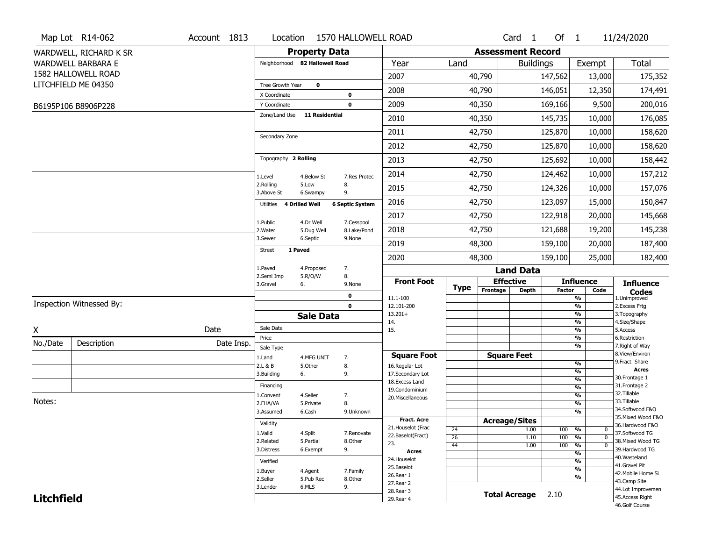|                   | Map Lot R14-062           | Account 1813              | Location                       |                       | 1570 HALLOWELL ROAD    |                                   |                 |                              | Card <sub>1</sub>  | Of 1          |                                           | 11/24/2020                           |
|-------------------|---------------------------|---------------------------|--------------------------------|-----------------------|------------------------|-----------------------------------|-----------------|------------------------------|--------------------|---------------|-------------------------------------------|--------------------------------------|
|                   | WARDWELL, RICHARD K SR    |                           |                                | <b>Property Data</b>  |                        |                                   |                 | <b>Assessment Record</b>     |                    |               |                                           |                                      |
|                   | <b>WARDWELL BARBARA E</b> |                           | Neighborhood 82 Hallowell Road |                       |                        | Year                              | Land            |                              | <b>Buildings</b>   |               | Exempt                                    | Total                                |
|                   | 1582 HALLOWELL ROAD       |                           |                                |                       |                        | 2007                              |                 | 40,790                       |                    | 147,562       | 13,000                                    | 175,352                              |
|                   | LITCHFIELD ME 04350       |                           | Tree Growth Year               | $\mathbf 0$           |                        | 2008                              |                 | 40,790                       |                    | 146,051       | 12,350                                    | 174,491                              |
|                   |                           |                           | X Coordinate                   |                       | 0                      |                                   |                 |                              |                    |               |                                           |                                      |
|                   | B6195P106 B8906P228       |                           | Y Coordinate<br>Zone/Land Use  | 11 Residential        | $\mathbf 0$            | 2009                              |                 | 40,350                       |                    | 169,166       | 9,500                                     | 200,016                              |
|                   |                           |                           |                                |                       |                        | 2010                              |                 | 40,350                       |                    | 145,735       | 10,000                                    | 176,085                              |
|                   |                           |                           | Secondary Zone                 |                       |                        | 2011                              |                 | 42,750                       |                    | 125,870       | 10,000                                    | 158,620                              |
|                   |                           |                           |                                |                       |                        | 2012                              |                 | 42,750                       |                    | 125,870       | 10,000                                    | 158,620                              |
|                   |                           |                           | Topography 2 Rolling           |                       |                        | 2013                              |                 | 42,750                       |                    | 125,692       | 10,000                                    | 158,442                              |
|                   |                           |                           | 1.Level                        | 4.Below St            | 7.Res Protec           | 2014                              |                 | 42,750                       |                    | 124,462       | 10,000                                    | 157,212                              |
|                   |                           |                           | 2.Rolling<br>3.Above St        | 5.Low<br>6.Swampy     | 8.<br>9.               | 2015                              |                 | 42,750                       |                    | 124,326       | 10,000                                    | 157,076                              |
|                   |                           |                           | 4 Drilled Well<br>Utilities    |                       | <b>6 Septic System</b> | 2016                              |                 | 42,750                       |                    | 123,097       | 15,000                                    | 150,847                              |
|                   |                           |                           | 1.Public                       | 4.Dr Well             | 7.Cesspool             | 2017                              |                 | 42,750                       |                    | 122,918       | 20,000                                    | 145,668                              |
|                   |                           |                           | 2. Water                       | 5.Dug Well            | 8.Lake/Pond            | 2018                              |                 | 42,750                       |                    | 121,688       | 19,200                                    | 145,238                              |
|                   |                           |                           | 3.Sewer                        | 6.Septic              | 9.None                 | 2019                              |                 | 48,300                       |                    | 159,100       | 20,000                                    | 187,400                              |
|                   |                           | 1 Paved<br>Street<br>2020 |                                |                       |                        |                                   |                 | 48,300                       |                    | 159,100       | 25,000                                    | 182,400                              |
|                   |                           |                           | 1.Paved<br>2.Semi Imp          | 4.Proposed<br>5.R/O/W | 7.<br>8.               |                                   |                 |                              | <b>Land Data</b>   |               |                                           |                                      |
|                   |                           |                           | 3.Gravel<br>6.                 |                       | 9.None                 | <b>Front Foot</b>                 | <b>Type</b>     | <b>Effective</b><br>Frontage |                    |               | <b>Influence</b><br>Code                  | <b>Influence</b>                     |
|                   |                           |                           |                                |                       | 0                      | 11.1-100                          |                 |                              | <b>Depth</b>       | <b>Factor</b> | $\frac{9}{6}$                             | <b>Codes</b><br>1.Unimproved         |
|                   | Inspection Witnessed By:  |                           |                                |                       | $\mathbf 0$            | 12.101-200<br>$13.201+$           |                 |                              |                    |               | $\frac{9}{6}$<br>$\frac{9}{6}$            | 2.Excess Frtg                        |
|                   |                           |                           |                                | <b>Sale Data</b>      |                        | 14.                               |                 |                              |                    |               | $\frac{9}{6}$                             | 3. Topography<br>4.Size/Shape        |
| X                 |                           | Date                      | Sale Date                      |                       |                        | 15.                               |                 |                              |                    |               | $\frac{9}{6}$                             | 5.Access                             |
| No./Date          | Description               | Date Insp.                | Price<br>Sale Type             |                       |                        |                                   |                 |                              |                    |               | $\overline{\frac{9}{6}}$<br>$\frac{9}{6}$ | 6.Restriction<br>7. Right of Way     |
|                   |                           |                           | 1.Land                         | 4.MFG UNIT            | 7.                     | <b>Square Foot</b>                |                 | <b>Square Feet</b>           |                    |               |                                           | 8.View/Environ                       |
|                   |                           |                           | 2.L & B                        | 5.Other               | 8.                     | 16.Regular Lot                    |                 |                              |                    |               | %                                         | 9.Fract Share<br><b>Acres</b>        |
|                   |                           |                           | 3.Building<br>6.               |                       | 9.                     | 17.Secondary Lot                  |                 |                              |                    |               | %<br>$\frac{9}{6}$                        | 30. Frontage 1                       |
|                   |                           |                           | Financing                      |                       |                        | 18. Excess Land<br>19.Condominium |                 |                              |                    |               | $\frac{9}{6}$                             | 31. Frontage 2                       |
|                   |                           |                           | 1.Convent                      | 4.Seller              | 7.                     | 20.Miscellaneous                  |                 |                              |                    |               | %                                         | 32.Tillable                          |
| Notes:            |                           |                           | 2.FHA/VA                       | 5.Private             | 8.                     |                                   |                 |                              |                    |               | %                                         | 33.Tillable<br>34.Softwood F&O       |
|                   |                           |                           | 3.Assumed                      | 6.Cash                | 9.Unknown              | Fract. Acre                       |                 |                              |                    |               | %                                         | 35. Mixed Wood F&O                   |
|                   |                           |                           | Validity                       |                       |                        | 21. Houselot (Frac                | 24              | <b>Acreage/Sites</b>         | 1.00               | 100 %         | 0                                         | 36.Hardwood F&O                      |
|                   |                           |                           | 1.Valid                        | 4.Split               | 7.Renovate             | 22.Baselot(Fract)                 | $\overline{26}$ |                              | 1.10               | 100           | $\frac{9}{6}$<br>$\mathbf 0$              | 37.Softwood TG                       |
|                   |                           |                           | 2.Related                      | 5.Partial             | 8.Other                | 23.                               | 44              |                              | 1.00               | 100           | $\frac{9}{6}$<br>$\mathbf{0}$             | 38. Mixed Wood TG<br>39.Hardwood TG  |
|                   |                           |                           | 3.Distress                     | 6.Exempt              | 9.                     | Acres                             |                 |                              |                    |               | $\frac{9}{6}$                             | 40. Wasteland                        |
|                   |                           |                           | Verified                       |                       |                        | 24. Houselot<br>25.Baselot        |                 |                              |                    |               | $\overline{\frac{9}{6}}$                  | 41.Gravel Pit                        |
|                   |                           |                           | 1.Buyer                        | 4.Agent               | 7.Family               | 26.Rear 1                         |                 |                              |                    |               | $\frac{9}{6}$<br>$\frac{9}{6}$            | 42. Mobile Home Si                   |
|                   |                           |                           | 2.Seller                       | 5.Pub Rec             | 8.Other                |                                   |                 |                              |                    |               |                                           | 43.Camp Site                         |
|                   |                           |                           |                                |                       |                        | 27.Rear 2                         |                 |                              |                    |               |                                           |                                      |
| <b>Litchfield</b> |                           |                           | 3.Lender                       | 6.MLS                 | 9.                     | 28. Rear 3<br>29. Rear 4          |                 |                              | Total Acreage 2.10 |               |                                           | 44.Lot Improvemen<br>45.Access Right |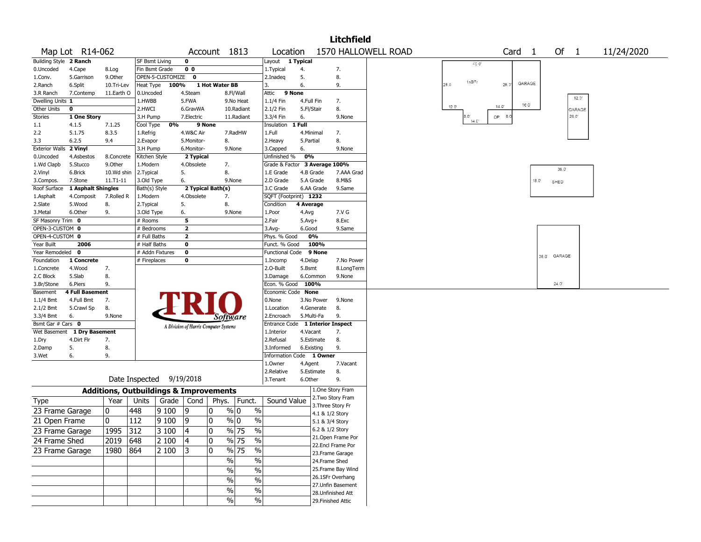| 1570 HALLOWELL ROAD<br>Map Lot R14-062<br>Account 1813<br>Card <sub>1</sub><br>Of $1$<br>11/24/2020<br>Location<br>Building Style 2 Ranch<br>1 Typical<br><b>SF Bsmt Living</b><br>$\mathbf 0$<br>Layout<br>$400$<br>Fin Bsmt Grade<br>0 <sub>0</sub><br>7.<br>0.Uncoded<br>4.Cape<br>8.Log<br>1. Typical<br>4.<br>5.Garrison<br>9.Other<br>OPEN-5-CUSTOMIZE 0<br>5.<br>8.<br>1.Conv.<br>2.Inadeg<br>1sB <sup>2</sup> f<br>GARAGE<br>6.<br>100%<br>1 Hot Water BB<br>9.<br>28.0<br>28.3<br>2.Ranch<br>6.Split<br>10.Tri-Lev<br>Heat Type<br>3.<br>9 None<br>7.Contemp<br>11.Earth O<br>0.Uncoded<br>4.Steam<br>8.Fl/Wall<br>Attic<br>3.R Ranch<br>$12.0^{\circ}$<br>Dwelling Units 1<br>1.HWBB<br>5.FWA<br>$1.1/4$ Fin<br>4.Full Fin<br>7.<br>9.No Heat<br>16 O'<br>$14.0^{\circ}$<br>120<br>8.<br>Other Units<br>0<br>2.HWCI<br>2.1/2 Fin<br>5.Fl/Stair<br>6.GravWA<br>10.Radiant<br>GARAGE<br>$26.0^{\circ}$<br>1 One Story<br>3.H Pump<br>7.Electric<br>3.3/4 Fin<br>6.<br>9.None<br>Stories<br>11.Radiant<br>8.0'<br>$OP = 8.0$<br>14.0<br>0%<br>9 None<br>1 Full<br>1.1<br>4.1.5<br>7.1.25<br>Cool Type<br>Insulation<br>5.1.75<br>8.3.5<br>7.RadHW<br>7.<br>2.2<br>1.Refrig<br>4.W&C Air<br>1.Full<br>4.Minimal<br>6.2.5<br>8.<br>3.3<br>9.4<br>2.Evapor<br>5.Monitor-<br>8.<br>2. Heavy<br>5.Partial<br>Exterior Walls 2 Vinyl<br>3.H Pump<br>9.None<br>6.<br>9.None<br>6.Monitor-<br>3.Capped<br>0%<br>Kitchen Style<br>2 Typical<br>Unfinished %<br>0.Uncoded<br>4.Asbestos<br>8.Concrete<br>9.0ther<br>Grade & Factor 3 Average 100%<br>1.Wd Clapb<br>5.Stucco<br>1.Modern<br>4.Obsolete<br>7.<br>36.0'<br>8.<br>6.Brick<br>10.Wd shin<br>2.Typical<br>5.<br>4.B Grade<br>7.AAA Grad<br>2.Vinyl<br>1.E Grade<br>8.M&S<br>7.Stone<br>11.T1-11<br>3.Old Type<br>9.None<br>2.D Grade<br>5.A Grade<br>3.Compos.<br>6.<br>$18.0^{\circ}$<br>SHED<br>1 Asphalt Shingles<br>Bath(s) Style<br>2 Typical Bath(s)<br>3.C Grade<br>6.AA Grade<br>9.Same<br>Roof Surface<br>SQFT (Footprint) 1232<br>1.Asphalt<br>4.Composit<br>7.Rolled R<br>1.Modern<br>4.Obsolete<br>7.<br>8.<br>8.<br>5.Wood<br>2.Typical<br>5.<br>4 Average<br>2.Slate<br>Condition<br>6.Other<br>9.<br>3.Old Type<br>7.V G<br>3.Metal<br>6.<br>9.None<br>1.Poor<br>4.Avg<br>SF Masonry Trim 0<br>5<br># Rooms<br>2.Fair<br>8.Exc<br>$5.Avg+$<br>$\overline{\mathbf{2}}$<br>OPEN-3-CUSTOM 0<br>9.Same<br># Bedrooms<br>3.Avg-<br>6.Good<br>OPEN-4-CUSTOM 0<br>0%<br># Full Baths<br>2<br>Phys. % Good<br>100%<br>Year Built<br>2006<br># Half Baths<br>0<br>Funct. % Good<br>Year Remodeled<br>0<br># Addn Fixtures<br>0<br><b>Functional Code</b><br>9 None<br>36.0' GARAGE<br>1 Concrete<br># Fireplaces<br>0<br>7.No Power<br>Foundation<br>1.Incomp<br>4.Delap<br>4.Wood<br>7.<br>5.Bsmt<br>8.LongTerm<br>1.Concrete<br>2.O-Built<br>8.<br>5.Slab<br>9.None<br>2.C Block<br>3.Damage<br>6.Common<br>Econ. % Good 100%<br>$24.0^{\circ}$<br>6.Piers<br>9.<br>3.Br/Stone<br><b>4 Full Basement</b><br>Economic Code None<br>Basement<br>7.<br>4.Full Bmt<br>0.None<br>$1.1/4$ Bmt<br>3.No Power<br>9.None<br>2.1/2 Bmt<br>5.Crawl Sp<br>8.<br>1.Location<br>4.Generate<br>8.<br>6.<br>9.None<br>2.Encroach<br>5.Multi-Fa<br>9.<br>3.3/4 Bmt<br>Software<br>Bsmt Gar $#$ Cars $0$<br>Entrance Code 1 Interior Inspect<br>A Division of Harris Computer Systems<br>Wet Basement<br>1 Dry Basement<br>4.Vacant<br>7.<br>1.Interior<br>4.Dirt Flr<br>7.<br>2.Refusal<br>5.Estimate<br>8.<br>1.Dry<br>8.<br>5.<br>9.<br>2.Damp<br>3.Informed<br>6.Existing<br>9.<br>Information Code 1 Owner<br>3.Wet<br>6.<br>7.Vacant<br>1.0wner<br>4.Agent<br>5.Estimate<br>8.<br>2.Relative<br>Date Inspected<br>9/19/2018<br>9.<br>3.Tenant<br>6.Other<br>1.One Story Fram<br><b>Additions, Outbuildings &amp; Improvements</b><br>2. Two Story Fram<br>Sound Value<br>Cond<br>Phys.<br>Funct.<br>Year<br>Units<br>Grade<br>Type<br>3. Three Story Fr<br>0<br>% 0<br>23 Frame Garage<br>448<br>9 100<br>9<br>$\%$<br>0<br>4.1 & 1/2 Story<br>$\mathbf 0$<br>$\%$<br>112<br>9 1 0 0<br>9<br>0<br>% 0<br>21 Open Frame<br>5.1 & 3/4 Story<br>6.2 & 1/2 Story<br>23 Frame Garage<br>1995 312<br>3 100<br> 4<br>10<br>% 75<br>%<br>21.Open Frame Por<br>$\sqrt{4}$<br>$\frac{9}{6}$ 75<br>$\sqrt{6}$<br>2019 648<br>2 100<br>10<br>24 Frame Shed<br>22.Encl Frame Por<br>$\sqrt{96}$ 75<br>$\%$<br>864<br>$\sqrt{2}100$<br>$ 3\rangle$<br>0<br>23 Frame Garage<br>1980<br>23. Frame Garage<br>$\frac{1}{2}$<br>$\sqrt{6}$<br>24.Frame Shed<br>25.Frame Bay Wind<br>$\%$<br>%<br>26.1SFr Overhang<br>$\%$<br>%<br>27.Unfin Basement |  |  |  |   |      |  | <b>Litchfield</b> |  |  |
|-------------------------------------------------------------------------------------------------------------------------------------------------------------------------------------------------------------------------------------------------------------------------------------------------------------------------------------------------------------------------------------------------------------------------------------------------------------------------------------------------------------------------------------------------------------------------------------------------------------------------------------------------------------------------------------------------------------------------------------------------------------------------------------------------------------------------------------------------------------------------------------------------------------------------------------------------------------------------------------------------------------------------------------------------------------------------------------------------------------------------------------------------------------------------------------------------------------------------------------------------------------------------------------------------------------------------------------------------------------------------------------------------------------------------------------------------------------------------------------------------------------------------------------------------------------------------------------------------------------------------------------------------------------------------------------------------------------------------------------------------------------------------------------------------------------------------------------------------------------------------------------------------------------------------------------------------------------------------------------------------------------------------------------------------------------------------------------------------------------------------------------------------------------------------------------------------------------------------------------------------------------------------------------------------------------------------------------------------------------------------------------------------------------------------------------------------------------------------------------------------------------------------------------------------------------------------------------------------------------------------------------------------------------------------------------------------------------------------------------------------------------------------------------------------------------------------------------------------------------------------------------------------------------------------------------------------------------------------------------------------------------------------------------------------------------------------------------------------------------------------------------------------------------------------------------------------------------------------------------------------------------------------------------------------------------------------------------------------------------------------------------------------------------------------------------------------------------------------------------------------------------------------------------------------------------------------------------------------------------------------------------------------------------------------------------------------------------------------------------------------------------------------------------------------------------------------------------------------------------------------------------------------------------------------------------------------------------------------------------------------------------------------------------------------------------------------------------------------------------------------------------------------------------------------------------------------------------------------------------------------------------------------------------------------------------------------------------------------------------------------------------------------------------------------------------------------------------------------------------------------------------------------------------------------------------------------------------|--|--|--|---|------|--|-------------------|--|--|
|                                                                                                                                                                                                                                                                                                                                                                                                                                                                                                                                                                                                                                                                                                                                                                                                                                                                                                                                                                                                                                                                                                                                                                                                                                                                                                                                                                                                                                                                                                                                                                                                                                                                                                                                                                                                                                                                                                                                                                                                                                                                                                                                                                                                                                                                                                                                                                                                                                                                                                                                                                                                                                                                                                                                                                                                                                                                                                                                                                                                                                                                                                                                                                                                                                                                                                                                                                                                                                                                                                                                                                                                                                                                                                                                                                                                                                                                                                                                                                                                                                                                                                                                                                                                                                                                                                                                                                                                                                                                                                                                                                                     |  |  |  |   |      |  |                   |  |  |
|                                                                                                                                                                                                                                                                                                                                                                                                                                                                                                                                                                                                                                                                                                                                                                                                                                                                                                                                                                                                                                                                                                                                                                                                                                                                                                                                                                                                                                                                                                                                                                                                                                                                                                                                                                                                                                                                                                                                                                                                                                                                                                                                                                                                                                                                                                                                                                                                                                                                                                                                                                                                                                                                                                                                                                                                                                                                                                                                                                                                                                                                                                                                                                                                                                                                                                                                                                                                                                                                                                                                                                                                                                                                                                                                                                                                                                                                                                                                                                                                                                                                                                                                                                                                                                                                                                                                                                                                                                                                                                                                                                                     |  |  |  |   |      |  |                   |  |  |
|                                                                                                                                                                                                                                                                                                                                                                                                                                                                                                                                                                                                                                                                                                                                                                                                                                                                                                                                                                                                                                                                                                                                                                                                                                                                                                                                                                                                                                                                                                                                                                                                                                                                                                                                                                                                                                                                                                                                                                                                                                                                                                                                                                                                                                                                                                                                                                                                                                                                                                                                                                                                                                                                                                                                                                                                                                                                                                                                                                                                                                                                                                                                                                                                                                                                                                                                                                                                                                                                                                                                                                                                                                                                                                                                                                                                                                                                                                                                                                                                                                                                                                                                                                                                                                                                                                                                                                                                                                                                                                                                                                                     |  |  |  |   |      |  |                   |  |  |
|                                                                                                                                                                                                                                                                                                                                                                                                                                                                                                                                                                                                                                                                                                                                                                                                                                                                                                                                                                                                                                                                                                                                                                                                                                                                                                                                                                                                                                                                                                                                                                                                                                                                                                                                                                                                                                                                                                                                                                                                                                                                                                                                                                                                                                                                                                                                                                                                                                                                                                                                                                                                                                                                                                                                                                                                                                                                                                                                                                                                                                                                                                                                                                                                                                                                                                                                                                                                                                                                                                                                                                                                                                                                                                                                                                                                                                                                                                                                                                                                                                                                                                                                                                                                                                                                                                                                                                                                                                                                                                                                                                                     |  |  |  |   |      |  |                   |  |  |
|                                                                                                                                                                                                                                                                                                                                                                                                                                                                                                                                                                                                                                                                                                                                                                                                                                                                                                                                                                                                                                                                                                                                                                                                                                                                                                                                                                                                                                                                                                                                                                                                                                                                                                                                                                                                                                                                                                                                                                                                                                                                                                                                                                                                                                                                                                                                                                                                                                                                                                                                                                                                                                                                                                                                                                                                                                                                                                                                                                                                                                                                                                                                                                                                                                                                                                                                                                                                                                                                                                                                                                                                                                                                                                                                                                                                                                                                                                                                                                                                                                                                                                                                                                                                                                                                                                                                                                                                                                                                                                                                                                                     |  |  |  |   |      |  |                   |  |  |
|                                                                                                                                                                                                                                                                                                                                                                                                                                                                                                                                                                                                                                                                                                                                                                                                                                                                                                                                                                                                                                                                                                                                                                                                                                                                                                                                                                                                                                                                                                                                                                                                                                                                                                                                                                                                                                                                                                                                                                                                                                                                                                                                                                                                                                                                                                                                                                                                                                                                                                                                                                                                                                                                                                                                                                                                                                                                                                                                                                                                                                                                                                                                                                                                                                                                                                                                                                                                                                                                                                                                                                                                                                                                                                                                                                                                                                                                                                                                                                                                                                                                                                                                                                                                                                                                                                                                                                                                                                                                                                                                                                                     |  |  |  |   |      |  |                   |  |  |
|                                                                                                                                                                                                                                                                                                                                                                                                                                                                                                                                                                                                                                                                                                                                                                                                                                                                                                                                                                                                                                                                                                                                                                                                                                                                                                                                                                                                                                                                                                                                                                                                                                                                                                                                                                                                                                                                                                                                                                                                                                                                                                                                                                                                                                                                                                                                                                                                                                                                                                                                                                                                                                                                                                                                                                                                                                                                                                                                                                                                                                                                                                                                                                                                                                                                                                                                                                                                                                                                                                                                                                                                                                                                                                                                                                                                                                                                                                                                                                                                                                                                                                                                                                                                                                                                                                                                                                                                                                                                                                                                                                                     |  |  |  |   |      |  |                   |  |  |
|                                                                                                                                                                                                                                                                                                                                                                                                                                                                                                                                                                                                                                                                                                                                                                                                                                                                                                                                                                                                                                                                                                                                                                                                                                                                                                                                                                                                                                                                                                                                                                                                                                                                                                                                                                                                                                                                                                                                                                                                                                                                                                                                                                                                                                                                                                                                                                                                                                                                                                                                                                                                                                                                                                                                                                                                                                                                                                                                                                                                                                                                                                                                                                                                                                                                                                                                                                                                                                                                                                                                                                                                                                                                                                                                                                                                                                                                                                                                                                                                                                                                                                                                                                                                                                                                                                                                                                                                                                                                                                                                                                                     |  |  |  |   |      |  |                   |  |  |
|                                                                                                                                                                                                                                                                                                                                                                                                                                                                                                                                                                                                                                                                                                                                                                                                                                                                                                                                                                                                                                                                                                                                                                                                                                                                                                                                                                                                                                                                                                                                                                                                                                                                                                                                                                                                                                                                                                                                                                                                                                                                                                                                                                                                                                                                                                                                                                                                                                                                                                                                                                                                                                                                                                                                                                                                                                                                                                                                                                                                                                                                                                                                                                                                                                                                                                                                                                                                                                                                                                                                                                                                                                                                                                                                                                                                                                                                                                                                                                                                                                                                                                                                                                                                                                                                                                                                                                                                                                                                                                                                                                                     |  |  |  |   |      |  |                   |  |  |
|                                                                                                                                                                                                                                                                                                                                                                                                                                                                                                                                                                                                                                                                                                                                                                                                                                                                                                                                                                                                                                                                                                                                                                                                                                                                                                                                                                                                                                                                                                                                                                                                                                                                                                                                                                                                                                                                                                                                                                                                                                                                                                                                                                                                                                                                                                                                                                                                                                                                                                                                                                                                                                                                                                                                                                                                                                                                                                                                                                                                                                                                                                                                                                                                                                                                                                                                                                                                                                                                                                                                                                                                                                                                                                                                                                                                                                                                                                                                                                                                                                                                                                                                                                                                                                                                                                                                                                                                                                                                                                                                                                                     |  |  |  |   |      |  |                   |  |  |
|                                                                                                                                                                                                                                                                                                                                                                                                                                                                                                                                                                                                                                                                                                                                                                                                                                                                                                                                                                                                                                                                                                                                                                                                                                                                                                                                                                                                                                                                                                                                                                                                                                                                                                                                                                                                                                                                                                                                                                                                                                                                                                                                                                                                                                                                                                                                                                                                                                                                                                                                                                                                                                                                                                                                                                                                                                                                                                                                                                                                                                                                                                                                                                                                                                                                                                                                                                                                                                                                                                                                                                                                                                                                                                                                                                                                                                                                                                                                                                                                                                                                                                                                                                                                                                                                                                                                                                                                                                                                                                                                                                                     |  |  |  |   |      |  |                   |  |  |
|                                                                                                                                                                                                                                                                                                                                                                                                                                                                                                                                                                                                                                                                                                                                                                                                                                                                                                                                                                                                                                                                                                                                                                                                                                                                                                                                                                                                                                                                                                                                                                                                                                                                                                                                                                                                                                                                                                                                                                                                                                                                                                                                                                                                                                                                                                                                                                                                                                                                                                                                                                                                                                                                                                                                                                                                                                                                                                                                                                                                                                                                                                                                                                                                                                                                                                                                                                                                                                                                                                                                                                                                                                                                                                                                                                                                                                                                                                                                                                                                                                                                                                                                                                                                                                                                                                                                                                                                                                                                                                                                                                                     |  |  |  |   |      |  |                   |  |  |
|                                                                                                                                                                                                                                                                                                                                                                                                                                                                                                                                                                                                                                                                                                                                                                                                                                                                                                                                                                                                                                                                                                                                                                                                                                                                                                                                                                                                                                                                                                                                                                                                                                                                                                                                                                                                                                                                                                                                                                                                                                                                                                                                                                                                                                                                                                                                                                                                                                                                                                                                                                                                                                                                                                                                                                                                                                                                                                                                                                                                                                                                                                                                                                                                                                                                                                                                                                                                                                                                                                                                                                                                                                                                                                                                                                                                                                                                                                                                                                                                                                                                                                                                                                                                                                                                                                                                                                                                                                                                                                                                                                                     |  |  |  |   |      |  |                   |  |  |
|                                                                                                                                                                                                                                                                                                                                                                                                                                                                                                                                                                                                                                                                                                                                                                                                                                                                                                                                                                                                                                                                                                                                                                                                                                                                                                                                                                                                                                                                                                                                                                                                                                                                                                                                                                                                                                                                                                                                                                                                                                                                                                                                                                                                                                                                                                                                                                                                                                                                                                                                                                                                                                                                                                                                                                                                                                                                                                                                                                                                                                                                                                                                                                                                                                                                                                                                                                                                                                                                                                                                                                                                                                                                                                                                                                                                                                                                                                                                                                                                                                                                                                                                                                                                                                                                                                                                                                                                                                                                                                                                                                                     |  |  |  |   |      |  |                   |  |  |
|                                                                                                                                                                                                                                                                                                                                                                                                                                                                                                                                                                                                                                                                                                                                                                                                                                                                                                                                                                                                                                                                                                                                                                                                                                                                                                                                                                                                                                                                                                                                                                                                                                                                                                                                                                                                                                                                                                                                                                                                                                                                                                                                                                                                                                                                                                                                                                                                                                                                                                                                                                                                                                                                                                                                                                                                                                                                                                                                                                                                                                                                                                                                                                                                                                                                                                                                                                                                                                                                                                                                                                                                                                                                                                                                                                                                                                                                                                                                                                                                                                                                                                                                                                                                                                                                                                                                                                                                                                                                                                                                                                                     |  |  |  |   |      |  |                   |  |  |
|                                                                                                                                                                                                                                                                                                                                                                                                                                                                                                                                                                                                                                                                                                                                                                                                                                                                                                                                                                                                                                                                                                                                                                                                                                                                                                                                                                                                                                                                                                                                                                                                                                                                                                                                                                                                                                                                                                                                                                                                                                                                                                                                                                                                                                                                                                                                                                                                                                                                                                                                                                                                                                                                                                                                                                                                                                                                                                                                                                                                                                                                                                                                                                                                                                                                                                                                                                                                                                                                                                                                                                                                                                                                                                                                                                                                                                                                                                                                                                                                                                                                                                                                                                                                                                                                                                                                                                                                                                                                                                                                                                                     |  |  |  |   |      |  |                   |  |  |
|                                                                                                                                                                                                                                                                                                                                                                                                                                                                                                                                                                                                                                                                                                                                                                                                                                                                                                                                                                                                                                                                                                                                                                                                                                                                                                                                                                                                                                                                                                                                                                                                                                                                                                                                                                                                                                                                                                                                                                                                                                                                                                                                                                                                                                                                                                                                                                                                                                                                                                                                                                                                                                                                                                                                                                                                                                                                                                                                                                                                                                                                                                                                                                                                                                                                                                                                                                                                                                                                                                                                                                                                                                                                                                                                                                                                                                                                                                                                                                                                                                                                                                                                                                                                                                                                                                                                                                                                                                                                                                                                                                                     |  |  |  |   |      |  |                   |  |  |
|                                                                                                                                                                                                                                                                                                                                                                                                                                                                                                                                                                                                                                                                                                                                                                                                                                                                                                                                                                                                                                                                                                                                                                                                                                                                                                                                                                                                                                                                                                                                                                                                                                                                                                                                                                                                                                                                                                                                                                                                                                                                                                                                                                                                                                                                                                                                                                                                                                                                                                                                                                                                                                                                                                                                                                                                                                                                                                                                                                                                                                                                                                                                                                                                                                                                                                                                                                                                                                                                                                                                                                                                                                                                                                                                                                                                                                                                                                                                                                                                                                                                                                                                                                                                                                                                                                                                                                                                                                                                                                                                                                                     |  |  |  |   |      |  |                   |  |  |
|                                                                                                                                                                                                                                                                                                                                                                                                                                                                                                                                                                                                                                                                                                                                                                                                                                                                                                                                                                                                                                                                                                                                                                                                                                                                                                                                                                                                                                                                                                                                                                                                                                                                                                                                                                                                                                                                                                                                                                                                                                                                                                                                                                                                                                                                                                                                                                                                                                                                                                                                                                                                                                                                                                                                                                                                                                                                                                                                                                                                                                                                                                                                                                                                                                                                                                                                                                                                                                                                                                                                                                                                                                                                                                                                                                                                                                                                                                                                                                                                                                                                                                                                                                                                                                                                                                                                                                                                                                                                                                                                                                                     |  |  |  |   |      |  |                   |  |  |
|                                                                                                                                                                                                                                                                                                                                                                                                                                                                                                                                                                                                                                                                                                                                                                                                                                                                                                                                                                                                                                                                                                                                                                                                                                                                                                                                                                                                                                                                                                                                                                                                                                                                                                                                                                                                                                                                                                                                                                                                                                                                                                                                                                                                                                                                                                                                                                                                                                                                                                                                                                                                                                                                                                                                                                                                                                                                                                                                                                                                                                                                                                                                                                                                                                                                                                                                                                                                                                                                                                                                                                                                                                                                                                                                                                                                                                                                                                                                                                                                                                                                                                                                                                                                                                                                                                                                                                                                                                                                                                                                                                                     |  |  |  |   |      |  |                   |  |  |
|                                                                                                                                                                                                                                                                                                                                                                                                                                                                                                                                                                                                                                                                                                                                                                                                                                                                                                                                                                                                                                                                                                                                                                                                                                                                                                                                                                                                                                                                                                                                                                                                                                                                                                                                                                                                                                                                                                                                                                                                                                                                                                                                                                                                                                                                                                                                                                                                                                                                                                                                                                                                                                                                                                                                                                                                                                                                                                                                                                                                                                                                                                                                                                                                                                                                                                                                                                                                                                                                                                                                                                                                                                                                                                                                                                                                                                                                                                                                                                                                                                                                                                                                                                                                                                                                                                                                                                                                                                                                                                                                                                                     |  |  |  |   |      |  |                   |  |  |
|                                                                                                                                                                                                                                                                                                                                                                                                                                                                                                                                                                                                                                                                                                                                                                                                                                                                                                                                                                                                                                                                                                                                                                                                                                                                                                                                                                                                                                                                                                                                                                                                                                                                                                                                                                                                                                                                                                                                                                                                                                                                                                                                                                                                                                                                                                                                                                                                                                                                                                                                                                                                                                                                                                                                                                                                                                                                                                                                                                                                                                                                                                                                                                                                                                                                                                                                                                                                                                                                                                                                                                                                                                                                                                                                                                                                                                                                                                                                                                                                                                                                                                                                                                                                                                                                                                                                                                                                                                                                                                                                                                                     |  |  |  |   |      |  |                   |  |  |
|                                                                                                                                                                                                                                                                                                                                                                                                                                                                                                                                                                                                                                                                                                                                                                                                                                                                                                                                                                                                                                                                                                                                                                                                                                                                                                                                                                                                                                                                                                                                                                                                                                                                                                                                                                                                                                                                                                                                                                                                                                                                                                                                                                                                                                                                                                                                                                                                                                                                                                                                                                                                                                                                                                                                                                                                                                                                                                                                                                                                                                                                                                                                                                                                                                                                                                                                                                                                                                                                                                                                                                                                                                                                                                                                                                                                                                                                                                                                                                                                                                                                                                                                                                                                                                                                                                                                                                                                                                                                                                                                                                                     |  |  |  |   |      |  |                   |  |  |
|                                                                                                                                                                                                                                                                                                                                                                                                                                                                                                                                                                                                                                                                                                                                                                                                                                                                                                                                                                                                                                                                                                                                                                                                                                                                                                                                                                                                                                                                                                                                                                                                                                                                                                                                                                                                                                                                                                                                                                                                                                                                                                                                                                                                                                                                                                                                                                                                                                                                                                                                                                                                                                                                                                                                                                                                                                                                                                                                                                                                                                                                                                                                                                                                                                                                                                                                                                                                                                                                                                                                                                                                                                                                                                                                                                                                                                                                                                                                                                                                                                                                                                                                                                                                                                                                                                                                                                                                                                                                                                                                                                                     |  |  |  |   |      |  |                   |  |  |
|                                                                                                                                                                                                                                                                                                                                                                                                                                                                                                                                                                                                                                                                                                                                                                                                                                                                                                                                                                                                                                                                                                                                                                                                                                                                                                                                                                                                                                                                                                                                                                                                                                                                                                                                                                                                                                                                                                                                                                                                                                                                                                                                                                                                                                                                                                                                                                                                                                                                                                                                                                                                                                                                                                                                                                                                                                                                                                                                                                                                                                                                                                                                                                                                                                                                                                                                                                                                                                                                                                                                                                                                                                                                                                                                                                                                                                                                                                                                                                                                                                                                                                                                                                                                                                                                                                                                                                                                                                                                                                                                                                                     |  |  |  |   |      |  |                   |  |  |
|                                                                                                                                                                                                                                                                                                                                                                                                                                                                                                                                                                                                                                                                                                                                                                                                                                                                                                                                                                                                                                                                                                                                                                                                                                                                                                                                                                                                                                                                                                                                                                                                                                                                                                                                                                                                                                                                                                                                                                                                                                                                                                                                                                                                                                                                                                                                                                                                                                                                                                                                                                                                                                                                                                                                                                                                                                                                                                                                                                                                                                                                                                                                                                                                                                                                                                                                                                                                                                                                                                                                                                                                                                                                                                                                                                                                                                                                                                                                                                                                                                                                                                                                                                                                                                                                                                                                                                                                                                                                                                                                                                                     |  |  |  |   |      |  |                   |  |  |
|                                                                                                                                                                                                                                                                                                                                                                                                                                                                                                                                                                                                                                                                                                                                                                                                                                                                                                                                                                                                                                                                                                                                                                                                                                                                                                                                                                                                                                                                                                                                                                                                                                                                                                                                                                                                                                                                                                                                                                                                                                                                                                                                                                                                                                                                                                                                                                                                                                                                                                                                                                                                                                                                                                                                                                                                                                                                                                                                                                                                                                                                                                                                                                                                                                                                                                                                                                                                                                                                                                                                                                                                                                                                                                                                                                                                                                                                                                                                                                                                                                                                                                                                                                                                                                                                                                                                                                                                                                                                                                                                                                                     |  |  |  |   |      |  |                   |  |  |
|                                                                                                                                                                                                                                                                                                                                                                                                                                                                                                                                                                                                                                                                                                                                                                                                                                                                                                                                                                                                                                                                                                                                                                                                                                                                                                                                                                                                                                                                                                                                                                                                                                                                                                                                                                                                                                                                                                                                                                                                                                                                                                                                                                                                                                                                                                                                                                                                                                                                                                                                                                                                                                                                                                                                                                                                                                                                                                                                                                                                                                                                                                                                                                                                                                                                                                                                                                                                                                                                                                                                                                                                                                                                                                                                                                                                                                                                                                                                                                                                                                                                                                                                                                                                                                                                                                                                                                                                                                                                                                                                                                                     |  |  |  |   |      |  |                   |  |  |
|                                                                                                                                                                                                                                                                                                                                                                                                                                                                                                                                                                                                                                                                                                                                                                                                                                                                                                                                                                                                                                                                                                                                                                                                                                                                                                                                                                                                                                                                                                                                                                                                                                                                                                                                                                                                                                                                                                                                                                                                                                                                                                                                                                                                                                                                                                                                                                                                                                                                                                                                                                                                                                                                                                                                                                                                                                                                                                                                                                                                                                                                                                                                                                                                                                                                                                                                                                                                                                                                                                                                                                                                                                                                                                                                                                                                                                                                                                                                                                                                                                                                                                                                                                                                                                                                                                                                                                                                                                                                                                                                                                                     |  |  |  |   |      |  |                   |  |  |
|                                                                                                                                                                                                                                                                                                                                                                                                                                                                                                                                                                                                                                                                                                                                                                                                                                                                                                                                                                                                                                                                                                                                                                                                                                                                                                                                                                                                                                                                                                                                                                                                                                                                                                                                                                                                                                                                                                                                                                                                                                                                                                                                                                                                                                                                                                                                                                                                                                                                                                                                                                                                                                                                                                                                                                                                                                                                                                                                                                                                                                                                                                                                                                                                                                                                                                                                                                                                                                                                                                                                                                                                                                                                                                                                                                                                                                                                                                                                                                                                                                                                                                                                                                                                                                                                                                                                                                                                                                                                                                                                                                                     |  |  |  |   |      |  |                   |  |  |
|                                                                                                                                                                                                                                                                                                                                                                                                                                                                                                                                                                                                                                                                                                                                                                                                                                                                                                                                                                                                                                                                                                                                                                                                                                                                                                                                                                                                                                                                                                                                                                                                                                                                                                                                                                                                                                                                                                                                                                                                                                                                                                                                                                                                                                                                                                                                                                                                                                                                                                                                                                                                                                                                                                                                                                                                                                                                                                                                                                                                                                                                                                                                                                                                                                                                                                                                                                                                                                                                                                                                                                                                                                                                                                                                                                                                                                                                                                                                                                                                                                                                                                                                                                                                                                                                                                                                                                                                                                                                                                                                                                                     |  |  |  |   |      |  |                   |  |  |
|                                                                                                                                                                                                                                                                                                                                                                                                                                                                                                                                                                                                                                                                                                                                                                                                                                                                                                                                                                                                                                                                                                                                                                                                                                                                                                                                                                                                                                                                                                                                                                                                                                                                                                                                                                                                                                                                                                                                                                                                                                                                                                                                                                                                                                                                                                                                                                                                                                                                                                                                                                                                                                                                                                                                                                                                                                                                                                                                                                                                                                                                                                                                                                                                                                                                                                                                                                                                                                                                                                                                                                                                                                                                                                                                                                                                                                                                                                                                                                                                                                                                                                                                                                                                                                                                                                                                                                                                                                                                                                                                                                                     |  |  |  |   |      |  |                   |  |  |
|                                                                                                                                                                                                                                                                                                                                                                                                                                                                                                                                                                                                                                                                                                                                                                                                                                                                                                                                                                                                                                                                                                                                                                                                                                                                                                                                                                                                                                                                                                                                                                                                                                                                                                                                                                                                                                                                                                                                                                                                                                                                                                                                                                                                                                                                                                                                                                                                                                                                                                                                                                                                                                                                                                                                                                                                                                                                                                                                                                                                                                                                                                                                                                                                                                                                                                                                                                                                                                                                                                                                                                                                                                                                                                                                                                                                                                                                                                                                                                                                                                                                                                                                                                                                                                                                                                                                                                                                                                                                                                                                                                                     |  |  |  |   |      |  |                   |  |  |
|                                                                                                                                                                                                                                                                                                                                                                                                                                                                                                                                                                                                                                                                                                                                                                                                                                                                                                                                                                                                                                                                                                                                                                                                                                                                                                                                                                                                                                                                                                                                                                                                                                                                                                                                                                                                                                                                                                                                                                                                                                                                                                                                                                                                                                                                                                                                                                                                                                                                                                                                                                                                                                                                                                                                                                                                                                                                                                                                                                                                                                                                                                                                                                                                                                                                                                                                                                                                                                                                                                                                                                                                                                                                                                                                                                                                                                                                                                                                                                                                                                                                                                                                                                                                                                                                                                                                                                                                                                                                                                                                                                                     |  |  |  |   |      |  |                   |  |  |
|                                                                                                                                                                                                                                                                                                                                                                                                                                                                                                                                                                                                                                                                                                                                                                                                                                                                                                                                                                                                                                                                                                                                                                                                                                                                                                                                                                                                                                                                                                                                                                                                                                                                                                                                                                                                                                                                                                                                                                                                                                                                                                                                                                                                                                                                                                                                                                                                                                                                                                                                                                                                                                                                                                                                                                                                                                                                                                                                                                                                                                                                                                                                                                                                                                                                                                                                                                                                                                                                                                                                                                                                                                                                                                                                                                                                                                                                                                                                                                                                                                                                                                                                                                                                                                                                                                                                                                                                                                                                                                                                                                                     |  |  |  |   |      |  |                   |  |  |
|                                                                                                                                                                                                                                                                                                                                                                                                                                                                                                                                                                                                                                                                                                                                                                                                                                                                                                                                                                                                                                                                                                                                                                                                                                                                                                                                                                                                                                                                                                                                                                                                                                                                                                                                                                                                                                                                                                                                                                                                                                                                                                                                                                                                                                                                                                                                                                                                                                                                                                                                                                                                                                                                                                                                                                                                                                                                                                                                                                                                                                                                                                                                                                                                                                                                                                                                                                                                                                                                                                                                                                                                                                                                                                                                                                                                                                                                                                                                                                                                                                                                                                                                                                                                                                                                                                                                                                                                                                                                                                                                                                                     |  |  |  |   |      |  |                   |  |  |
|                                                                                                                                                                                                                                                                                                                                                                                                                                                                                                                                                                                                                                                                                                                                                                                                                                                                                                                                                                                                                                                                                                                                                                                                                                                                                                                                                                                                                                                                                                                                                                                                                                                                                                                                                                                                                                                                                                                                                                                                                                                                                                                                                                                                                                                                                                                                                                                                                                                                                                                                                                                                                                                                                                                                                                                                                                                                                                                                                                                                                                                                                                                                                                                                                                                                                                                                                                                                                                                                                                                                                                                                                                                                                                                                                                                                                                                                                                                                                                                                                                                                                                                                                                                                                                                                                                                                                                                                                                                                                                                                                                                     |  |  |  |   |      |  |                   |  |  |
|                                                                                                                                                                                                                                                                                                                                                                                                                                                                                                                                                                                                                                                                                                                                                                                                                                                                                                                                                                                                                                                                                                                                                                                                                                                                                                                                                                                                                                                                                                                                                                                                                                                                                                                                                                                                                                                                                                                                                                                                                                                                                                                                                                                                                                                                                                                                                                                                                                                                                                                                                                                                                                                                                                                                                                                                                                                                                                                                                                                                                                                                                                                                                                                                                                                                                                                                                                                                                                                                                                                                                                                                                                                                                                                                                                                                                                                                                                                                                                                                                                                                                                                                                                                                                                                                                                                                                                                                                                                                                                                                                                                     |  |  |  |   |      |  |                   |  |  |
|                                                                                                                                                                                                                                                                                                                                                                                                                                                                                                                                                                                                                                                                                                                                                                                                                                                                                                                                                                                                                                                                                                                                                                                                                                                                                                                                                                                                                                                                                                                                                                                                                                                                                                                                                                                                                                                                                                                                                                                                                                                                                                                                                                                                                                                                                                                                                                                                                                                                                                                                                                                                                                                                                                                                                                                                                                                                                                                                                                                                                                                                                                                                                                                                                                                                                                                                                                                                                                                                                                                                                                                                                                                                                                                                                                                                                                                                                                                                                                                                                                                                                                                                                                                                                                                                                                                                                                                                                                                                                                                                                                                     |  |  |  |   |      |  |                   |  |  |
|                                                                                                                                                                                                                                                                                                                                                                                                                                                                                                                                                                                                                                                                                                                                                                                                                                                                                                                                                                                                                                                                                                                                                                                                                                                                                                                                                                                                                                                                                                                                                                                                                                                                                                                                                                                                                                                                                                                                                                                                                                                                                                                                                                                                                                                                                                                                                                                                                                                                                                                                                                                                                                                                                                                                                                                                                                                                                                                                                                                                                                                                                                                                                                                                                                                                                                                                                                                                                                                                                                                                                                                                                                                                                                                                                                                                                                                                                                                                                                                                                                                                                                                                                                                                                                                                                                                                                                                                                                                                                                                                                                                     |  |  |  |   |      |  |                   |  |  |
|                                                                                                                                                                                                                                                                                                                                                                                                                                                                                                                                                                                                                                                                                                                                                                                                                                                                                                                                                                                                                                                                                                                                                                                                                                                                                                                                                                                                                                                                                                                                                                                                                                                                                                                                                                                                                                                                                                                                                                                                                                                                                                                                                                                                                                                                                                                                                                                                                                                                                                                                                                                                                                                                                                                                                                                                                                                                                                                                                                                                                                                                                                                                                                                                                                                                                                                                                                                                                                                                                                                                                                                                                                                                                                                                                                                                                                                                                                                                                                                                                                                                                                                                                                                                                                                                                                                                                                                                                                                                                                                                                                                     |  |  |  |   |      |  |                   |  |  |
|                                                                                                                                                                                                                                                                                                                                                                                                                                                                                                                                                                                                                                                                                                                                                                                                                                                                                                                                                                                                                                                                                                                                                                                                                                                                                                                                                                                                                                                                                                                                                                                                                                                                                                                                                                                                                                                                                                                                                                                                                                                                                                                                                                                                                                                                                                                                                                                                                                                                                                                                                                                                                                                                                                                                                                                                                                                                                                                                                                                                                                                                                                                                                                                                                                                                                                                                                                                                                                                                                                                                                                                                                                                                                                                                                                                                                                                                                                                                                                                                                                                                                                                                                                                                                                                                                                                                                                                                                                                                                                                                                                                     |  |  |  |   |      |  |                   |  |  |
|                                                                                                                                                                                                                                                                                                                                                                                                                                                                                                                                                                                                                                                                                                                                                                                                                                                                                                                                                                                                                                                                                                                                                                                                                                                                                                                                                                                                                                                                                                                                                                                                                                                                                                                                                                                                                                                                                                                                                                                                                                                                                                                                                                                                                                                                                                                                                                                                                                                                                                                                                                                                                                                                                                                                                                                                                                                                                                                                                                                                                                                                                                                                                                                                                                                                                                                                                                                                                                                                                                                                                                                                                                                                                                                                                                                                                                                                                                                                                                                                                                                                                                                                                                                                                                                                                                                                                                                                                                                                                                                                                                                     |  |  |  |   |      |  |                   |  |  |
|                                                                                                                                                                                                                                                                                                                                                                                                                                                                                                                                                                                                                                                                                                                                                                                                                                                                                                                                                                                                                                                                                                                                                                                                                                                                                                                                                                                                                                                                                                                                                                                                                                                                                                                                                                                                                                                                                                                                                                                                                                                                                                                                                                                                                                                                                                                                                                                                                                                                                                                                                                                                                                                                                                                                                                                                                                                                                                                                                                                                                                                                                                                                                                                                                                                                                                                                                                                                                                                                                                                                                                                                                                                                                                                                                                                                                                                                                                                                                                                                                                                                                                                                                                                                                                                                                                                                                                                                                                                                                                                                                                                     |  |  |  |   |      |  |                   |  |  |
|                                                                                                                                                                                                                                                                                                                                                                                                                                                                                                                                                                                                                                                                                                                                                                                                                                                                                                                                                                                                                                                                                                                                                                                                                                                                                                                                                                                                                                                                                                                                                                                                                                                                                                                                                                                                                                                                                                                                                                                                                                                                                                                                                                                                                                                                                                                                                                                                                                                                                                                                                                                                                                                                                                                                                                                                                                                                                                                                                                                                                                                                                                                                                                                                                                                                                                                                                                                                                                                                                                                                                                                                                                                                                                                                                                                                                                                                                                                                                                                                                                                                                                                                                                                                                                                                                                                                                                                                                                                                                                                                                                                     |  |  |  |   |      |  |                   |  |  |
|                                                                                                                                                                                                                                                                                                                                                                                                                                                                                                                                                                                                                                                                                                                                                                                                                                                                                                                                                                                                                                                                                                                                                                                                                                                                                                                                                                                                                                                                                                                                                                                                                                                                                                                                                                                                                                                                                                                                                                                                                                                                                                                                                                                                                                                                                                                                                                                                                                                                                                                                                                                                                                                                                                                                                                                                                                                                                                                                                                                                                                                                                                                                                                                                                                                                                                                                                                                                                                                                                                                                                                                                                                                                                                                                                                                                                                                                                                                                                                                                                                                                                                                                                                                                                                                                                                                                                                                                                                                                                                                                                                                     |  |  |  |   |      |  |                   |  |  |
|                                                                                                                                                                                                                                                                                                                                                                                                                                                                                                                                                                                                                                                                                                                                                                                                                                                                                                                                                                                                                                                                                                                                                                                                                                                                                                                                                                                                                                                                                                                                                                                                                                                                                                                                                                                                                                                                                                                                                                                                                                                                                                                                                                                                                                                                                                                                                                                                                                                                                                                                                                                                                                                                                                                                                                                                                                                                                                                                                                                                                                                                                                                                                                                                                                                                                                                                                                                                                                                                                                                                                                                                                                                                                                                                                                                                                                                                                                                                                                                                                                                                                                                                                                                                                                                                                                                                                                                                                                                                                                                                                                                     |  |  |  |   |      |  |                   |  |  |
|                                                                                                                                                                                                                                                                                                                                                                                                                                                                                                                                                                                                                                                                                                                                                                                                                                                                                                                                                                                                                                                                                                                                                                                                                                                                                                                                                                                                                                                                                                                                                                                                                                                                                                                                                                                                                                                                                                                                                                                                                                                                                                                                                                                                                                                                                                                                                                                                                                                                                                                                                                                                                                                                                                                                                                                                                                                                                                                                                                                                                                                                                                                                                                                                                                                                                                                                                                                                                                                                                                                                                                                                                                                                                                                                                                                                                                                                                                                                                                                                                                                                                                                                                                                                                                                                                                                                                                                                                                                                                                                                                                                     |  |  |  |   |      |  |                   |  |  |
|                                                                                                                                                                                                                                                                                                                                                                                                                                                                                                                                                                                                                                                                                                                                                                                                                                                                                                                                                                                                                                                                                                                                                                                                                                                                                                                                                                                                                                                                                                                                                                                                                                                                                                                                                                                                                                                                                                                                                                                                                                                                                                                                                                                                                                                                                                                                                                                                                                                                                                                                                                                                                                                                                                                                                                                                                                                                                                                                                                                                                                                                                                                                                                                                                                                                                                                                                                                                                                                                                                                                                                                                                                                                                                                                                                                                                                                                                                                                                                                                                                                                                                                                                                                                                                                                                                                                                                                                                                                                                                                                                                                     |  |  |  |   |      |  |                   |  |  |
|                                                                                                                                                                                                                                                                                                                                                                                                                                                                                                                                                                                                                                                                                                                                                                                                                                                                                                                                                                                                                                                                                                                                                                                                                                                                                                                                                                                                                                                                                                                                                                                                                                                                                                                                                                                                                                                                                                                                                                                                                                                                                                                                                                                                                                                                                                                                                                                                                                                                                                                                                                                                                                                                                                                                                                                                                                                                                                                                                                                                                                                                                                                                                                                                                                                                                                                                                                                                                                                                                                                                                                                                                                                                                                                                                                                                                                                                                                                                                                                                                                                                                                                                                                                                                                                                                                                                                                                                                                                                                                                                                                                     |  |  |  |   |      |  |                   |  |  |
|                                                                                                                                                                                                                                                                                                                                                                                                                                                                                                                                                                                                                                                                                                                                                                                                                                                                                                                                                                                                                                                                                                                                                                                                                                                                                                                                                                                                                                                                                                                                                                                                                                                                                                                                                                                                                                                                                                                                                                                                                                                                                                                                                                                                                                                                                                                                                                                                                                                                                                                                                                                                                                                                                                                                                                                                                                                                                                                                                                                                                                                                                                                                                                                                                                                                                                                                                                                                                                                                                                                                                                                                                                                                                                                                                                                                                                                                                                                                                                                                                                                                                                                                                                                                                                                                                                                                                                                                                                                                                                                                                                                     |  |  |  |   |      |  |                   |  |  |
|                                                                                                                                                                                                                                                                                                                                                                                                                                                                                                                                                                                                                                                                                                                                                                                                                                                                                                                                                                                                                                                                                                                                                                                                                                                                                                                                                                                                                                                                                                                                                                                                                                                                                                                                                                                                                                                                                                                                                                                                                                                                                                                                                                                                                                                                                                                                                                                                                                                                                                                                                                                                                                                                                                                                                                                                                                                                                                                                                                                                                                                                                                                                                                                                                                                                                                                                                                                                                                                                                                                                                                                                                                                                                                                                                                                                                                                                                                                                                                                                                                                                                                                                                                                                                                                                                                                                                                                                                                                                                                                                                                                     |  |  |  |   |      |  |                   |  |  |
| 28.Unfinished Att                                                                                                                                                                                                                                                                                                                                                                                                                                                                                                                                                                                                                                                                                                                                                                                                                                                                                                                                                                                                                                                                                                                                                                                                                                                                                                                                                                                                                                                                                                                                                                                                                                                                                                                                                                                                                                                                                                                                                                                                                                                                                                                                                                                                                                                                                                                                                                                                                                                                                                                                                                                                                                                                                                                                                                                                                                                                                                                                                                                                                                                                                                                                                                                                                                                                                                                                                                                                                                                                                                                                                                                                                                                                                                                                                                                                                                                                                                                                                                                                                                                                                                                                                                                                                                                                                                                                                                                                                                                                                                                                                                   |  |  |  | % | $\%$ |  |                   |  |  |
| $\sqrt{6}$<br>$\%$<br>29. Finished Attic                                                                                                                                                                                                                                                                                                                                                                                                                                                                                                                                                                                                                                                                                                                                                                                                                                                                                                                                                                                                                                                                                                                                                                                                                                                                                                                                                                                                                                                                                                                                                                                                                                                                                                                                                                                                                                                                                                                                                                                                                                                                                                                                                                                                                                                                                                                                                                                                                                                                                                                                                                                                                                                                                                                                                                                                                                                                                                                                                                                                                                                                                                                                                                                                                                                                                                                                                                                                                                                                                                                                                                                                                                                                                                                                                                                                                                                                                                                                                                                                                                                                                                                                                                                                                                                                                                                                                                                                                                                                                                                                            |  |  |  |   |      |  |                   |  |  |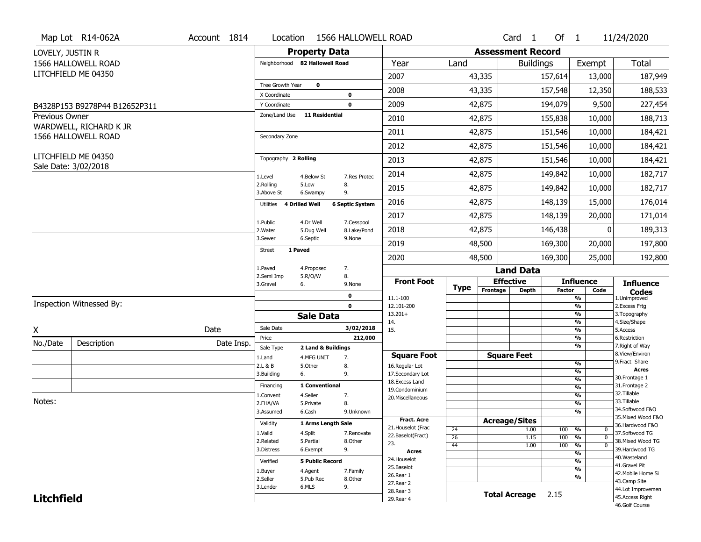|                       | Map Lot R14-062A                            | Account 1814                     | Location                       |                                  | 1566 HALLOWELL ROAD    |                                         |             |                          | $Card \t1$           | Of $1$        |                                    | 11/24/2020                            |
|-----------------------|---------------------------------------------|----------------------------------|--------------------------------|----------------------------------|------------------------|-----------------------------------------|-------------|--------------------------|----------------------|---------------|------------------------------------|---------------------------------------|
| LOVELY, JUSTIN R      |                                             |                                  |                                | <b>Property Data</b>             |                        |                                         |             | <b>Assessment Record</b> |                      |               |                                    |                                       |
|                       | 1566 HALLOWELL ROAD                         |                                  | Neighborhood 82 Hallowell Road |                                  |                        | Year                                    | Land        |                          | <b>Buildings</b>     |               | Exempt                             | <b>Total</b>                          |
|                       | LITCHFIELD ME 04350                         |                                  |                                |                                  |                        | 2007                                    |             | 43,335                   |                      | 157,614       | 13,000                             | 187,949                               |
|                       |                                             |                                  | Tree Growth Year               | $\mathbf 0$                      |                        | 2008                                    |             | 43,335                   |                      | 157,548       | 12,350                             | 188,533                               |
|                       |                                             |                                  | X Coordinate                   |                                  | 0                      |                                         |             |                          |                      |               |                                    |                                       |
|                       | B4328P153 B9278P44 B12652P311               |                                  | Y Coordinate<br>Zone/Land Use  | <b>11 Residential</b>            | $\mathbf 0$            | 2009                                    |             | 42,875                   |                      | 194,079       | 9,500                              | 227,454                               |
| <b>Previous Owner</b> | WARDWELL, RICHARD K JR                      |                                  |                                |                                  |                        | 2010                                    |             | 42,875                   |                      | 155,838       | 10,000                             | 188,713                               |
|                       | 1566 HALLOWELL ROAD                         |                                  | Secondary Zone                 |                                  |                        | 2011                                    |             | 42,875                   |                      | 151,546       | 10,000                             | 184,421                               |
|                       |                                             |                                  |                                |                                  |                        | 2012                                    |             | 42,875                   |                      | 151,546       | 10,000                             | 184,421                               |
|                       | LITCHFIELD ME 04350<br>Sale Date: 3/02/2018 |                                  | Topography 2 Rolling           |                                  |                        | 2013                                    |             | 42,875                   |                      | 151,546       | 10,000                             | 184,421                               |
|                       |                                             |                                  | 1.Level                        | 4.Below St                       | 7.Res Protec           | 2014                                    |             | 42,875                   |                      | 149,842       | 10,000                             | 182,717                               |
|                       |                                             |                                  | 2.Rolling<br>3.Above St        | 5.Low<br>6.Swampy                | 8.<br>9.               | 2015                                    |             | 42,875                   |                      | 149,842       | 10,000                             | 182,717                               |
|                       |                                             |                                  | 4 Drilled Well<br>Utilities    |                                  | <b>6 Septic System</b> | 2016                                    |             | 42,875                   |                      | 148,139       | 15,000                             | 176,014                               |
|                       |                                             |                                  | 1.Public                       | 4.Dr Well                        | 7.Cesspool             | 2017                                    |             | 42,875                   |                      | 148,139       | 20,000                             | 171,014                               |
|                       |                                             |                                  | 2. Water                       | 5.Dug Well                       | 8.Lake/Pond            | 2018                                    |             | 42,875                   |                      | 146,438       | $\mathbf{0}$                       | 189,313                               |
|                       |                                             |                                  | 3.Sewer<br>1 Paved             | 6.Septic                         | 9.None                 | 2019                                    |             | 48,500                   |                      | 169,300       | 20,000                             | 197,800                               |
|                       |                                             |                                  | <b>Street</b>                  |                                  |                        | 2020                                    |             | 48,500                   |                      | 169,300       | 25,000                             | 192,800                               |
|                       |                                             |                                  | 1.Paved                        | 4.Proposed                       | 7.                     |                                         |             |                          | <b>Land Data</b>     |               |                                    |                                       |
|                       |                                             |                                  | 2.Semi Imp<br>3.Gravel<br>6.   | 5.R/O/W                          | 8.<br>9.None           | <b>Front Foot</b>                       | <b>Type</b> | <b>Effective</b>         |                      |               | <b>Influence</b>                   | <b>Influence</b>                      |
|                       |                                             |                                  |                                |                                  | 0                      | 11.1-100                                |             | Frontage                 | <b>Depth</b>         | <b>Factor</b> | Code<br>%                          | <b>Codes</b><br>1.Unimproved          |
|                       | Inspection Witnessed By:                    |                                  |                                |                                  | $\mathbf 0$            | 12.101-200                              |             |                          |                      |               | $\overline{\frac{9}{6}}$           | 2. Excess Frtg                        |
|                       |                                             |                                  |                                | <b>Sale Data</b>                 |                        | $13.201+$<br>14.                        |             |                          |                      |               | $\frac{9}{6}$<br>%                 | 3. Topography<br>4.Size/Shape         |
| X                     |                                             | Date                             | Sale Date                      |                                  | 3/02/2018              | 15.                                     |             |                          |                      |               | $\frac{9}{6}$                      | 5.Access                              |
| No./Date              | Description                                 | Date Insp.                       | Price                          |                                  | 212,000                |                                         |             |                          |                      |               | %<br>%                             | 6.Restriction<br>7. Right of Way      |
|                       |                                             |                                  | Sale Type<br>1.Land            | 2 Land & Buildings<br>4.MFG UNIT | 7.                     | <b>Square Foot</b>                      |             |                          | <b>Square Feet</b>   |               |                                    | 8.View/Environ                        |
|                       |                                             |                                  | 2.L & B                        | 5.Other                          | 8.                     | 16.Regular Lot                          |             |                          |                      |               | $\frac{9}{6}$                      | 9. Fract Share                        |
|                       |                                             |                                  | 3.Building<br>6.               |                                  | 9.                     | 17.Secondary Lot                        |             |                          |                      |               | $\overline{\frac{9}{6}}$           | <b>Acres</b><br>30.Frontage 1         |
|                       |                                             |                                  | Financing                      | 1 Conventional                   |                        | 18.Excess Land                          |             |                          |                      |               | $\frac{9}{6}$<br>$\frac{9}{6}$     | 31. Frontage 2                        |
|                       |                                             |                                  | 1.Convent                      | 4.Seller                         | 7.                     | 19.Condominium<br>20. Miscellaneous     |             |                          |                      |               | $\frac{9}{6}$                      | 32.Tillable                           |
| Notes:                |                                             |                                  | 2.FHA/VA                       | 5.Private                        | 8.                     |                                         |             |                          |                      |               | $\frac{9}{6}$                      | 33.Tillable                           |
|                       |                                             |                                  | 3.Assumed                      | 6.Cash                           | 9.Unknown              |                                         |             |                          |                      |               | %                                  | 34.Softwood F&O                       |
|                       |                                             |                                  | Validity                       | <b>1 Arms Lenath Sale</b>        |                        | <b>Fract. Acre</b>                      |             | <b>Acreage/Sites</b>     |                      |               |                                    | 35. Mixed Wood F&O<br>36.Hardwood F&O |
|                       |                                             |                                  |                                | 4.Split                          | 7.Renovate             | 21. Houselot (Frac<br>22.Baselot(Fract) | 24          |                          | 1.00                 | 100           | %<br>0                             | 37.Softwood TG                        |
|                       |                                             |                                  | 1.Valid<br>2.Related           | 5.Partial                        | 8.Other                | 23.                                     | 26          |                          | 1.15                 | 100           | $\frac{9}{6}$<br>$\mathbf 0$       | 38. Mixed Wood TG                     |
|                       |                                             |                                  |                                | 6.Exempt                         | 9.                     | <b>Acres</b>                            | 44          |                          | 1.00                 | 100           | %<br>$\mathbf 0$<br>$\frac{9}{6}$  | 39.Hardwood TG                        |
|                       |                                             |                                  | Verified                       | <b>5 Public Record</b>           |                        | 24. Houselot                            |             |                          |                      |               | %                                  | 40. Wasteland                         |
|                       |                                             | 4.Agent<br>7.Family<br>1.Buyer   |                                |                                  |                        | 25.Baselot                              |             |                          |                      | $\frac{9}{6}$ | 41.Gravel Pit                      |                                       |
|                       |                                             | 2.Seller<br>5.Pub Rec<br>8.Other |                                |                                  |                        | 26.Rear 1                               |             |                          |                      | %             | 42. Mobile Home Si<br>43.Camp Site |                                       |
|                       |                                             |                                  |                                |                                  |                        |                                         |             |                          |                      |               |                                    |                                       |
|                       |                                             |                                  | 3.Lender                       | 6.MLS                            | 9.                     | 27.Rear 2                               |             |                          |                      |               |                                    |                                       |
| <b>Litchfield</b>     |                                             |                                  |                                |                                  |                        | 28. Rear 3<br>29. Rear 4                |             |                          | <b>Total Acreage</b> | 2.15          |                                    | 44.Lot Improvemen<br>45. Access Right |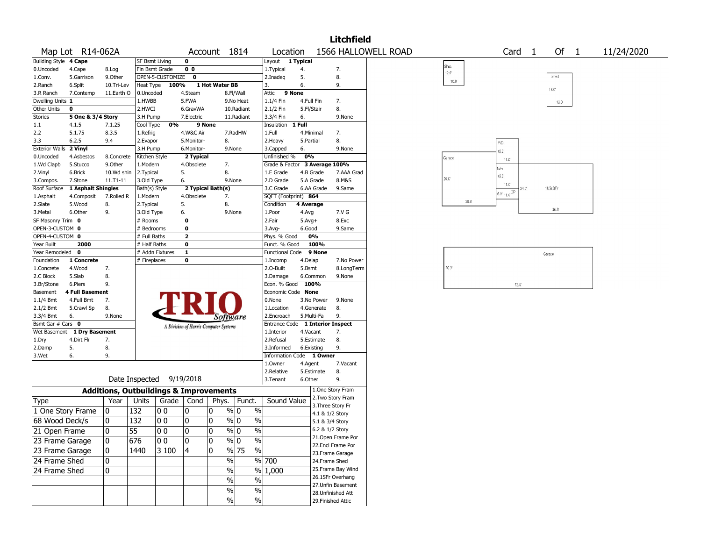|                       |                        |                                                   |                          |                  |                                       |                |                                |                        |                    |            | <b>Litchfield</b>                     |                     |              |                |                                                                                                                         |        |                |                |            |
|-----------------------|------------------------|---------------------------------------------------|--------------------------|------------------|---------------------------------------|----------------|--------------------------------|------------------------|--------------------|------------|---------------------------------------|---------------------|--------------|----------------|-------------------------------------------------------------------------------------------------------------------------|--------|----------------|----------------|------------|
|                       | Map Lot R14-062A       |                                                   |                          |                  |                                       | Account 1814   |                                | Location               |                    |            |                                       | 1566 HALLOWELL ROAD |              |                |                                                                                                                         | Card 1 |                | Of 1           | 11/24/2020 |
| <b>Building Style</b> | 4 Cape                 |                                                   | <b>SF Bsmt Living</b>    |                  | 0                                     |                |                                | Layout                 | 1 Typical          |            |                                       |                     |              |                |                                                                                                                         |        |                |                |            |
| 0.Uncoded             | 4.Cape                 | 8.Log                                             | Fin Bsmt Grade           |                  | 0 <sub>0</sub>                        |                |                                | 1. Typical             | 4.                 |            | 7.                                    |                     | Shed         | $12.0^{\circ}$ |                                                                                                                         |        |                |                |            |
| 1.Conv.               | 5.Garrison             | 9.0ther                                           |                          | OPEN-5-CUSTOMIZE | 0                                     |                |                                | 2.Inadeq               | 5.                 |            | 8.                                    |                     |              | $10.0^\circ$   |                                                                                                                         |        | Shed           |                |            |
| 2.Ranch               | 6.Split                | 10.Tri-Lev                                        | Heat Type                | 100%             |                                       | 1 Hot Water BB |                                | 3.                     | 6.                 |            | 9.                                    |                     |              |                |                                                                                                                         |        | $16.0^{\circ}$ |                |            |
| 3.R Ranch             | 7.Contemp              | 11.Earth O                                        | 0.Uncoded                |                  | 4.Steam                               |                | 8.Fl/Wall                      | Attic<br>9 None        |                    |            |                                       |                     |              |                |                                                                                                                         |        |                |                |            |
| Dwelling Units 1      |                        |                                                   | 1.HWBB                   |                  | 5.FWA                                 |                | 9.No Heat                      | 1.1/4 Fin              | 4.Full Fin         |            | 7.                                    |                     |              |                |                                                                                                                         |        |                | $12.0^{\circ}$ |            |
| Other Units           | 0                      |                                                   | 2.HWCI                   |                  | 6.GravWA                              |                | 10.Radiant                     | 2.1/2 Fin              | 5.Fl/Stair         |            | 8.                                    |                     |              |                |                                                                                                                         |        |                |                |            |
| Stories               | 5 One & 3/4 Story      |                                                   | 3.H Pump                 |                  | 7.Electric                            |                | 11.Radiant                     | 3.3/4 Fin              | 6.                 |            | 9.None                                |                     |              |                |                                                                                                                         |        |                |                |            |
| 1.1                   | 4.1.5                  | 7.1.25                                            | Cool Type                | 0%               | 9 None                                |                |                                | Insulation             | 1 Full             |            |                                       |                     |              |                |                                                                                                                         |        |                |                |            |
| 2.2                   | 5.1.75                 | 8.3.5                                             | 1.Refrig                 |                  | 4.W&C Air                             |                | 7.RadHW                        | 1.Full                 | 4.Minimal          |            | 7.                                    |                     |              |                |                                                                                                                         |        |                |                |            |
| 3.3                   | 6.2.5                  | 9.4                                               | 2.Evapor                 |                  | 5.Monitor-                            | 8.             |                                | 2.Heavy                | 5.Partial          |            | 8.                                    |                     |              |                | WD                                                                                                                      |        |                |                |            |
| <b>Exterior Walls</b> | 2 Vinyl                |                                                   | 3.H Pump                 |                  | 6.Monitor-                            |                | 9.None                         | 3.Capped               | 6.                 |            | 9.None                                |                     |              |                | 2C                                                                                                                      |        |                |                |            |
| 0.Uncoded             | 4.Asbestos             | 8.Concrete                                        | Kitchen Style            |                  | 2 Typical                             |                |                                | Unfinished %           | 0%                 |            |                                       |                     | Garage       |                | 11.C                                                                                                                    |        |                |                |            |
| 1.Wd Clapb            | 5.Stucco               | 9.0ther                                           | 1.Modern                 |                  | 4.Obsolete                            | 7.             |                                | Grade & Factor         |                    |            | 3 Average 100%                        |                     |              |                | lsFr                                                                                                                    |        |                |                |            |
| 2.Vinyl               | 6.Brick                | 10.Wd shin                                        | 2.Typical                |                  | 5.                                    | 8.             |                                | 1.E Grade              |                    | 4.B Grade  | 7.AAA Grad                            |                     | $26.0^\circ$ |                | 12.C                                                                                                                    |        |                |                |            |
| 3.Compos.             | 7.Stone                | $11. T1 - 11$                                     | 3.Old Type               |                  | 6.                                    |                | 9.None                         | 2.D Grade              |                    | 5.A Grade  | 8.M&S                                 |                     |              |                | 11.C                                                                                                                    |        | 11/2sBFr       |                |            |
| Roof Surface          | 1 Asphalt Shingles     |                                                   | Bath(s) Style            |                  | 2 Typical Bath(s)                     |                |                                | 3.C Grade              |                    | 6.AA Grade | 9.Same                                |                     |              |                | $\overline{\mathfrak{t}_{5,0^{\prime}}\,{}_{\uparrow\uparrow,\downarrow\downarrow}{}^{\downarrow\downarrow\downarrow}}$ |        |                |                |            |
| 1.Asphalt             | 4.Composit             | 7.Rolled R                                        | 1.Modern                 |                  | 4.Obsolete                            | 7.             |                                | SQFT (Footprint) 864   |                    |            |                                       |                     |              | 26.0           |                                                                                                                         |        |                |                |            |
| 2.Slate<br>3.Metal    | 5.Wood<br>6.Other      | 8.<br>9.                                          | 2. Typical<br>3.Old Type |                  | 5.<br>6.                              | 8.             | 9.None                         | Condition<br>1.Poor    | 4 Average<br>4.Avg |            | 7.V G                                 |                     |              |                |                                                                                                                         |        | 36.0           |                |            |
| SF Masonry Trim 0     |                        |                                                   | # Rooms                  |                  | 0                                     |                |                                | 2.Fair                 | $5.Avg+$           |            | 8.Exc                                 |                     |              |                |                                                                                                                         |        |                |                |            |
| OPEN-3-CUSTOM 0       |                        |                                                   | # Bedrooms               |                  | $\mathbf 0$                           |                |                                | 3.Avg-                 | 6.Good             |            | 9.Same                                |                     |              |                |                                                                                                                         |        |                |                |            |
| OPEN-4-CUSTOM 0       |                        |                                                   | # Full Baths             |                  | $\overline{\mathbf{2}}$               |                |                                | Phys. % Good           |                    | 0%         |                                       |                     |              |                |                                                                                                                         |        |                |                |            |
| Year Built            | 2000                   |                                                   | # Half Baths             |                  | $\mathbf 0$                           |                |                                | Funct. % Good          |                    | 100%       |                                       |                     |              |                |                                                                                                                         |        |                |                |            |
| Year Remodeled        | 0                      |                                                   | # Addn Fixtures          |                  | $\mathbf{1}$                          |                |                                | <b>Functional Code</b> |                    | 9 None     |                                       |                     |              |                |                                                                                                                         |        | Garage         |                |            |
| Foundation            | 1 Concrete             |                                                   | # Fireplaces             |                  | $\mathbf 0$                           |                |                                | 1.Incomp               | 4.Delap            |            | 7.No Power                            |                     |              |                |                                                                                                                         |        |                |                |            |
| 1.Concrete            | 4.Wood                 | 7.                                                |                          |                  |                                       |                |                                | 2.O-Built              | 5.Bsmt             |            | 8.LongTerm                            |                     |              | 20.0           |                                                                                                                         |        |                |                |            |
| 2.C Block             | 5.Slab                 | 8.                                                |                          |                  |                                       |                |                                | 3.Damage               |                    | 6.Common   | 9.None                                |                     |              |                |                                                                                                                         |        |                |                |            |
| 3.Br/Stone            | 6.Piers                | 9.                                                |                          |                  |                                       |                |                                | Econ. % Good           | 100%               |            |                                       |                     |              |                |                                                                                                                         | 72.0   |                |                |            |
| Basement              | <b>4 Full Basement</b> |                                                   |                          |                  |                                       |                |                                | Economic Code None     |                    |            |                                       |                     |              |                |                                                                                                                         |        |                |                |            |
| $1.1/4$ Bmt           | 4.Full Bmt             | 7.                                                |                          |                  |                                       |                |                                | 0.None                 |                    | 3.No Power | 9.None                                |                     |              |                |                                                                                                                         |        |                |                |            |
| 2.1/2 Bmt             | 5.Crawl Sp             | 8.                                                |                          |                  |                                       |                |                                | 1.Location             |                    | 4.Generate | 8.                                    |                     |              |                |                                                                                                                         |        |                |                |            |
| 3.3/4 Bmt             | 6.                     | 9.None                                            |                          |                  |                                       |                | Software                       | 2.Encroach             |                    | 5.Multi-Fa | 9.                                    |                     |              |                |                                                                                                                         |        |                |                |            |
| Bsmt Gar # Cars 0     |                        |                                                   |                          |                  | A Division of Harris Computer Systems |                |                                | Entrance Code          |                    |            | <b>1 Interior Inspect</b>             |                     |              |                |                                                                                                                         |        |                |                |            |
| Wet Basement          | 1 Dry Basement         |                                                   |                          |                  |                                       |                |                                | 1.Interior             | 4.Vacant           |            | 7.                                    |                     |              |                |                                                                                                                         |        |                |                |            |
| 1.Dry                 | 4.Dirt Flr             | 7.                                                |                          |                  |                                       |                |                                | 2.Refusal              |                    | 5.Estimate | 8.                                    |                     |              |                |                                                                                                                         |        |                |                |            |
| 2.Damp                | 5.                     | 8.                                                |                          |                  |                                       |                |                                | 3.Informed             | 6.Existing         |            | 9.                                    |                     |              |                |                                                                                                                         |        |                |                |            |
| 3.Wet                 | 6.                     | 9.                                                |                          |                  |                                       |                |                                | Information Code       |                    | 1 Owner    |                                       |                     |              |                |                                                                                                                         |        |                |                |            |
|                       |                        |                                                   |                          |                  |                                       |                |                                | 1.0wner                | 4.Agent            |            | 7.Vacant                              |                     |              |                |                                                                                                                         |        |                |                |            |
|                       |                        |                                                   |                          |                  |                                       |                |                                | 2.Relative             |                    | 5.Estimate | 8.                                    |                     |              |                |                                                                                                                         |        |                |                |            |
|                       |                        |                                                   | Date Inspected 9/19/2018 |                  |                                       |                |                                | 3.Tenant               | 6.Other            |            | 9.                                    |                     |              |                |                                                                                                                         |        |                |                |            |
|                       |                        | <b>Additions, Outbuildings &amp; Improvements</b> |                          |                  |                                       |                |                                |                        |                    |            | 1.One Story Fram<br>2. Two Story Fram |                     |              |                |                                                                                                                         |        |                |                |            |
| <b>Type</b>           |                        | Year                                              | Units                    | Grade            | Cond                                  | Phys.          | Funct.                         | Sound Value            |                    |            | 3. Three Story Fr                     |                     |              |                |                                                                                                                         |        |                |                |            |
| 1 One Story Frame     |                        | 0                                                 | 132                      | O O              | 10                                    | 0              | % 0<br>$\%$                    |                        |                    |            | 4.1 & 1/2 Story                       |                     |              |                |                                                                                                                         |        |                |                |            |
| 68 Wood Deck/s        |                        | 0                                                 | 132                      | O O              | 10                                    | 0              | $\%$ 0<br>$\%$                 |                        |                    |            | 5.1 & 3/4 Story                       |                     |              |                |                                                                                                                         |        |                |                |            |
| 21 Open Frame         |                        | 0                                                 | 55                       | $ 00\rangle$     | $ 0\rangle$                           | $ 0\rangle$    | $\sqrt[9]{0}$<br>$\sqrt{6}$    |                        |                    |            | 6.2 & 1/2 Story                       |                     |              |                |                                                                                                                         |        |                |                |            |
|                       |                        |                                                   |                          |                  |                                       |                |                                |                        |                    |            | 21. Open Frame Por                    |                     |              |                |                                                                                                                         |        |                |                |            |
| 23 Frame Garage       |                        | 10                                                | 676                      | 10 O             | 10                                    | 10             | $\%$ 0<br>$\frac{0}{0}$        |                        |                    |            | 22.Encl Frame Por                     |                     |              |                |                                                                                                                         |        |                |                |            |
| 23 Frame Garage       |                        | 10                                                | 1440                     | 3100             | 14                                    | 10             | $\frac{9}{6}$ 75<br>$\%$       |                        |                    |            | 23. Frame Garage                      |                     |              |                |                                                                                                                         |        |                |                |            |
| 24 Frame Shed         |                        | 0                                                 |                          |                  |                                       |                | %                              | % 700                  |                    |            | 24.Frame Shed                         |                     |              |                |                                                                                                                         |        |                |                |            |
| 24 Frame Shed         |                        | 10.                                               |                          |                  |                                       |                | $\frac{0}{0}$                  | % 1,000                |                    |            | 25. Frame Bay Wind                    |                     |              |                |                                                                                                                         |        |                |                |            |
|                       |                        |                                                   |                          |                  |                                       |                | $\frac{0}{0}$<br>$\frac{0}{0}$ |                        |                    |            | 26.1SFr Overhang                      |                     |              |                |                                                                                                                         |        |                |                |            |
|                       |                        |                                                   |                          |                  |                                       |                |                                |                        |                    |            | 27.Unfin Basement                     |                     |              |                |                                                                                                                         |        |                |                |            |
|                       |                        |                                                   |                          |                  |                                       |                | $\sqrt{6}$<br>$\frac{1}{2}$    |                        |                    |            | 28. Unfinished Att                    |                     |              |                |                                                                                                                         |        |                |                |            |
|                       |                        |                                                   |                          |                  |                                       |                | $\frac{0}{0}$<br>$\%$          |                        |                    |            | 29. Finished Attic                    |                     |              |                |                                                                                                                         |        |                |                |            |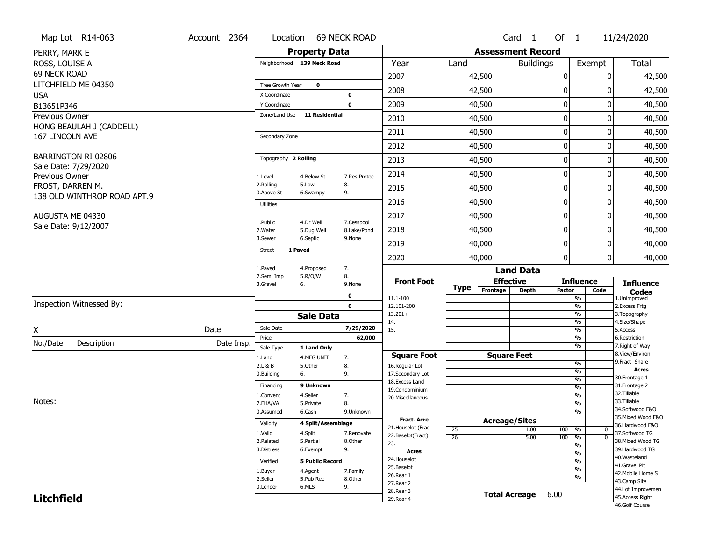|                     | Map Lot R14-063                                    | Account 2364 | Location                   |                        | 69 NECK ROAD |                                      |                 |                          | Card 1               | Of 1          |                                | 11/24/2020                            |
|---------------------|----------------------------------------------------|--------------|----------------------------|------------------------|--------------|--------------------------------------|-----------------|--------------------------|----------------------|---------------|--------------------------------|---------------------------------------|
| PERRY, MARK E       |                                                    |              |                            | <b>Property Data</b>   |              |                                      |                 | <b>Assessment Record</b> |                      |               |                                |                                       |
| ROSS, LOUISE A      |                                                    |              | Neighborhood 139 Neck Road |                        |              | Year                                 | Land            |                          | <b>Buildings</b>     |               | Exempt                         | <b>Total</b>                          |
| <b>69 NECK ROAD</b> |                                                    |              |                            |                        |              | 2007                                 |                 | 42,500                   |                      | 0             | $\mathbf{0}$                   | 42,500                                |
|                     | LITCHFIELD ME 04350                                |              | Tree Growth Year           | $\mathbf 0$            |              | 2008                                 |                 | 42,500                   |                      | $\mathbf{0}$  | 0                              | 42,500                                |
| <b>USA</b>          |                                                    |              | X Coordinate               |                        | $\mathbf 0$  |                                      |                 |                          |                      |               |                                |                                       |
| B13651P346          |                                                    |              | Y Coordinate               |                        | $\mathbf 0$  | 2009                                 |                 | 40,500                   |                      | $\pmb{0}$     | 0                              | 40,500                                |
| Previous Owner      | HONG BEAULAH J (CADDELL)                           |              | Zone/Land Use              | <b>11 Residential</b>  |              | 2010                                 |                 | 40,500                   |                      | $\mathbf 0$   | 0                              | 40,500                                |
| 167 LINCOLN AVE     |                                                    |              | Secondary Zone             |                        |              | 2011                                 |                 | 40,500                   |                      | $\mathbf 0$   | 0                              | 40,500                                |
|                     |                                                    |              |                            |                        |              | 2012                                 |                 | 40,500                   |                      | $\mathbf 0$   | 0                              | 40,500                                |
|                     | <b>BARRINGTON RI 02806</b><br>Sale Date: 7/29/2020 |              | Topography 2 Rolling       |                        |              | 2013                                 |                 | 40,500                   |                      | 0             | 0                              | 40,500                                |
| Previous Owner      |                                                    |              | 1.Level                    | 4.Below St             | 7.Res Protec | 2014                                 |                 | 40,500                   |                      | $\mathbf 0$   | 0                              | 40,500                                |
| FROST, DARREN M.    |                                                    |              | 2.Rolling<br>3.Above St    | 5.Low<br>6.Swampy      | 8.<br>9.     | 2015                                 |                 | 40,500                   |                      | $\mathbf 0$   | 0                              | 40,500                                |
|                     | 138 OLD WINTHROP ROAD APT.9                        |              | <b>Utilities</b>           |                        |              | 2016                                 |                 | 40,500                   |                      | $\mathbf 0$   | 0                              | 40,500                                |
|                     | AUGUSTA ME 04330                                   |              | 1.Public                   | 4.Dr Well              | 7.Cesspool   | 2017                                 |                 | 40,500                   |                      | 0             | 0                              | 40,500                                |
|                     | Sale Date: 9/12/2007                               |              | 2. Water                   | 5.Dug Well             | 8.Lake/Pond  | 2018                                 |                 | 40,500                   |                      | $\mathbf 0$   | 0                              | 40,500                                |
|                     |                                                    |              | 3.Sewer                    | 6.Septic               | 9.None       | 2019                                 |                 | 40,000                   |                      | 0             | 0                              | 40,000                                |
|                     |                                                    |              | <b>Street</b><br>1 Paved   |                        |              | 2020                                 |                 | 40,000                   |                      | $\mathbf{0}$  | 0                              | 40,000                                |
|                     |                                                    |              | 1.Paved                    | 4.Proposed             | 7.           |                                      |                 |                          | <b>Land Data</b>     |               |                                |                                       |
|                     |                                                    |              | 2.Semi Imp<br>3.Gravel     | 5.R/O/W<br>6.          | 8.<br>9.None | <b>Front Foot</b>                    |                 | <b>Effective</b>         |                      |               | <b>Influence</b>               | <b>Influence</b>                      |
|                     |                                                    |              |                            |                        | 0            | 11.1-100                             | <b>Type</b>     | Frontage                 | <b>Depth</b>         | <b>Factor</b> | Code<br>$\frac{9}{6}$          | <b>Codes</b><br>1.Unimproved          |
|                     | Inspection Witnessed By:                           |              |                            |                        | $\mathbf 0$  | 12.101-200                           |                 |                          |                      |               | $\frac{9}{6}$                  | 2.Excess Frtg                         |
|                     |                                                    |              |                            | <b>Sale Data</b>       |              | $13.201+$<br>14.                     |                 |                          |                      |               | $\frac{9}{6}$<br>$\frac{9}{6}$ | 3. Topography<br>4.Size/Shape         |
| Χ                   |                                                    | Date         | Sale Date                  |                        | 7/29/2020    | 15.                                  |                 |                          |                      |               | $\frac{9}{6}$                  | 5.Access                              |
| No./Date            | Description                                        | Date Insp.   | Price                      |                        | 62,000       |                                      |                 |                          |                      |               | $\frac{9}{6}$                  | 6.Restriction                         |
|                     |                                                    |              | Sale Type                  | 1 Land Only            |              |                                      |                 | <b>Square Feet</b>       |                      |               | $\frac{9}{6}$                  | 7. Right of Way<br>8.View/Environ     |
|                     |                                                    |              | 1.Land<br>2.L & B          | 4.MFG UNIT<br>5.Other  | 7.<br>8.     | <b>Square Foot</b><br>16.Regular Lot |                 |                          |                      |               | $\frac{9}{6}$                  | 9.Fract Share                         |
|                     |                                                    |              | 3.Building                 | 6.                     | 9.           | 17.Secondary Lot                     |                 |                          |                      |               | $\frac{9}{6}$                  | <b>Acres</b>                          |
|                     |                                                    |              | Financing                  | 9 Unknown              |              | 18.Excess Land                       |                 |                          |                      |               | $\frac{9}{6}$<br>$\frac{9}{6}$ | 30. Frontage 1<br>31. Frontage 2      |
|                     |                                                    |              | 1.Convent                  | 4.Seller               | 7.           | 19. Condominium<br>20. Miscellaneous |                 |                          |                      |               | $\frac{9}{6}$                  | 32.Tillable                           |
| Notes:              |                                                    |              | 2.FHA/VA                   | 5.Private              | 8.           |                                      |                 |                          |                      |               | $\frac{9}{6}$                  | 33.Tillable                           |
|                     |                                                    |              |                            | 6.Cash                 | 9.Unknown    |                                      |                 |                          |                      |               | $\frac{9}{6}$                  | 34.Softwood F&O<br>35. Mixed Wood F&O |
|                     |                                                    |              | 3.Assumed                  |                        |              |                                      |                 |                          |                      |               |                                |                                       |
|                     |                                                    |              | Validity                   | 4 Split/Assemblage     |              | <b>Fract. Acre</b>                   |                 | <b>Acreage/Sites</b>     |                      |               |                                |                                       |
|                     |                                                    |              | 1.Valid                    |                        | 7.Renovate   | 21. Houselot (Frac                   | 25              |                          | 1.00                 | 100 %         | 0                              | 36.Hardwood F&O<br>37.Softwood TG     |
|                     |                                                    |              | 2.Related                  | 4.Split<br>5.Partial   | 8.Other      | 22.Baselot(Fract)                    | $\overline{26}$ |                          | 5.00                 | 100           | $\overline{0}$<br>%            | 38. Mixed Wood TG                     |
|                     |                                                    |              | 3.Distress                 | 6.Exempt               | 9.           | 23.<br><b>Acres</b>                  |                 |                          |                      |               | $\frac{9}{6}$                  | 39.Hardwood TG                        |
|                     |                                                    |              | Verified                   | <b>5 Public Record</b> |              | 24. Houselot                         |                 |                          |                      |               | $\frac{9}{6}$<br>$\frac{9}{6}$ | 40. Wasteland                         |
|                     |                                                    |              | 1.Buyer                    | 4.Agent                | 7.Family     | 25.Baselot                           |                 |                          |                      |               | $\frac{9}{6}$                  | 41.Gravel Pit                         |
|                     |                                                    |              | 2.Seller                   | 5.Pub Rec              | 8.Other      | 26.Rear 1                            |                 |                          |                      |               | $\overline{\frac{9}{6}}$       | 42. Mobile Home Si                    |
|                     |                                                    |              | 3.Lender                   | 6.MLS                  | 9.           | 27.Rear 2<br>28. Rear 3              |                 |                          |                      |               |                                | 43.Camp Site<br>44.Lot Improvemen     |
| <b>Litchfield</b>   |                                                    |              |                            |                        |              | 29. Rear 4                           |                 |                          | <b>Total Acreage</b> | 6.00          |                                | 45.Access Right<br>46.Golf Course     |